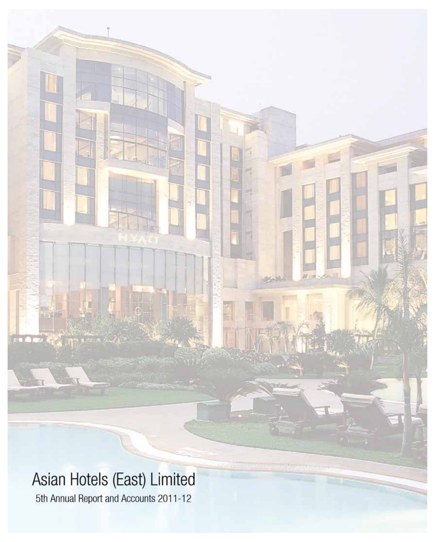22 Martin Martin Martin Martin Company

Œ

5th Annual Report and Accounts 2011-12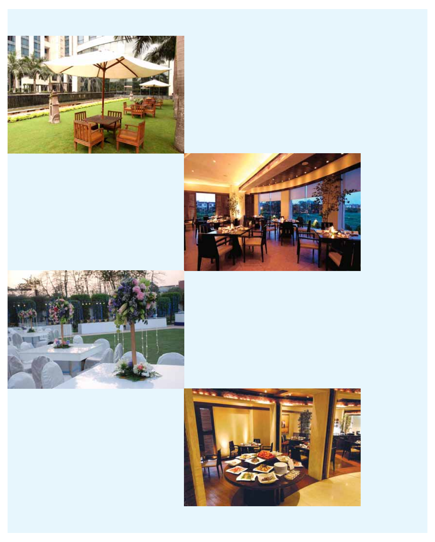





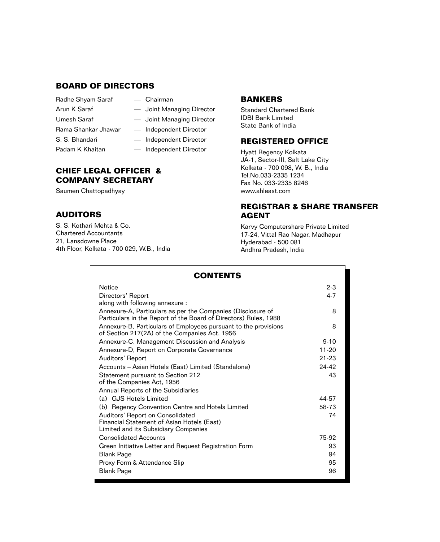### **BOARD OF DIRECTORS**

- Radhe Shyam Saraf Chairman
	-
- Arun K Saraf Joint Managing Director
- Umesh Saraf - Joint Managing Director
- Rama Shankar Jhawar Independent Director
- S. S. Bhandari Independent Director
- Padam K Khaitan Independent Director

### **CHIEF LEGAL OFFICER & COMPANY SECRETARY**

Saumen Chattopadhyay

### **AUDITORS**

S. S. Kothari Mehta & Co. Chartered Accountants 21, Lansdowne Place 4th Floor, Kolkata - 700 029, W.B., India

### **BANKERS**

Standard Chartered Bank IDBI Bank Limited State Bank of India

### **REGISTERED OFFICE**

Hyatt Regency Kolkata JA-1, Sector-III, Salt Lake City Kolkata - 700 098, W. B., India Tel.No.033-2335 1234 Fax No. 033-2335 8246 www.ahleast.com

### **REGISTRAR & SHARE TRANSFER AGENT**

Karvy Computershare Private Limited 17-24, Vittal Rao Nagar, Madhapur Hyderabad - 500 081 Andhra Pradesh, India

| <b>CONTENTS</b>                                                                                                                 |           |
|---------------------------------------------------------------------------------------------------------------------------------|-----------|
| <b>Notice</b>                                                                                                                   | $2 - 3$   |
| Directors' Report                                                                                                               | $4 - 7$   |
| along with following annexure :                                                                                                 |           |
| Annexure-A, Particulars as per the Companies (Disclosure of<br>Particulars in the Report of the Board of Directors) Rules, 1988 | 8         |
| Annexure-B, Particulars of Employees pursuant to the provisions<br>of Section 217(2A) of the Companies Act, 1956                | 8         |
| Annexure-C, Management Discussion and Analysis                                                                                  | $9 - 10$  |
| Annexure-D, Report on Corporate Governance                                                                                      | $11 - 20$ |
| Auditors' Report                                                                                                                | $21 - 23$ |
| Accounts – Asian Hotels (East) Limited (Standalone)                                                                             | $24-42$   |
| Statement pursuant to Section 212                                                                                               | 43        |
| of the Companies Act, 1956                                                                                                      |           |
| Annual Reports of the Subsidiaries                                                                                              |           |
| (a) GJS Hotels Limited                                                                                                          | 44-57     |
| (b) Regency Convention Centre and Hotels Limited                                                                                | 58-73     |
| Auditors' Report on Consolidated                                                                                                | 74        |
| Financial Statement of Asian Hotels (East)                                                                                      |           |
| Limited and its Subsidiary Companies                                                                                            |           |
| <b>Consolidated Accounts</b>                                                                                                    | 75-92     |
| Green Initiative Letter and Request Registration Form                                                                           | 93        |
| <b>Blank Page</b>                                                                                                               | 94        |
| Proxy Form & Attendance Slip                                                                                                    | 95        |
| <b>Blank Page</b>                                                                                                               | 96        |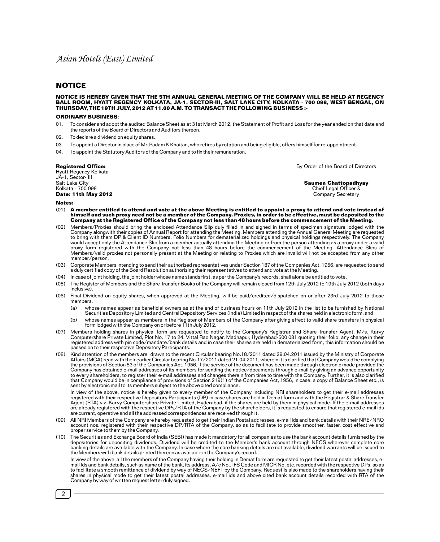#### **NOTICE**

#### **NOTICE IS HEREBY GIVEN THAT THE 5TH ANNUAL GENERAL MEETING OF THE COMPANY WILL BE HELD AT REGENCY BALL ROOM, HYATT REGENCY KOLKATA, JA-1, SECTOR-III, SALT LAKE CITY, KOLKATA - 700 098, WEST BENGAL, ON THURSDAY, THE 19TH JULY, 2012 AT 11.00 A.M. TO TRANSACT THE FOLLOWING BUSINESS :-**

#### **ORDINARY BUSINESS**:

- 01. To consider and adopt the audited Balance Sheet as at 31st March 2012, the Statement of Profit and Loss for the year ended on that date and the reports of the Board of Directors and Auditors thereon.
- 02. To declare a dividend on equity shares.
- 03. To appoint a Director in place of Mr. Padam K Khaitan, who retires by rotation and being eligible, offers himself for re-appointment.
- 04. To appoint the Statutory Auditors of the Company and to fix their remuneration.

#### **Registered Office: By Order of the Board of Directors** Hyatt Regency Kolkata JÁ-1, Sector- III<br>Salt Lake City **Saumen Chattopadhyay**<br>Chief Legal Officer & Kolkata - 700 098 **Date: 11th May 2012 Company Secretary**

#### **Notes:**

2

- (01) **A member entitled to attend and vote at the above Meeting is entitled to appoint a proxy to attend and vote instead of himself and such proxy need not be a member of the Company. Proxies, in order to be effective, must be deposited to the Company at the Registered Office of the Company not less than 48 hours before the commencement of the Meeting.**
- (02) Members/Proxies should bring the enclosed Attendance Slip duly filled in and signed in terms of specimen signature lodged with the Company alongwith their copies of Annual Report for attending the Meeting. Members attending the Annual General Meeting are requested to bring with them DP & Client ID Numbers, Folio Numbers for dematerialized holdings and physical holdings respectively. The Company would accept only the Attendance Slip from a member actually attending the Meeting or from the person attending as a proxy under a valid proxy form registered with the Company not less than 48 hours before the commencement of the Meeting. Attendance Slips of Members/valid proxies not personally present at the Meeting or relating to Proxies which are invalid will not be accepted from any other member/person.
- (03) Corporate Members intending to send their authorized representatives under Section 187 of the Companies Act, 1956, are requested to send a duly certified copy of the Board Resolution authorizing their representatives to attend and vote at the Meeting.
- (04) In case of joint holding, the joint holder whose name stands first, as per the Company's records, shall alone be entitled to vote.
- (05) The Register of Members and the Share Transfer Books of the Company will remain closed from 12th July 2012 to 19th July 2012 (both days inclusive).
- (06) Final Dividend on equity shares, when approved at the Meeting, will be paid/credited/dispatched on or after 23rd July 2012 to those members.
	- (a) whose names appear as beneficial owners as at the end of business hours on 11th July 2012 in the list to be furnished by National Securities Depository Limited and Central Depository Services (India) Limited in respect of the shares held in electronic form, and
	- (b) whose names appear as members in the Register of Members of the Company after giving effect to valid share transfers in physical form lodged with the Company on or before 11th July 2012.
- (07) Members holding shares in physical form are requested to notify to the Company's Registrar and Share Transfer Agent, M/s. Karvy Computershare Private Limited, Plot No. 17 to 24, Vittal Rao Nagar, Madhapur, Hyderabad-500 081 quoting their folio, any change in their registered address with pin code/mandate/bank details and in case their shares are held in dematerialized form, this information should be passed on to their respective Depository Participants.
- (08) Kind attention of the members are drawn to the recent Circular bearing No.18/2011 dated 29.04.2011 issued by the Ministry of Corporate Affairs (MCA) read with their earlier Circular bearing No.17/2011 dated 21.04.2011, wherein it is clarified that Company would be complying the provisions of Section 53 of the Companies Act, 1956, if the service of the document has been made through electronic mode provided the Company has obtained e-mail addresses of its members for sending the notice/documents through e-mail by giving an advance opportunity to every shareholders, to register their e-mail addresses and changes therein from time to time with the Company. Further, it is also clarified that Company would be in compliance of provisions of Section 219(1) of the Companies Act, 1956, in case, a copy of Balance Sheet etc., is sent by electronic mail to its members subject to the above cited compliance.

In view of the above, notice is hereby given to every member of the Company including NRI shareholders to get their e-mail addresses registered with their respective Depository Participants (DP) in case shares are held in Demat form and with the Registrar & Share Transfer Agent (RTA) viz. Karvy Computershare Private Limited, Hyderabad, if the shares are held by them in physical mode. If the e-mail addresses are already registered with the respective DPs/RTA of the Company by the shareholders, it is requested to ensure that registered e-mail ids are current, operative and all the addressed correspondences are received through it.

- (09) All NRI Members of the Company are hereby requested to get their Indian Postal addresses, e-mail ids and bank details with their NRE/NRO account nos. registered with their respective DP/RTA of the Company, so as to facilitate to provide smoother, faster, cost effective and proper service to them by the Company.
- (10) The Securities and Exchange Board of India (SEBI) has made it mandatory for all companies to use the bank account details furnished by the depositories for depositing dividends. Dividend will be credited to the Member's bank account through NECS wherever complete core banking details are available with the Company. In case where the core banking details are not available, dividend warrants will be issued to the Members with bank details printed thereon as available in the Company's record.

In view of the above, all the members of the Company having their holding in Demat form are requested to get their latest postal addresses, email Ids and bank details, such as name of the bank, its address, A/c No., IFS Code and MICR No. etc. recorded with the respective DPs, so as to facilitate a smooth remittance of dividend by way of NECS/NEFT by the Company. Request is also made to the shareholders having their shares in physical mode to get their latest postal addresses, e-mail ids and above cited bank account details recorded with RTA of the Company by way of written request letter duly signed.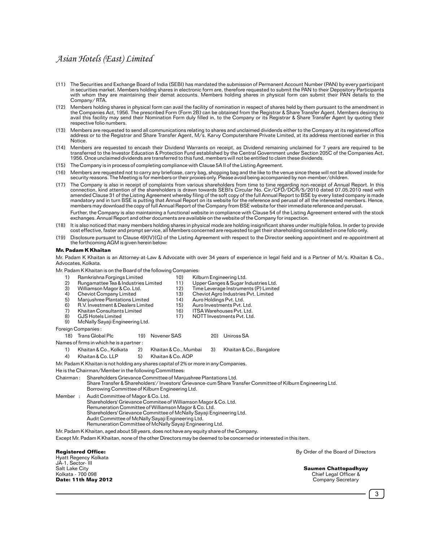- (11) The Securities and Exchange Board of India (SEBI) has mandated the submission of Permanent Account Number (PAN) by every participant in securities market. Members holding shares in electronic form are, therefore requested to submit the PAN to their Depository Participants with whom they are maintaining their demat accounts. Members holding shares in physical form can submit their PAN details to the Company/ RTA.
- (12) Members holding shares in physical form can avail the facility of nomination in respect of shares held by them pursuant to the amendment in the Companies Act, 1956. The prescribed Form (Form 2B) can be obtained from the Registrar & Share Transfer Agent. Members desiring to avail this facility may send their Nomination Form duly filled in, to the Company or its Registrar & Share Transfer Agent by quoting their respective folio numbers.
- (13) Members are requested to send all communications relating to shares and unclaimed dividends either to the Company at its registered office address or to the Registrar and Share Transfer Agent, M/s. Karvy Computershare Private Limited, at its address mentioned earlier in this Notice.
- (14) Members are requested to encash their Dividend Warrants on receipt, as Dividend remaining unclaimed for 7 years are required to be transferred to the Investor Education & Protection Fund established by the Central Government under Section 205C of the Companies Act, 1956. Once unclaimed dividends are transferred to this fund, members will not be entitled to claim these dividends.
- (15) The Company is in process of completing compliance with Clause 5A II of the Listing Agreement.
- (16) Members are requested not to carry any briefcase, carry bag, shopping bag and the like to the venue since these will not be allowed inside for security reasons. The Meeting is for members or their proxies only. Please avoid being accompanied by non-member/children.
- (17) The Company is also in receipt of complaints from various shareholders from time to time regarding non-receipt of Annual Report. In this connection, kind attention of the shareholders is drawn towards SEBI's Circular No. Cir/CFD/DCR/5/2010 dated 07.05.2010 read with amended Clause 31 of the Listing Agreement whereby filing of the soft copy of the full Annual Report to BSE by every listed company is made mandatory and in turn BSE is putting that Annual Report on its website for the reference and perusal of all the interested members. Hence, members may download the copy of full Annual Report of the Company from BSE website for their immediate reference and perusal. Further, the Company is also maintaining a functional website in compliance with Clause 54 of the Listing Agreement entered with the stock exchanges. Annual Report and other documents are available on the website of the Company for inspection.
- (18) It is also noticed that many members holding shares in physical mode are holding insignificant shares under multiple folios. In order to provide cost effective, faster and prompt service, all Members concerned are requested to get their shareholding consolidated in one folio only.
- (19) Disclosure pursuant to Clause 49(IV)(G) of the Listing Agreement with respect to the Director seeking appointment and re-appointment at the forthcoming AGM is given herein below:

#### **Mr. Padam K Khaitan**

Mr. Padam K Khaitan is an Attorney-at-Law & Advocate with over 34 years of experience in legal field and is a Partner of M/s. Khaitan & Co., Advocates, Kolkata.

Mr. Padam K Khaitan is on the Board of the following Companies:

| 1)<br>2)<br>3)<br>4)<br>5)<br>6)<br>7)<br>8)<br>9) | Ramkrishna Forgings Limited<br>Rungamattee Tea & Industries Limited<br>Williamson Magor & Co. Ltd.<br>Cheviot Company Limited<br>Manjushree Plantations Limited<br>R.V. Investment & Dealers Limited<br>Khaitan Consultants Limited<br><b>GJS Hotels Limited</b><br>McNally Sayaji Engineering Ltd.                                                        |     |                       | 10)<br>11)<br>12)<br>13)<br>14)<br>15)<br>16)<br>17) | Kilburn Engineering Ltd.<br>Upper Ganges & Sugar Industries Ltd.<br>Time Leverage Instruments (P) Limited<br>Cheviot Agro Industries Pvt. Limited<br>Auro Holdings Pvt. Ltd.<br>Auro Investments Pvt. Ltd.<br><b>ITSA Warehouses Pvt. Ltd.</b><br>NOTT Investments Pvt. Ltd. |     |                                                                                                                   |
|----------------------------------------------------|------------------------------------------------------------------------------------------------------------------------------------------------------------------------------------------------------------------------------------------------------------------------------------------------------------------------------------------------------------|-----|-----------------------|------------------------------------------------------|------------------------------------------------------------------------------------------------------------------------------------------------------------------------------------------------------------------------------------------------------------------------------|-----|-------------------------------------------------------------------------------------------------------------------|
| Foreign Companies:                                 |                                                                                                                                                                                                                                                                                                                                                            |     |                       |                                                      |                                                                                                                                                                                                                                                                              |     |                                                                                                                   |
|                                                    | 18) Trans Global Plc                                                                                                                                                                                                                                                                                                                                       | 19) | Novener SAS           |                                                      |                                                                                                                                                                                                                                                                              | 20) | <b>Uniross SA</b>                                                                                                 |
|                                                    | Names of firms in which he is a partner:                                                                                                                                                                                                                                                                                                                   |     |                       |                                                      |                                                                                                                                                                                                                                                                              |     |                                                                                                                   |
| 1)                                                 | Khaitan & Co., Kolkata                                                                                                                                                                                                                                                                                                                                     | 2)  | Khaitan & Co., Mumbai |                                                      |                                                                                                                                                                                                                                                                              | 3)  | Khaitan & Co., Bangalore                                                                                          |
| 4)                                                 | Khaitan & Co. LLP                                                                                                                                                                                                                                                                                                                                          | 5)  | Khaitan & Co. AOP     |                                                      |                                                                                                                                                                                                                                                                              |     |                                                                                                                   |
|                                                    | Mr. Padam K Khaitan is not holding any shares capital of 2% or more in any Companies.                                                                                                                                                                                                                                                                      |     |                       |                                                      |                                                                                                                                                                                                                                                                              |     |                                                                                                                   |
|                                                    | He is the Chairman/Member in the following Committees:                                                                                                                                                                                                                                                                                                     |     |                       |                                                      |                                                                                                                                                                                                                                                                              |     |                                                                                                                   |
| Chairman:                                          | Shareholders Grievance Committee of Manjushree Plantations Ltd.<br>Borrowing Committee of Kilburn Engineering Ltd.                                                                                                                                                                                                                                         |     |                       |                                                      |                                                                                                                                                                                                                                                                              |     | Share Transfer & Shareholders'/Investors' Grievance-cum Share Transfer Committee of Kilburn Engineering Ltd.      |
| Member:                                            | Audit Committee of Magor & Co. Ltd.<br>Shareholders' Grievance Commitee of Williamson Magor & Co. Ltd.<br>Remuneration Committee of Williamson Magor & Co. Ltd.<br>Shareholders' Grievance Committee of McNally Sayaji Engineering Ltd.<br>Audit Committee of McNally Sayaji Engineering Ltd.<br>Remuneration Committee of McNally Sayaji Engineering Ltd. |     |                       |                                                      |                                                                                                                                                                                                                                                                              |     |                                                                                                                   |
|                                                    | Mr. Padam K Khaitan, aged about 58 years, does not have any equity share of the Company.                                                                                                                                                                                                                                                                   |     |                       |                                                      |                                                                                                                                                                                                                                                                              |     |                                                                                                                   |
|                                                    |                                                                                                                                                                                                                                                                                                                                                            |     |                       |                                                      |                                                                                                                                                                                                                                                                              |     | Except Mr. Padam K Khaitan, none of the other Directors may be deemed to be concerned or interested in this item. |

Hyatt Regency Kolkata JA-1, Sector- III

**Registered Office: By Order of the Board of Directors** 

Salt Lake City **Saumen Chattopadhyay**<br>Kolkata - 700 098 **Saumen Chattopadhyay**<br>Chief Legal Officer & Chief Legal Officer & **Date: 11th May 2012 Company Secretary Date: 11th May 2012**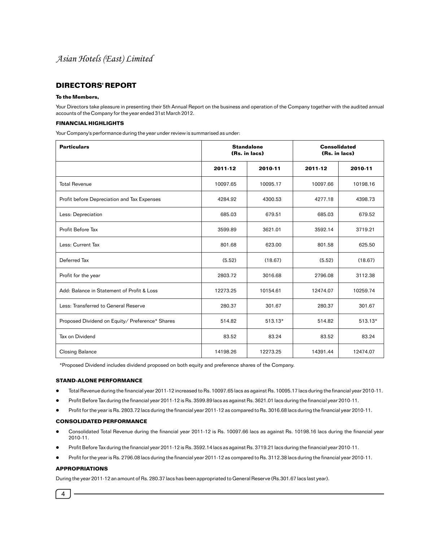### **DIRECTORS' REPORT**

#### **To the Members,**

Your Directors take pleasure in presenting their 5th Annual Report on the business and operation of the Company together with the audited annual accounts of the Company for the year ended 31st March 2012.

#### **FINANCIAL HIGHLIGHTS**

Your Company's performance during the year under review is summarised as under:

| <b>Particulars</b>                              |          | <b>Standalone</b><br>(Rs. in lacs) | <b>Consolidated</b><br>(Rs. in lacs) |           |  |
|-------------------------------------------------|----------|------------------------------------|--------------------------------------|-----------|--|
|                                                 | 2011-12  | 2010-11                            | 2011-12                              | 2010-11   |  |
| <b>Total Revenue</b>                            | 10097.65 | 10095.17                           | 10097.66                             | 10198.16  |  |
| Profit before Depreciation and Tax Expenses     | 4284.92  | 4300.53                            | 4277.18                              | 4398.73   |  |
| Less: Depreciation                              | 685.03   | 679.51                             | 685.03                               | 679.52    |  |
| Profit Before Tax                               | 3599.89  | 3621.01                            | 3592.14                              | 3719.21   |  |
| Less: Current Tax                               | 801.68   | 623.00                             | 801.58                               | 625.50    |  |
| Deferred Tax                                    | (5.52)   | (18.67)                            | (5.52)                               | (18.67)   |  |
| Profit for the year                             | 2803.72  | 3016.68                            | 2796.08                              | 3112.38   |  |
| Add: Balance in Statement of Profit & Loss      | 12273.25 | 10154.61                           | 12474.07                             | 10259.74  |  |
| Less: Transferred to General Reserve            | 280.37   | 301.67                             | 280.37                               | 301.67    |  |
| Proposed Dividend on Equity/ Preference* Shares | 514.82   | $513.13*$                          | 514.82                               | $513.13*$ |  |
| Tax on Dividend                                 | 83.52    | 83.24                              | 83.52                                | 83.24     |  |
| <b>Closing Balance</b>                          | 14198.26 | 12273.25                           | 14391.44                             | 12474.07  |  |

\*Proposed Dividend includes dividend proposed on both equity and preference shares of the Company.

#### **STAND-ALONE PERFORMANCE**

- l Total Revenue during the financial year 2011-12 increased to Rs. 10097.65 lacs as against Rs. 10095.17 lacs during the financial year 2010-11.
- l Profit Before Tax during the financial year 2011-12 is Rs. 3599.89 lacs as against Rs. 3621.01 lacs during the financial year 2010-11.
- l Profit for the year is Rs. 2803.72 lacs during the financial year 2011-12 as compared to Rs. 3016.68 lacs during the financial year 2010-11.

#### **CONSOLIDATED PERFORMANCE**

- **Consolidated Total Revenue during the financial year 2011-12 is Rs. 10097.66 lacs as against Rs. 10198.16 lacs during the financial year** 2010-11.
- l Profit Before Tax during the financial year 2011-12 is Rs. 3592.14 lacs as against Rs. 3719.21 lacs during the financial year 2010-11.
- l Profit for the year is Rs. 2796.08 lacs during the financial year 2011-12 as compared to Rs. 3112.38 lacs during the financial year 2010-11.

#### **APPROPRIATIONS**

During the year 2011-12 an amount of Rs. 280.37 lacs has been appropriated to General Reserve (Rs.301.67 lacs last year).

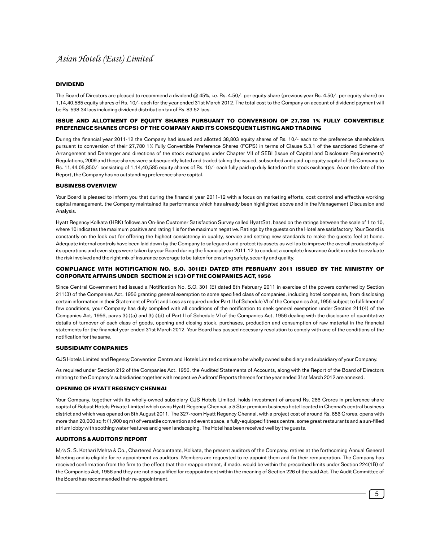#### **DIVIDEND**

The Board of Directors are pleased to recommend a dividend @ 45%, i.e. Rs. 4.50/- per equity share (previous year Rs. 4.50/- per equity share) on 1,14,40,585 equity shares of Rs. 10/- each for the year ended 31st March 2012. The total cost to the Company on account of dividend payment will be Rs. 598.34 lacs including dividend distribution tax of Rs. 83.52 lacs.

#### **ISSUE AND ALLOTMENT OF EQUITY SHARES PURSUANT TO CONVERSION OF 27,780 1% FULLY CONVERTIBLE PREFERENCE SHARES (FCPS) OF THE COMPANY AND ITS CONSEQUENT LISTING AND TRADING**

During the financial year 2011-12 the Company had issued and allotted 38,803 equity shares of Rs. 10/- each to the preference shareholders pursuant to conversion of their 27,780 1% Fully Convertible Preference Shares (FCPS) in terms of Clause 5.3.1 of the sanctioned Scheme of Arrangement and Demerger and directions of the stock exchanges under Chapter VII of SEBI (Issue of Capital and Disclosure Requirements) Regulations, 2009 and these shares were subsequently listed and traded taking the issued, subscribed and paid-up equity capital of the Company to Rs. 11,44,05,850/- consisting of 1,14,40,585 equity shares of Rs. 10/- each fully paid up duly listed on the stock exchanges. As on the date of the Report, the Company has no outstanding preference share capital.

#### **BUSINESS OVERVIEW**

Your Board is pleased to inform you that during the financial year 2011-12 with a focus on marketing efforts, cost control and effective working capital management, the Company maintained its performance which has already been highlighted above and in the Management Discussion and Analysis.

Hyatt Regency Kolkata (HRK) follows an On-line Customer Satisfaction Survey called HyattSat, based on the ratings between the scale of 1 to 10, where 10 indicates the maximum positive and rating 1 is for the maximum negative. Ratings by the guests on the Hotel are satisfactory. Your Board is constantly on the look out for offering the highest consistency in quality, service and setting new standards to make the guests feel at home. Adequate internal controls have been laid down by the Company to safeguard and protect its assets as well as to improve the overall productivity of its operations and even steps were taken by your Board during the financial year 2011-12 to conduct a complete Insurance Audit in order to evaluate the risk involved and the right mix of insurance coverage to be taken for ensuring safety, security and quality.

#### **COMPLIANCE WITH NOTIFICATION NO. S.O. 301(E) DATED 8TH FEBRUARY 2011 ISSUED BY THE MINISTRY OF CORPORATE AFFAIRS UNDER SECTION 211(3) OF THE COMPANIES ACT, 1956**

Since Central Government had issued a Notification No. S.O. 301 (E) dated 8th February 2011 in exercise of the powers conferred by Section 211(3) of the Companies Act, 1956 granting general exemption to some specified class of companies, including hotel companies, from disclosing certain information in their Statement of Profit and Loss as required under Part-II of Schedule VI of the Companies Act, 1956 subject to fulfillment of few conditions, your Company has duly complied with all conditions of the notification to seek general exemption under Section 211(4) of the Companies Act, 1956, paras 3(i)(a) and 3(ii)(d) of Part II of Schedule VI of the Companies Act, 1956 dealing with the disclosure of quantitative details of turnover of each class of goods, opening and closing stock, purchases, production and consumption of raw material in the financial statements for the financial year ended 31st March 2012. Your Board has passed necessary resolution to comply with one of the conditions of the notification for the same.

#### **SUBSIDIARY COMPANIES**

GJS Hotels Limited and Regency Convention Centre and Hotels Limited continue to be wholly owned subsidiary and subsidiary of your Company.

As required under Section 212 of the Companies Act, 1956, the Audited Statements of Accounts, along with the Report of the Board of Directors relating to the Company's subsidiaries together with respective Auditors' Reports thereon for the year ended 31st March 2012 are annexed.

#### **OPENING OF HYATT REGENCY CHENNAI**

Your Company, together with its wholly-owned subsidiary GJS Hotels Limited, holds investment of around Rs. 266 Crores in preference share capital of Robust Hotels Private Limited which owns Hyatt Regency Chennai, a 5 Star premium business hotel located in Chennai's central business district and which was opened on 8th August 2011. The 327-room Hyatt Regency Chennai, with a project cost of around Rs. 656 Crores, opens with more than 20,000 sq ft (1,900 sq m) of versatile convention and event space, a fully-equipped fitness centre, some great restaurants and a sun-filled atrium lobby with soothing water features and green landscaping. The Hotel has been received well by the guests.

#### **AUDITORS & AUDITORS' REPORT**

M/s S. S. Kothari Mehta & Co., Chartered Accountants, Kolkata, the present auditors of the Company, retires at the forthcoming Annual General Meeting and is eligible for re-appointment as auditors. Members are requested to re-appoint them and fix their remuneration. The Company has received confirmation from the firm to the effect that their reappointment, if made, would be within the prescribed limits under Section 224(1B) of the Companies Act, 1956 and they are not disqualified for reappointment within the meaning of Section 226 of the said Act. The Audit Committee of the Board has recommended their re-appointment.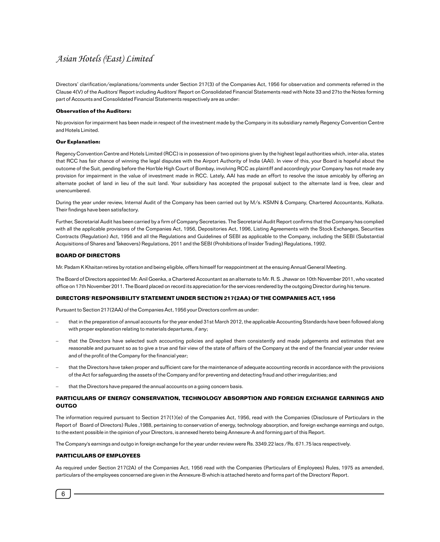Directors' clarification/explanations/comments under Section 217(3) of the Companies Act, 1956 for observation and comments referred in the Clause 4(V) of the Auditors' Report including Auditors' Report on Consolidated Financial Statements read with Note 33 and 27to the Notes forming part of Accounts and Consolidated Financial Statements respectively are as under:

#### **Observation of the Auditors:**

No provision for impairment has been made in respect of the investment made by the Company in its subsidiary namely Regency Convention Centre and Hotels Limited.

#### **Our Explanation:**

Regency Convention Centre and Hotels Limited (RCC) is in possession of two opinions given by the highest legal authorities which, inter-alia, states that RCC has fair chance of winning the legal disputes with the Airport Authority of India (AAI). In view of this, your Board is hopeful about the outcome of the Suit, pending before the Hon'ble High Court of Bombay, involving RCC as plaintiff and accordingly your Company has not made any provision for impairment in the value of investment made in RCC. Lately, AAI has made an effort to resolve the issue amicably by offering an alternate pocket of land in lieu of the suit land. Your subsidiary has accepted the proposal subject to the alternate land is free, clear and unencumbered.

During the year under review, Internal Audit of the Company has been carried out by M/s. KSMN & Company, Chartered Accountants, Kolkata. Their findings have been satisfactory.

Further, Secretarial Audit has been carried by a firm of Company Secretaries. The Secretarial Audit Report confirms that the Company has complied with all the applicable provisions of the Companies Act, 1956, Depositories Act, 1996, Listing Agreements with the Stock Exchanges, Securities Contracts (Regulation) Act, 1956 and all the Regulations and Guidelines of SEBI as applicable to the Company, including the SEBI (Substantial Acquisitions of Shares and Takeovers) Regulations, 2011 and the SEBI (Prohibitions of Insider Trading) Regulations, 1992.

#### **BOARD OF DIRECTORS**

Mr. Padam K Khaitan retires by rotation and being eligible, offers himself for reappointment at the ensuing Annual General Meeting.

The Board of Directors appointed Mr. Anil Goenka, a Chartered Accountant as an alternate to Mr. R. S. Jhawar on 10th November 2011, who vacated office on 17th November 2011. The Board placed on record its appreciation for the services rendered by the outgoing Director during his tenure.

#### **DIRECTORS' RESPONSIBILITY STATEMENT UNDER SECTION 217(2AA) OF THE COMPANIES ACT, 1956**

Pursuant to Section 217(2AA) of the Companies Act, 1956 your Directors confirm as under:

- that in the preparation of annual accounts for the year ended 31st March 2012, the applicable Accounting Standards have been followed along with proper explanation relating to materials departures, if any;
- that the Directors have selected such accounting policies and applied them consistently and made judgements and estimates that are reasonable and pursuant so as to give a true and fair view of the state of affairs of the Company at the end of the financial year under review and of the profit of the Company for the financial year;
- that the Directors have taken proper and sufficient care for the maintenance of adequate accounting records in accordance with the provisions of the Act for safeguarding the assets of the Company and for preventing and detecting fraud and other irregularities; and
- that the Directors have prepared the annual accounts on a going concern basis.

#### **PARTICULARS OF ENERGY CONSERVATION, TECHNOLOGY ABSORPTION AND FOREIGN EXCHANGE EARNINGS AND OUTGO**

The information required pursuant to Section 217(1)(e) of the Companies Act, 1956, read with the Companies (Disclosure of Particulars in the Report of Board of Directors) Rules ,1988, pertaining to conservation of energy, technology absorption, and foreign exchange earnings and outgo, to the extent possible in the opinion of your Directors, is annexed hereto being Annexure-A and forming part of this Report.

The Company's earnings and outgo in foreign exchange for the year under review were Rs. 3349.22 lacs /Rs. 671.75 lacs respectively.

#### **PARTICULARS OF EMPLOYEES**

As required under Section 217(2A) of the Companies Act, 1956 read with the Companies (Particulars of Employees) Rules, 1975 as amended, particulars of the employees concerned are given in the Annexure-B which is attached hereto and forms part of the Directors' Report.

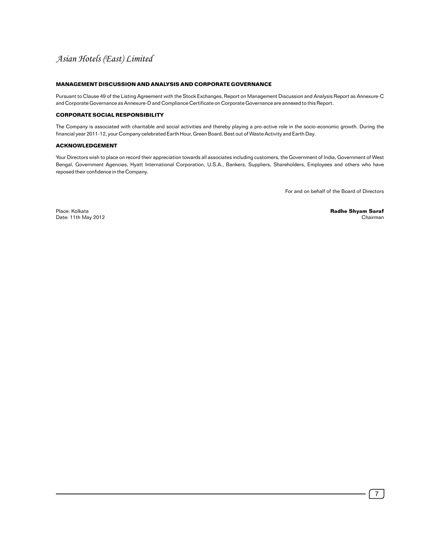#### **MANAGEMENT DISCUSSION AND ANALYSIS AND CORPORATE GOVERNANCE**

Pursuant to Clause 49 of the Listing Agreement with the Stock Exchanges, Report on Management Discussion and Analysis Report as Annexure-C and Corporate Governance as Annexure-D and Compliance Certificate on Corporate Governance are annexed to this Report.

#### **CORPORATE SOCIAL RESPONSIBILITY**

The Company is associated with charitable and social activities and thereby playing a pro-active role in the socio-economic growth. During the financial year 2011-12, your Company celebrated Earth Hour, Green Board, Best out of Waste Activity and Earth Day.

#### **ACKNOWLEDGEMENT**

Your Directors wish to place on record their appreciation towards all associates including customers, the Government of India, Government of West Bengal, Government Agencies, Hyatt International Corporation, U.S.A., Bankers, Suppliers, Shareholders, Employees and others who have reposed their confidence in the Company.

For and on behalf of the Board of Directors

Place: Kolkata **Radhe Shyam Saraf** Date: 11th May 2012 Chairman Chairman Chairman Chairman Chairman Chairman Chairman Chairman Chairman Chairman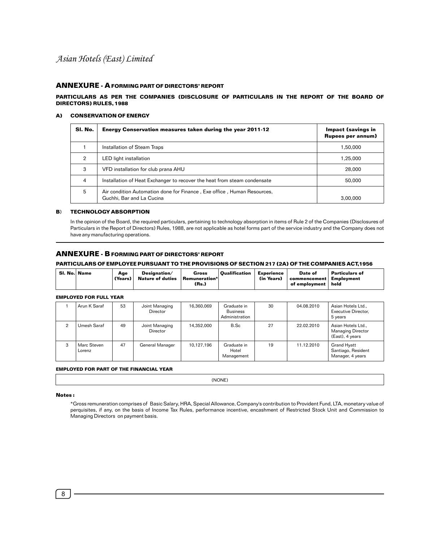#### **ANNEXURE - A FORMING PART OF DIRECTORS' REPORT**

**PARTICULARS AS PER THE COMPANIES (DISCLOSURE OF PARTICULARS IN THE REPORT OF THE BOARD OF DIRECTORS) RULES, 1988**

#### **A) CONSERVATION OF ENERGY**

| SI. No.        | <b>Energy Conservation measures taken during the year 2011-12</b>                                    | <b>Impact (savings in</b><br><b>Rupees per annum)</b> |
|----------------|------------------------------------------------------------------------------------------------------|-------------------------------------------------------|
|                | Installation of Steam Traps                                                                          | 1.50.000                                              |
| 2              | LED light installation                                                                               | 1,25,000                                              |
| 3              | VFD installation for club prana AHU                                                                  | 28,000                                                |
| $\overline{4}$ | Installation of Heat Exchanger to recover the heat from steam condensate                             | 50.000                                                |
| 5              | Air condition Automation done for Finance, Exe office, Human Resources,<br>Guchhi, Bar and La Cucina | 3.00.000                                              |

#### **B**) **TECHNOLOGY ABSORPTION**

In the opinion of the Board, the required particulars, pertaining to technology absorption in items of Rule 2 of the Companies (Disclosures of Particulars in the Report of Directors) Rules, 1988, are not applicable as hotel forms part of the service industry and the Company does not have any manufacturing operations.

#### **ANNEXURE - B FORMING PART OF DIRECTORS' REPORT**

#### **PARTICULARS OF EMPLOYEE PURSUANT TO THE PROVISIONS OF SECTION 217 (2A) OF THE COMPANIES ACT,1956**

| SI. No. Name |  | Aqe<br>(Years) | Designation/<br><b>Nature of duties</b> | Gross<br>Remuneration*<br>(Rs.) | Oualification | Experience<br>(in Years) | Date of<br>commencement   Employment<br>of emplovment   held | <b>Particulars of</b> |
|--------------|--|----------------|-----------------------------------------|---------------------------------|---------------|--------------------------|--------------------------------------------------------------|-----------------------|
|--------------|--|----------------|-----------------------------------------|---------------------------------|---------------|--------------------------|--------------------------------------------------------------|-----------------------|

#### **EMPLOYED FOR FULL YEAR**

|   | Arun K Saraf          | 53 | Joint Managing<br>Director | 16,360,069 | Graduate in<br><b>Business</b><br>Administration | 30 | 04.08.2010 | Asian Hotels Ltd.,<br>Executive Director.<br>5 years              |
|---|-----------------------|----|----------------------------|------------|--------------------------------------------------|----|------------|-------------------------------------------------------------------|
| 2 | Umesh Saraf           | 49 | Joint Managing<br>Director | 14.352.000 | B.Sc                                             | 27 | 22.02.2010 | Asian Hotels Ltd.,<br><b>Managing Director</b><br>(East), 4 years |
| 3 | Marc Steven<br>Lorenz | 47 | General Manager            | 10,127,196 | Graduate in<br>Hotel<br>Management               | 19 | 11.12.2010 | <b>Grand Hyatt</b><br>Santiago, Resident<br>Manager, 4 years      |

#### **EMPLOYED FOR PART OF THE FINANCIAL YEAR**

(NONE)

#### **Notes :**

\*Gross remuneration comprises of Basic Salary, HRA, Special Allowance, Company's contribution to Provident Fund, LTA, monetary value of perquisites, if any, on the basis of Income Tax Rules, performance incentive, encashment of Restricted Stock Unit and Commission to Managing Directors on payment basis.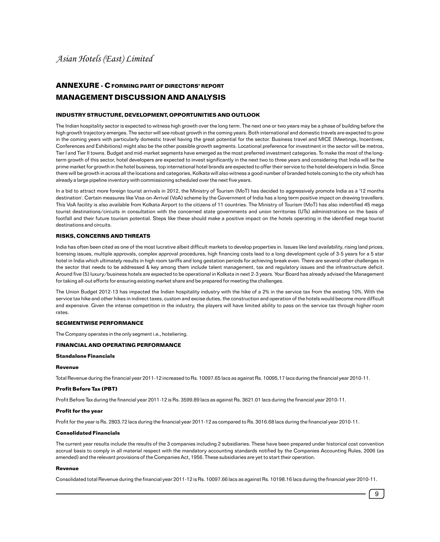### **ANNEXURE - C FORMING PART OF DIRECTORS' REPORT MANAGEMENT DISCUSSION AND ANALYSIS**

#### **INDUSTRY STRUCTURE, DEVELOPMENT, OPPORTUNITIES AND OUTLOOK**

The Indian hospitality sector is expected to witness high growth over the long term. The next one or two years may be a phase of building before the high growth trajectory emerges. The sector will see robust growth in the coming years. Both international and domestic travels are expected to grow in the coming years with particularly domestic travel having the great potential for the sector. Business travel and MICE (Meetings, Incentives, Conferences and Exhibitions) might also be the other possible growth segments. Locational preference for investment in the sector will be metros, Tier I and Tier II towns. Budget and mid-market segments have emerged as the most preferred investment categories. To make the most of the longterm growth of this sector, hotel developers are expected to invest significantly in the next two to three years and considering that India will be the prime market for growth in the hotel business, top international hotel brands are expected to offer their service to the hotel developers in India. Since there will be growth in across all the locations and categories, Kolkata will also witness a good number of branded hotels coming to the city which has already a large pipeline inventory with commissioning scheduled over the next five years.

In a bid to attract more foreign tourist arrivals in 2012, the Ministry of Tourism (MoT) has decided to aggressively promote India as a '12 months destination'. Certain measures like Visa-on-Arrival (VoA) scheme by the Government of India has a long term positive impact on drawing travellers. This VoA facility is also available from Kolkata Airport to the citizens of 11 countries. The Ministry of Tourism (MoT) has also indentified 45 mega tourist destinations/circuits in consultation with the concerned state governments and union territories (UTs) administrations on the basis of footfall and their future tourism potential. Steps like these should make a positive impact on the hotels operating in the identified mega tourist destinations and circuits.

#### **RISKS, CONCERNS AND THREATS**

India has often been cited as one of the most lucrative albeit difficult markets to develop properties in. Issues like land availability, rising land prices, licensing issues, multiple approvals, complex approval procedures, high financing costs lead to a long development cycle of 3-5 years for a 5 star hotel in India which ultimately results in high room tariffs and long gestation periods for achieving break even. There are several other challenges in the sector that needs to be addressed & key among them include talent management, tax and regulatory issues and the infrastructure deficit. Around five (5) luxury/business hotels are expected to be operational in Kolkata in next 2-3 years. Your Board has already advised the Management for taking all-out efforts for ensuring existing market share and be prepared for meeting the challenges.

The Union Budget 2012-13 has impacted the Indian hospitality industry with the hike of a 2% in the service tax from the existing 10%. With the service tax hike and other hikes in indirect taxes, custom and excise duties, the construction and operation of the hotels would become more difficult and expensive. Given the intense competition in the industry, the players will have limited ability to pass on the service tax through higher room rates.

#### **SEGMENTWISE PERFORMANCE**

The Company operates in the only segment i.e., hoteliering.

#### **FINANCIAL AND OPERATING PERFORMANCE**

#### **Standalone Financials**

#### **Revenue**

Total Revenue during the financial year 2011-12 increased to Rs. 10097.65 lacs as against Rs. 10095.17 lacs during the financial year 2010-11.

#### **Profit Before Tax (PBT)**

Profit Before Tax during the financial year 2011-12 is Rs. 3599.89 lacs as against Rs. 3621.01 lacs during the financial year 2010-11.

#### **Profit for the year**

Profit for the year is Rs. 2803.72 lacs during the financial year 2011-12 as compared to Rs. 3016.68 lacs during the financial year 2010-11.

#### **Consolidated Financials**

The current year results include the results of the 3 companies including 2 subsidiaries. These have been prepared under historical cost convention accrual basis to comply in all material respect with the mandatory accounting standards notified by the Companies Accounting Rules, 2006 (as amended) and the relevant provisions of the Companies Act, 1956. These subsidiaries are yet to start their operation.

#### **Revenue**

Consolidated total Revenue during the financial year 2011-12 is Rs. 10097.66 lacs as against Rs. 10198.16 lacs during the financial year 2010-11.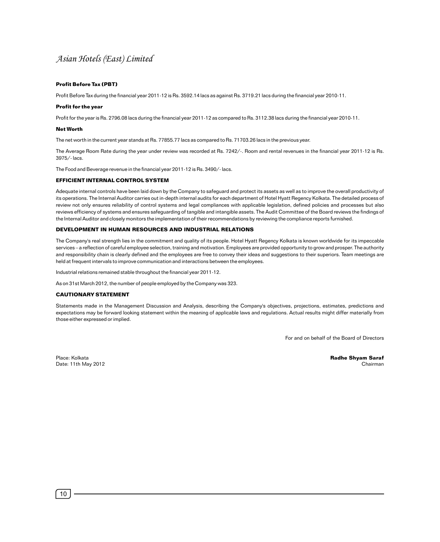#### **Profit Before Tax (PBT)**

Profit Before Tax during the financial year 2011-12 is Rs. 3592.14 lacs as against Rs. 3719.21 lacs during the financial year 2010-11.

#### **Profit for the year**

Profit for the year is Rs. 2796.08 lacs during the financial year 2011-12 as compared to Rs. 3112.38 lacs during the financial year 2010-11.

#### **Net Worth**

The net worth in the current year stands at Rs. 77855.77 lacs as compared to Rs. 71703.26 lacs in the previous year.

The Average Room Rate during the year under review was recorded at Rs. 7242/-. Room and rental revenues in the financial year 2011-12 is Rs. 3975/- lacs.

The Food and Beverage revenue in the financial year 2011-12 is Rs. 3490/- lacs.

#### **EFFICIENT INTERNAL CONTROL SYSTEM**

Adequate internal controls have been laid down by the Company to safeguard and protect its assets as well as to improve the overall productivity of its operations. The Internal Auditor carries out in-depth internal audits for each department of Hotel Hyatt Regency Kolkata. The detailed process of review not only ensures reliability of control systems and legal compliances with applicable legislation, defined policies and processes but also reviews efficiency of systems and ensures safeguarding of tangible and intangible assets. The Audit Committee of the Board reviews the findings of the Internal Auditor and closely monitors the implementation of their recommendations by reviewing the compliance reports furnished.

#### **DEVELOPMENT IN HUMAN RESOURCES AND INDUSTRIAL RELATIONS**

The Company's real strength lies in the commitment and quality of its people. Hotel Hyatt Regency Kolkata is known worldwide for its impeccable services – a reflection of careful employee selection, training and motivation. Employees are provided opportunity to grow and prosper. The authority and responsibility chain is clearly defined and the employees are free to convey their ideas and suggestions to their superiors. Team meetings are held at frequent intervals to improve communication and interactions between the employees.

Industrial relations remained stable throughout the financial year 2011-12.

As on 31st March 2012, the number of people employed by the Company was 323.

#### **CAUTIONARY STATEMENT**

Statements made in the Management Discussion and Analysis, describing the Company's objectives, projections, estimates, predictions and expectations may be forward looking statement within the meaning of applicable laws and regulations. Actual results might differ materially from those either expressed or implied.

For and on behalf of the Board of Directors

Place: Kolkata **Radhe Shyam Saraf** Date: 11th May 2012 Chairman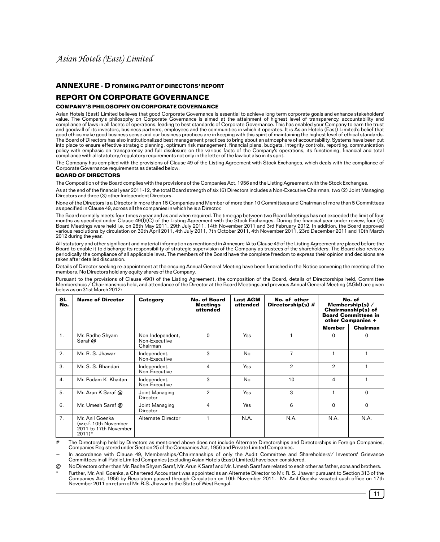#### **ANNEXURE - D FORMING PART OF DIRECTORS' REPORT**

### **REPORT ON CORPORATE GOVERNANCE**

#### **COMPANY'S PHILOSOPHY ON CORPORATE GOVERNANCE**

Asian Hotels (East) Limited believes that good Corporate Governance is essential to achieve long term corporate goals and enhance stakeholders' value. The Company's philosophy on Corporate Governance is aimed at the attainment of highest level of transparency, accountability and compliance of laws in all facets of operations, leading to best standards of Corporate Governance. This has enabled your Company to earn the trust and goodwill of its investors, business partners, employees and the communities in which it operates. It is Asian Hotels (East) Limited's belief that good ethics make good business sense and our business practices are in keeping with this spirit of maintaining the highest level of ethical standards. The Board of Directors has also institutionalized best management practices to bring about an atmosphere of accountability. Systems have been put into place to ensure effective strategic planning, optimum risk management, financial plans, budgets, integrity controls, reporting, communication policy with emphasis on transparency and full disclosure on the various facts of the Company's operations, its functioning, financial and total compliance with all statutory/regulatory requirements not only in the letter of the law but also in its sprit.

The Company has complied with the provisions of Clause 49 of the Listing Agreement with Stock Exchanges, which deals with the compliance of Corporate Governance requirements as detailed below:

#### **BOARD OF DIRECTORS**

The Composition of the Board complies with the provisions of the Companies Act, 1956 and the Listing Agreement with the Stock Exchanges.

As at the end of the financial year 2011-12, the total Board strength of six (6) Directors includes a Non-Executive Chairman, two (2) Joint Managing Directors and three (3) other Independent Directors.

None of the Directors is a Director in more than 15 Companies and Member of more than 10 Committees and Chairman of more than 5 Committees as specified in Clause 49, across all the companies in which he is a Director.

The Board normally meets four times a year and as and when required. The time gap between two Board Meetings has not exceeded the limit of four months as specified under Clause 49(I)(C) of the Listing Agreement with the Stock Exchanges. During the financial year under review, four (4) Board Meetings were held i.e. on 28th May 2011, 29th July 2011, 14th November 2011 and 3rd February 2012. In addition, the Board approved various resolutions by circulation on 30th April 2011, 4th July 2011, 7th October 2011, 4th November 2011, 23rd December 2011 and 10th March 2012 during the year.

All statutory and other significant and material information as mentioned in Annexure IA to Clause 49 of the Listing Agreement are placed before the Board to enable it to discharge its responsibility of strategic supervision of the Company as trustees of the shareholders. The Board also reviews periodically the compliance of all applicable laws. The members of the Board have the complete freedom to express their opinion and decisions are taken after detailed discussion.

Details of Director seeking re-appointment at the ensuing Annual General Meeting have been furnished in the Notice convening the meeting of the members. No Directors hold any equity shares of the Company.

Pursuant to the provisions of Clause 49(I) of the Listing Agreement, the composition of the Board, details of Directorships held, Committee Memberships / Chairmanships held, and attendance of the Director at the Board Meetings and previous Annual General Meeting (AGM) are given below as on 31st March 2012:

| SI.<br>No.     | <b>Name of Director</b>                                                                  | Category                                      | No. of Board<br><b>Meetings</b><br>attended | <b>Last AGM</b><br>attended | No. of other<br>Directorship(s) $#$ | No. of<br>Membership(s) $/$<br><b>Chairmanship(s) of</b><br><b>Board Committees in</b><br>other Companies + |          |  |
|----------------|------------------------------------------------------------------------------------------|-----------------------------------------------|---------------------------------------------|-----------------------------|-------------------------------------|-------------------------------------------------------------------------------------------------------------|----------|--|
|                |                                                                                          |                                               |                                             |                             |                                     | Member                                                                                                      | Chairman |  |
| 1 <sub>1</sub> | Mr. Radhe Shyam<br>Saraf @                                                               | Non-Independent,<br>Non-Executive<br>Chairman | $\Omega$                                    | Yes                         |                                     | 0                                                                                                           | $\Omega$ |  |
| 2.             | Mr. R. S. Jhawar                                                                         | Independent,<br>Non-Executive                 | 3                                           | No.                         | 7                                   |                                                                                                             |          |  |
| 3.             | Mr. S. S. Bhandari                                                                       | Independent,<br>Non-Executive                 | 4                                           | Yes                         | $\overline{2}$                      | $\overline{2}$                                                                                              |          |  |
| 4.             | Mr. Padam K Khaitan                                                                      | Independent,<br>Non-Executive                 | 3                                           | No                          | 10                                  | 4                                                                                                           |          |  |
| 5.             | Mr. Arun K Saraf @                                                                       | Joint Managing<br>Director                    | $\overline{2}$                              | Yes                         | 3                                   |                                                                                                             | $\Omega$ |  |
| 6.             | Mr. Umesh Saraf @                                                                        | Joint Managing<br>Director                    | 4                                           | Yes                         | 6                                   | 0                                                                                                           | $\Omega$ |  |
| 7 <sub>1</sub> | Mr. Anil Goenka<br>(w.e.f. 10th November<br>2011 to 17th November<br>$2011$ <sup>*</sup> | Alternate Director                            |                                             | N.A.                        | N.A.                                | N.A.                                                                                                        | N.A.     |  |

The Directorship held by Directors as mentioned above does not include Alternate Directorships and Directorships in Foreign Companies, Companies Registered under Section 25 of the Companies Act, 1956 and Private Limited Companies.

In accordance with Clause 49, Memberships/Chairmanships of only the Audit Committee and Shareholders'/ Investors' Grievance Committees in all Public Limited Companies [excluding Asian Hotels (East) Limited] have been considered.

@ No Directors other than Mr. Radhe Shyam Saraf, Mr. Arun K Saraf and Mr. Umesh Saraf are related to each other as father, sons and brothers.

Further, Mr. Anil Goenka, a Chartered Accountant was appointed as an Alternate Director to Mr. R. S. Jhawar pursuant to Section 313 of the Companies Act, 1956 by Resolution passed through Circulation on 10th November 2011. Mr. Anil Goenka vacated such office on 17th November 2011 on return of Mr. R.S. Jhawar to the State of West Bengal.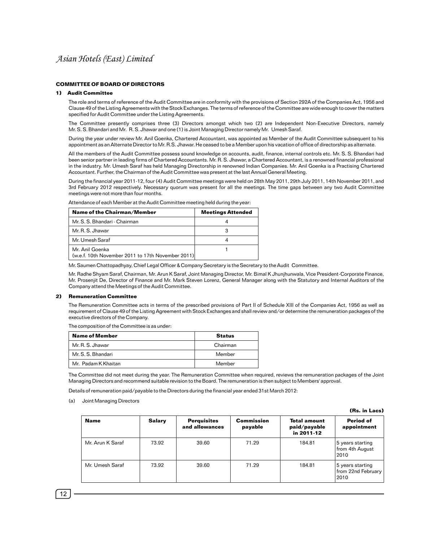#### **COMMITTEE OF BOARD OF DIRECTORS**

#### **1) Audit Committee**

The role and terms of reference of the Audit Committee are in conformity with the provisions of Section 292A of the Companies Act, 1956 and Clause 49 of the Listing Agreements with the Stock Exchanges. The terms of reference of the Committee are wide enough to cover the matters specified for Audit Committee under the Listing Agreements.

The Committee presently comprises three (3) Directors amongst which two (2) are Independent Non-Executive Directors, namely Mr. S. S. Bhandari and Mr. R. S. Jhawar and one (1) is Joint Managing Director namely Mr. Umesh Saraf.

During the year under review Mr. Anil Goenka, Chartered Accountant, was appointed as Member of the Audit Committee subsequent to his appointment as an Alternate Director to Mr. R.S. Jhawar. He ceased to be a Member upon his vacation of office of directorship as alternate.

All the members of the Audit Committee possess sound knowledge on accounts, audit, finance, internal controls etc. Mr. S. S. Bhandari had been senior partner in leading firms of Chartered Accountants. Mr. R. S. Jhawar, a Chartered Accountant, is a renowned financial professional in the industry. Mr. Umesh Saraf has held Managing Directorship in renowned Indian Companies. Mr. Anil Goenka is a Practising Chartered Accountant. Further, the Chairman of the Audit Committee was present at the last Annual General Meeting.

During the financial year 2011-12, four (4) Audit Committee meetings were held on 28th May 2011, 29th July 2011, 14th November 2011, and 3rd February 2012 respectively. Necessary quorum was present for all the meetings. The time gaps between any two Audit Committee meetings were not more than four months.

Attendance of each Member at the Audit Committee meeting held during the year:

| <b>Name of the Chairman/Member</b>                                   | <b>Meetings Attended</b> |
|----------------------------------------------------------------------|--------------------------|
| Mr. S. S. Bhandari - Chairman                                        |                          |
| Mr. R. S. Jhawar                                                     |                          |
| Mr. Umesh Saraf                                                      |                          |
| Mr. Anil Goenka<br>(w.e.f. 10th November 2011 to 17th November 2011) |                          |

Mr. Saumen Chattopadhyay, Chief Legal Officer & Company Secretary is the Secretary to the Audit Committee.

Mr. Radhe Shyam Saraf, Chairman, Mr. Arun K Saraf, Joint Managing Director, Mr. Bimal K Jhunjhunwala, Vice President-Corporate Finance, Mr. Prosenjit De, Director of Finance and Mr. Mark Steven Lorenz, General Manager along with the Statutory and Internal Auditors of the Company attend the Meetings of the Audit Committee.

#### **2) Remuneration Committee**

The Remuneration Committee acts in terms of the prescribed provisions of Part II of Schedule XIII of the Companies Act, 1956 as well as requirement of Clause 49 of the Listing Agreement with Stock Exchanges and shall review and/or determine the remuneration packages of the executive directors of the Company.

The composition of the Committee is as under:

| <b>Name of Member</b> | <b>Status</b> |
|-----------------------|---------------|
| Mr. R. S. Jhawar      | Chairman      |
| Mr. S. S. Bhandari    | Member        |
| Mr. Padam K Khaitan   | Member        |

The Committee did not meet during the year. The Remuneration Committee when required, reviews the remuneration packages of the Joint Managing Directors and recommend suitable revision to the Board. The remuneration is then subject to Members' approval.

Details of remuneration paid/payable to the Directors during the financial year ended 31st March 2012:

(a) Joint Managing Directors

|                  |               |                                      |                              |                                                   | (NS. III LAGS <i>)</i>                         |
|------------------|---------------|--------------------------------------|------------------------------|---------------------------------------------------|------------------------------------------------|
| <b>Name</b>      | <b>Salary</b> | <b>Perquisites</b><br>and allowances | <b>Commission</b><br>payable | <b>Total amount</b><br>paid/payable<br>in 2011-12 | <b>Period of</b><br>appointment                |
| Mr. Arun K Saraf | 73.92         | 39.60                                | 71.29                        | 184.81                                            | 5 years starting<br>from 4th August<br>2010    |
| Mr. Umesh Saraf  | 73.92         | 39.60                                | 71.29                        | 184.81                                            | 5 years starting<br>from 22nd February<br>2010 |

**(Rs. in Lacs)**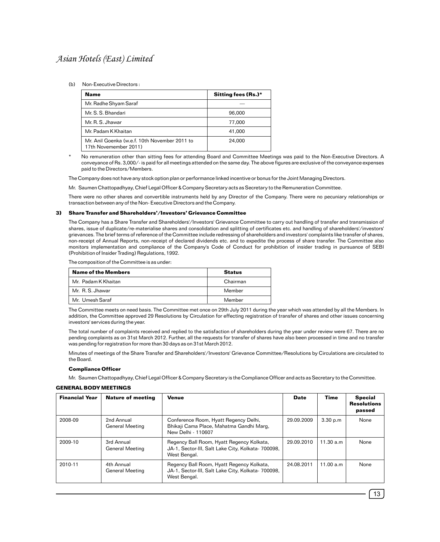(b) Non-Executive Directors :

| <b>Name</b>                                                            | Sitting fees (Rs.)* |
|------------------------------------------------------------------------|---------------------|
| Mr. Radhe Shyam Saraf                                                  |                     |
| Mr. S. S. Bhandari                                                     | 96.000              |
| Mr. R. S. Jhawar                                                       | 77.000              |
| Mr. Padam K Khaitan                                                    | 41,000              |
| Mr. Anil Goenka (w.e.f. 10th November 2011 to<br>17th Novemember 2011) | 24.000              |

No remuneration other than sitting fees for attending Board and Committee Meetings was paid to the Non-Executive Directors. A conveyance of Rs. 3,000/- is paid for all meetings attended on the same day. The above figures are exclusive of the conveyance expenses paid to the Directors/Members.

The Company does not have any stock option plan or performance linked incentive or bonus for the Joint Managing Directors.

Mr. Saumen Chattopadhyay, Chief Legal Officer & Company Secretary acts as Secretary to the Remuneration Committee.

There were no other shares and convertible instruments held by any Director of the Company. There were no pecuniary relationships or transaction between any of the Non- Executive Directors and the Company.

#### **3) Share Transfer and Shareholders'/Investors' Grievance Committee**

The Company has a Share Transfer and Shareholders'/Investors' Grievance Committee to carry out handling of transfer and transmission of shares, issue of duplicate/re-materialise shares and consolidation and splitting of certificates etc. and handling of shareholders'/investors' grievances. The brief terms of reference of the Committee include redressing of shareholders and investors' complaints like transfer of shares, non-receipt of Annual Reports, non-receipt of declared dividends etc. and to expedite the process of share transfer. The Committee also monitors implementation and compliance of the Company's Code of Conduct for prohibition of insider trading in pursuance of SEBI (Prohibition of Insider Trading) Regulations, 1992.

The composition of the Committee is as under:

| Name of the Members | <b>Status</b> |
|---------------------|---------------|
| Mr. Padam K Khaitan | Chairman      |
| Mr. R.S. Jhawar     | Member        |
| Mr. Umesh Saraf     | Member        |

The Committee meets on need basis. The Committee met once on 29th July 2011 during the year which was attended by all the Members. In addition, the Committee approved 29 Resolutions by Circulation for effecting registration of transfer of shares and other issues concerning investors' services during the year.

The total number of complaints received and replied to the satisfaction of shareholders during the year under review were 67. There are no pending complaints as on 31st March 2012. Further, all the requests for transfer of shares have also been processed in time and no transfer was pending for registration for more than 30 days as on 31st March 2012.

Minutes of meetings of the Share Transfer and Shareholders'/Investors' Grievance Committee/Resolutions by Circulations are circulated to the Board.

#### **Compliance Officer**

Mr. Saumen Chattopadhyay, Chief Legal Officer & Company Secretary is the Compliance Officer and acts as Secretary to the Committee.

#### **GENERAL BODY MEETINGS**

| <b>Financial Year</b> | <b>Nature of meeting</b>             | <b>Venue</b>                                                                                                    | Date       | <b>Time</b> | <b>Special</b><br><b>Resolutions</b><br>passed |
|-----------------------|--------------------------------------|-----------------------------------------------------------------------------------------------------------------|------------|-------------|------------------------------------------------|
| 2008-09               | 2nd Annual<br><b>General Meeting</b> | Conference Room, Hyatt Regency Delhi,<br>Bhikaji Cama Place, Mahatma Gandhi Marg,<br>New Delhi - 110607         | 29.09.2009 | 3.30 p.m    | None                                           |
| 2009-10               | 3rd Annual<br><b>General Meeting</b> | Regency Ball Room, Hyatt Regency Kolkata,<br>JA-1, Sector-III, Salt Lake City, Kolkata- 700098,<br>West Bengal. | 29.09.2010 | 11.30 a.m   | None                                           |
| 2010-11               | 4th Annual<br><b>General Meeting</b> | Regency Ball Room, Hyatt Regency Kolkata,<br>JA-1, Sector-III, Salt Lake City, Kolkata- 700098,<br>West Bengal. | 24.08.2011 | 11.00 a.m   | None                                           |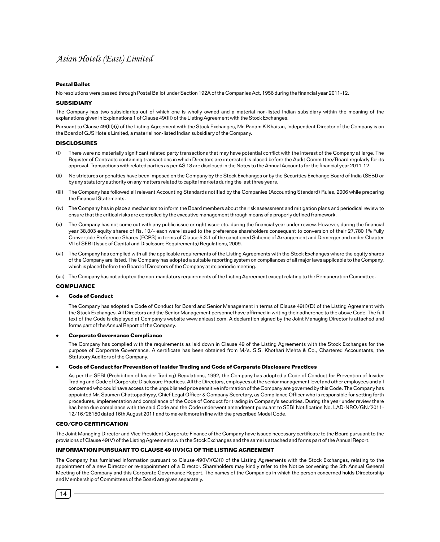#### **Postal Ballot**

No resolutions were passed through Postal Ballot under Section 192A of the Companies Act, 1956 during the financial year 2011-12.

#### **SUBSIDIARY**

The Company has two subsidiaries out of which one is wholly owned and a material non-listed Indian subsidiary within the meaning of the explanations given in Explanations 1 of Clause 49(III) of the Listing Agreement with the Stock Exchanges.

Pursuant to Clause 49(III)(i) of the Listing Agreement with the Stock Exchanges, Mr. Padam K Khaitan, Independent Director of the Company is on the Board of GJS Hotels Limited, a material non-listed Indian subsidiary of the Company.

#### **DISCLOSURES**

- (i) There were no materially significant related party transactions that may have potential conflict with the interest of the Company at large. The Register of Contracts containing transactions in which Directors are interested is placed before the Audit Committee/Board regularly for its approval. Transactions with related parties as per AS 18 are disclosed in the Notes to the Annual Accounts for the financial year 2011-12.
- (ii) No strictures or penalties have been imposed on the Company by the Stock Exchanges or by the Securities Exchange Board of India (SEBI) or by any statutory authority on any matters related to capital markets during the last three years.
- (iii) The Company has followed all relevant Accounting Standards notified by the Companies (Accounting Standard) Rules, 2006 while preparing the Financial Statements.
- (iv) The Company has in place a mechanism to inform the Board members about the risk assessment and mitigation plans and periodical review to ensure that the critical risks are controlled by the executive management through means of a properly defined framework.
- (v) The Company has not come out with any public issue or right issue etc. during the financial year under review. However, during the financial year 38,803 equity shares of Rs. 10/- each were issued to the preference shareholders consequent to conversion of their 27,780 1% Fully Convertible Preference Shares (FCPS) in terms of Clause 5.3.1 of the sanctioned Scheme of Arrangement and Demerger and under Chapter VII of SEBI (Issue of Capital and Disclosure Requirements) Regulations, 2009.
- (vi) The Company has complied with all the applicable requirements of the Listing Agreements with the Stock Exchanges where the equity shares of the Company are listed. The Company has adopted a suitable reporting system on compliances of all major laws applicable to the Company, which is placed before the Board of Directors of the Company at its periodic meeting.
- (vii) The Company has not adopted the non-mandatory requirements of the Listing Agreement except relating to the Remuneration Committee.

#### **COMPLIANCE**

#### **Code of Conduct**

The Company has adopted a Code of Conduct for Board and Senior Management in terms of Clause 49(I)(D) of the Listing Agreement with the Stock Exchanges. All Directors and the Senior Management personnel have affirmed in writing their adherence to the above Code. The full text of the Code is displayed at Company's website www.ahleast.com. A declaration signed by the Joint Managing Director is attached and forms part of the Annual Report of the Company.

#### l **Corporate Governance Compliance**

The Company has complied with the requirements as laid down in Clause 49 of the Listing Agreements with the Stock Exchanges for the purpose of Corporate Governance. A certificate has been obtained from M/s. S.S. Khothari Mehta & Co., Chartered Accountants, the Statutory Auditors of the Company.

#### l **Code of Conduct for Prevention of Insider Trading and Code of Corporate Disclosure Practices**

As per the SEBI (Prohibition of Insider Trading) Regulations, 1992, the Company has adopted a Code of Conduct for Prevention of Insider Trading and Code of Corporate Disclosure Practices. All the Directors, employees at the senior management level and other employees and all concerned who could have access to the unpublished price sensitive information of the Company are governed by this Code. The Company has appointed Mr. Saumen Chattopadhyay, Chief Legal Officer & Company Secretary, as Compliance Officer who is responsible for setting forth procedures, implementation and compliance of the Code of Conduct for trading in Company's securities. During the year under review there has been due compliance with the said Code and the Code underwent amendment pursuant to SEBI Notification No. LAD-NRO/GN/2011-12/16/26150 dated 16th August 2011 and to make it more in line with the prescribed Model Code.

#### **CEO/CFO CERTIFICATION**

The Joint Managing Director and Vice President-Corporate Finance of the Company have issued necessary certificate to the Board pursuant to the provisions of Clause 49(V) of the Listing Agreements with the Stock Exchanges and the same is attached and forms part of the Annual Report.

#### **INFORMATION PURSUANT TO CLAUSE 49 (IV)(G) OF THE LISTING AGREEMENT**

The Company has furnished information pursuant to Clause 49(IV)(G)(i) of the Listing Agreements with the Stock Exchanges, relating to the appointment of a new Director or re-appointment of a Director. Shareholders may kindly refer to the Notice convening the 5th Annual General Meeting of the Company and this Corporate Governance Report. The names of the Companies in which the person concerned holds Directorship and Membership of Committees of the Board are given separately.

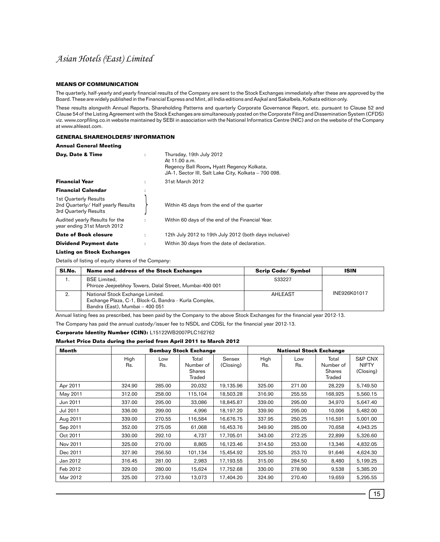#### **MEANS OF COMMUNICATION**

The quarterly, half-yearly and yearly financial results of the Company are sent to the Stock Exchanges immediately after these are approved by the Board. These are widely published in the Financial Express and Mint, all India editions and Aajkal and Sakalbela, Kolkata edition only.

These results alongwith Annual Reports, Shareholding Patterns and quarterly Corporate Governance Report, etc. pursuant to Clause 52 and Clause 54 of the Listing Agreement with the Stock Exchanges are simultaneously posted on the Corporate Filing and Dissemination System (CFDS) viz. www.corpfiling.co.in website maintained by SEBI in association with the National Informatics Centre (NIC) and on the website of the Company at www.ahleast.com.

#### **GENERAL SHAREHOLDERS' INFORMATION**

#### **Annual General Meeting**

| Day, Date & Time                                                                     | ÷ | Thursday, 19th July 2012<br>At 11.00 a.m.<br>Regency Ball Room, Hyatt Regency Kolkata,<br>JA-1, Sector III, Salt Lake City, Kolkata - 700 098. |
|--------------------------------------------------------------------------------------|---|------------------------------------------------------------------------------------------------------------------------------------------------|
| <b>Financial Year</b>                                                                | ÷ | 31st March 2012                                                                                                                                |
| <b>Financial Calendar</b>                                                            |   |                                                                                                                                                |
| 1st Ouarterly Results<br>2nd Quarterly/ Half yearly Results<br>3rd Ouarterly Results |   | Within 45 days from the end of the quarter                                                                                                     |
| Audited yearly Results for the<br>year ending 31st March 2012                        |   | Within 60 days of the end of the Financial Year.                                                                                               |
| <b>Date of Book closure</b>                                                          | ÷ | 12th July 2012 to 19th July 2012 (both days inclusive)                                                                                         |
| <b>Dividend Payment date</b>                                                         | ÷ | Within 30 days from the date of declaration.                                                                                                   |
|                                                                                      |   |                                                                                                                                                |

#### **Listing on Stock Exchanges**

Details of listing of equity shares of the Company:

| SI.No. | <b>Name and address of the Stock Exchanges</b>                                                                               | Scrip Code/ Symbol | <b>ISIN</b>  |
|--------|------------------------------------------------------------------------------------------------------------------------------|--------------------|--------------|
|        | <b>BSE Limited.</b><br>Phiroze Jeejeebhoy Towers, Dalal Street, Mumbai-400 001                                               | 533227             |              |
| 2.     | National Stock Exchange Limited.<br>Exchange Plaza, C-1, Block-G, Bandra - Kurla Complex,<br>Bandra (East), Mumbai - 400 051 | AHLEAST            | INE926K01017 |

Annual listing fees as prescribed, has been paid by the Company to the above Stock Exchanges for the financial year 2012-13.

The Company has paid the annual custody/issuer fee to NSDL and CDSL for the financial year 2012-13.

#### **Corporate Identity Number (CIN):** L15122WB2007PLC162762

#### **Market Price Data during the period from April 2011 to March 2012**

| Month    | <b>Bombay Stock Exchange</b> |            |                                               | <b>National Stock Exchange</b> |             |            |                                               |                                      |
|----------|------------------------------|------------|-----------------------------------------------|--------------------------------|-------------|------------|-----------------------------------------------|--------------------------------------|
|          | High<br>Rs.                  | Low<br>Rs. | Total<br>Number of<br><b>Shares</b><br>Traded | Sensex<br>(Closing)            | High<br>Rs. | Low<br>Rs. | Total<br>Number of<br><b>Shares</b><br>Traded | S&P CNX<br><b>NIFTY</b><br>(Closing) |
| Apr 2011 | 324.90                       | 285.00     | 20,032                                        | 19,135.96                      | 325.00      | 271.00     | 28,229                                        | 5,749.50                             |
| May 2011 | 312.00                       | 258.00     | 115,104                                       | 18,503.28                      | 316.90      | 255.55     | 168,925                                       | 5,560.15                             |
| Jun 2011 | 337.00                       | 295.00     | 33,086                                        | 18.845.87                      | 339.00      | 295.00     | 34,970                                        | 5,647.40                             |
| Jul 2011 | 336.00                       | 299.00     | 4,996                                         | 18,197.20                      | 339.90      | 295.00     | 10,006                                        | 5,482.00                             |
| Aug 2011 | 339.00                       | 270.55     | 116,584                                       | 16.676.75                      | 337.95      | 250.25     | 116,591                                       | 5,001.00                             |
| Sep 2011 | 352.00                       | 275.05     | 61,068                                        | 16,453.76                      | 349.90      | 285.00     | 70,658                                        | 4,943.25                             |
| Oct 2011 | 330.00                       | 292.10     | 4,737                                         | 17,705.01                      | 343.00      | 272.25     | 22,899                                        | 5,326.60                             |
| Nov 2011 | 325.00                       | 270.00     | 8,865                                         | 16,123.46                      | 314.50      | 253.00     | 13,346                                        | 4,832.05                             |
| Dec 2011 | 327.90                       | 256.50     | 101,134                                       | 15,454.92                      | 325.50      | 253.70     | 91,646                                        | 4,624.30                             |
| Jan 2012 | 316.45                       | 281.00     | 2,983                                         | 17,193.55                      | 315.00      | 284.50     | 8,480                                         | 5,199.25                             |
| Feb 2012 | 329.00                       | 280.00     | 15,624                                        | 17,752.68                      | 330.00      | 278.90     | 9,538                                         | 5,385.20                             |
| Mar 2012 | 325.00                       | 273.60     | 13,073                                        | 17,404.20                      | 324.90      | 270.40     | 19,659                                        | 5,295.55                             |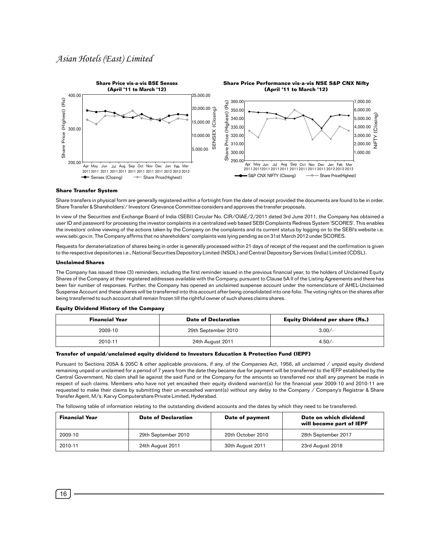

#### **Share Transfer System**

Share transfers in physical form are generally registered within a fortnight from the date of receipt provided the documents are found to be in order. Share Transfer & Shareholders'/ Investors' Grievance Committee considers and approves the transfer proposals.

In view of the Securities and Exchange Board of India (SEBI) Circular No. CIR/OIAE/2/2011 dated 3rd June 2011, the Company has obtained a user ID and password for processing the investor complaints in a centralized web based SEBI Complaints Redress System 'SCORES'. This enables the investors' online viewing of the actions taken by the Company on the complaints and its current status by logging on to the SEBI's website i.e. www.sebi.gov.in. The Company affirms that no shareholders' complaints was lying pending as on 31st March 2012 under SCORES.

Requests for dematerialization of shares being in order is generally processed within 21 days of receipt of the request and the confirmation is given to the respective depositories i.e., National Securities Depository Limited (NSDL) and Central Depository Services (India) Limited (CDSL).

#### **Unclaimed Shares**

The Company has issued three (3) reminders, including the first reminder issued in the previous financial year, to the holders of Unclaimed Equity Shares of the Company at their registered addresses available with the Company, pursuant to Clause 5A II of the Listing Agreements and there has been fair number of responses. Further, the Company has opened an unclaimed suspense account under the nomenclature of AHEL-Unclaimed Suspense Account and these shares will be transferred into this account after being consolidated into one folio. The voting rights on the shares after being transferred to such account shall remain frozen till the rightful owner of such shares claims shares.

| <b>Financial Year</b> | <b>Date of Declaration</b> | <b>Equity Dividend per share (Rs.)</b> |
|-----------------------|----------------------------|----------------------------------------|
| 2009-10               | 29th September 2010        | $3.00/-$                               |
| 2010-11               | 24th August 2011           | $4.50/-$                               |

#### **Equity Dividend History of the Company**

#### **Transfer of unpaid/unclaimed equity dividend to Investors Education & Protection Fund (IEPF)**

Pursuant to Sections 205A & 205C & other applicable provisions, if any, of the Companies Act, 1956, all unclaimed / unpaid equity dividend remaining unpaid or unclaimed for a period of 7 years from the date they became due for payment will be transferred to the IEFP established by the Central Government. No claim shall lie against the said Fund or the Company for the amounts so transferred nor shall any payment be made in respect of such claims. Members who have not yet encashed their equity dividend warrant(s) for the financial year 2009-10 and 2010-11 are requested to make their claims by submitting their un-encashed warrant(s) without any delay to the Company / Company's Registrar & Share Transfer Agent, M/s. Karvy Computershare Private Limited, Hyderabad.

The following table of information relating to the outstanding dividend accounts and the dates by which they need to be transferred:

| <b>Financial Year</b> | <b>Date of Declaration</b> | Date of payment   | Date on which dividend<br>will become part of IEPF |
|-----------------------|----------------------------|-------------------|----------------------------------------------------|
| 2009-10               | 29th September 2010        | 20th October 2010 | 28th September 2017                                |
| 2010-11               | 24th August 2011           | 30th August 2011  | 23rd August 2018                                   |

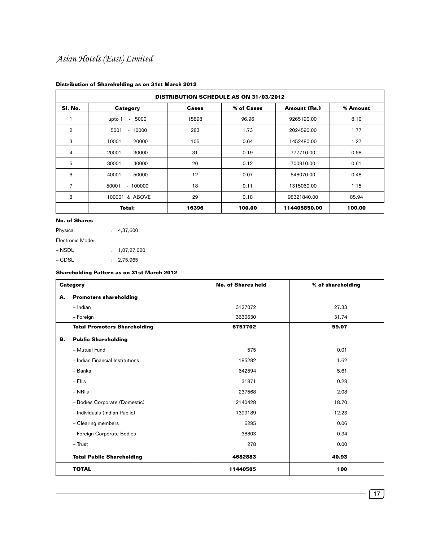|                | DISTRIBUTION SCHEDULE AS ON 31/03/2012 |              |            |                     |          |  |  |
|----------------|----------------------------------------|--------------|------------|---------------------|----------|--|--|
| SI. No.        | Category                               | <b>Cases</b> | % of Cases | <b>Amount (Rs.)</b> | % Amount |  |  |
|                | $-5000$<br>upto 1                      | 15898        | 96.96      | 9265190.00          | 8.10     |  |  |
| $\overline{2}$ | 5001<br>$-10000$                       | 283          | 1.73       | 2024590.00          | 1.77     |  |  |
| 3              | 10001<br>$-20000$                      | 105          | 0.64       | 1452480.00          | 1.27     |  |  |
| 4              | 20001<br>$-30000$                      | 31           | 0.19       | 777710.00           | 0.68     |  |  |
| 5              | 30001<br>40000<br>$\sim$               | 20           | 0.12       | 700910.00           | 0.61     |  |  |
| 6              | $-50000$<br>40001                      | 12           | 0.07       | 548070.00           | 0.48     |  |  |
| 7              | 50001<br>$-100000$                     | 18           | 0.11       | 1315060.00          | 1.15     |  |  |
| 8              | 100001 & ABOVE                         | 29           | 0.18       | 98321840.00         | 85.94    |  |  |
|                | Total:                                 | 16396        | 100.00     | 114405850.00        | 100.00   |  |  |

#### **Distribution of Shareholding as on 31st March 2012**

#### **No. of Shares**

Physical : 4,37,600

Electronic Mode:

– NSDL : 1,07,27,020

– CDSL : 2,75,965

### **Shareholding Pattern as on 31st March 2012**

|    | Category                            | <b>No. of Shares held</b> | % of shareholding |
|----|-------------------------------------|---------------------------|-------------------|
| А. | <b>Promoters shareholding</b>       |                           |                   |
|    | - Indian                            | 3127072                   | 27.33             |
|    | - Foreign                           | 3630630                   | 31.74             |
|    | <b>Total Promoters Shareholding</b> | 6757702                   | 59.07             |
| В. | <b>Public Shareholding</b>          |                           |                   |
|    | - Mutual Fund                       | 575                       | 0.01              |
|    | - Indian Financial Institutions     | 185282                    | 1.62              |
|    | - Banks                             | 642594                    | 5.61              |
|    | $-$ FII's                           | 31871                     | 0.28              |
|    | $-$ NRI's                           | 237568                    | 2.08              |
|    | - Bodies Corporate (Domestic)       | 2140428                   | 18.70             |
|    | - Individuals (Indian Public)       | 1399189                   | 12.23             |
|    | - Clearing members                  | 6295                      | 0.06              |
|    | - Foreign Corporate Bodies          | 38803                     | 0.34              |
|    | $-$ Trust                           | 278                       | 0.00              |
|    | <b>Total Public Shareholding</b>    | 4682883                   | 40.93             |
|    | <b>TOTAL</b>                        | 11440585                  | 100               |

 $\boxed{17}$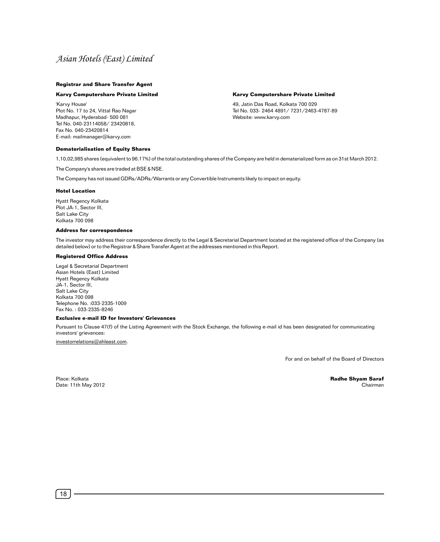#### **Registrar and Share Transfer Agent**

Madhapur, Hyderabad- 500 081 Website: www.karvy.com Tel No. 040-23114058/ 23420818, Fax No. 040-23420814 E-mail: mailmanager@karvy.com

#### **Karvy Computershare Private Limited Karvy Computershare Private Limited**

'Karvy House' 49, Jatin Das Road, Kolkata 700 029 Tel No. 033- 2464 4891 / 7231/2463-4787-89

#### **Dematerialisation of Equity Shares**

1,10,02,985 shares (equivalent to 96.17%) of the total outstanding shares of the Company are held in dematerialized form as on 31st March 2012.

The Company's shares are traded at BSE & NSE.

The Company has not issued GDRs/ADRs/Warrants or any Convertible Instruments likely to impact on equity.

#### **Hotel Location**

Hyatt Regency Kolkata Plot JA-1, Sector III, Salt Lake City Kolkata 700 098

#### **Address for correspondence**

The investor may address their correspondence directly to the Legal & Secretarial Department located at the registered office of the Company (as detailed below) or to the Registrar & Share Transfer Agent at the addresses mentioned in this Report.

#### **Registered Office Address**

Legal & Secretarial Department Asian Hotels (East) Limited Hyatt Regency Kolkata JA-1, Sector III, Salt Lake City Kolkata 700 098 Telephone No. :033-2335-1009 Fax No. : 033-2335-8246

#### **Exclusive e-mail ID for Investors' Grievances**

Pursuant to Clause 47(f) of the Listing Agreement with the Stock Exchange, the following e-mail id has been designated for communicating investors' grievances:

investorrelations@ahleast.com.

For and on behalf of the Board of Directors

Date: 11th May 2012

Place: Kolkata **Radhe Shyam Saraf**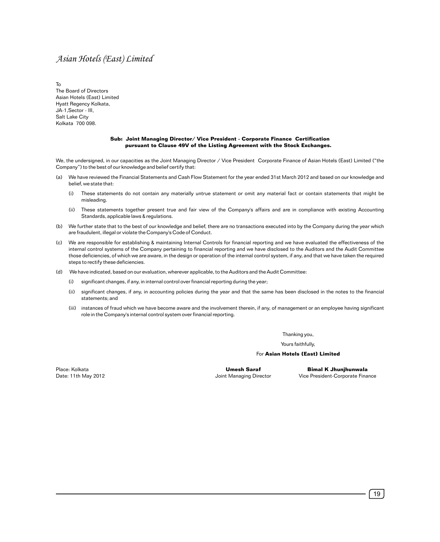To

The Board of Directors Asian Hotels (East) Limited Hyatt Regency Kolkata, JA-1,Sector - III, Salt Lake City Kolkata 700 098.

#### **Sub: Joint Managing Director/ Vice President - Corporate Finance Certification pursuant to Clause 49V of the Listing Agreement with the Stock Exchanges.**

We, the undersigned, in our capacities as the Joint Managing Director / Vice President Corporate Finance of Asian Hotels (East) Limited ("the Company") to the best of our knowledge and belief certify that:

- (a) We have reviewed the Financial Statements and Cash Flow Statement for the year ended 31st March 2012 and based on our knowledge and belief, we state that:
	- (i) These statements do not contain any materially untrue statement or omit any material fact or contain statements that might be misleading.
	- (ii) These statements together present true and fair view of the Company's affairs and are in compliance with existing Accounting Standards, applicable laws & regulations.
- (b) We further state that to the best of our knowledge and belief, there are no transactions executed into by the Company during the year which are fraudulent, illegal or violate the Company's Code of Conduct.
- (c) We are responsible for establishing & maintaining Internal Controls for financial reporting and we have evaluated the effectiveness of the internal control systems of the Company pertaining to financial reporting and we have disclosed to the Auditors and the Audit Committee those deficiencies, of which we are aware, in the design or operation of the internal control system, if any, and that we have taken the required steps to rectify these deficiencies.
- (d) We have indicated, based on our evaluation, wherever applicable, to the Auditors and the Audit Committee:
	- (i) significant changes, if any, in internal control over financial reporting during the year;
	- (ii) significant changes, if any, in accounting policies during the year and that the same has been disclosed in the notes to the financial statements; and
	- (iii) instances of fraud which we have become aware and the involvement therein, if any, of management or an employee having significant role in the Company's internal control system over financial reporting.

Thanking you,

Yours faithfully,

For **Asian Hotels (East) Limited**

Place: Kolkata **Umesh Saraf Bimal K Jhunjhunwala** Vice President-Corporate Finance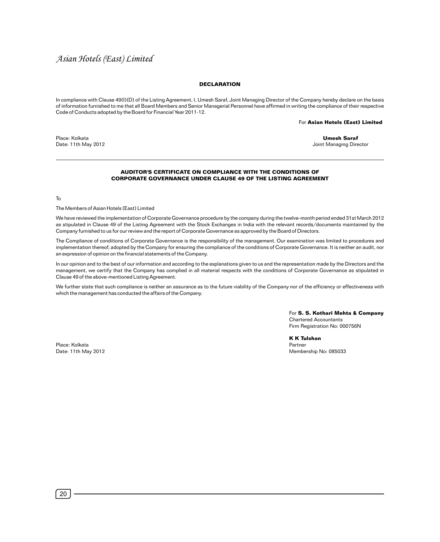#### **DECLARATION**

In compliance with Clause 49(I)(D) of the Listing Agreement, I, Umesh Saraf, Joint Managing Director of the Company hereby declare on the basis of information furnished to me that all Board Members and Senior Managerial Personnel have affirmed in writing the compliance of their respective Code of Conducts adopted by the Board for Financial Year 2011-12.

For **Asian Hotels (East) Limited**

Place: Kolkata **Umesh Saraf**

Date: 11th May 2012 Joint Managing Director

#### **AUDITOR'S CERTIFICATE ON COMPLIANCE WITH THE CONDITIONS OF CORPORATE GOVERNANCE UNDER CLAUSE 49 OF THE LISTING AGREEMENT**

To

The Members of Asian Hotels (East) Limited

We have reviewed the implementation of Corporate Governance procedure by the company during the twelve-month period ended 31st March 2012 as stipulated in Clause 49 of the Listing Agreement with the Stock Exchanges in India with the relevant records/documents maintained by the Company furnished to us for our review and the report of Corporate Governance as approved by the Board of Directors.

The Compliance of conditions of Corporate Governance is the responsibility of the management. Our examination was limited to procedures and implementation thereof, adopted by the Company for ensuring the compliance of the conditions of Corporate Governance. It is neither an audit, nor an expression of opinion on the financial statements of the Company.

In our opinion and to the best of our information and according to the explanations given to us and the representation made by the Directors and the management, we certify that the Company has complied in all material respects with the conditions of Corporate Governance as stipulated in Clause 49 of the above-mentioned Listing Agreement.

We further state that such compliance is neither an assurance as to the future viability of the Company nor of the efficiency or effectiveness with which the management has conducted the affairs of the Company.

> For **S. S. Kothari Mehta & Company** Chartered Accountants Firm Registration No: 000756N

Place: Kolkata Partner

**K K Tulshan** Date: 11th May 2012 Membership No: 085033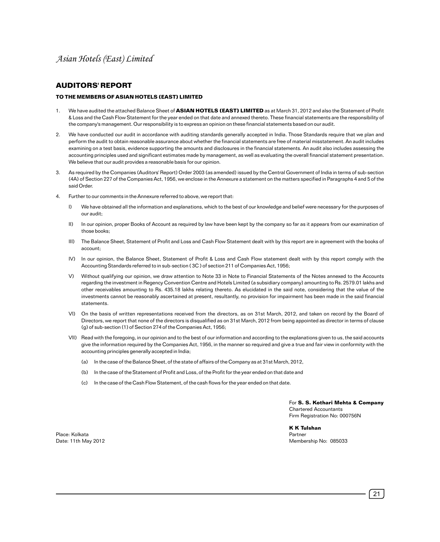### **AUDITORS' REPORT**

#### **TO THE MEMBERS OF ASIAN HOTELS (EAST) LIMITED**

- 1. We have audited the attached Balance Sheet of **ASIAN HOTELS (EAST) LIMITED** as at March 31, 2012 and also the Statement of Profit & Loss and the Cash Flow Statement for the year ended on that date and annexed thereto. These financial statements are the responsibility of the company's management. Our responsibility is to express an opinion on these financial statements based on our audit.
- 2. We have conducted our audit in accordance with auditing standards generally accepted in India. Those Standards require that we plan and perform the audit to obtain reasonable assurance about whether the financial statements are free of material misstatement. An audit includes examining on a test basis, evidence supporting the amounts and disclosures in the financial statements. An audit also includes assessing the accounting principles used and significant estimates made by management, as well as evaluating the overall financial statement presentation. We believe that our audit provides a reasonable basis for our opinion.
- 3. As required by the Companies (Auditors' Report) Order 2003 (as amended) issued by the Central Government of India in terms of sub-section (4A) of Section 227 of the Companies Act, 1956, we enclose in the Annexure a statement on the matters specified in Paragraphs 4 and 5 of the said Order.
- 4. Further to our comments in the Annexure referred to above, we report that:
	- I) We have obtained all the information and explanations, which to the best of our knowledge and belief were necessary for the purposes of our audit;
	- II) In our opinion, proper Books of Account as required by law have been kept by the company so far as it appears from our examination of those books;
	- III) The Balance Sheet, Statement of Profit and Loss and Cash Flow Statement dealt with by this report are in agreement with the books of account;
	- IV) In our opinion, the Balance Sheet, Statement of Profit & Loss and Cash Flow statement dealt with by this report comply with the Accounting Standards referred to in sub-section ( 3C ) of section 211 of Companies Act, 1956;
	- V) Without qualifying our opinion, we draw attention to Note 33 in Note to Financial Statements of the Notes annexed to the Accounts regarding the investment in Regency Convention Centre and Hotels Limited (a subsidiary company) amounting to Rs. 2579.01 lakhs and other receivables amounting to Rs. 435.18 lakhs relating thereto. As elucidated in the said note, considering that the value of the investments cannot be reasonably ascertained at present, resultantly, no provision for impairment has been made in the said financial statements.
	- VI) On the basis of written representations received from the directors, as on 31st March, 2012, and taken on record by the Board of Directors, we report that none of the directors is disqualified as on 31st March, 2012 from being appointed as director in terms of clause (g) of sub-section (1) of Section 274 of the Companies Act, 1956;
	- VII) Read with the foregoing, in our opinion and to the best of our information and according to the explanations given to us, the said accounts give the information required by the Companies Act, 1956, in the manner so required and give a true and fair view in conformity with the accounting principles generally accepted in India;
		- (a) In the case of the Balance Sheet, of the state of affairs of the Company as at 31st March, 2012,
		- (b) In the case of the Statement of Profit and Loss, of the Profit for the year ended on that date and
		- (c) In the case of the Cash Flow Statement, of the cash flows for the year ended on that date.

For **S. S. Kothari Mehta & Company** Chartered Accountants Firm Registration No: 000756N

Place: Kolkata Partner

**K K Tulshan** Date: 11th May 2012 **Date: 11th May 2012** Membership No: 085033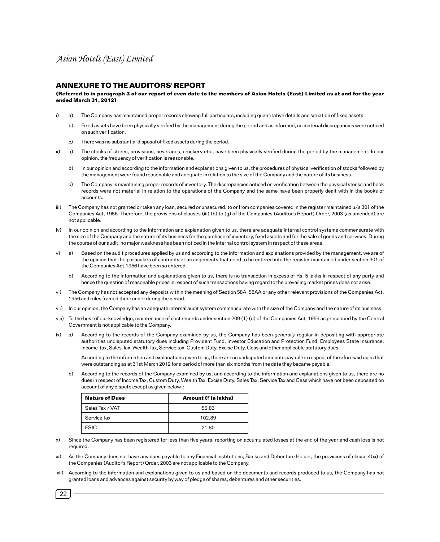### **ANNEXURE TO THE AUDITORS' REPORT**

#### **(Referred to in paragraph 3 of our report of even date to the members of Asian Hotels (East) Limited as at and for the year ended March 31, 2012)**

- i) a) The Company has maintained proper records showing full particulars, including quantitative details and situation of fixed assets.
	- b) Fixed assets have been physically verified by the management during the period and as informed, no material discrepancies were noticed on such verification.
	- c) There was no substantial disposal of fixed assets during the period.
- ii) a) The stocks of stores, provisions, beverages, crockery etc., have been physically verified during the period by the management. In our opinion, the frequency of verification is reasonable.
	- b) In our opinion and according to the information and explanations given to us, the procedures of physical verification of stocks followed by the management were found reasonable and adequate in relation to the size of the Company and the nature of its business.
	- c) The Company is maintaining proper records of inventory. The discrepancies noticed on verification between the physical stocks and book records were not material in relation to the operations of the Company and the same have been properly dealt with in the books of accounts.
- iii) The Company has not granted or taken any loan, secured or unsecured, to or from companies covered in the register maintained u/s 301 of the Companies Act, 1956. Therefore, the provisions of clauses (iii) (b) to (g) of the Companies (Auditor's Report) Order, 2003 (as amended) are not applicable.
- iv) In our opinion and according to the information and explanation given to us, there are adequate internal control systems commensurate with the size of the Company and the nature of its business for the purchase of inventory, fixed assets and for the sale of goods and services. During the course of our audit, no major weakness has been noticed in the internal control system in respect of these areas.
- v) a) Based on the audit procedures applied by us and according to the information and explanations provided by the management, we are of the opinion that the particulars of contracts or arrangements that need to be entered into the register maintained under section 301 of the Companies Act,1956 have been so entered.
	- b) According to the information and explanations given to us, there is no transaction in excess of Rs. 5 lakhs in respect of any party and hence the question of reasonable prices in respect of such transactions having regard to the prevailing market prices does not arise.
- vi) The Company has not accepted any deposits within the meaning of Section 58A, 58AA or any other relevant provisions of the Companies Act, 1956 and rules framed there under during the period.
- vii) In our opinion, the Company has an adequate internal audit system commensurate with the size of the Company and the nature of its business.
- viii) To the best of our knowledge, maintenance of cost records under section 209 (1) (d) of the Companies Act, 1956 as prescribed by the Central Government is not applicable to the Company.
- ix) a) According to the records of the Company examined by us, the Company has been *generally* regular in depositing with appropriate authorities undisputed statutory dues including Provident Fund, Investor Education and Protection Fund, Employees State Insurance, Income-tax, Sales-Tax, Wealth Tax, Service tax, Custom Duty, Excise Duty, Cess and other applicable statutory dues.

According to the information and explanations given to us, there are no undisputed amounts payable in respect of the aforesaid dues that were outstanding as at 31st March 2012 for a period of more than six months from the date they became payable.

b) According to the records of the Company examined by us, and according to the information and explanations given to us, there are no dues in respect of Income Tax, Custom Duty, Wealth Tax, Excise Duty, Sales Tax, Service Tax and Cess which have not been deposited on account of any dispute except as given below-:

| <b>Nature of Dues</b> | Amount ( $\bar{\tau}$ in lakhs) |
|-----------------------|---------------------------------|
| Sales Tax / VAT       | 55.83                           |
| Service Tax           | 102.89                          |
| <b>FSIC</b>           | 21.80                           |

- x) Since the Company has been registered for less than five years, reporting on accumulated losses at the end of the year and cash loss is not required.
- xi) As the Company does not have any dues payable to any Financial Institutions, Banks and Debenture Holder, the provisions of clause 4(xi) of the Companies (Auditor's Report) Order, 2003 are not applicable to the Company.
- xii) According to the information and explanations given to us and based on the documents and records produced to us, the Company has not granted loans and advances against security by way of pledge of shares, debentures and other securities.

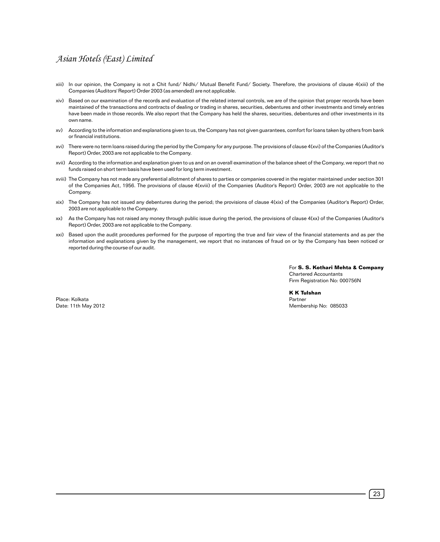- xiii) In our opinion, the Company is not a Chit fund/ Nidhi/ Mutual Benefit Fund/ Society. Therefore, the provisions of clause 4(xiii) of the Companies (Auditors' Report) Order 2003 (as amended) are not applicable.
- xiv) Based on our examination of the records and evaluation of the related internal controls, we are of the opinion that proper records have been maintained of the transactions and contracts of dealing or trading in shares, securities, debentures and other investments and timely entries have been made in those records. We also report that the Company has held the shares, securities, debentures and other investments in its own name.
- xv) According to the information and explanations given to us, the Company has not given guarantees, comfort for loans taken by others from bank or financial institutions.
- xvi) There were no term loans raised during the period by the Company for any purpose. The provisions of clause 4(xvi) of the Companies (Auditor's Report) Order, 2003 are not applicable to the Company.
- xvii) According to the information and explanation given to us and on an overall examination of the balance sheet of the Company, we report that no funds raised on short term basis have been used for long term investment.
- xviii) The Company has not made any preferential allotment of shares to parties or companies covered in the register maintained under section 301 of the Companies Act, 1956. The provisions of clause 4(xviii) of the Companies (Auditor's Report) Order, 2003 are not applicable to the Company.
- xix) The Company has not issued any debentures during the period; the provisions of clause 4(xix) of the Companies (Auditor's Report) Order, 2003 are not applicable to the Company.
- xx) As the Company has not raised any money through public issue during the period, the provisions of clause 4(xx) of the Companies (Auditor's Report) Order, 2003 are not applicable to the Company.
- xxi) Based upon the audit procedures performed for the purpose of reporting the true and fair view of the financial statements and as per the information and explanations given by the management, we report that no instances of fraud on or by the Company has been noticed or reported during the course of our audit.

For **S. S. Kothari Mehta & Company** Chartered Accountants Firm Registration No: 000756N

Place: Kolkata Partner (1992)<br>Date: 11th May 2012

### **K K Tulshan** Membership No: 085033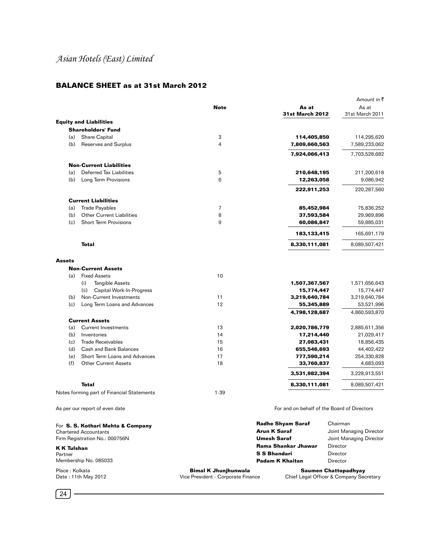### **BALANCE SHEET as at 31st March 2012**

|               |                                            |             |                        | Amount in ₹     |
|---------------|--------------------------------------------|-------------|------------------------|-----------------|
|               |                                            | <b>Note</b> | As at                  | As at           |
|               |                                            |             | <b>31st March 2012</b> | 31st March 2011 |
|               | <b>Equity and Liabilities</b>              |             |                        |                 |
|               | <b>Shareholders' Fund</b>                  |             |                        |                 |
| (a)           | <b>Share Capital</b>                       | 3           | 114,405,850            | 114,295,620     |
| (b)           | Reserves and Surplus                       | 4           | 7,809,660,563          | 7,589,233,062   |
|               |                                            |             | 7,924,066,413          | 7,703,528,682   |
|               | <b>Non-Current Liabilities</b>             |             |                        |                 |
| (a)           | Deferred Tax Liabilities                   | 5           | 210,648,195            | 211,200,618     |
| (b)           | Long Term Provisions                       | 6           | 12,263,058             | 9,086,942       |
|               |                                            |             | 222,911,253            | 220,287,560     |
|               | <b>Current Liabilities</b>                 |             |                        |                 |
| (a)           | <b>Trade Payables</b>                      | 7           | 85,452,984             | 75,836,252      |
| (b)           | <b>Other Current Liabilities</b>           | 8           | 37,593,584             | 29,969,896      |
| (c)           | <b>Short Term Provisions</b>               | 9           | 60,086,847             | 59,885,031      |
|               |                                            |             | 183,133,415            | 165,691,179     |
|               | <b>Total</b>                               |             | 8,330,111,081          | 8,089,507,421   |
| <b>Assets</b> |                                            |             |                        |                 |
|               | <b>Non-Current Assets</b>                  |             |                        |                 |
| (a)           | <b>Fixed Assets</b>                        | 10          |                        |                 |
|               | (i)<br><b>Tangible Assets</b>              |             | 1,507,367,567          | 1,571,656,643   |
|               | (ii)<br>Capital Work-In-Progress           |             | 15,774,447             | 15,774,447      |
| (b)           | Non-Current Investments                    | 11          | 3,219,640,784          | 3,219,640,784   |
| (c)           | Long Term Loans and Advances               | 12          | 55,345,889             | 53,521,996      |
|               |                                            |             | 4,798,128,687          | 4,860,593,870   |
|               | <b>Current Assets</b>                      |             |                        |                 |
| (a)           | <b>Current Investments</b>                 | 13          | 2,020,786,779          | 2,885,611,356   |
| (b)           | Inventories                                | 14          | 17,214,440             | 21,029,417      |
| (c)           | <b>Trade Receivables</b>                   | 15          | 27,083,431             | 18,856,435      |
| (d)           | Cash and Bank Balances                     | 16          | 655,546,693            | 44,402,422      |
| (e)           | Short Term Loans and Advances              | 17          | 777,590,214            | 254,330,828     |
| (f)           | <b>Other Current Assets</b>                | 18          | 33,760,837             | 4,683,093       |
|               |                                            |             | 3,531,982,394          | 3,228,913,551   |
|               | <b>Total</b>                               |             | 8,330,111,081          | 8,089,507,421   |
|               | Notes forming part of Financial Statements | $1 - 39$    |                        |                 |

As per our report of even date **For and on behalf of the Board of Directors** 

| For S. S. Kothari Mehta & Company |                      | <b>Radhe Shyam Saraf</b>   | Chairman                |
|-----------------------------------|----------------------|----------------------------|-------------------------|
| <b>Chartered Accountants</b>      |                      | <b>Arun K Saraf</b>        | Joint Managing Director |
| Firm Registration No.: 000756N    |                      | <b>Umesh Saraf</b>         | Joint Managing Director |
| <b>K K Tulshan</b>                |                      | <b>Rama Shankar Jhawar</b> | Director                |
| Partner                           |                      | <b>S S Bhandari</b>        | Director                |
| Membership No. 085033             |                      | <b>Padam K Khaitan</b>     | Director                |
| Dlaga - Kallista                  | Dimal K. Ikonikomoda |                            | Cannan Chattanadhuau    |

Place : Kolkata **Bimal K Jhunjhunwala**<br>
Date : 11th May 2012 **Saumen Chatter State Chatter School** Vice President - Corporate Finance

Saumen Chattopadhyay<br>Chief Legal Officer & Company Secretary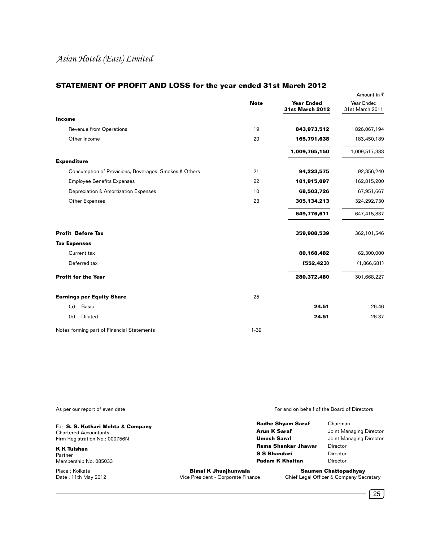|                                                       |             |                                             | Amount in ₹                   |
|-------------------------------------------------------|-------------|---------------------------------------------|-------------------------------|
|                                                       | <b>Note</b> | <b>Year Ended</b><br><b>31st March 2012</b> | Year Ended<br>31st March 2011 |
| Income                                                |             |                                             |                               |
| <b>Revenue from Operations</b>                        | 19          | 843,973,512                                 | 826,067,194                   |
| Other Income                                          | 20          | 165,791,638                                 | 183,450,189                   |
|                                                       |             | 1,009,765,150                               | 1,009,517,383                 |
| <b>Expenditure</b>                                    |             |                                             |                               |
| Consumption of Provisions, Beverages, Smokes & Others | 21          | 94,223,575                                  | 92,356,240                    |
| <b>Employee Benefits Expenses</b>                     | 22          | 181,915,097                                 | 162,815,200                   |
| Depreciation & Amortization Expenses                  | 10          | 68,503,726                                  | 67,951,667                    |
| <b>Other Expenses</b>                                 | 23          | 305,134,213                                 | 324,292,730                   |
|                                                       |             | 649,776,611                                 | 647,415,837                   |
| <b>Profit Before Tax</b>                              |             | 359,988,539                                 | 362,101,546                   |
| <b>Tax Expenses</b>                                   |             |                                             |                               |
| Current tax                                           |             | 80,168,482                                  | 62,300,000                    |
| Deferred tax                                          |             | (552, 423)                                  | (1,866,681)                   |
| <b>Profit for the Year</b>                            |             | 280,372,480                                 | 301,668,227                   |
| <b>Earnings per Equity Share</b>                      | 25          |                                             |                               |
| <b>Basic</b><br>(a)                                   |             | 24.51                                       | 26.46                         |
| (b)<br>Diluted                                        |             | 24.51                                       | 26.37                         |
| Notes forming part of Financial Statements            | $1 - 39$    |                                             |                               |

### **STATEMENT OF PROFIT AND LOSS for the year ended 31st March 2012**

For **S. S. Kothari Mehta & Company** Chartered Accountants Firm Registration No.: 000756N

**K K Tulshan** Partner Membership No. 085033

As per our report of even date **For and on behalf of the Board of Directors** 

**Radhe Shyam Saraf** Chairman **Arun K Saraf Joint Managing Director Umesh Saraf** Joint Managing Director **Rama Shankar Jhawar** Director **S S Bhandari** Director **Padam K Khaitan** Director

Place : Kolkata **Bimal K Jhunjhunwala Saumen Chattopadhyay**

Chief Legal Officer & Company Secretary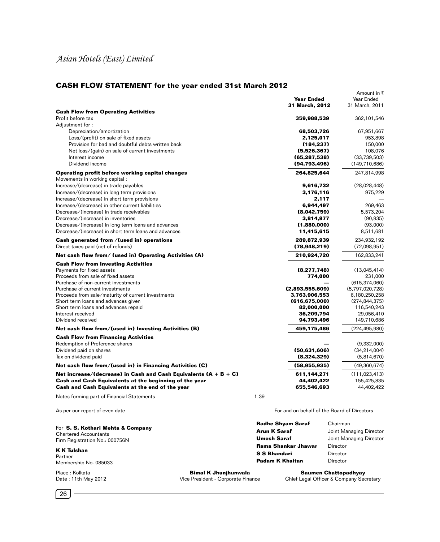### **CASH FLOW STATEMENT for the year ended 31st March 2012**

|                                                                                                             |          | <b>Year Ended</b><br><b>31 March, 2012</b>  | Amount in ₹<br>Year Ended<br>31 March, 2011 |
|-------------------------------------------------------------------------------------------------------------|----------|---------------------------------------------|---------------------------------------------|
| <b>Cash Flow from Operating Activities</b>                                                                  |          |                                             |                                             |
| Profit before tax<br>Adjustment for:                                                                        |          | 359,988,539                                 | 362,101,546                                 |
| Depreciation/amortization                                                                                   |          | 68,503,726                                  | 67,951,667                                  |
| Loss/(profit) on sale of fixed assets                                                                       |          | 2,125,017                                   | 953,898                                     |
| Provision for bad and doubtful debts written back                                                           |          | (184, 237)                                  | 150,000                                     |
| Net loss/(gain) on sale of current investments                                                              |          | (5,526,367)                                 | 108,076                                     |
| Interest income                                                                                             |          | (65, 287, 538)                              | (33,739,503)                                |
| Dividend income                                                                                             |          | (94, 793, 496)                              | (149, 710, 686)                             |
| <b>Operating profit before working capital changes</b><br>Movements in working capital :                    |          | 264,825,644                                 | 247,814,998                                 |
| Increase/(decrease) in trade payables                                                                       |          | 9,616,732                                   | (28,028,448)                                |
| Increase/(decrease) in long term provisions                                                                 |          | 3,176,116                                   | 975,229                                     |
| Increase/(decrease) in short term provisions                                                                |          | 2,117                                       |                                             |
| Increase/(decrease) in other current liabilities                                                            |          | 6,944,497                                   | 269,463                                     |
| Decrease/(increase) in trade receivables                                                                    |          | (8,042,759)                                 | 5,573,204                                   |
| Decrease/(increase) in inventories                                                                          |          | 3,814,977                                   | (90, 935)                                   |
| Decrease/(increase) in long term loans and advances<br>Decrease/(increase) in short term loans and advances |          | (1,880,000)                                 | (93,000)                                    |
|                                                                                                             |          | 11,415,615                                  | 8,511,681                                   |
| Cash generated from /(used in) operations                                                                   |          | 289,872,939                                 | 234,932,192                                 |
| Direct taxes paid (net of refunds)                                                                          |          | (78, 948, 219)                              | (72,098,951)                                |
| Net cash flow from/ (used in) Operating Activities (A)                                                      |          | 210,924,720                                 | 162,833,241                                 |
| <b>Cash Flow from Investing Activities</b>                                                                  |          |                                             |                                             |
| Payments for fixed assets                                                                                   |          | (8,277,748)                                 | (13,045,414)                                |
| Proceeds from sale of fixed assets                                                                          |          | 774,000                                     | 231,000                                     |
| Purchase of non-current investments                                                                         |          |                                             | (615, 374, 060)                             |
| Purchase of current investments<br>Proceeds from sale/maturity of current investments                       |          | (2,893,555,609)<br>3,763,906,553            | (5,797,020,728)<br>6,180,250,258            |
| Short term loans and advances given                                                                         |          | (616, 675, 000)                             | (274, 844, 375)                             |
| Short term loans and advances repaid                                                                        |          | 82,000,000                                  | 116,540,243                                 |
| Interest received                                                                                           |          | 36,209,794                                  | 29,056,410                                  |
| Dividend received                                                                                           |          | 94,793,496                                  | 149,710,686                                 |
| Net cash flow from/(used in) Investing Activities (B)                                                       |          | 459,175,486                                 | (224, 495, 980)                             |
| <b>Cash Flow from Financing Activities</b>                                                                  |          |                                             |                                             |
| Redemption of Preference shares                                                                             |          |                                             | (9,332,000)                                 |
| Dividend paid on shares<br>Tax on dividend paid                                                             |          | (50,631,606)                                | (34,214,004)                                |
|                                                                                                             |          | (8,324,329)                                 | (5,814,670)                                 |
| Net cash flow from/(used in) in Financing Activities (C)                                                    |          | (58, 955, 935)                              | (49,360,674)                                |
| Net increase/(decrease) in Cash and Cash Equivalents $(A + B + C)$                                          |          | 611,144,271                                 | (111, 023, 413)                             |
| Cash and Cash Equivalents at the beginning of the year<br>Cash and Cash Equivalents at the end of the year  |          | 44,402,422<br>655,546,693                   | 155,425,835                                 |
|                                                                                                             |          |                                             | 44,402,422                                  |
| Notes forming part of Financial Statements                                                                  | $1 - 39$ |                                             |                                             |
| As per our report of even date                                                                              |          | For and on behalf of the Board of Directors |                                             |

For **S. S. Kothari Mehta & Company** Chartered Accountants

Firm Registration No.: 000756N **K K Tulshan**

### Partner

Membership No. 085033

Place : Kolkata **Bimal K Jhunjhunwala Saumen Chattopadhyay**

**Radhe Shyam Saraf** Chairman

**Rama Shankar Jhawar** Director **S S Bhandari** Director **Padam K Khaitan** Director

**Arun K Saraf Joint Managing Director Umesh Saraf** Joint Managing Director

Chief Legal Officer & Company Secretary

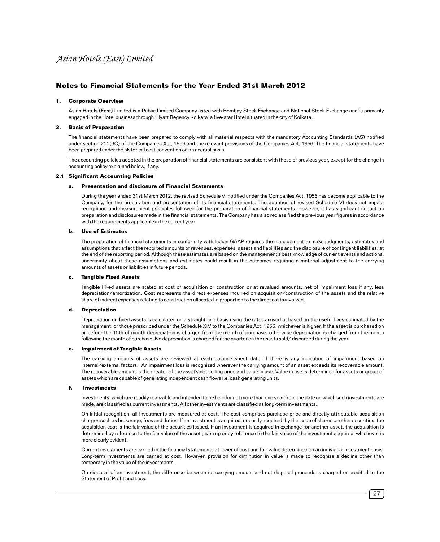#### **1. Corporate Overview**

Asian Hotels (East) Limited is a Public Limited Company listed with Bombay Stock Exchange and National Stock Exchange and is primarily engaged in the Hotel business through "Hyatt Regency Kolkata" a five-star Hotel situated in the city of Kolkata.

#### **2. Basis of Preparation**

The financial statements have been prepared to comply with all material respects with the mandatory Accounting Standards (AS) notified under section 211(3C) of the Companies Act, 1956 and the relevant provisions of the Companies Act, 1956. The financial statements have been prepared under the historical cost convention on an accrual basis.

The accounting policies adopted in the preparation of financial statements are consistent with those of previous year, except for the change in accounting policy explained below, if any.

#### **2.1 Significant Accounting Policies**

#### **a. Presentation and disclosure of Financial Statements**

During the year ended 31st March 2012, the revised Schedule VI notified under the Companies Act, 1956 has become applicable to the Company, for the preparation and presentation of its financial statements. The adoption of revised Schedule VI does not impact recognition and measurement principles followed for the preparation of financial statements. However, it has significant impact on preparation and disclosures made in the financial statements. The Company has also reclassified the previous year figures in accordance with the requirements applicable in the current year.

#### **b. Use of Estimates**

The preparation of financial statements in conformity with Indian GAAP requires the management to make judgments, estimates and assumptions that affect the reported amounts of revenues, expenses, assets and liabilities and the disclosure of contingent liabilities, at the end of the reporting period. Although these estimates are based on the management's best knowledge of current events and actions, uncertainty about these assumptions and estimates could result in the outcomes requiring a material adjustment to the carrying amounts of assets or liabilities in future periods.

#### **c. Tangible Fixed Assets**

Tangible Fixed assets are stated at cost of acquisition or construction or at revalued amounts, net of impairment loss if any, less depreciation/amortization. Cost represents the direct expenses incurred on acquisition/construction of the assets and the relative share of indirect expenses relating to construction allocated in proportion to the direct costs involved.

#### **d. Depreciation**

Depreciation on fixed assets is calculated on a straight-line basis using the rates arrived at based on the useful lives estimated by the management, or those prescribed under the Schedule XIV to the Companies Act, 1956, whichever is higher. If the asset is purchased on or before the 15th of month depreciation is charged from the month of purchase, otherwise depreciation is charged from the month following the month of purchase. No depreciation is charged for the quarter on the assets sold/ discarded during the year.

#### **e. Impairment of Tangible Assets**

The carrying amounts of assets are reviewed at each balance sheet date, if there is any indication of impairment based on internal/external factors. An impairment loss is recognized wherever the carrying amount of an asset exceeds its recoverable amount. The recoverable amount is the greater of the asset's net selling price and value in use. Value in use is determined for assets or group of assets which are capable of generating independent cash flows i.e. cash generating units.

#### **f. Investments**

Investments, which are readily realizable and intended to be held for not more than one year from the date on which such investments are made, are classified as current investments. All other investments are classified as long-term investments.

On initial recognition, all investments are measured at cost. The cost comprises purchase price and directly attributable acquisition charges such as brokerage, fees and duties. If an investment is acquired, or partly acquired, by the issue of shares or other securities, the acquisition cost is the fair value of the securities issued. If an investment is acquired in exchange for another asset, the acquisition is determined by reference to the fair value of the asset given up or by reference to the fair value of the investment acquired, whichever is more clearly evident.

Current investments are carried in the financial statements at lower of cost and fair value determined on an individual investment basis. Long-term investments are carried at cost. However, provision for diminution in value is made to recognize a decline other than temporary in the value of the investments.

On disposal of an investment, the difference between its carrying amount and net disposal proceeds is charged or credited to the Statement of Profit and Loss.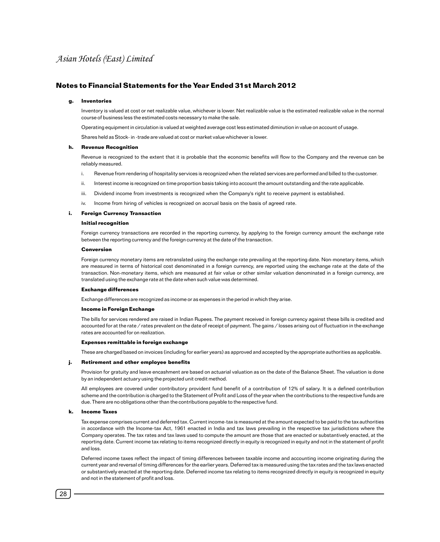#### **g. Inventories**

Inventory is valued at cost or net realizable value, whichever is lower. Net realizable value is the estimated realizable value in the normal course of business less the estimated costs necessary to make the sale.

Operating equipment in circulation is valued at weighted average cost less estimated diminution in value on account of usage.

Shares held as Stock- in -trade are valued at cost or market value whichever is lower.

#### **h. Revenue Recognition**

Revenue is recognized to the extent that it is probable that the economic benefits will flow to the Company and the revenue can be reliably measured.

- i. Revenue from rendering of hospitality services is recognized when the related services are performed and billed to the customer.
- ii. Interest income is recognized on time proportion basis taking into account the amount outstanding and the rate applicable.
- iii. Dividend income from investments is recognized when the Company's right to receive payment is established.
- iv. Income from hiring of vehicles is recognized on accrual basis on the basis of agreed rate.

#### **i. Foreign Currency Transaction**

#### **Initial recognition**

Foreign currency transactions are recorded in the reporting currency, by applying to the foreign currency amount the exchange rate between the reporting currency and the foreign currency at the date of the transaction.

#### **Conversion**

Foreign currency monetary items are retranslated using the exchange rate prevailing at the reporting date. Non-monetary items, which are measured in terms of historical cost denominated in a foreign currency, are reported using the exchange rate at the date of the transaction. Non-monetary items, which are measured at fair value or other similar valuation denominated in a foreign currency, are translated using the exchange rate at the date when such value was determined.

#### **Exchange differences**

Exchange differences are recognized as income or as expenses in the period in which they arise.

#### **Income in Foreign Exchange**

The bills for services rendered are raised in Indian Rupees. The payment received in foreign currency against these bills is credited and accounted for at the rate / rates prevalent on the date of receipt of payment. The gains / losses arising out of fluctuation in the exchange rates are accounted for on realization.

#### **Expenses remittable in foreign exchange**

These are charged based on invoices (including for earlier years) as approved and accepted by the appropriate authorities as applicable.

#### **j. Retirement and other employee benefits**

Provision for gratuity and leave encashment are based on actuarial valuation as on the date of the Balance Sheet. The valuation is done by an independent actuary using the projected unit credit method.

All employees are covered under contributory provident fund benefit of a contribution of 12% of salary. It is a defined contribution scheme and the contribution is charged to the Statement of Profit and Loss of the year when the contributions to the respective funds are due. There are no obligations other than the contributions payable to the respective fund.

#### **k. Income Taxes**

Tax expense comprises current and deferred tax. Current income-tax is measured at the amount expected to be paid to the tax authorities in accordance with the Income-tax Act, 1961 enacted in India and tax laws prevailing in the respective tax jurisdictions where the Company operates. The tax rates and tax laws used to compute the amount are those that are enacted or substantively enacted, at the reporting date. Current income tax relating to items recognized directly in equity is recognized in equity and not in the statement of profit and loss.

Deferred income taxes reflect the impact of timing differences between taxable income and accounting income originating during the current year and reversal of timing differences for the earlier years. Deferred tax is measured using the tax rates and the tax laws enacted or substantively enacted at the reporting date. Deferred income tax relating to items recognized directly in equity is recognized in equity and not in the statement of profit and loss.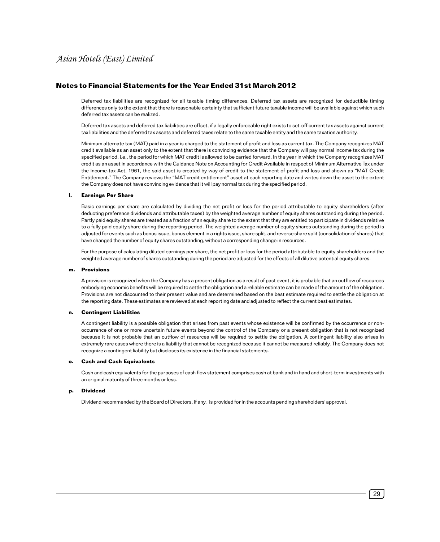Deferred tax liabilities are recognized for all taxable timing differences. Deferred tax assets are recognized for deductible timing differences only to the extent that there is reasonable certainty that sufficient future taxable income will be available against which such deferred tax assets can be realized.

Deferred tax assets and deferred tax liabilities are offset, if a legally enforceable right exists to set-off current tax assets against current tax liabilities and the deferred tax assets and deferred taxes relate to the same taxable entity and the same taxation authority.

Minimum alternate tax (MAT) paid in a year is charged to the statement of profit and loss as current tax. The Company recognizes MAT credit available as an asset only to the extent that there is convincing evidence that the Company will pay normal income tax during the specified period, i.e., the period for which MAT credit is allowed to be carried forward. In the year in which the Company recognizes MAT credit as an asset in accordance with the Guidance Note on Accounting for Credit Available in respect of Minimum Alternative Tax under the Income-tax Act, 1961, the said asset is created by way of credit to the statement of profit and loss and shown as "MAT Credit Entitlement." The Company reviews the "MAT credit entitlement" asset at each reporting date and writes down the asset to the extent the Company does not have convincing evidence that it will pay normal tax during the specified period.

#### **l. Earnings Per Share**

Basic earnings per share are calculated by dividing the net profit or loss for the period attributable to equity shareholders (after deducting preference dividends and attributable taxes) by the weighted average number of equity shares outstanding during the period. Partly paid equity shares are treated as a fraction of an equity share to the extent that they are entitled to participate in dividends relative to a fully paid equity share during the reporting period. The weighted average number of equity shares outstanding during the period is adjusted for events such as bonus issue, bonus element in a rights issue, share split, and reverse share split (consolidation of shares) that have changed the number of equity shares outstanding, without a corresponding change in resources.

For the purpose of calculating diluted earnings per share, the net profit or loss for the period attributable to equity shareholders and the weighted average number of shares outstanding during the period are adjusted for the effects of all dilutive potential equity shares.

#### **m. Provisions**

A provision is recognized when the Company has a present obligation as a result of past event, it is probable that an outflow of resources embodying economic benefits will be required to settle the obligation and a reliable estimate can be made of the amount of the obligation. Provisions are not discounted to their present value and are determined based on the best estimate required to settle the obligation at the reporting date. These estimates are reviewed at each reporting date and adjusted to reflect the current best estimates.

#### **n. Contingent Liabilities**

A contingent liability is a possible obligation that arises from past events whose existence will be confirmed by the occurrence or nonoccurrence of one or more uncertain future events beyond the control of the Company or a present obligation that is not recognized because it is not probable that an outflow of resources will be required to settle the obligation. A contingent liability also arises in extremely rare cases where there is a liability that cannot be recognized because it cannot be measured reliably. The Company does not recognize a contingent liability but discloses its existence in the financial statements.

#### **o. Cash and Cash Equivalents**

Cash and cash equivalents for the purposes of cash flow statement comprises cash at bank and in hand and short-term investments with an original maturity of three months or less.

#### **p. Dividend**

Dividend recommended by the Board of Directors, if any, is provided for in the accounts pending shareholders' approval.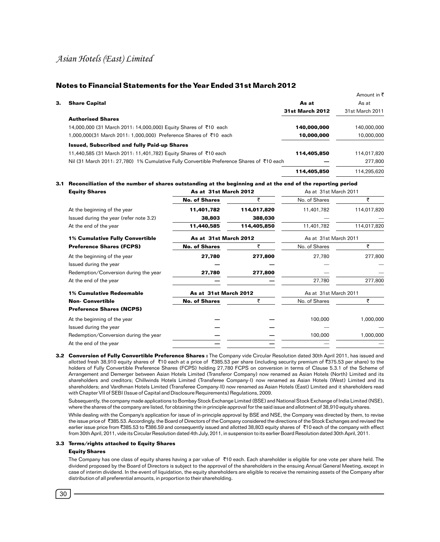|    |                                                                                           |                        | Amount in ₹     |
|----|-------------------------------------------------------------------------------------------|------------------------|-----------------|
| З. | <b>Share Capital</b>                                                                      | As at                  | As at           |
|    |                                                                                           | <b>31st March 2012</b> | 31st March 2011 |
|    | <b>Authorised Shares</b>                                                                  |                        |                 |
|    | 14,000,000 (31 March 2011: 14,000,000) Equity Shares of ₹10 each                          | 140,000,000            | 140,000,000     |
|    | 1,000,000(31 March 2011: 1,000,000) Preference Shares of ₹10 each                         | 10,000,000             | 10,000,000      |
|    | <b>Issued, Subscribed and fully Paid-up Shares</b>                                        |                        |                 |
|    | 11,440,585 (31 March 2011: 11,401,782) Equity Shares of ₹10 each                          | 114,405,850            | 114.017.820     |
|    | Nil (31 March 2011: 27,780) 1% Cumulative Fully Convertible Preference Shares of ₹10 each |                        | 277.800         |
|    |                                                                                           | 114.405.850            | 114.295.620     |
|    |                                                                                           |                        |                 |

#### **3.1 Reconciliation of the number of shares outstanding at the beginning and at the end of the reporting period**

| <b>Equity Shares</b>                    | As at 31st March 2012 |             | As at 31st March 2011 |             |  |
|-----------------------------------------|-----------------------|-------------|-----------------------|-------------|--|
|                                         | <b>No. of Shares</b>  | ₹           | No. of Shares         | ₹           |  |
| At the beginning of the year            | 11,401,782            | 114,017,820 | 11,401,782            | 114,017,820 |  |
| Issued during the year (refer note 3.2) | 38,803                | 388,030     |                       |             |  |
| At the end of the year                  | 11,440,585            | 114,405,850 | 11,401,782            | 114,017,820 |  |
| <b>1% Cumulative Fully Convertible</b>  | As at 31st March 2012 |             | As at 31st March 2011 |             |  |
| <b>Preference Shares (FCPS)</b>         | <b>No. of Shares</b>  | ₹           | No. of Shares         | ₹           |  |
| At the beginning of the year            | 27,780                | 277,800     | 27,780                | 277,800     |  |
| Issued during the year                  |                       |             |                       |             |  |
| Redemption/Conversion during the year   | 27,780                | 277,800     |                       |             |  |
| At the end of the year                  |                       |             | 27,780                | 277,800     |  |
| <b>1% Cumulative Redeemable</b>         | As at 31st March 2012 |             | As at 31st March 2011 |             |  |
| <b>Non-Convertible</b>                  | <b>No. of Shares</b>  | ₹           | No. of Shares         | ₹           |  |
| <b>Preference Shares (NCPS)</b>         |                       |             |                       |             |  |
| At the beginning of the year            |                       |             | 100,000               | 1,000,000   |  |
| Issued during the year                  |                       |             |                       |             |  |
| Redemption/Conversion during the year   |                       |             | 100,000               | 1,000,000   |  |
| At the end of the year                  |                       |             |                       |             |  |

**3.2 Conversion of Fully Convertible Preference Shares :** The Company vide Circular Resolution dated 30th April 2011, has issued and allotted fresh 38,910 equity shares of ₹10 each at a price of ₹385.53 per share (including security premium of ₹375.53 per share) to the holders of Fully Convertible Preference Shares (FCPS) holding 27,780 FCPS on conversion in terms of Clause 5.3.1 of the Scheme of Arrangement and Demerger between Asian Hotels Limited (Transferor Company) now renamed as Asian Hotels (North) Limited and its shareholders and creditors; Chillwinds Hotels Limited (Transferee Company-I) now renamed as Asian Hotels (West) Limited and its shareholders; and Vardhman Hotels Limited (Transferee Company-II) now renamed as Asian Hotels (East) Limited and it shareholders read with Chapter VII of SEBI (Issue of Capital and Disclosure Requirements) Regulations, 2009.

Subsequently, the company made applications to Bombay Stock Exchange Limited (BSE) and National Stock Exchange of India Limited (NSE), where the shares of the company are listed, for obtaining the in principle approval for the said issue and allotment of 38,910 equity shares.

While dealing with the Company's application for issue of in-principle approval by BSE and NSE, the Company was directed by them, to revise the issue price of ₹385.53. Accordingly, the Board of Directors of the Company considered the directions of the Stock Exchanges and revised the earlier issue price from ₹385.53 to ₹386.59 and consequently issued and allotted 38,803 equity shares of ₹10 each of the company with effect from 30th April, 2011, vide its Circular Resolution dated 4th July, 2011, in suspension to its earlier Board Resolution dated 30th April, 2011.

#### **3.3 Terms/rights attached to Equity Shares**

#### **Equity Shares**

The Company has one class of equity shares having a par value of ₹10 each. Each shareholder is eligible for one vote per share held. The dividend proposed by the Board of Directors is subject to the approval of the shareholders in the ensuing Annual General Meeting, except in case of interim dividend. In the event of liquidation, the equity shareholders are eligible to receive the remaining assets of the Company after distribution of all preferential amounts, in proportion to their shareholding.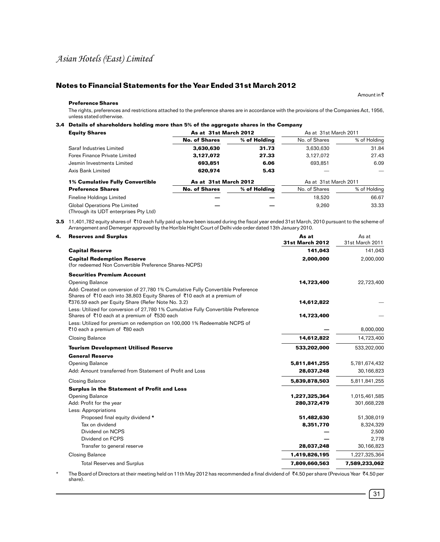### **Notes to Financial Statements for the Year Ended 31st March 2012**

Amount in  $\bar{z}$ 

#### **Preference Shares**

The rights, preferences and restrictions attached to the preference shares are in accordance with the provisions of the Companies Act, 1956, unless stated otherwise.

|  |  |  |  |  | 3.4 Details of shareholders holding more than 5% of the aggregate shares in the Company |  |  |  |
|--|--|--|--|--|-----------------------------------------------------------------------------------------|--|--|--|
|--|--|--|--|--|-----------------------------------------------------------------------------------------|--|--|--|

| <b>Equity Shares</b>                                                          | As at 31st March 2012 |              | As at 31st March 2011 |              |  |
|-------------------------------------------------------------------------------|-----------------------|--------------|-----------------------|--------------|--|
|                                                                               | <b>No. of Shares</b>  | % of Holding | No. of Shares         | % of Holding |  |
| Saraf Industries Limited                                                      | 3,630,630             | 31.73        | 3,630,630             | 31.84        |  |
| Forex Finance Private Limited                                                 | 3,127,072             | 27.33        | 3,127,072             | 27.43        |  |
| Jesmin Investments Limited                                                    | 693.851               | 6.06         | 693.851               | 6.09         |  |
| Axis Bank Limited                                                             | 620.974               | 5.43         |                       |              |  |
| <b>1% Cumulative Fully Convertible</b>                                        | As at 31st March 2012 |              | As at 31st March 2011 |              |  |
| <b>Preference Shares</b>                                                      | <b>No. of Shares</b>  | % of Holding | No. of Shares         | % of Holding |  |
| Fineline Holdings Limited                                                     |                       |              | 18.520                | 66.67        |  |
| <b>Global Operations Pte Limited</b><br>(Through its UDT enterprises Pty Ltd) |                       |              | 9,260                 | 33.33        |  |

**3.5** 11,401,782 equity shares of ₹10 each fully paid up have been issued during the fiscal year ended 31st March, 2010 pursuant to the scheme of Arrangement and Demerger approved by the Hon'ble Hight Court of Delhi vide order dated 13th January 2010.

| 4. | <b>Reserves and Surplus</b>                                                                                                                                                                                       | As at<br><b>31st March 2012</b> | As at<br>31st March 2011 |
|----|-------------------------------------------------------------------------------------------------------------------------------------------------------------------------------------------------------------------|---------------------------------|--------------------------|
|    | <b>Capital Reserve</b>                                                                                                                                                                                            | 141,043                         | 141,043                  |
|    | <b>Capital Redemption Reserve</b><br>(for redeemed Non Convertible Preference Shares-NCPS)                                                                                                                        | 2,000,000                       | 2,000,000                |
|    | <b>Securities Premium Account</b>                                                                                                                                                                                 |                                 |                          |
|    | <b>Opening Balance</b>                                                                                                                                                                                            | 14,723,400                      | 22,723,400               |
|    | Add: Created on conversion of 27,780 1% Cumulative Fully Convertible Preference<br>Shares of ₹10 each into 38,803 Equity Shares of ₹10 each at a premium of<br>₹376.59 each per Equity Share (Refer Note No. 3.2) | 14,612,822                      |                          |
|    | Less: Utilized for conversion of 27,780 1% Cumulative Fully Convertible Preference<br>Shares of ₹10 each at a premium of ₹530 each                                                                                | 14,723,400                      |                          |
|    | Less: Utilized for premium on redemption on 100,000 1% Redeemable NCPS of                                                                                                                                         |                                 |                          |
|    | ₹10 each a premium of ₹80 each                                                                                                                                                                                    |                                 | 8,000,000                |
|    | <b>Closing Balance</b>                                                                                                                                                                                            | 14,612,822                      | 14,723,400               |
|    | <b>Tourism Development Utilised Reserve</b>                                                                                                                                                                       | 533,202,000                     | 533,202,000              |
|    | <b>General Reserve</b>                                                                                                                                                                                            |                                 |                          |
|    | <b>Opening Balance</b>                                                                                                                                                                                            | 5,811,841,255                   | 5,781,674,432            |
|    | Add: Amount transferred from Statement of Profit and Loss                                                                                                                                                         | 28,037,248                      | 30,166,823               |
|    | <b>Closing Balance</b>                                                                                                                                                                                            | 5,839,878,503                   | 5,811,841,255            |
|    | <b>Surplus in the Statement of Profit and Loss</b>                                                                                                                                                                |                                 |                          |
|    | <b>Opening Balance</b>                                                                                                                                                                                            | 1,227,325,364                   | 1,015,461,585            |
|    | Add: Profit for the year                                                                                                                                                                                          | 280,372,479                     | 301,668,228              |
|    | Less: Appropriations                                                                                                                                                                                              |                                 |                          |
|    | Proposed final equity dividend *                                                                                                                                                                                  | 51,482,630                      | 51,308,019               |
|    | Tax on dividend                                                                                                                                                                                                   | 8,351,770                       | 8,324,329                |
|    | Dividend on NCPS                                                                                                                                                                                                  |                                 | 2,500                    |
|    | Dividend on FCPS                                                                                                                                                                                                  |                                 | 2,778                    |
|    | Transfer to general reserve                                                                                                                                                                                       | 28,037,248                      | 30,166,823               |
|    | <b>Closing Balance</b>                                                                                                                                                                                            | 1,419,826,195                   | 1,227,325,364            |
|    | <b>Total Reserves and Surplus</b>                                                                                                                                                                                 | 7,809,660,563                   | 7,589,233,062            |

The Board of Directors at their meeting held on 11th May 2012 has recommended a final dividend of  $\bar{e}$  4.50 per share (Previous Year  $\bar{e}$ 4.50 per share).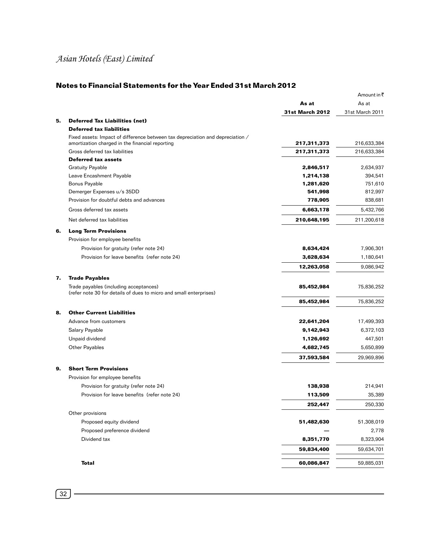### **Notes to Financial Statements for the Year Ended 31st March 2012**

|    |                                                                                                                                   |                        | Amount in ₹     |
|----|-----------------------------------------------------------------------------------------------------------------------------------|------------------------|-----------------|
|    |                                                                                                                                   | As at                  | As at           |
|    |                                                                                                                                   | <b>31st March 2012</b> | 31st March 2011 |
| 5. | <b>Deferred Tax Liabilities (net)</b>                                                                                             |                        |                 |
|    | <b>Deferred tax liabilities</b>                                                                                                   |                        |                 |
|    | Fixed assets: Impact of difference between tax depreciation and depreciation /<br>amortization charged in the financial reporting | 217,311,373            | 216,633,384     |
|    | Gross deferred tax liabilities                                                                                                    | 217,311,373            | 216,633,384     |
|    | <b>Deferred tax assets</b>                                                                                                        |                        |                 |
|    | <b>Gratuity Payable</b>                                                                                                           | 2,846,517              | 2,634,937       |
|    | Leave Encashment Payable                                                                                                          | 1,214,138              | 394,541         |
|    | Bonus Payable                                                                                                                     | 1,281,620              | 751,610         |
|    | Demerger Expenses u/s 35DD                                                                                                        | 541,998                | 812,997         |
|    | Provision for doubtful debts and advances                                                                                         | 778,905                | 838,681         |
|    | Gross deferred tax assets                                                                                                         | 6,663,178              | 5,432,766       |
|    | Net deferred tax liabilities                                                                                                      | 210,648,195            | 211,200,618     |
| 6. | <b>Long Term Provisions</b>                                                                                                       |                        |                 |
|    | Provision for employee benefits                                                                                                   |                        |                 |
|    | Provision for gratuity (refer note 24)                                                                                            | 8,634,424              | 7,906,301       |
|    | Provision for leave benefits (refer note 24)                                                                                      | 3,628,634              | 1,180,641       |
|    |                                                                                                                                   | 12,263,058             | 9,086,942       |
| 7. | <b>Trade Payables</b>                                                                                                             |                        |                 |
|    | Trade payables (including acceptances)<br>(refer note 30 for details of dues to micro and small enterprises)                      | 85,452,984             | 75,836,252      |
|    |                                                                                                                                   | 85,452,984             | 75,836,252      |
| 8. | <b>Other Current Liabilities</b>                                                                                                  |                        |                 |
|    | Advance from customers                                                                                                            | 22,641,204             | 17,499,393      |
|    | Salary Payable                                                                                                                    | 9,142,943              | 6,372,103       |
|    | Unpaid dividend                                                                                                                   | 1,126,692              | 447,501         |
|    | <b>Other Payables</b>                                                                                                             | 4,682,745              | 5,650,899       |
|    |                                                                                                                                   | 37,593,584             | 29,969,896      |
| 9. | <b>Short Term Provisions</b>                                                                                                      |                        |                 |
|    | Provision for employee benefits                                                                                                   |                        |                 |
|    | Provision for gratuity (refer note 24)                                                                                            | 138,938                | 214,941         |
|    | Provision for leave benefits (refer note 24)                                                                                      | 113,509                | 35,389          |
|    |                                                                                                                                   | 252,447                | 250,330         |
|    | Other provisions                                                                                                                  |                        |                 |
|    | Proposed equity dividend                                                                                                          | 51,482,630             | 51,308,019      |
|    | Proposed preference dividend                                                                                                      |                        | 2,778           |
|    | Dividend tax                                                                                                                      | 8,351,770              | 8,323,904       |
|    |                                                                                                                                   | 59,834,400             | 59,634,701      |
|    | <b>Total</b>                                                                                                                      | 60,086,847             | 59,885,031      |
|    |                                                                                                                                   |                        |                 |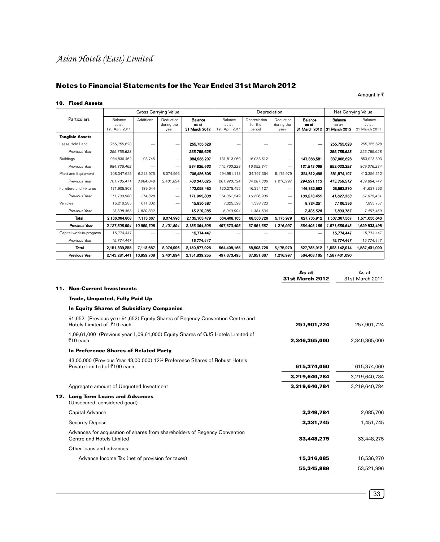### **Notes to Financial Statements for the Year Ended 31st March 2012**

Amount in  $\bar{\tau}$ 

### **10. Fixed Assets**

|                               | Gross Carrying Value<br>Depreciation |            |                                 |                                   | Net Carrying Value                 |                                   |                                 |                                   |                                   |                                   |
|-------------------------------|--------------------------------------|------------|---------------------------------|-----------------------------------|------------------------------------|-----------------------------------|---------------------------------|-----------------------------------|-----------------------------------|-----------------------------------|
| Particulars                   | Balance<br>as at<br>1st April 2011   | Additions  | Deduction<br>during the<br>year | Balance<br>as at<br>31 March 2012 | Balance<br>as at<br>1st April 2011 | Depreciation<br>for the<br>period | Deduction<br>during the<br>year | Balance<br>as at<br>31 March 2012 | Balance<br>as at<br>31 March 2012 | Balance<br>as at<br>31 March 2011 |
| <b>Tangible Assets</b>        |                                      |            |                                 |                                   |                                    |                                   |                                 |                                   |                                   |                                   |
| Lease Hold Land               | 255.755.628                          |            |                                 | 255,755,628                       |                                    |                                   |                                 |                                   | 255,755,628                       | 255,755,628                       |
| Previous Year                 | 255.755.628                          |            |                                 | 255.755,628                       | $\overline{\phantom{a}}$           |                                   |                                 |                                   | 255,755,628                       | 255, 755, 628                     |
| <b>Buildings</b>              | 984,836,462                          | 98.745     |                                 | 984.935.207                       | 131,813,069                        | 16,053,512                        | $\overline{\phantom{0}}$        | 147,866,581                       | 837.068.626                       | 853,023,393                       |
| Previous Year                 | 984.836.462                          |            |                                 | 984.836.462                       | 115.760.228                        | 16.052.841                        | $\overline{\phantom{0}}$        | 131,813,069                       | 853,023,393                       | 869.076.234                       |
| Plant and Equipment           | 708,347,625                          | 6.213.976  | 8.074.996                       | 706,486,605                       | 294,991,113                        | 34,797,364                        | 5.175.979                       | 324.612,498                       | 381,874,107                       | 413,356,512                       |
| Previous Year                 | 701,785,471                          | 8,964,048  | 2,401,894                       | 708.347.625                       | 261,920,724                        | 34,287,386                        | 1,216,997                       | 294.991.113                       | 413,356.512                       | 439, 864, 747                     |
| <b>Furniture and Fixtures</b> | 171.905.808                          | 189.644    |                                 | 172,095.452                       | 130,278,455                        | 16,254,127                        |                                 | 146.532.582                       | 25,562,870                        | 41.627.353                        |
| Previous Year                 | 171,730,980                          | 174,828    |                                 | 171,905,808                       | 114,051,549                        | 16,226,906                        | $\overbrace{\phantom{12332}}$   | 130,278,455                       | 41,627,353                        | 57,679,431                        |
| Vehicles                      | 15,219,285                           | 611,302    |                                 | 15,830.587                        | 7,325,528                          | 1,398,723                         |                                 | 8.724.251                         | 7.106.336                         | 7,893,757                         |
| Previous Year                 | 13.398.453                           | 1.820.832  |                                 | 15.219.285                        | 5.940.994                          | 1,384,534                         | $\overline{\phantom{0}}$        | 7.325.528                         | 7.893.757                         | 7.457.459                         |
| Total                         | 2.136,064,808                        | 7,113,667  | 8.074,996                       | 2.135,103,479                     | 564,408,165                        | 68,503.726                        | 5,175,979                       | 627.735,912                       | 1,507,367,567                     | 1.571,656,643                     |
| Previous Year                 | 2,127.506,994                        | 10.959,708 | 2,401,894                       | 2,136,064,808                     | 497.673,495                        | 67.951.667                        | 1.216,997                       | 564,408,165                       | 1,571,656.643                     | 1,629,833,498                     |
| Capital work-in-progress      | 15.774.447                           |            |                                 | 15,774,447                        |                                    |                                   |                                 |                                   | 15.774.447                        | 15,774,447                        |
| Previous Year                 | 15,774,447                           |            |                                 | 15.774,447                        |                                    |                                   |                                 |                                   | 15,774,447                        | 15.774.447                        |
| Total                         | 2,151.839,255                        | 7,113,667  | 8,074,996                       | 2,150,877,926                     | 564,408,165                        | 68.503,726                        | 5.175,979                       | 627,735,912                       | 1,523,142.014                     | 1,587,431,090                     |
| Previous Year                 | 2.143.281.441                        | 10,959,708 | 2.401.894                       | 2.151.839.255                     | 497.673.495                        | 67.951.667                        | 1.216.997                       | 564,408,165                       | 1,587,431,090                     |                                   |

|     |                                                                                                            | As at<br><b>31st March 2012</b> | As at<br>31st March 2011 |
|-----|------------------------------------------------------------------------------------------------------------|---------------------------------|--------------------------|
|     | <b>11. Non-Current Investments</b>                                                                         |                                 |                          |
|     | <b>Trade, Unquoted, Fully Paid Up</b>                                                                      |                                 |                          |
|     | <b>In Equity Shares of Subsidiary Companies</b>                                                            |                                 |                          |
|     | 91,652 (Previous year 91,652) Equity Shares of Regency Convention Centre and<br>Hotels Limited of ₹10 each | 257,901,724                     | 257,901,724              |
|     | 1,09,61,000 (Previous year 1,09,61,000) Equity Shares of GJS Hotels Limited of<br>$\bar{x}$ 10 each        | 2,346,365,000                   | 2,346,365,000            |
|     | In Preference Shares of Related Party                                                                      |                                 |                          |
|     | 43,00,000 (Previous Year 43,00,000) 12% Preference Shares of Robust Hotels<br>Private Limited of ₹100 each | 615,374,060                     | 615,374,060              |
|     |                                                                                                            | 3,219,640,784                   | 3,219,640,784            |
|     | Aggregate amount of Unquoted Investment                                                                    | 3,219,640,784                   | 3,219,640,784            |
| 12. | <b>Long Term Loans and Advances</b><br>(Unsecured, considered good)                                        |                                 |                          |
|     | Capital Advance                                                                                            | 3,249,784                       | 2,085,706                |
|     | <b>Security Deposit</b>                                                                                    | 3,331,745                       | 1,451,745                |
|     | Advances for acquisition of shares from shareholders of Regency Convention<br>Centre and Hotels Limited    | 33,448,275                      | 33,448,275               |
|     | Other loans and advances                                                                                   |                                 |                          |
|     | Advance Income Tax (net of provision for taxes)                                                            | 15,316,085                      | 16,536,270               |
|     |                                                                                                            | 55,345,889                      | 53,521,996               |
|     |                                                                                                            |                                 |                          |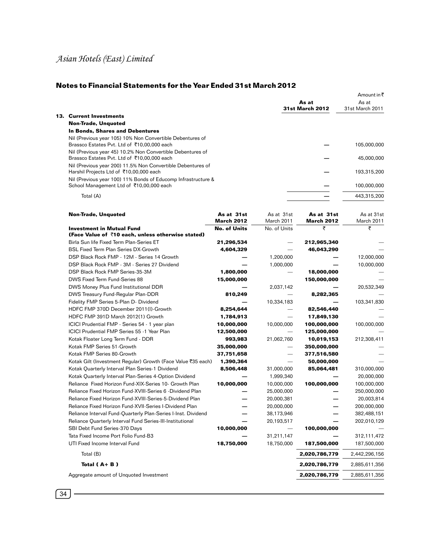### **Notes to Financial Statements for the Year Ended 31st March 2012**

|                                                               |                        | Amount in ₹     |
|---------------------------------------------------------------|------------------------|-----------------|
|                                                               | As at                  | As at           |
|                                                               | <b>31st March 2012</b> | 31st March 2011 |
| <b>13. Current Investments</b>                                |                        |                 |
| <b>Non-Trade, Unquoted</b>                                    |                        |                 |
| In Bonds, Shares and Debentures                               |                        |                 |
| Nil (Previous year 105) 10% Non Convertible Debentures of     |                        |                 |
| Brassco Estates Pvt. Ltd of ₹10,00,000 each                   |                        | 105,000,000     |
| Nil (Previous year 45) 10.2% Non Convertible Debentures of    |                        |                 |
| Brassco Estates Pvt. Ltd of ₹10,00,000 each                   |                        | 45.000.000      |
| Nil (Previous year 200) 11.5% Non Convertible Debentures of   |                        |                 |
| Harshil Projects Ltd of ₹10,00,000 each                       |                        | 193.315.200     |
| Nil (Previous year 100) 11% Bonds of Educomp Infrastructure & |                        |                 |
| School Management Ltd of ₹10,00,000 each                      |                        | 100,000,000     |
| Total (A)                                                     |                        | 443,315,200     |
|                                                               |                        |                 |

| <b>Non-Trade, Unquoted</b>                                    | As at 31st<br><b>March 2012</b> | As at 31st<br>March 2011 | As at 31st<br><b>March 2012</b> | As at 31st<br>March 2011 |
|---------------------------------------------------------------|---------------------------------|--------------------------|---------------------------------|--------------------------|
| <b>Investment in Mutual Fund</b>                              | <b>No. of Units</b>             | No. of Units             | ₹                               | ₹                        |
| (Face Value of ₹10 each, unless otherwise stated)             |                                 |                          |                                 |                          |
| Birla Sun life Fixed Term Plan-Series ET                      | 21,296,534                      |                          | 212,965,340                     |                          |
| <b>BSL Fixed Term Plan Series DX-Growth</b>                   | 4,604,329                       |                          | 46,043,290                      |                          |
| DSP Black Rock FMP - 12M - Series 14 Growth                   |                                 | 1,200,000                |                                 | 12,000,000               |
| DSP Black Rock FMP - 3M - Series 27 Dividend                  |                                 | 1,000,000                |                                 | 10,000,000               |
| DSP Black Rock FMP Series-35-3M                               | 1,800,000                       |                          | 18,000,000                      |                          |
| DWS Fixed Term Fund-Series 88                                 | 15,000,000                      |                          | 150,000,000                     |                          |
| DWS Money Plus Fund Institutional DDR                         |                                 | 2,037,142                |                                 | 20,532,349               |
| DWS Treasury Fund-Regular Plan-DDR                            | 810,249                         |                          | 8,282,365                       |                          |
| Fidelity FMP Series 5-Plan D- Dividend                        |                                 | 10,334,183               |                                 | 103,341,830              |
| HDFC FMP 370D December 2011(I)-Growth                         | 8,254,644                       |                          | 82,546,440                      |                          |
| HDFC FMP 391D March 2012(1) Growth                            | 1,784,913                       |                          | 17,849,130                      |                          |
| ICICI Prudential FMP - Series 54 - 1 year plan                | 10,000,000                      | 10,000,000               | 100,000,000                     | 100,000,000              |
| ICICI Prudential FMP Series 55 -1 Year Plan                   | 12,500,000                      |                          | 125,000,000                     |                          |
| Kotak Floater Long Term Fund - DDR                            | 993,983                         | 21,062,760               | 10,019,153                      | 212,308,411              |
| Kotak FMP Series 51-Growth                                    | 35,000,000                      |                          | 350,000,000                     |                          |
| Kotak FMP Series 80-Growth                                    | 37,751,658                      |                          | 377,516,580                     |                          |
| Kotak Gilt (Investment Regular) Growth (Face Value ₹35 each)  | 1,390,364                       |                          | 50,000,000                      |                          |
| Kotak Quarterly Interval Plan Series-1 Dividend               | 8,506,448                       | 31,000,000               | 85,064,481                      | 310,000,000              |
| Kotak Quarterly Interval Plan-Series 4-Option Dividend        |                                 | 1,999,340                |                                 | 20,000,000               |
| Reliance Fixed Horizon Fund-XIX-Series 10- Growth Plan        | 10,000,000                      | 10,000,000               | 100,000,000                     | 100,000,000              |
| Reliance Fixed Horizon Fund-XVIII-Series 6 -Dividend Plan     |                                 | 25,000,000               |                                 | 250,000,000              |
| Reliance Fixed Horizon Fund-XVIII-Series-5-Dividend Plan      |                                 | 20,000,381               |                                 | 20,003,814               |
| Reliance Fixed Horizon Fund-XVII-Series I-Dividend Plan       |                                 | 20,000,000               |                                 | 200,000,000              |
| Reliance Interval Fund-Quarterly Plan-Series I-Inst. Dividend |                                 | 38,173,946               |                                 | 382,488,151              |
| Reliance Quarterly Interval Fund Series-III-Institutional     |                                 | 20,193,517               |                                 | 202,010,129              |
| SBI Debt Fund Series-370 Days                                 | 10,000,000                      |                          | 100,000,000                     |                          |
| Tata Fixed Income Port Folio Fund-B3                          |                                 | 31,211,147               |                                 | 312,111,472              |
| UTI Fixed Income Interval Fund                                | 18,750,000                      | 18,750,000               | 187,500,000                     | 187,500,000              |
| Total (B)                                                     |                                 |                          | 2,020,786,779                   | 2,442,296,156            |
| Total $(A + B)$                                               |                                 |                          | 2,020,786,779                   | 2,885,611,356            |
| Aggregate amount of Unquoted Investment                       |                                 |                          | 2,020,786,779                   | 2,885,611,356            |
|                                                               |                                 |                          |                                 |                          |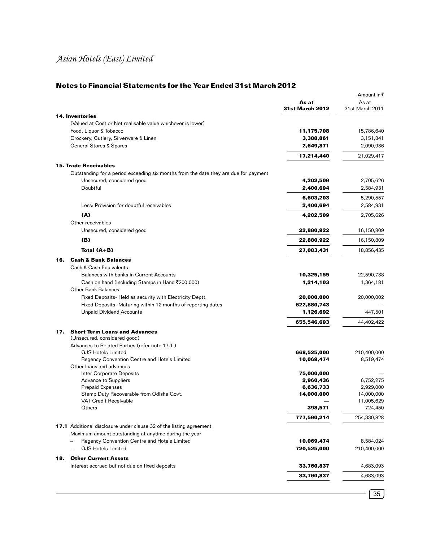|     |                                                                                                                          | As at<br><b>31st March 2012</b> | Amount in ₹<br>As at<br>31st March 2011 |
|-----|--------------------------------------------------------------------------------------------------------------------------|---------------------------------|-----------------------------------------|
|     | <b>14. Inventories</b>                                                                                                   |                                 |                                         |
|     | (Valued at Cost or Net realisable value whichever is lower)                                                              |                                 |                                         |
|     | Food, Liquor & Tobacco                                                                                                   | 11,175,708                      | 15,786,640                              |
|     | Crockery, Cutlery, Silverware & Linen                                                                                    | 3,388,861                       | 3,151,841                               |
|     | <b>General Stores &amp; Spares</b>                                                                                       | 2,649,871                       | 2,090,936                               |
|     | <b>15. Trade Receivables</b>                                                                                             | 17,214,440                      | 21,029,417                              |
|     | Outstanding for a period exceeding six months from the date they are due for payment                                     |                                 |                                         |
|     | Unsecured, considered good                                                                                               | 4,202,509                       | 2,705,626                               |
|     | Doubtful                                                                                                                 | 2,400,694                       | 2,584,931                               |
|     |                                                                                                                          |                                 |                                         |
|     |                                                                                                                          | 6,603,203                       | 5,290,557                               |
|     | Less: Provision for doubtful receivables                                                                                 | 2,400,694                       | 2,584,931                               |
|     | (A)<br>Other receivables                                                                                                 | 4,202,509                       | 2,705,626                               |
|     | Unsecured, considered good                                                                                               | 22,880,922                      | 16,150,809                              |
|     | (B)                                                                                                                      | 22,880,922                      | 16,150,809                              |
|     | Total $(A+B)$                                                                                                            | 27,083,431                      | 18,856,435                              |
| 16. | <b>Cash &amp; Bank Balances</b>                                                                                          |                                 |                                         |
|     | Cash & Cash Equivalents                                                                                                  |                                 |                                         |
|     | Balances with banks in Current Accounts                                                                                  | 10,325,155                      | 22,590,738                              |
|     | Cash on hand (Including Stamps in Hand ₹200,000)                                                                         | 1,214,103                       | 1,364,181                               |
|     | <b>Other Bank Balances</b>                                                                                               | 20,000,000                      | 20,000,002                              |
|     | Fixed Deposits- Held as security with Electricity Deptt.<br>Fixed Deposits- Maturing within 12 months of reporting dates | 622,880,743                     |                                         |
|     | <b>Unpaid Dividend Accounts</b>                                                                                          | 1,126,692                       | 447,501                                 |
|     |                                                                                                                          | 655,546,693                     | 44,402,422                              |
| 17. | <b>Short Term Loans and Advances</b>                                                                                     |                                 |                                         |
|     | (Unsecured, considered good)                                                                                             |                                 |                                         |
|     | Advances to Related Parties (refer note 17.1)                                                                            |                                 |                                         |
|     | <b>GJS Hotels Limited</b>                                                                                                | 668,525,000                     | 210,400,000                             |
|     | Regency Convention Centre and Hotels Limited                                                                             | 10,069,474                      | 8,519,474                               |
|     | Other loans and advances<br>Inter Corporate Deposits                                                                     | 75,000,000                      |                                         |
|     | Advance to Suppliers                                                                                                     | 2,960,436                       | 6,752,275                               |
|     | <b>Prepaid Expenses</b>                                                                                                  | 6,636,733                       | 2,929,000                               |
|     | Stamp Duty Recoverable from Odisha Govt.                                                                                 | 14,000,000                      | 14,000,000                              |
|     | VAT Credit Receivable                                                                                                    |                                 | 11,005,629                              |
|     | Others                                                                                                                   | 398,571                         | 724,450                                 |
|     |                                                                                                                          | 777,590,214                     | 254,330,828                             |
|     | 17.1 Additional disclosure under clause 32 of the listing agreement                                                      |                                 |                                         |
|     | Maximum amount outstanding at anytime during the year                                                                    |                                 |                                         |
|     | Regency Convention Centre and Hotels Limited                                                                             | 10,069,474                      | 8,584,024                               |
|     | <b>GJS Hotels Limited</b>                                                                                                | 720,525,000                     | 210,400,000                             |
| 18. | <b>Other Current Assets</b>                                                                                              |                                 |                                         |
|     | Interest accrued but not due on fixed deposits                                                                           | 33,760,837                      | 4,683,093                               |
|     |                                                                                                                          | 33,760,837                      | 4,683,093                               |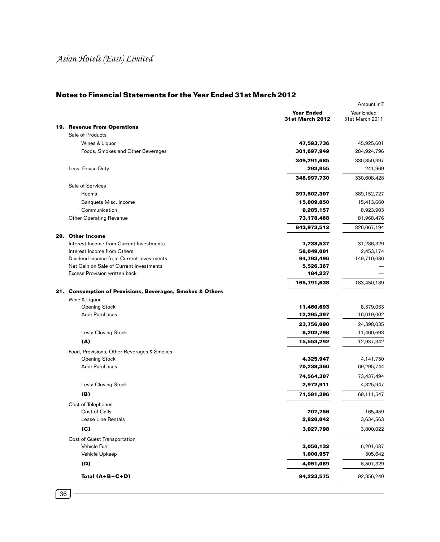## *Asian Hotels (East) Limited*

## **Notes to Financial Statements for the Year Ended 31st March 2012**

|                                                           |                        | Amount in ₹     |
|-----------------------------------------------------------|------------------------|-----------------|
|                                                           | <b>Year Ended</b>      | Year Ended      |
|                                                           | <b>31st March 2012</b> | 31st March 2011 |
| <b>19. Revenue From Operations</b>                        |                        |                 |
| Sale of Products                                          |                        |                 |
| Wines & Liquor                                            | 47,593,736             | 45,925,601      |
| Foods, Smokes and Other Beverages                         | 301,697,949            | 284,924,796     |
|                                                           | 349,291,685            | 330,850,397     |
| Less: Excise Duty                                         | 293,955                | 241,969         |
|                                                           | 348,997,730            | 330,608,428     |
| Sale of Services                                          |                        |                 |
| Rooms                                                     | 397,502,307            | 389, 152, 727   |
| Banquets Misc. Income                                     | 15,009,850             | 15,413,660      |
| Communication                                             | 9,285,157              | 8,923,903       |
| <b>Other Operating Revenue</b>                            | 73,178,468             | 81,968,476      |
|                                                           | 843,973,512            | 826,067,194     |
| 20. Other Income                                          |                        |                 |
| Interest Income from Current Investments                  | 7,238,537              | 31,286,329      |
| Interest Income from Others                               | 58,049,001             | 2,453,174       |
| Dividend Income from Current Investments                  | 94,793,496             | 149,710,686     |
| Net Gain on Sale of Current Investments                   | 5,526,367              |                 |
| Excess Provision written back                             | 184,237                |                 |
|                                                           | 165,791,638            | 183,450,189     |
| 21. Consumption of Provisions, Beverages, Smokes & Others |                        |                 |
| Wine & Liquor                                             |                        |                 |
| <b>Opening Stock</b><br>Add: Purchases                    | 11,460,693             | 8,379,033       |
|                                                           | 12,295,397             | 16,019,002      |
|                                                           | 23,756,090             | 24,398,035      |
| Less: Closing Stock                                       | 8,202,798              | 11,460,693      |
| (A)                                                       | 15,553,292             | 12,937,342      |
| Food, Provisions, Other Beverages & Smokes                |                        |                 |
| <b>Opening Stock</b>                                      | 4,325,947              | 4,141,750       |
| Add: Purchases                                            | 70,238,360             | 69,295,744      |
|                                                           | 74,564,307             | 73,437,494      |
| Less: Closing Stock                                       | 2,972,911              | 4,325,947       |
| (B)                                                       | 71,591,396             | 69,111,547      |
| Cost of Telephones                                        |                        |                 |
| <b>Cost of Calls</b>                                      | 207,756                | 165,459         |
| Lease Line Rentals                                        | 2,820,042              | 3,634,563       |
| (C)                                                       | 3,027,798              | 3,800,022       |
| Cost of Guest Transportation                              |                        |                 |
| Vehicle Fuel                                              | 3,050,132              | 6,201,687       |
| Vehicle Upkeep                                            | 1,000,957              | 305,642         |
| (D)                                                       | 4,051,089              | 6,507,329       |
|                                                           |                        |                 |
| Total $(A+B+C+D)$                                         | 94,223,575             | 92,356,240      |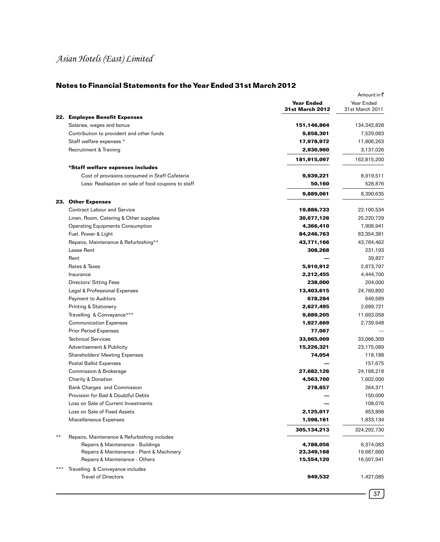# *Asian Hotels (East) Limited*

## **Notes to Financial Statements for the Year Ended 31st March 2012**

|       |                                                                             |                                             | Amount in₹                    |
|-------|-----------------------------------------------------------------------------|---------------------------------------------|-------------------------------|
|       |                                                                             | <b>Year Ended</b><br><b>31st March 2012</b> | Year Ended<br>31st March 2011 |
|       | 22. Employee Benefit Expenses                                               |                                             |                               |
|       | Salaries, wages and bonus                                                   | 151,146,864                                 | 134,342,828                   |
|       | Contribution to provident and other funds                                   | 9,858,301                                   | 7,529,083                     |
|       | Staff welfare expenses *                                                    | 17,978,972                                  | 17,806,263                    |
|       | Recruitment & Training                                                      | 2,930,960                                   | 3,137,026                     |
|       | *Staff welfare expenses includes                                            | 181,915,097                                 | 162,815,200                   |
|       | Cost of provisions consumed in Staff Cafeteria                              | 9,939,221                                   | 8,919,511                     |
|       | Less: Realisation on sale of food coupons to staff                          | 50,160                                      | 528,876                       |
|       |                                                                             | 9,889,061                                   | 8,390,635                     |
|       | 23. Other Expenses                                                          |                                             |                               |
|       | <b>Contract Labour and Service</b>                                          | 19,886,733                                  | 22,100,534                    |
|       | Linen, Room, Catering & Other supplies                                      | 30,077,126                                  | 25,220,729                    |
|       | <b>Operating Equipments Consumption</b>                                     | 4,366,410                                   | 7,908,941                     |
|       | Fuel, Power & Light                                                         | 84,246,763                                  | 83,354,381                    |
|       | Repairs, Maintenance & Refurbishing**                                       | 43,771,166                                  | 43,784,462                    |
|       | Lease Rent                                                                  | 308,268                                     | 231,193                       |
|       | Rent                                                                        |                                             | 39,827                        |
|       | Rates & Taxes                                                               | 5,910,912                                   | 2,873,797                     |
|       | Insurance                                                                   | 2,212,455                                   | 4,444,700                     |
|       | Directors' Sitting Fees                                                     | 238,000                                     | 204,000                       |
|       | Legal & Professional Expenses                                               | 13,403,615                                  | 24,760,892                    |
|       | Payment to Auditors                                                         | 678,284                                     | 649,589                       |
|       | <b>Printing &amp; Stationery</b>                                            | 2,627,495                                   | 2,689,721                     |
|       | Travelling & Conveyance***                                                  | 9,889,205                                   | 11,693,058                    |
|       | <b>Communication Expenses</b>                                               | 1,927,669                                   | 2,739,948                     |
|       | Prior Period Expenses                                                       | 77,067                                      |                               |
|       | <b>Technical Services</b>                                                   | 33,965,009                                  | 33,066,309                    |
|       | Advertisement & Publicity                                                   | 15,226,321                                  | 23,175,089                    |
|       | Shareholders' Meeting Expenses                                              | 74,054                                      | 118,188                       |
|       | <b>Postal Ballot Expenses</b>                                               |                                             | 157,675                       |
|       | Commission & Brokerage                                                      | 27,682,126                                  | 24,168,218                    |
|       | Charity & Donation                                                          | 4,563,700                                   | 7,602,000                     |
|       | Bank Charges and Commission                                                 | 278,657                                     | 264,371                       |
|       | Provision for Bad & Doubtful Debts                                          |                                             | 150,000                       |
|       | Loss on Sale of Current Investments                                         |                                             | 108,076                       |
|       | Loss on Sale of Fixed Assets                                                | 2,125,017                                   | 953,898                       |
|       | Miscellaneous Expenses                                                      | 1,598,161                                   | 1,833,134                     |
|       |                                                                             | 305,134,213                                 | 324,292,730                   |
| $***$ | Repairs, Maintenance & Refurbishing includes                                |                                             |                               |
|       | Repairs & Maintenance - Buildings                                           | 4,788,056                                   | 6,374,083                     |
|       | Repairs & Maintenance - Plant & Machinery<br>Repairs & Maintenance - Others | 23,349,168<br>15,554,120                    | 19,687,660<br>16,507,941      |
| $***$ | Travelling & Conveyance includes                                            |                                             |                               |
|       | <b>Travel of Directors</b>                                                  | 949,532                                     | 1,427,085                     |
|       |                                                                             |                                             |                               |

 $\boxed{37}$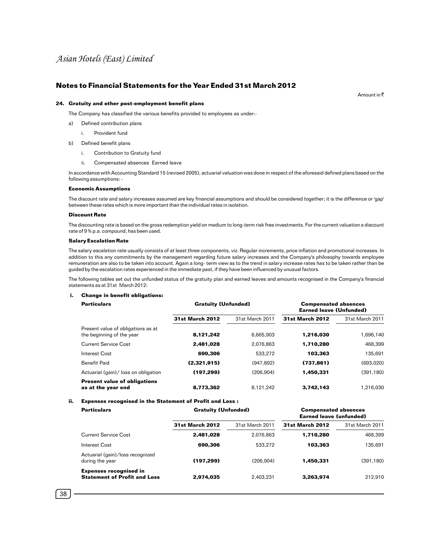$\Delta$ mount in  $\bar{z}$ 

#### **24. Gratuity and other post-employment benefit plans**

The Company has classified the various benefits provided to employees as under:-

- a) Defined contribution plans
	- i. Provident fund
- b) Defined benefit plans
	- i. Contribution to Gratuity fund
	- ii. Compensated absences Earned leave

In accordance with Accounting Standard 15 (revised 2005), actuarial valuation was done in respect of the aforesaid defined plans based on the following assumptions: -

#### **Economic Assumptions**

The discount rate and salary increases assumed are key financial assumptions and should be considered together; it is the difference or 'gap' between these rates which is more important than the individual rates in isolation.

#### **Discount Rate**

The discounting rate is based on the gross redemption yield on medium to long-term risk free investments. For the current valuation a discount rate of 9 % p.a. compound, has been used.

#### **Salary Escalation Rate**

The salary escalation rate usually consists of at least three components, viz. Regular increments, price inflation and promotional increases. In addition to this any commitments by the management regarding future salary increases and the Company's philosophy towards employee remuneration are also to be taken into account. Again a long- term view as to the trend in salary increase rates has to be taken rather than be guided by the escalation rates experienced in the immediate past, if they have been influenced by unusual factors.

The following tables set out the unfunded status of the gratuity plan and earned leaves and amounts recognised in the Company's financial statements as at 31st March 2012:

#### **i. Change in benefit obligations:**

| <b>Particulars</b>                                              | <b>Gratuity (Unfunded)</b> |                 | <b>Compensated absences</b><br><b>Earned leave (Unfunded)</b> |                 |  |
|-----------------------------------------------------------------|----------------------------|-----------------|---------------------------------------------------------------|-----------------|--|
|                                                                 | <b>31st March 2012</b>     | 31st March 2011 | <b>31st March 2012</b>                                        | 31st March 2011 |  |
| Present value of obligations as at<br>the beginning of the year | 8.121.242                  | 6.665.903       | 1.216.030                                                     | 1,696,140       |  |
| Current Service Cost                                            | 2.481.028                  | 2.076.863       | 1.710.280                                                     | 468.399         |  |
| Interest Cost                                                   | 690.306                    | 533.272         | 103.363                                                       | 135.691         |  |
| Benefit Paid                                                    | (2.321.915)                | (947.892)       | (737.861)                                                     | (693,020)       |  |
| Actuarial (gain)/ loss on obligation                            | (197.299)                  | (206.904)       | 1,450,331                                                     | (391, 180)      |  |
| <b>Present value of obligations</b><br>as at the year end       | 8.773.362                  | 8.121.242       | 3.742.143                                                     | 1.216.030       |  |

#### **ii. Expenses recognised in the Statement of Profit and Loss :**

| <b>Particulars</b>                                                   | <b>Gratuity (Unfunded)</b> |                 | <b>Compensated absences</b><br><b>Earned leave (unfunded)</b> |                 |  |
|----------------------------------------------------------------------|----------------------------|-----------------|---------------------------------------------------------------|-----------------|--|
|                                                                      | <b>31st March 2012</b>     | 31st March 2011 | <b>31st March 2012</b>                                        | 31st March 2011 |  |
| <b>Current Service Cost</b>                                          | 2,481,028                  | 2.076.863       | 1.710.280                                                     | 468,399         |  |
| Interest Cost                                                        | 690.306                    | 533.272         | 103.363                                                       | 135.691         |  |
| Actuarial (gain)/loss recognized<br>during the year                  | (197.299)                  | (206.904)       | 1.450.331                                                     | (391, 180)      |  |
| <b>Expenses recognised in</b><br><b>Statement of Profit and Loss</b> | 2,974,035                  | 2.403.231       | 3,263,974                                                     | 212.910         |  |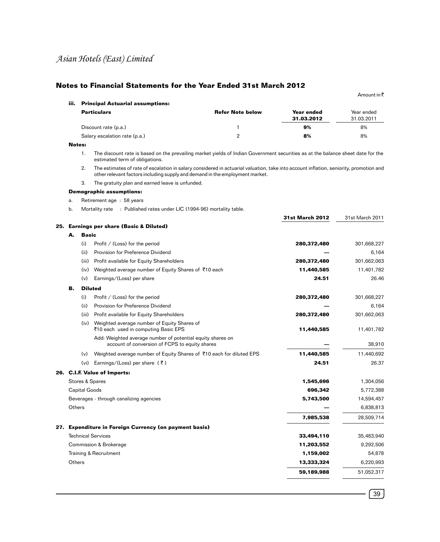|      |        |                                                                                                                                                                                                                        |                         |                          | Amount in ₹              |
|------|--------|------------------------------------------------------------------------------------------------------------------------------------------------------------------------------------------------------------------------|-------------------------|--------------------------|--------------------------|
| iii. |        | <b>Principal Actuarial assumptions:</b>                                                                                                                                                                                |                         |                          |                          |
|      |        | <b>Particulars</b>                                                                                                                                                                                                     | <b>Refer Note below</b> | Year ended<br>31.03.2012 | Year ended<br>31.03.2011 |
|      |        | Discount rate (p.a.)                                                                                                                                                                                                   |                         | 9%                       | 8%                       |
|      |        | Salary escalation rate (p.a.)                                                                                                                                                                                          | $\overline{c}$          | 8%                       | 8%                       |
|      | Notes: |                                                                                                                                                                                                                        |                         |                          |                          |
|      | 1.     | The discount rate is based on the prevailing market yields of Indian Government securities as at the balance sheet date for the<br>estimated term of obligations.                                                      |                         |                          |                          |
|      | 2.     | The estimates of rate of escalation in salary considered in actuarial valuation, take into account inflation, seniority, promotion and<br>other relevant factors including supply and demand in the employment market. |                         |                          |                          |
|      | 3.     | The gratuity plan and earned leave is unfunded.                                                                                                                                                                        |                         |                          |                          |
|      |        | <b>Demographic assumptions:</b>                                                                                                                                                                                        |                         |                          |                          |
| a.   |        | Retirement age: 58 years                                                                                                                                                                                               |                         |                          |                          |
| b.   |        | : Published rates under LIC (1994-96) mortality table.<br>Mortality rate                                                                                                                                               |                         |                          |                          |
|      |        |                                                                                                                                                                                                                        |                         | <b>31st March 2012</b>   | 31st March 2011          |
| 25.  |        | <b>Earnings per share (Basic &amp; Diluted)</b>                                                                                                                                                                        |                         |                          |                          |
| А.   | Basic  |                                                                                                                                                                                                                        |                         |                          |                          |
|      | (i)    | Profit $\angle$ (Loss) for the period                                                                                                                                                                                  |                         | 280,372,480              | 301,668,227              |

|     |        | w                    | Profit / (Loss) for the period                                                                               | 280,372,480 | 301,008,227 |
|-----|--------|----------------------|--------------------------------------------------------------------------------------------------------------|-------------|-------------|
|     |        | (ii)                 | Provision for Preference Dividend                                                                            |             | 6,164       |
|     |        | (iii)                | Profit available for Equity Shareholders                                                                     | 280,372,480 | 301,662,063 |
|     |        | (iv)                 | Weighted average number of Equity Shares of ₹10 each                                                         | 11,440,585  | 11,401,782  |
|     |        | (v)                  | Earnings/(Loss) per share                                                                                    | 24.51       | 26.46       |
|     | В.     | <b>Diluted</b>       |                                                                                                              |             |             |
|     |        | (i)                  | Profit / (Loss) for the period                                                                               | 280,372,480 | 301,668,227 |
|     |        | (ii)                 | Provision for Preference Dividend                                                                            |             | 6,164       |
|     |        | (iii)                | Profit available for Equity Shareholders                                                                     | 280,372,480 | 301,662,063 |
|     |        | (iv)                 | Weighted average number of Equity Shares of<br>₹10 each used in computing Basic EPS                          | 11.440.585  | 11,401,782  |
|     |        |                      | Add: Weighted average number of potential equity shares on<br>account of conversion of FCPS to equity shares |             | 38,910      |
|     |        | (v)                  | Weighted average number of Equity Shares of ₹10 each for diluted EPS                                         | 11,440,585  | 11,440,692  |
|     |        | (vi)                 | Earnings/(Loss) per share $(\bar{\tau})$                                                                     | 24.51       | 26.37       |
|     |        |                      | 26. C.I.F. Value of Imports:                                                                                 |             |             |
|     |        |                      | Stores & Spares                                                                                              | 1,545,696   | 1,304,056   |
|     |        | <b>Capital Goods</b> |                                                                                                              | 696,342     | 5,772,388   |
|     |        |                      | Beverages - through canalizing agencies                                                                      | 5,743,500   | 14,594,457  |
|     | Others |                      |                                                                                                              |             | 6,838,813   |
|     |        |                      |                                                                                                              | 7,985,538   | 28,509,714  |
| 27. |        |                      | <b>Expenditure in Foreign Currency (on payment basis)</b>                                                    |             |             |
|     |        |                      | <b>Technical Services</b>                                                                                    | 33,494,110  | 35,483,940  |
|     |        |                      | Commission & Brokerage                                                                                       | 11,203,552  | 9,292,506   |
|     |        |                      | Training & Recruitment                                                                                       | 1,159,002   | 54,878      |
|     | Others |                      |                                                                                                              | 13,333,324  | 6,220,993   |
|     |        |                      |                                                                                                              | 59,189,988  | 51,052,317  |
|     |        |                      |                                                                                                              |             |             |

 $\sqrt{39}$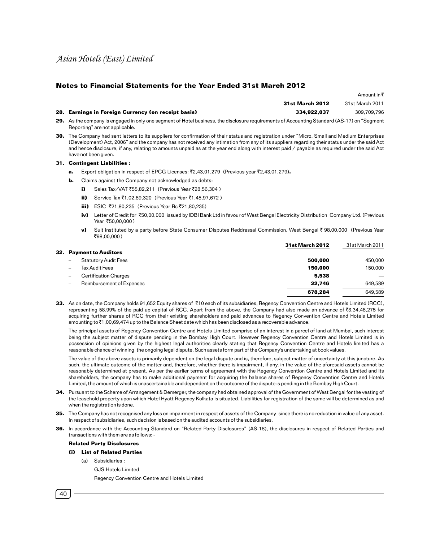|                                                                    | Amount in $\bar{\tau}$ |
|--------------------------------------------------------------------|------------------------|
| 31st March 2012                                                    | 31st March 2011        |
| 28. Earnings in Foreign Currency (on receipt basis)<br>334.922.037 | 309.709.796            |

- **29.** As the company is engaged in only one segment of Hotel business, the disclosure requirements of Accounting Standard (AS-17) on "Segment Reporting" are not applicable.
- **30.** The Company had sent letters to its suppliers for confirmation of their status and registration under "Micro, Small and Medium Enterprises (Development) Act, 2006" and the company has not received any intimation from any of its suppliers regarding their status under the said Act and hence disclosure, if any, relating to amounts unpaid as at the year end along with interest paid / payable as required under the said Act have not been given.

#### **31. Contingent Liabilities :**

- **a.** Export obligation in respect of EPCG Licenses: ₹2,43,01,279 (Previous year ₹2,43,01,279).
- **b.** Claims against the Company not acknowledged as debts:
	- **i)** Sales Tax/VAT ₹55,82,211 (Previous Year ₹28,56,304)
	- **ii)** Service Tax ₹1,02,89,320 (Previous Year ₹1,45,97,672)
	- **iii)** ESIC ₹21,80,235 (Previous Year Rs ₹21,80.235)
	- **iv)** Letter of Credit for `50,00,000 issued by IDBI Bank Ltd in favour of West Bengal Electricity Distribution Company Ltd. (Previous Year ₹50,00,000)
	- v) Suit instituted by a party before State Consumer Disputes Reddressal Commission, West Bengal ₹ 98,00,000 (Previous Year `98,00,000 )

|     |                                                       | <b>31st March 2012</b> | 31st March 2011 |
|-----|-------------------------------------------------------|------------------------|-----------------|
| 32. | <b>Payment to Auditors</b>                            |                        |                 |
|     | <b>Statutory Audit Fees</b>                           | 500.000                | 450,000         |
|     | Tax Audit Fees                                        | 150.000                | 150,000         |
|     | <b>Certification Charges</b>                          | 5,538                  |                 |
|     | Reimbursement of Expenses<br>$\overline{\phantom{a}}$ | 22.746                 | 649,589         |
|     |                                                       | 678,284                | 649,589         |

33. As on date, the Company holds 91,652 Equity shares of  $\bar{\tau}$ 10 each of its subsidiaries, Regency Convention Centre and Hotels Limited (RCC), representing 58.99% of the paid up capital of RCC. Apart from the above, the Company had also made an advance of  $\overline{33,34,48,275}$  for acquiring further shares of RCC from their existing shareholders and paid advances to Regency Convention Centre and Hotels Limited amounting to ₹1,00,69,474 up to the Balance Sheet date which has been disclosed as a recoverable advance.

The principal assets of Regency Convention Centre and Hotels Limited comprise of an interest in a parcel of land at Mumbai, such interest being the subject matter of dispute pending in the Bombay High Court. However Regency Convention Centre and Hotels Limited is in possession of opinions given by the highest legal authorities clearly stating that Regency Convention Centre and Hotels limited has a reasonable chance of winning the ongoing legal dispute. Such assets form part of the Company's undertaking at book values.

The value of the above assets is primarily dependent on the legal dispute and is, therefore, subject matter of uncertainty at this juncture. As such, the ultimate outcome of the matter and, therefore, whether there is impairment, if any, in the value of the aforesaid assets cannot be reasonably determined at present. As per the earlier terms of agreement with the Regency Convention Centre and Hotels Limited and its shareholders, the company has to make additional payment for acquiring the balance shares of Regency Convention Centre and Hotels Limited, the amount of which is unascertainable and dependent on the outcome of the dispute is pending in the Bombay High Court.

- **34.** Pursuant to the Scheme of Arrangement & Demerger, the company had obtained approval of the Government of West Bengal for the vesting of the leasehold property upon which Hotel Hyatt Regency Kolkata is situated. Liabilities for registration of the same will be determined as and when the registration is done.
- **35.** The Company has not recognised any loss on impairment in respect of assets of the Company since there is no reduction in value of any asset. In respect of subsidiaries, such decision is based on the audited accounts of the subsidiaries.
- **36.** In accordance with the Accounting Standard on "Related Party Disclosures" (AS-18), the disclosures in respect of Related Parties and transactions with them are as follows: -

#### **Related Party Disclosures**

#### **(i) List of Related Parties**

(a) Subsidiaries :

GJS Hotels Limited

Regency Convention Centre and Hotels Limited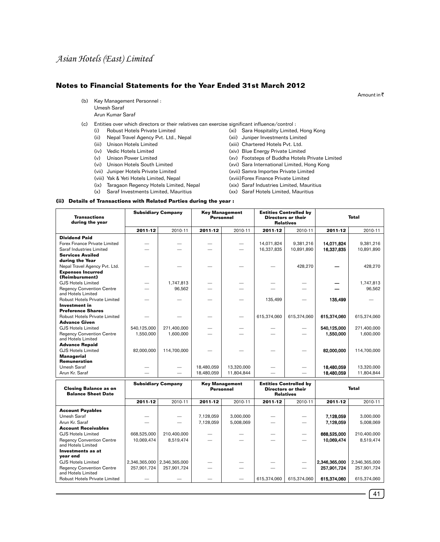- (b) Key Management Personnel :
	- Umesh Saraf
	- Arun Kumar Saraf
- (c) Entities over which directors or their relatives can exercise significant influence/control :<br>(i) Robust Hotels Private Limited (xi) Sara Hospitality Limited
	-
	- (ii) Nepal Travel Agency Pvt. Ltd., Nepal
	-
	-
	-
	-
	- (vii) Juniper Hotels Private Limited (xvii) Samra Importex Private Limited
	- (viii) Yak & Yeti Hotels Limited, Nepal (xviii)Forex Finance Private Limited
	- (ix) Taragaon Regency Hotels Limited, Nepal (xix) Saraf Industries Limited, Mauritius
	- (x) Saraf Investments Limited, Mauritius (xx) Saraf Hotels Limited, Mauritius
- 
- (xi) Sara Hospitality Limited, Hong Kong<br>(xii) Juniper Investments Limited
- (iii) Unison Hotels Limited (xiii) Chartered Hotels Pvt. Ltd.
	-
- (iv) Vedic Hotels Limited (xiv) Blue Energy Private Limited (x) Unison Power Limited (x) Cotsteps of Buddha Hotels (xv) Footsteps of Buddha Hotels Private Limited
- (vi) Unison Hotels South Limited (xvi) Sara International Limited, Hong Kong
	-
	-
	-
	-

#### **(ii) Details of Transactions with Related Parties during the year :**

| <b>Transactions</b><br>during the year     | <b>Subsidiary Company</b> |             | <b>Key Management</b><br><b>Personnel</b> |            | <b>Entities Controlled by</b><br><b>Directors or their</b><br><b>Relatives</b> |             | <b>Total</b> |             |
|--------------------------------------------|---------------------------|-------------|-------------------------------------------|------------|--------------------------------------------------------------------------------|-------------|--------------|-------------|
|                                            | 2011-12                   | 2010-11     | $2011 - 12$                               | 2010-11    | 2011-12                                                                        | 2010-11     | 2011-12      | 2010-11     |
| <b>Dividend Paid</b>                       |                           |             |                                           |            |                                                                                |             |              |             |
| Forex Finance Private Limited              |                           |             |                                           |            | 14,071,824                                                                     | 9,381,216   | 14,071,824   | 9,381,216   |
| Saraf Industries Limited                   |                           |             |                                           |            | 16,337,835                                                                     | 10,891,890  | 16,337,835   | 10,891,890  |
| <b>Services Availed</b><br>during the Year |                           |             |                                           |            |                                                                                |             |              |             |
| Nepal Travel Agency Pvt. Ltd.              |                           |             |                                           |            |                                                                                | 428.270     |              | 428,270     |
| <b>Expenses Incurred</b><br>(Reimbursment) |                           |             |                                           |            |                                                                                |             |              |             |
| <b>GJS Hotels Limited</b>                  |                           | 1,747,813   |                                           |            |                                                                                |             |              | 1,747,813   |
| <b>Regency Convention Centre</b>           |                           | 96,562      |                                           |            |                                                                                |             |              | 96,562      |
| and Hotels Limited                         |                           |             |                                           |            |                                                                                |             |              |             |
| Robust Hotels Private Limited              |                           |             |                                           |            | 135,499                                                                        |             | 135,499      |             |
| Investment in<br><b>Preference Shares</b>  |                           |             |                                           |            |                                                                                |             |              |             |
| <b>Robust Hotels Private Limited</b>       |                           |             |                                           |            | 615,374,060                                                                    | 615,374,060 | 615,374,060  | 615,374,060 |
| <b>Advance Given</b>                       |                           |             |                                           |            |                                                                                |             |              |             |
| <b>GJS Hotels Limited</b>                  | 540,125,000               | 271,400,000 |                                           |            |                                                                                |             | 540,125,000  | 271,400,000 |
| <b>Regency Convention Centre</b>           | 1,550,000                 | 1,600,000   |                                           |            |                                                                                |             | 1,550,000    | 1,600,000   |
| and Hotels Limited                         |                           |             |                                           |            |                                                                                |             |              |             |
| <b>Advance Repaid</b>                      |                           |             |                                           |            |                                                                                |             |              |             |
| <b>GJS Hotels Limited</b>                  | 82,000,000                | 114,700,000 |                                           |            |                                                                                |             | 82,000,000   | 114,700,000 |
| <b>Managerial</b>                          |                           |             |                                           |            |                                                                                |             |              |             |
| Remuneration                               |                           |             |                                           |            |                                                                                |             |              |             |
| Umesh Saraf                                |                           |             | 18,480,059                                | 13,320,000 |                                                                                |             | 18,480,059   | 13,320,000  |
| Arun Kr. Saraf                             |                           |             | 18,480,059                                | 11,804,844 |                                                                                |             | 18,480,059   | 11,804,844  |

| <b>Closing Balance as on</b><br><b>Balance Sheet Date</b> | <b>Subsidiary Company</b> |               | <b>Key Management</b><br>Personnel |           | <b>Entities Controlled by</b><br><b>Directors or their</b><br><b>Relatives</b> |             | Total         |               |
|-----------------------------------------------------------|---------------------------|---------------|------------------------------------|-----------|--------------------------------------------------------------------------------|-------------|---------------|---------------|
|                                                           | 2011-12                   | 2010-11       | 2011-12                            | 2010-11   | 2011-12                                                                        | 2010-11     | 2011-12       | 2010-11       |
| <b>Account Payables</b>                                   |                           |               |                                    |           |                                                                                |             |               |               |
| Umesh Saraf                                               |                           |               | 7.128.059                          | 3,000,000 |                                                                                |             | 7,128,059     | 3,000,000     |
| Arun Kr. Saraf                                            |                           |               | 7.128.059                          | 5,008,069 |                                                                                |             | 7,128,059     | 5,008,069     |
| <b>Account Receivables</b>                                |                           |               |                                    |           |                                                                                |             |               |               |
| <b>GJS Hotels Limited</b>                                 | 668.525.000               | 210,400,000   |                                    |           |                                                                                |             | 668,525,000   | 210,400,000   |
| <b>Regency Convention Centre</b><br>and Hotels Limited    | 10.069.474                | 8,519,474     |                                    |           |                                                                                |             | 10,069,474    | 8,519,474     |
| Investments as at                                         |                           |               |                                    |           |                                                                                |             |               |               |
| year end                                                  |                           |               |                                    |           |                                                                                |             |               |               |
| <b>GJS Hotels Limited</b>                                 | 2.346.365.000             | 2,346,365,000 |                                    |           |                                                                                | —           | 2,346,365,000 | 2,346,365,000 |
| <b>Regency Convention Centre</b><br>and Hotels Limited    | 257.901.724               | 257.901.724   |                                    |           |                                                                                |             | 257,901,724   | 257.901.724   |
| <b>Robust Hotels Private Limited</b>                      |                           |               |                                    |           | 615,374,060                                                                    | 615.374.060 | 615,374,060   | 615.374.060   |
|                                                           |                           |               |                                    |           |                                                                                |             |               |               |

Amount in  $\bar{z}$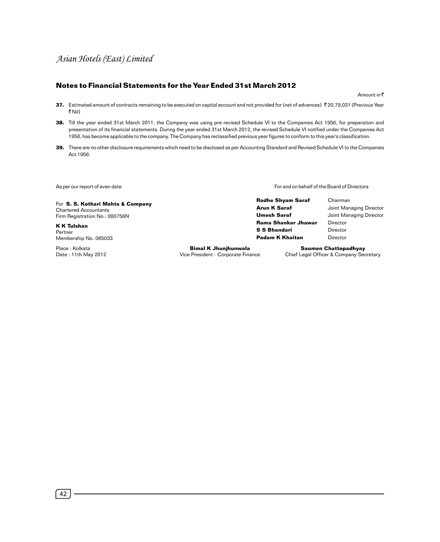## *Asian Hotels (East) Limited*

### **Notes to Financial Statements for the Year Ended 31st March 2012**

Amount in  $\bar{z}$ 

- **37.** Estimated amount of contracts remaining to be executed on capital account and not provided for (net of advances) ₹20,79,031 (Previous Year ₹Nil)
- **38.** Till the year ended 31st March 2011, the Company was using pre-revised Schedule VI to the Companies Act 1956, for preparation and presentation of its financial statements. During the year ended 31st March 2012, the revised Schedule VI notified under the Companies Act 1956, has become applicable to the company. The Company has reclassified previous year figures to conform to this year's classification.
- **39.** There are no other disclosure requirements which need to be disclosed as per Accounting Standard and Revised Schedule VI to the Companies Act 1956.

For **S. S. Kothari Mehta & Company** Chartered Accountants Firm Registration No.: 000756N

**K K Tulshan** Partner Membership No. 085033

Place : Kolkata **Bimal K Jhunjhunwala Saumen Chattopadhyay**

As per our report of even date  $\blacksquare$  As per our report of even date

**Radhe Shyam Saraf** Chairman **Arun K Saraf** Joint Managing Director **Umesh Saraf** Joint Managing Director **Rama Shankar Jhawar** Director **S S Bhandari** Director **Padam K Khaitan** Director

Date : 11th May 2012 **Vice President - Corporate Finance** Chief Legal Officer & Company Secretary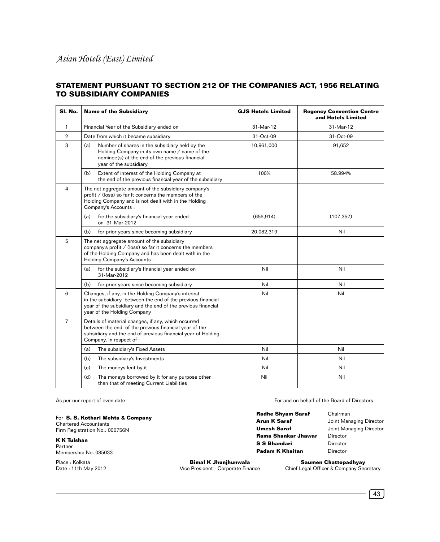## *Asian Hotels (East) Limited*

## **STATEMENT PURSUANT TO SECTION 212 OF THE COMPANIES ACT, 1956 RELATING TO SUBSIDIARY COMPANIES**

| SI. No.        | <b>Name of the Subsidiary</b>                                                                                                                                                                                    | <b>GJS Hotels Limited</b> | <b>Regency Convention Centre</b><br>and Hotels Limited |
|----------------|------------------------------------------------------------------------------------------------------------------------------------------------------------------------------------------------------------------|---------------------------|--------------------------------------------------------|
| $\mathbf{1}$   | Financial Year of the Subsidiary ended on                                                                                                                                                                        | 31-Mar-12                 | 31-Mar-12                                              |
| $\overline{2}$ | Date from which it became subsidiary                                                                                                                                                                             | 31-Oct-09                 | 31-Oct-09                                              |
| 3              | (a)<br>Number of shares in the subsidiary held by the<br>Holding Company in its own name / name of the<br>nominee(s) at the end of the previous financial<br>year of the subsidiary                              | 10,961,000                | 91,652                                                 |
|                | Extent of interest of the Holding Company at<br>(b)<br>the end of the previous financial year of the subsidiary                                                                                                  | 100%                      | 58.994%                                                |
| $\overline{4}$ | The net aggregate amount of the subsidiary company's<br>profit / (loss) so far it concerns the members of the<br>Holding Company and is not dealt with in the Holding<br>Company's Accounts :                    |                           |                                                        |
|                | for the subsidiary's financial year ended<br>(a)<br>on 31-Mar-2012                                                                                                                                               | (656, 914)                | (107, 357)                                             |
|                | (b)<br>for prior years since becoming subsidiary                                                                                                                                                                 | 20,082,319                | Nil                                                    |
| 5              | The net aggregate amount of the subsidiary<br>company's profit / (loss) so far it concerns the members<br>of the Holding Company and has been dealt with in the<br>Holding Company's Accounts :                  |                           |                                                        |
|                | for the subsidiary's financial year ended on<br>(a)<br>31-Mar-2012                                                                                                                                               | Nil                       | Nil                                                    |
|                | for prior years since becoming subsidiary<br>(b)                                                                                                                                                                 | Nil                       | Nil                                                    |
| 6              | Changes, if any, in the Holding Company's interest<br>in the subsidiary between the end of the previous financial<br>year of the subsidiary and the end of the previous financial<br>year of the Holding Company | Nil                       | Nil                                                    |
| $\overline{7}$ | Details of material changes, if any, which occurred<br>between the end of the previous financial year of the<br>subsidiary and the end of previous financial year of Holding<br>Company, in respect of :         |                           |                                                        |
|                | The subsidiary's Fixed Assets<br>(a)                                                                                                                                                                             | Nil                       | Nil                                                    |
|                | (b)<br>The subsidiary's Investments                                                                                                                                                                              | Nil                       | Nil                                                    |
|                | (c)<br>The moneys lent by it                                                                                                                                                                                     | Nil                       | Nil                                                    |
|                | (d)<br>The moneys borrowed by it for any purpose other<br>than that of meeting Current Liabilities                                                                                                               | Nil                       | Nil                                                    |

For **S. S. Kothari Mehta & Company**

Chartered Accountants Firm Registration No.: 000756N

**K K Tulshan** Partner

Membership No. 085033

As per our report of even date **Formulation** As per our report of even date For and on behalf of the Board of Directors

**Radhe Shyam Saraf** Chairman **Arun K Saraf** Joint Managing Director **Umesh Saraf** Joint Managing Director **Rama Shankar Jhawar** Director **S S Bhandari** Director **Padam K Khaitan** Director

Place : Kolkata **Bimal K Jhunjhunwala Saumen Chattopadhyay** Chief Legal Officer & Company Secretary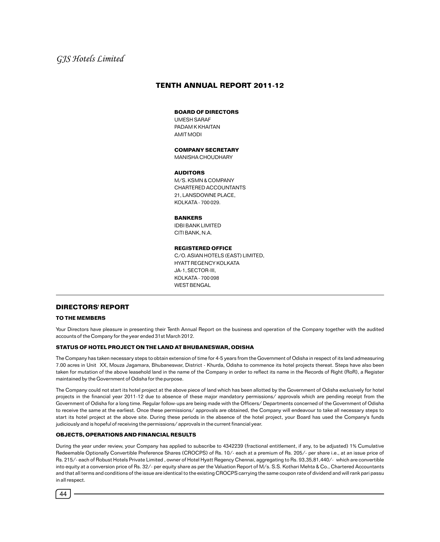#### **TENTH ANNUAL REPORT 2011-12**

#### **BOARD OF DIRECTORS**

UMESH SARAF PADAM K KHAITAN AMIT MODI

#### **COMPANY SECRETARY**

MANISHA CHOUDHARY

#### **AUDITORS**

M/S. KSMN & COMPANY CHARTERED ACCOUNTANTS 21, LANSDOWNE PLACE, KOLKATA - 700 029.

#### **BANKERS**

IDBI BANK LIMITED CITI BANK, N.A.

#### **REGISTERED OFFICE**

C/O. ASIAN HOTELS (EAST) LIMITED, HYATT REGENCY KOLKATA JA-1, SECTOR-III, KOLKATA - 700 098 WEST BENGAL

#### **DIRECTORS' REPORT**

#### **TO THE MEMBERS**

Your Directors have pleasure in presenting their Tenth Annual Report on the business and operation of the Company together with the audited accounts of the Company for the year ended 31st March 2012.

#### **STATUS OF HOTEL PROJECT ON THE LAND AT BHUBANESWAR, ODISHA**

The Company has taken necessary steps to obtain extension of time for 4-5 years from the Government of Odisha in respect of its land admeasuring 7.00 acres in Unit XX, Mouza Jagamara, Bhubaneswar, District - Khurda, Odisha to commence its hotel projects thereat. Steps have also been taken for mutation of the above leasehold land in the name of the Company in order to reflect its name in the Records of Right (RoR), a Register maintained by the Government of Odisha for the purpose.

The Company could not start its hotel project at the above piece of land which has been allotted by the Government of Odisha exclusively for hotel projects in the financial year 2011-12 due to absence of these major mandatory permissions/ approvals which are pending receipt from the Government of Odisha for a long time. Regular follow-ups are being made with the Officers/ Departments concerned of the Government of Odisha to receive the same at the earliest. Once these permissions/ approvals are obtained, the Company will endeavour to take all necessary steps to start its hotel project at the above site. During these periods in the absence of the hotel project, your Board has used the Company's funds judiciously and is hopeful of receiving the permissions/ approvals in the current financial year.

#### **OBJECTS, OPERATIONS AND FINANCIAL RESULTS**

During the year under review, your Company has applied to subscribe to 4342239 (fractional entitlement, if any, to be adjusted) 1% Cumulative Redeemable Optionally Convertible Preference Shares (CROCPS) of Rs. 10/- each at a premium of Rs. 205/- per share i.e., at an issue price of Rs. 215/- each of Robust Hotels Private Limited , owner of Hotel Hyatt Regency Chennai, aggregating to Rs. 93,35,81,440/- which are convertible into equity at a conversion price of Rs. 32/- per equity share as per the Valuation Report of M/s. S.S. Kothari Mehta & Co., Chartered Accountants and that all terms and conditions of the issue are identical to the existing CROCPS carrying the same coupon rate of dividend and will rank pari passu in all respect.

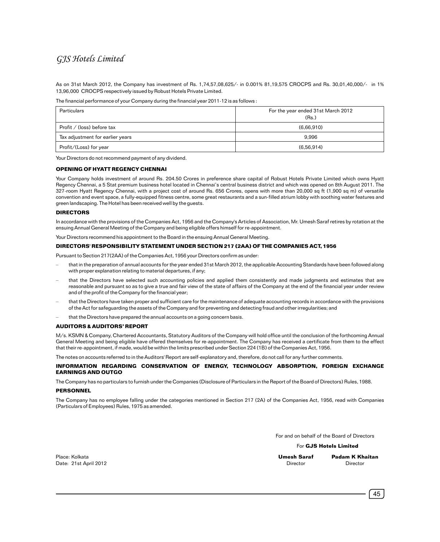As on 31st March 2012, the Company has investment of Rs. 1,74,57,08,625/- in 0.001% 81,19,575 CROCPS and Rs. 30,01,40,000/- in 1% 13,96,000 CROCPS respectively issued by Robust Hotels Private Limited.

The financial performance of your Company during the financial year 2011-12 is as follows :

| Particulars                      | For the year ended 31st March 2012<br>(Rs.) |
|----------------------------------|---------------------------------------------|
| Profit / (loss) before tax       | (6,66,910)                                  |
| Tax adjustment for earlier years | 9.996                                       |
| Profit/(Loss) for year           | (6,56,914)                                  |

Your Directors do not recommend payment of any dividend.

#### **OPENING OF HYATT REGENCY CHENNAI**

Your Company holds investment of around Rs. 204.50 Crores in preference share capital of Robust Hotels Private Limited which owns Hyatt Regency Chennai, a 5 Stat premium business hotel located in Chennai's central business district and which was opened on 8th August 2011. The 327-room Hyatt Regency Chennai, with a project cost of around Rs. 656 Crores, opens with more than 20,000 sq ft (1,900 sq m) of versatile convention and event space, a fully-equipped fitness centre, some great restaurants and a sun-filled atrium lobby with soothing water features and green landscaping. The Hotel has been received well by the guests.

#### **DIRECTORS**

In accordance with the provisions of the Companies Act, 1956 and the Company's Articles of Association, Mr. Umesh Saraf retires by rotation at the ensuing Annual General Meeting of the Company and being eligible offers himself for re-appointment.

Your Directors recommend his appointment to the Board in the ensuing Annual General Meeting.

#### **DIRECTORS' RESPONSIBILITY STATEMENT UNDER SECTION 217 (2AA) OF THE COMPANIES ACT, 1956**

Pursuant to Section 217(2AA) of the Companies Act, 1956 your Directors confirm as under:

- that in the preparation of annual accounts for the year ended 31st March 2012, the applicable Accounting Standards have been followed along with proper explanation relating to material departures, if any;
- that the Directors have selected such accounting policies and applied them consistently and made judgments and estimates that are reasonable and pursuant so as to give a true and fair view of the state of affairs of the Company at the end of the financial year under review and of the profit of the Company for the financial year;
- that the Directors have taken proper and sufficient care for the maintenance of adequate accounting records in accordance with the provisions of the Act for safeguarding the assets of the Company and for preventing and detecting fraud and other irregularities; and
- that the Directors have prepared the annual accounts on a going concern basis.

#### **AUDITORS & AUDITORS' REPORT**

M/s. KSMN & Company, Chartered Accountants, Statutory Auditors of the Company will hold office until the conclusion of the forthcoming Annual General Meeting and being eligible have offered themselves for re-appointment. The Company has received a certificate from them to the effect that their re-appointment, if made, would be within the limits prescribed under Section 224 (1B) of the Companies Act, 1956.

The notes on accounts referred to in the Auditors' Report are self-explanatory and, therefore, do not call for any further comments.

#### **INFORMATION REGARDING CONSERVATION OF ENERGY, TECHNOLOGY ABSORPTION, FOREIGN EXCHANGE EARNINGS AND OUTGO**

The Company has no particulars to furnish under the Companies (Disclosure of Particulars in the Report of the Board of Directors) Rules, 1988.

#### **PERSONNEL**

The Company has no employee falling under the categories mentioned in Section 217 (2A) of the Companies Act, 1956, read with Companies (Particulars of Employees) Rules, 1975 as amended.

For and on behalf of the Board of Directors

#### For **GJS Hotels Limited**

Place: Kolkata **Umesh Saraf Padam K Khaitan** Date: 21st April 2012 Director Director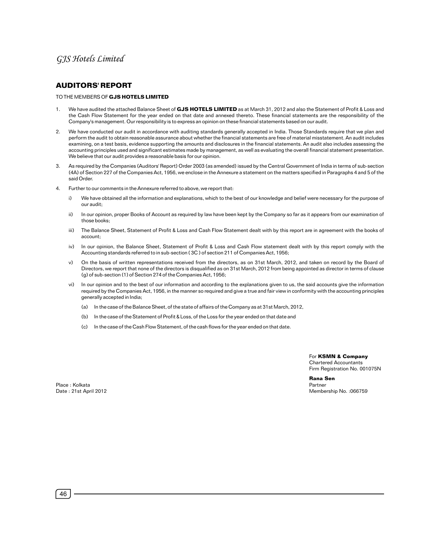### **AUDITORS' REPORT**

#### TO THE MEMBERS OF **GJS HOTELS LIMITED**

- 1. We have audited the attached Balance Sheet of **GJS HOTELS LIMITED** as at March 31, 2012 and also the Statement of Profit & Loss and the Cash Flow Statement for the year ended on that date and annexed thereto. These financial statements are the responsibility of the Company's management. Our responsibility is to express an opinion on these financial statements based on our audit.
- 2. We have conducted our audit in accordance with auditing standards generally accepted in India. Those Standards require that we plan and perform the audit to obtain reasonable assurance about whether the financial statements are free of material misstatement. An audit includes examining, on a test basis, evidence supporting the amounts and disclosures in the financial statements. An audit also includes assessing the accounting principles used and significant estimates made by management, as well as evaluating the overall financial statement presentation. We believe that our audit provides a reasonable basis for our opinion.
- 3. As required by the Companies (Auditors' Report) Order 2003 (as amended) issued by the Central Government of India in terms of sub-section (4A) of Section 227 of the Companies Act, 1956, we enclose in the Annexure a statement on the matters specified in Paragraphs 4 and 5 of the said Order.
- 4. Further to our comments in the Annexure referred to above, we report that:
	- We have obtained all the information and explanations, which to the best of our knowledge and belief were necessary for the purpose of our audit;
	- ii) In our opinion, proper Books of Account as required by law have been kept by the Company so far as it appears from our examination of those books;
	- iii) The Balance Sheet, Statement of Profit & Loss and Cash Flow Statement dealt with by this report are in agreement with the books of account;
	- iv) In our opinion, the Balance Sheet, Statement of Profit & Loss and Cash Flow statement dealt with by this report comply with the Accounting standards referred to in sub-section ( 3C ) of section 211 of Companies Act, 1956;
	- v) On the basis of written representations received from the directors, as on 31st March, 2012, and taken on record by the Board of Directors, we report that none of the directors is disqualified as on 31st March, 2012 from being appointed as director in terms of clause (g) of sub-section (1) of Section 274 of the Companies Act, 1956;
	- vi) In our opinion and to the best of our information and according to the explanations given to us, the said accounts give the information required by the Companies Act, 1956, in the manner so required and give a true and fair view in conformity with the accounting principles generally accepted in India;
		- (a) In the case of the Balance Sheet, of the state of affairs of the Company as at 31st March, 2012,
		- (b) In the case of the Statement of Profit & Loss, of the Loss for the year ended on that date and
		- (c) In the case of the Cash Flow Statement, of the cash flows for the year ended on that date.

For **KSMN & Company** Chartered Accountants Firm Registration No. 001075N

**Rana Sen** Membership No. : 066759

Place : Kolkata Partner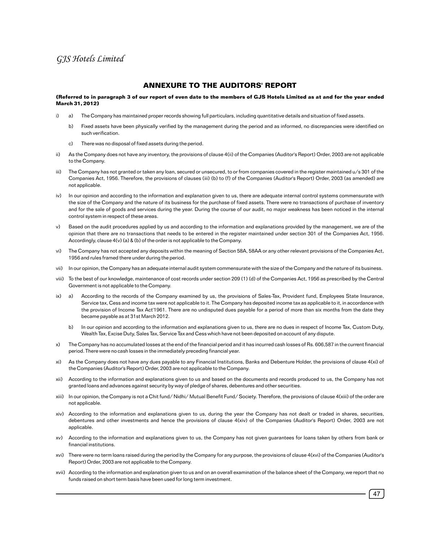#### **ANNEXURE TO THE AUDITORS' REPORT**

#### **(Referred to in paragraph 3 of our report of even date to the members of GJS Hotels Limited as at and for the year ended March 31, 2012)**

- i) a) The Company has maintained proper records showing full particulars, including quantitative details and situation of fixed assets.
	- b) Fixed assets have been physically verified by the management during the period and as informed, no discrepancies were identified on such verification.
	- c) There was no disposal of fixed assets during the period.
- ii) As the Company does not have any inventory, the provisions of clause 4(ii) of the Companies (Auditor's Report) Order, 2003 are not applicable to the Company.
- iii) The Company has not granted or taken any loan, secured or unsecured, to or from companies covered in the register maintained u/s 301 of the Companies Act, 1956. Therefore, the provisions of clauses (iii) (b) to (f) of the Companies (Auditor's Report) Order, 2003 (as amended) are not applicable.
- iv) In our opinion and according to the information and explanation given to us, there are adequate internal control systems commensurate with the size of the Company and the nature of its business for the purchase of fixed assets. There were no transactions of purchase of inventory and for the sale of goods and services during the year. During the course of our audit, no major weakness has been noticed in the internal control system in respect of these areas.
- v) Based on the audit procedures applied by us and according to the information and explanations provided by the management, we are of the opinion that there are no transactions that needs to be entered in the register maintained under section 301 of the Companies Act, 1956. Accordingly, clause 4(v) (a) & (b) of the order is not applicable to the Company.
- vi) The Company has not accepted any deposits within the meaning of Section 58A, 58AA or any other relevant provisions of the Companies Act, 1956 and rules framed there under during the period.
- vii) In our opinion, the Company has an adequate internal audit system commensurate with the size of the Company and the nature of its business.
- viii) To the best of our knowledge, maintenance of cost records under section 209 (1) (d) of the Companies Act, 1956 as prescribed by the Central Government is not applicable to the Company.
- ix) a) According to the records of the Company examined by us, the provisions of Sales-Tax, Provident fund, Employees State Insurance, Service tax, Cess and income tax were not applicable to it. The Company has deposited income tax as applicable to it, in accordance with the provision of Income Tax Act'1961. There are no undisputed dues payable for a period of more than six months from the date they became payable as at 31st March 2012.
	- b) In our opinion and according to the information and explanations given to us, there are no dues in respect of Income Tax, Custom Duty, Wealth Tax, Excise Duty, Sales Tax, Service Tax and Cess which have not been deposited on account of any dispute.
- x) The Company has no accumulated losses at the end of the financial period and it has incurred cash losses of Rs. 606,587 in the current financial period. There were no cash losses in the immediately preceding financial year.
- xi) As the Company does not have any dues payable to any Financial Institutions, Banks and Debenture Holder, the provisions of clause 4(xi) of the Companies (Auditor's Report) Order, 2003 are not applicable to the Company.
- xii) According to the information and explanations given to us and based on the documents and records produced to us, the Company has not granted loans and advances against security by way of pledge of shares, debentures and other securities.
- xiii) In our opinion, the Company is not a Chit fund/ Nidhi/ Mutual Benefit Fund/ Society. Therefore, the provisions of clause 4(xiii) of the order are not applicable.
- xiv) According to the information and explanations given to us, during the year the Company has not dealt or traded in shares, securities, debentures and other investments and hence the provisions of clause 4(xiv) of the Companies (Auditor's Report) Order, 2003 are not applicable.
- xv) According to the information and explanations given to us, the Company has not given guarantees for loans taken by others from bank or financial institutions.
- xvi) There were no term loans raised during the period by the Company for any purpose, the provisions of clause 4(xvi) of the Companies (Auditor's Report) Order, 2003 are not applicable to the Company.
- xvii) According to the information and explanation given to us and on an overall examination of the balance sheet of the Company, we report that no funds raised on short term basis have been used for long term investment.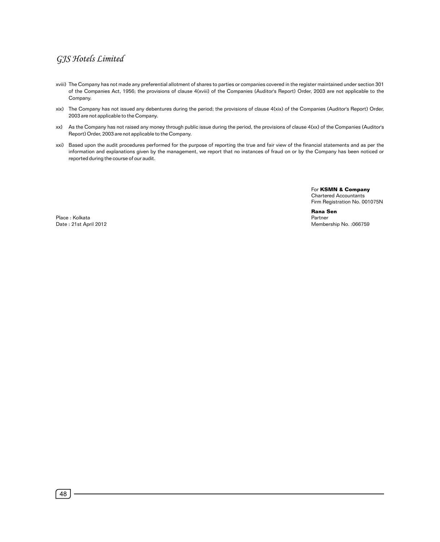- xviii) The Company has not made any preferential allotment of shares to parties or companies covered in the register maintained under section 301 of the Companies Act, 1956; the provisions of clause 4(xviii) of the Companies (Auditor's Report) Order, 2003 are not applicable to the Company.
- xix) The Company has not issued any debentures during the period; the provisions of clause 4(xix) of the Companies (Auditor's Report) Order, 2003 are not applicable to the Company.
- xx) As the Company has not raised any money through public issue during the period, the provisions of clause 4(xx) of the Companies (Auditor's Report) Order, 2003 are not applicable to the Company.
- xxi) Based upon the audit procedures performed for the purpose of reporting the true and fair view of the financial statements and as per the information and explanations given by the management, we report that no instances of fraud on or by the Company has been noticed or reported during the course of our audit.

For **KSMN & Company** Chartered Accountants Firm Registration No. 001075N

**Rana Sen** Membership No. : 066759

Place : Kolkata<br>Date : 21st April 2012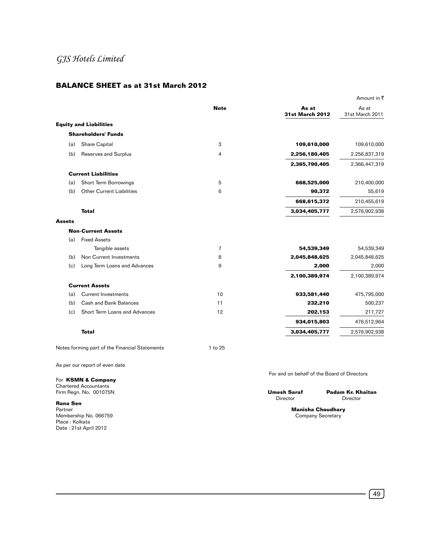## **BALANCE SHEET as at 31st March 2012**

|               |                                                |                |                                 | Amount in ₹              |
|---------------|------------------------------------------------|----------------|---------------------------------|--------------------------|
|               |                                                | <b>Note</b>    | As at<br><b>31st March 2012</b> | As at<br>31st March 2011 |
|               | <b>Equity and Liabilities</b>                  |                |                                 |                          |
|               | <b>Shareholders' Funds</b>                     |                |                                 |                          |
| (a)           | Share Capital                                  | 3              | 109,610,000                     | 109,610,000              |
| (b)           | Reserves and Surplus                           | 4              | 2,256,180,405                   | 2,256,837,319            |
|               |                                                |                | 2,365,790,405                   | 2,366,447,319            |
|               | <b>Current Liabilities</b>                     |                |                                 |                          |
| (a)           | Short Term Borrowings                          | 5              | 668,525,000                     | 210,400,000              |
| (b)           | Other Current Liabilities                      | 6              | 90,372                          | 55,619                   |
|               |                                                |                | 668,615,372                     | 210,455,619              |
|               | <b>Total</b>                                   |                | 3,034,405,777                   | 2,576,902,938            |
| <b>Assets</b> |                                                |                |                                 |                          |
|               | <b>Non-Current Assets</b>                      |                |                                 |                          |
| (a)           | <b>Fixed Assets</b>                            |                |                                 |                          |
|               | Tangible assets                                | $\overline{7}$ | 54,539,349                      | 54,539,349               |
| (b)           | Non Current Investments                        | 8              | 2,045,848,625                   | 2,045,848,625            |
| (c)           | Long Term Loans and Advances                   | 9              | 2,000                           | 2,000                    |
|               |                                                |                | 2,100,389,974                   | 2,100,389,974            |
|               | <b>Current Assets</b>                          |                |                                 |                          |
| (a)           | <b>Current Investments</b>                     | 10             | 933,581,440                     | 475,795,000              |
| (b)           | Cash and Bank Balances                         | 11             | 232,210                         | 500,237                  |
| (c)           | Short Term Loans and Advances                  | 12             | 202,153                         | 217,727                  |
|               |                                                |                | 934,015,803                     | 476,512,964              |
|               | <b>Total</b>                                   |                | 3,034,405,777                   | 2,576,902,938            |
|               | Notes forming part of the Financial Statements | 1 to 25        |                                 |                          |

As per our report of even date

For **KSMN & Company** Chartered Accountants

**Rana Sen** Membership No. 066759 Place : Kolkata Date : 21st April 2012

For and on behalf of the Board of Directors

Firm Regn. No. 001075N **Umesh Saraf Padam Kr. Khaitan** Director

**Manisha Choudhary**<br>Company Secretary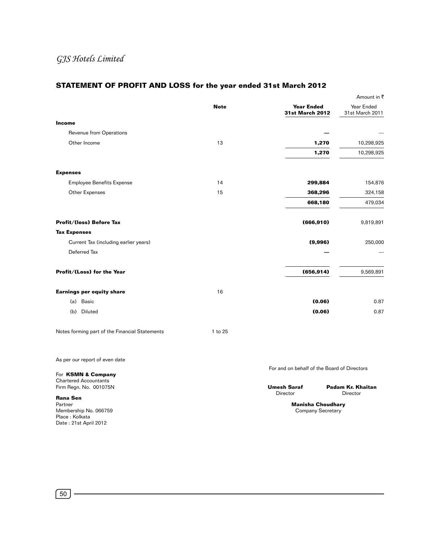## **STATEMENT OF PROFIT AND LOSS for the year ended 31st March 2012**

|                                                |             |                                             | Amount in ₹                   |
|------------------------------------------------|-------------|---------------------------------------------|-------------------------------|
|                                                | <b>Note</b> | <b>Year Ended</b><br><b>31st March 2012</b> | Year Ended<br>31st March 2011 |
| Income                                         |             |                                             |                               |
| Revenue from Operations                        |             |                                             |                               |
| Other Income                                   | 13          | 1,270                                       | 10,298,925                    |
|                                                |             | 1,270                                       | 10,298,925                    |
| <b>Expenses</b>                                |             |                                             |                               |
| <b>Employee Benefits Expense</b>               | 14          | 299,884                                     | 154,876                       |
| Other Expenses                                 | 15          | 368,296                                     | 324,158                       |
|                                                |             | 668,180                                     | 479,034                       |
| Profit/(loss) Before Tax                       |             | (666, 910)                                  | 9,819,891                     |
| <b>Tax Expenses</b>                            |             |                                             |                               |
| Current Tax (including earlier years)          |             | (9,996)                                     | 250,000                       |
| Deferred Tax                                   |             |                                             |                               |
| Profit/(Loss) for the Year                     |             | (656, 914)                                  | 9,569,891                     |
| <b>Earnings per equity share</b>               | 16          |                                             |                               |
| (a) Basic                                      |             | (0.06)                                      | 0.87                          |
| (b) Diluted                                    |             | (0.06)                                      | 0.87                          |
| Notes forming part of the Financial Statements | 1 to 25     |                                             |                               |
| As per our report of even date                 |             |                                             |                               |

#### For **KSMN & Company** Chartered Accountants

**Rana Sen** Membership No. 066759 Place : Kolkata Date : 21st April 2012

For and on behalf of the Board of Directors

Director

Firm Regn. No. 001075N **Umesh Saraf Padam Kr. Khaitan**

**Manisha Choudhary**<br>Company Secretary

 $\left[ 50 \right]$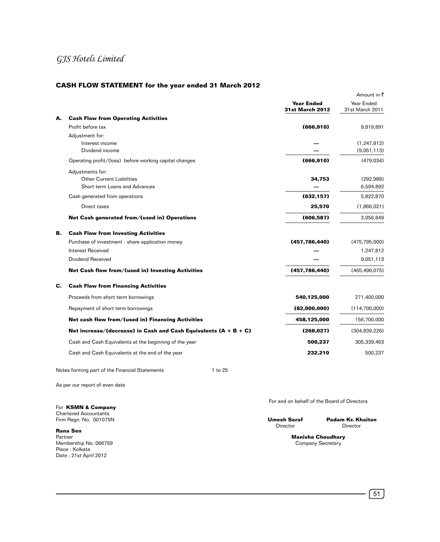## **CASH FLOW STATEMENT for the year ended 31 March 2012**

|    |                                                                    |                        | Amount in ₹     |
|----|--------------------------------------------------------------------|------------------------|-----------------|
|    |                                                                    | <b>Year Ended</b>      | Year Ended      |
| А. | <b>Cash Flow from Operating Activities</b>                         | <b>31st March 2012</b> | 31st March 2011 |
|    | Profit before tax                                                  | (666, 910)             | 9,819,891       |
|    | Adjustment for:                                                    |                        |                 |
|    | Interest income                                                    |                        | (1, 247, 812)   |
|    | Dividend income                                                    |                        | (9,051,113)     |
|    | Operating profit/(loss) before working capital changes             | (666, 910)             | (479, 034)      |
|    | Adjustments for:                                                   |                        |                 |
|    | <b>Other Current Liabilities</b>                                   | 34,753                 | (292,988)       |
|    | Short term Loans and Advances                                      |                        | 6,594,892       |
|    | Cash generated from operations                                     | (632, 157)             | 5,822,870       |
|    | Direct taxes                                                       | 25,570                 | (1,866,021)     |
|    | Net Cash generated from/(used in) Operations                       | (606, 587)             | 3,956,849       |
| в. | <b>Cash Flow from Investing Activities</b>                         |                        |                 |
|    | Purchase of investment - share application money                   | (457, 786, 440)        | (475, 795, 000) |
|    | <b>Interest Received</b>                                           |                        | 1,247,812       |
|    | Dividend Received                                                  |                        | 9,051,113       |
|    | Net Cash flow from/(used in) Investing Activities                  | (457, 786, 440)        | (465, 496, 075) |
| c. | <b>Cash Flow from Financing Activities</b>                         |                        |                 |
|    | Proceeds from short term borrowings                                | 540,125,000            | 271,400,000     |
|    | Repayment of short term borrowings                                 | (82,000,000)           | (114,700,000)   |
|    | Net cash flow from/(used in) Financing Activities                  | 458,125,000            | 156,700,000     |
|    | Net increase/(decrease) in Cash and Cash Equivalents $(A + B + C)$ | (268, 027)             | (304, 839, 226) |
|    | Cash and Cash Equivalents at the beginning of the year             | 500,237                | 305,339,463     |
|    | Cash and Cash Equivalents at the end of the year                   | 232,210                | 500,237         |
|    | Notes forming part of the Financial Statements<br>1 to 25          |                        |                 |
|    | As per our report of even date                                     |                        |                 |
|    |                                                                    |                        |                 |

For **KSMN & Company** Chartered Accountants

**Rana Sen** Membership No. 066759 Place : Kolkata Date : 21st April 2012

For and on behalf of the Board of Directors

Director

Firm Regn. No. 001075N **Umesh Saraf Padam Kr. Khaitan**

**Manisha Choudhary**<br>Company Secretary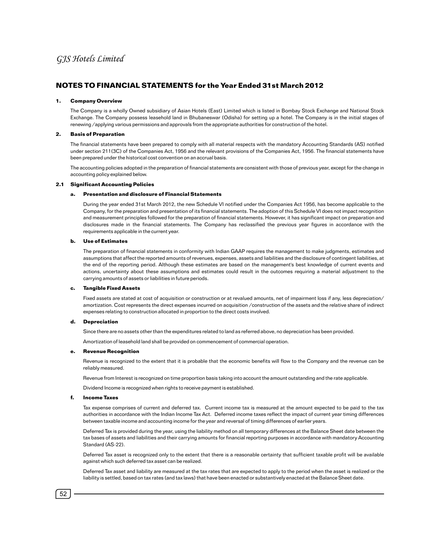#### **1. Company Overview**

The Company is a wholly Owned subsidiary of Asian Hotels (East) Limited which is listed in Bombay Stock Exchange and National Stock Exchange. The Company possess leasehold land in Bhubaneswar (Odisha) for setting up a hotel. The Company is in the initial stages of renewing /applying various permissions and approvals from the appropriate authorities for construction of the hotel.

#### **2. Basis of Preparation**

The financial statements have been prepared to comply with all material respects with the mandatory Accounting Standards (AS) notified under section 211(3C) of the Companies Act, 1956 and the relevant provisions of the Companies Act, 1956. The financial statements have been prepared under the historical cost convention on an accrual basis.

The accounting policies adopted in the preparation of financial statements are consistent with those of previous year, except for the change in accounting policy explained below.

#### **2.1 Significant Accounting Policies**

#### **a. Presentation and disclosure of Financial Statements**

During the year ended 31st March 2012, the new Schedule VI notified under the Companies Act 1956, has become applicable to the Company, for the preparation and presentation of its financial statements. The adoption of this Schedule VI does not impact recognition and measurement principles followed for the preparation of financial statements. However, it has significant impact on preparation and disclosures made in the financial statements. The Company has reclassified the previous year figures in accordance with the requirements applicable in the current year.

#### **b. Use of Estimates**

The preparation of financial statements in conformity with Indian GAAP requires the management to make judgments, estimates and assumptions that affect the reported amounts of revenues, expenses, assets and liabilities and the disclosure of contingent liabilities, at the end of the reporting period. Although these estimates are based on the management's best knowledge of current events and actions, uncertainty about these assumptions and estimates could result in the outcomes requiring a material adjustment to the carrying amounts of assets or liabilities in future periods.

#### **c. Tangible Fixed Assets**

Fixed assets are stated at cost of acquisition or construction or at revalued amounts, net of impairment loss if any, less depreciation/ amortization. Cost represents the direct expenses incurred on acquisition /construction of the assets and the relative share of indirect expenses relating to construction allocated in proportion to the direct costs involved.

#### **d. Depreciation**

Since there are no assets other than the expenditures related to land as referred above, no depreciation has been provided.

Amortization of leasehold land shall be provided on commencement of commercial operation.

#### **e. Revenue Recognition**

Revenue is recognized to the extent that it is probable that the economic benefits will flow to the Company and the revenue can be reliably measured.

Revenue from Interest is recognized on time proportion basis taking into account the amount outstanding and the rate applicable.

Dividend Income is recognized when rights to receive payment is established.

#### **f. Income Taxes**

Tax expense comprises of current and deferred tax. Current income tax is measured at the amount expected to be paid to the tax authorities in accordance with the Indian Income Tax Act. Deferred income taxes reflect the impact of current year timing differences between taxable income and accounting income for the year and reversal of timing differences of earlier years.

Deferred Tax is provided during the year, using the liability method on all temporary differences at the Balance Sheet date between the tax bases of assets and liabilities and their carrying amounts for financial reporting purposes in accordance with mandatory Accounting Standard (AS-22).

Deferred Tax asset is recognized only to the extent that there is a reasonable certainty that sufficient taxable profit will be available against which such deferred tax asset can be realized.

Deferred Tax asset and liability are measured at the tax rates that are expected to apply to the period when the asset is realized or the liability is settled, based on tax rates (and tax laws) that have been enacted or substantively enacted at the Balance Sheet date.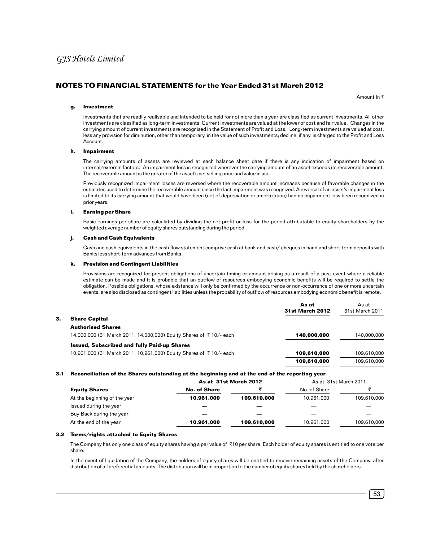Amount in ₹

#### **g. Investment**

Investments that are readily realisable and intended to be held for not more than a year are classified as current investments. All other investments are classified as long-term investments. Current investments are valued at the lower of cost and fair value. Changes in the carrying amount of current investments are recognised in the Statement of Profit and Loss. Long-term investments are valued at cost, less any provision for diminution, other than temporary, in the value of such investments; decline, if any, is charged to the Profit and Loss Account.

#### **h. Impairment**

The carrying amounts of assets are reviewed at each balance sheet date if there is any indication of impairment based on internal/external factors. An impairment loss is recognized wherever the carrying amount of an asset exceeds its recoverable amount. The recoverable amount is the greater of the asset's net selling price and value in use.

Previously recognized impairment losses are reversed where the recoverable amount increases because of favorable changes in the estimates used to determine the recoverable amount since the last impairment was recognized. A reversal of an asset's impairment loss is limited to its carrying amount that would have been (net of depreciation or amortization) had no impairment loss been recognized in prior years.

#### **i. Earning per Share**

Basic earnings per share are calculated by dividing the net profit or loss for the period attributable to equity shareholders by the weighted average number of equity shares outstanding during the period.

#### **j. Cash and Cash Equivalents**

Cash and cash equivalents in the cash flow statement comprise cash at bank and cash/ cheques in hand and short-term deposits with Banks less short-term advances from Banks.

#### **k. Provision and Contingent Liabilities**

Provisions are recognized for present obligations of uncertain timing or amount arising as a result of a past event where a reliable estimate can be made and it is probable that an outflow of resources embodying economic benefits will be required to settle the obligation. Possible obligations, whose existence will only be confirmed by the occurrence or non-occurrence of one or more uncertain events, are also disclosed as contingent liabilities unless the probability of outflow of resources embodying economic benefit is remote.

|    |                                                                    | As at<br><b>31st March 2012</b> | As at<br>31st March 2011 |
|----|--------------------------------------------------------------------|---------------------------------|--------------------------|
| З. | <b>Share Capital</b>                                               |                                 |                          |
|    | <b>Authorised Shares</b>                                           |                                 |                          |
|    | 14,000,000 (31 March 2011: 14,000,000) Equity Shares of ₹10/- each | 140,000,000                     | 140.000.000              |
|    | <b>Issued, Subscribed and fully Paid-up Shares</b>                 |                                 |                          |
|    | 10,961,000 (31 March 2011: 10,961,000) Equity Shares of ₹10/- each | 109.610.000                     | 109.610.000              |
|    |                                                                    | 109,610,000                     | 109.610.000              |

#### **3.1 Reconciliation of the Shares outstanding at the beginning and at the end of the reporting year**

|                              |                     | As at 31st March 2012 | As at 31st March 2011 |             |
|------------------------------|---------------------|-----------------------|-----------------------|-------------|
| <b>Equity Shares</b>         | <b>No. of Share</b> |                       | No. of Share          |             |
| At the beginning of the year | 10,961,000          | 109,610,000           | 10.961.000            | 109,610,000 |
| Issued during the year       |                     |                       |                       |             |
| Buy Back during the year     |                     |                       |                       |             |
| At the end of the year       | 10,961,000          | 109,610,000           | 10,961,000            | 109,610,000 |

#### **3.2 Terms/rights attached to Equity Shares**

The Company has only one class of equity shares having a par value of ₹10 per share. Each holder of equity shares is entitled to one vote per share.

In the event of liquidation of the Company, the holders of equity shares will be entitled to receive remaining assets of the Company, after distribution of all preferential amounts. The distribution will be in proportion to the number of equity shares held by the shareholders.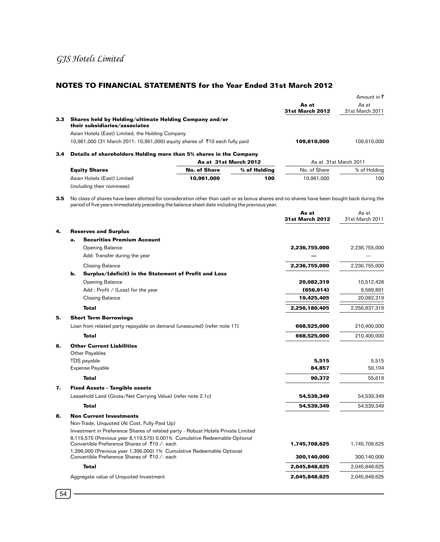|     |                                                                                         |                     |                       |                                 | Amount in $\bar{\tau}$   |
|-----|-----------------------------------------------------------------------------------------|---------------------|-----------------------|---------------------------------|--------------------------|
|     |                                                                                         |                     |                       | As at<br><b>31st March 2012</b> | As at<br>31st March 2011 |
| 3.3 | Shares held by Holding/ultimate Holding Company and/or<br>their subsidiaries/associates |                     |                       |                                 |                          |
|     | Asian Hotels (East) Limited, the Holding Company                                        |                     |                       |                                 |                          |
|     | 10,961,000 (31 March 2011: 10,961,000) equity shares of ₹10 each fully paid             |                     |                       | 109,610,000                     | 109,610,000              |
| 3.4 | Details of shareholders Holding more than 5% shares in the Company                      |                     |                       |                                 |                          |
|     |                                                                                         |                     | As at 31st March 2012 |                                 | As at 31st March 2011    |
|     | <b>Equity Shares</b>                                                                    | <b>No. of Share</b> | % of Holding          | No. of Share                    | % of Holding             |

| <b>Equity Shares</b>        | <b>No. of Share</b> | % of Holding<br>No. of Share |            | % of Holding |
|-----------------------------|---------------------|------------------------------|------------|--------------|
| Asian Hotels (East) Limited | 10.961.000          | 100                          | 10.961.000 | 100          |
| (including their nominees)  |                     |                              |            |              |

**<sup>3.5</sup>** No class of shares have been allotted for consideration other than cash or as bonus shares and no shares have been bought back during the period of five years immediately preceding the balance sheet date including the previous year.

|    |    |                                                                                                                           | As at<br><b>31st March 2012</b> | As at<br>31st March 2011 |
|----|----|---------------------------------------------------------------------------------------------------------------------------|---------------------------------|--------------------------|
|    |    |                                                                                                                           |                                 |                          |
| 4. |    | <b>Reserves and Surplus</b>                                                                                               |                                 |                          |
|    | a. | <b>Securities Premium Account</b>                                                                                         |                                 |                          |
|    |    | <b>Opening Balance</b>                                                                                                    | 2,236,755,000                   | 2,236,755,000            |
|    |    | Add: Transfer during the year                                                                                             |                                 |                          |
|    |    | <b>Closing Balance</b>                                                                                                    | 2,236,755,000                   | 2,236,755,000            |
|    | b. | Surplus/(deficit) in the Statement of Profit and Loss                                                                     |                                 |                          |
|    |    | Opening Balance                                                                                                           | 20,082,319                      | 10,512,428               |
|    |    | Add: Profit / (Loss) for the year                                                                                         | (656, 914)                      | 9,569,891                |
|    |    | <b>Closing Balance</b>                                                                                                    | 19,425,405                      | 20,082,319               |
|    |    | <b>Total</b>                                                                                                              | 2,256,180,405                   | 2,256,837,319            |
| 5. |    | <b>Short Term Borrowings</b>                                                                                              |                                 |                          |
|    |    | Loan from related party repayable on demand (unsecured) (refer note 17)                                                   | 668,525,000                     | 210,400,000              |
|    |    | <b>Total</b>                                                                                                              | 668,525,000                     | 210,400,000              |
| 6. |    | <b>Other Current Liabilities</b>                                                                                          |                                 |                          |
|    |    | <b>Other Payables</b>                                                                                                     | 5,515                           |                          |
|    |    | TDS payable<br><b>Expense Payable</b>                                                                                     | 84,857                          | 5,515<br>50,104          |
|    |    | <b>Total</b>                                                                                                              | 90,372                          | 55,619                   |
| 7. |    | <b>Fixed Assets - Tangible assets</b>                                                                                     |                                 |                          |
|    |    | Leasehold Land (Gross/Net Carrying Value) (refer note 2.1c)                                                               | 54,539,349                      | 54,539,349               |
|    |    | <b>Total</b>                                                                                                              | 54,539,349                      | 54,539,349               |
| 8. |    | <b>Non Current Investments</b>                                                                                            |                                 |                          |
|    |    | Non-Trade, Unquoted (At Cost, Fully Paid Up)                                                                              |                                 |                          |
|    |    | Investment in Preference Shares of related party - Robust Hotels Private Limited                                          |                                 |                          |
|    |    | 8,119,575 (Previous year 8,119,575) 0.001% Cumulative Redeemable Optional<br>Convertible Preference Shares of ₹10 /- each | 1,745,708,625                   | 1,745,708,625            |
|    |    | 1,396,000 (Previous year 1,396,000) 1% Cumulative Redeemable Optional<br>Convertible Preference Shares of ₹10 /- each     | 300,140,000                     | 300,140,000              |
|    |    | Total                                                                                                                     | 2,045,848,625                   | 2,045,848,625            |
|    |    | Aggregate value of Unquoted Investment                                                                                    | 2,045,848,625                   | 2,045,848,625            |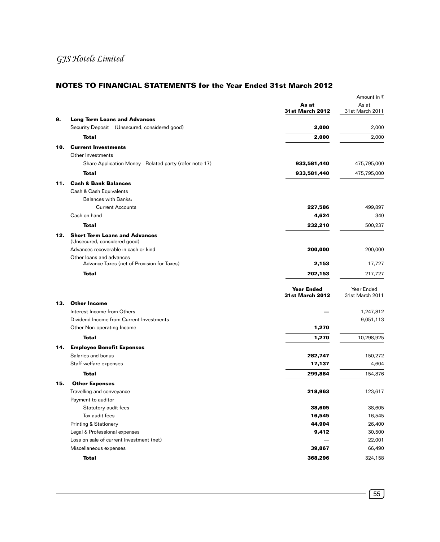## **NOTES TO FINANCIAL STATEMENTS for the Year Ended 31st March 2012**

|     |                                                                        | As at<br><b>31st March 2012</b>             | Amount in ₹<br>As at<br>31st March 2011 |
|-----|------------------------------------------------------------------------|---------------------------------------------|-----------------------------------------|
| 9.  | <b>Long Term Loans and Advances</b>                                    |                                             |                                         |
|     | Security Deposit (Unsecured, considered good)                          | 2,000                                       | 2,000                                   |
|     | <b>Total</b>                                                           | 2,000                                       | 2,000                                   |
| 10. | <b>Current Investments</b>                                             |                                             |                                         |
|     | Other Investments                                                      |                                             |                                         |
|     | Share Application Money - Related party (refer note 17)                | 933,581,440                                 | 475,795,000                             |
|     | <b>Total</b>                                                           | 933,581,440                                 | 475,795,000                             |
| 11. | <b>Cash &amp; Bank Balances</b>                                        |                                             |                                         |
|     | Cash & Cash Equivalents                                                |                                             |                                         |
|     | <b>Balances with Banks:</b>                                            |                                             |                                         |
|     | <b>Current Accounts</b>                                                | 227,586                                     | 499,897                                 |
|     | Cash on hand                                                           | 4,624                                       | 340                                     |
|     | Total                                                                  | 232,210                                     | 500,237                                 |
| 12. | <b>Short Term Loans and Advances</b><br>(Unsecured, considered good)   |                                             |                                         |
|     | Advances recoverable in cash or kind                                   | 200,000                                     | 200,000                                 |
|     | Other loans and advances<br>Advance Taxes (net of Provision for Taxes) | 2,153                                       | 17,727                                  |
|     | Total                                                                  | 202,153                                     | 217,727                                 |
| 13. | <b>Other Income</b>                                                    | <b>Year Ended</b><br><b>31st March 2012</b> | Year Ended<br>31st March 2011           |
|     | Interest Income from Others                                            |                                             | 1,247,812                               |
|     | Dividend Income from Current Investments                               |                                             | 9,051,113                               |
|     | Other Non-operating Income                                             | 1,270                                       |                                         |
|     | <b>Total</b>                                                           | 1,270                                       | 10,298,925                              |
|     | <b>Employee Benefit Expenses</b>                                       |                                             |                                         |
| 14. | Salaries and bonus                                                     | 282,747                                     | 150,272                                 |
|     | Staff welfare expenses                                                 | 17,137                                      | 4,604                                   |
|     | <b>Total</b>                                                           | 299,884                                     | 154,876                                 |
| 15. | <b>Other Expenses</b>                                                  |                                             |                                         |
|     | Travelling and conveyance                                              | 218,963                                     | 123,617                                 |
|     | Payment to auditor                                                     |                                             |                                         |
|     | Statutory audit fees                                                   | 38,605                                      | 38,605                                  |
|     | Tax audit fees                                                         | 16,545                                      | 16,545                                  |
|     | Printing & Stationery                                                  | 44,904                                      | 26,400                                  |
|     | Legal & Professional expenses                                          | 9,412                                       | 30,500                                  |
|     | Loss on sale of current investment (net)                               |                                             | 22,001                                  |
|     | Miscellaneous expenses                                                 | 39,867                                      | 66,490                                  |
|     | <b>Total</b>                                                           | 368,296                                     | 324,158                                 |
|     |                                                                        |                                             |                                         |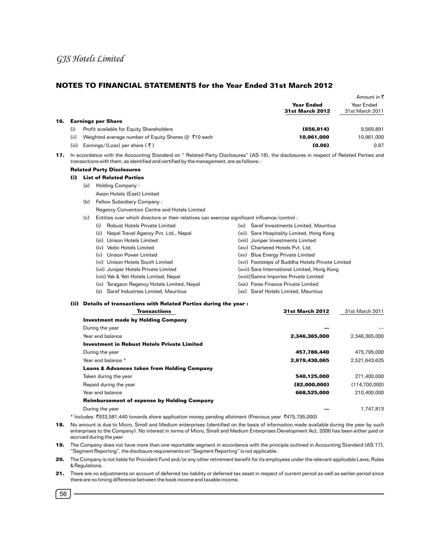|     |       |                                                                  |                                             | Amount in $\bar{\tau}$        |
|-----|-------|------------------------------------------------------------------|---------------------------------------------|-------------------------------|
|     |       |                                                                  | <b>Year Ended</b><br><b>31st March 2012</b> | Year Ended<br>31st March 2011 |
| 16. |       | <b>Earnings per Share</b>                                        |                                             |                               |
|     | (i)   | Profit available for Equity Shareholders                         | (656.914)                                   | 9.569.891                     |
|     | (ii)  | Weighted average number of Equity Shares $@ \overline{5}10$ each | 10.961.000                                  | 10.961.000                    |
|     | (iii) | Earnings/(Loss) per share (₹)                                    | (0.06)                                      | 0.87                          |

**17.** In accordance with the Accounting Standard on " Related Party Disclosures" (AS-18), the disclosures in respect of Related Parties and transactions with them, as identified and certified by the management, are as follows: -

#### **Related Party Disclosures**

56

- **(i) List of Related Parties** 
	- (a) Holding Company :
		- Asian Hotels (East) Limited
	- (b) Fellow Subsidiary Company :
		- Regency Convention Centre and Hotels Limited
	- (c) Entities over which directors or their relatives can exercise significant influence/control :

| (i)  | <b>Robust Hotels Private Limited</b>        | (xi) Saraf Investments Limited, Mauritius        |
|------|---------------------------------------------|--------------------------------------------------|
| (ii) | Nepal Travel Agency Pvt. Ltd., Nepal        | (xii) Sara Hospitality Limited, Hong Kong        |
|      | (iii) Unison Hotels Limited                 | (xiii) Juniper Investments Limited               |
|      | (iv) Vedic Hotels Limited                   | (xiv) Chartered Hotels Pyt. Ltd.                 |
|      | (v) Unison Power Limited                    | (xv) Blue Energy Private Limited                 |
|      | (vi) Unison Hotels South Limited            | (xvi) Footsteps of Buddha Hotels Private Limited |
|      | (vii) Juniper Hotels Private Limited        | (xvii) Sara International Limited, Hong Kong     |
|      | (viii) Yak & Yeti Hotels Limited, Nepal     | (xviii) Samra Importex Private Limited           |
|      | (ix) Taragaon Regency Hotels Limited, Nepal | (xix) Forex Finance Private Limited              |
|      | (x) Saraf Industries Limited, Mauritius     | (xx) Saraf Hotels Limited, Mauritius             |
|      |                                             |                                                  |

#### **(ii) Details of transactions with Related Parties during the year :**

| <b>Transactions</b>                                    | <b>31st March 2012</b> | 31st March 2011 |
|--------------------------------------------------------|------------------------|-----------------|
| <b>Investment made by Holding Company</b>              |                        |                 |
| During the year                                        |                        |                 |
| Year end balance                                       | 2,346,365,000          | 2.346.365.000   |
| <b>Investment in Robust Hotels Private Limited</b>     |                        |                 |
| During the year                                        | 457.786.440            | 475.795.000     |
| Year end balance *                                     | 2,979,430,065          | 2,521,643,625   |
| <b>Loans &amp; Advances taken from Holding Company</b> |                        |                 |
| Taken during the year                                  | 540,125,000            | 271,400,000     |
| Repaid during the year                                 | (82,000,000)           | (114.700.000)   |
| Year end balance                                       | 668,525,000            | 210.400.000     |
| <b>Reimbursement of expense by Holding Company</b>     |                        |                 |
| During the year                                        |                        | 1.747.813       |

\* Includes ₹933,581,440 towards share application money pending allotment (Previous year ₹475,795,000)

- **18.** No amount is due to Micro, Small and Medium enterprises (identified on the basis of information made available during the year by such enterprises to the Company). No interest in terms of Micro, Small and Medium Enterprises Development Act, 2006 has been either paid or accrued during the year.
- **19.** The Company does not have more than one reportable segment in accordance with the principle outlined in Accounting Standard (AS 17), "Segment Reporting", the disclosure requirements on "Segment Reporting" is not applicable.
- **20.** The Company is not liable for Provident Fund and/or any other retirement benefit for its employees under the relevant applicable Laws, Rules & Regulations.
- **21.** There are no adjustments on account of deferred tax liability or deferred tax asset in respect of current period as well as earlier period since there are no timing difference between the book income and taxable income.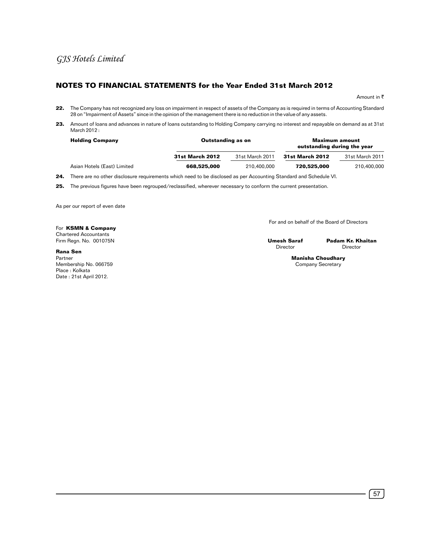## **NOTES TO FINANCIAL STATEMENTS for the Year Ended 31st March 2012**

Amount in  $\bar{\tau}$ 

- **22.** The Company has not recognized any loss on impairment in respect of assets of the Company as is required in terms of Accounting Standard 28 on "Impairment of Assets" since in the opinion of the management there is no reduction in the value of any assets.
- 23. Amount of loans and advances in nature of loans outstanding to Holding Company carrying no interest and repayable on demand as at 31st March 2012 :

| <b>Holding Company</b>      |                        | Outstanding as on |                        | Maximum amount<br>outstanding during the year |
|-----------------------------|------------------------|-------------------|------------------------|-----------------------------------------------|
|                             | <b>31st March 2012</b> | 31st March 2011   | <b>31st March 2012</b> | 31st March 2011                               |
| Asian Hotels (East) Limited | 668.525.000            | 210.400.000       | 720,525,000            | 210,400,000                                   |

**24.** There are no other disclosure requirements which need to be disclosed as per Accounting Standard and Schedule VI.

**25.** The previous figures have been regrouped/reclassified, wherever necessary to conform the current presentation.

As per our report of even date

For **KSMN & Company** Chartered Accountants

Firm Regn. No. 001075N **Umesh Saraf Padam Kr. Khaitan** 

**Rana Sen** Membership No. 066759 Place : Kolkata Date : 21st April 2012.

For and on behalf of the Board of Directors

Director Director

**Manisha Choudhary**<br>Company Secretary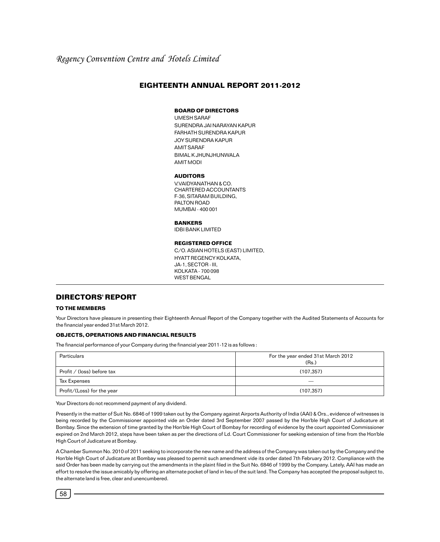### **EIGHTEENTH ANNUAL REPORT 2011-2012**

### **BOARD OF DIRECTORS**

UMESH SARAF SURENDRA JAI NARAYAN KAPUR FARHATH SURENDRA KAPUR JOY SURENDRA KAPUR AMIT SARAF BIMAL K JHUNJHUNWALA AMIT MODI

#### **AUDITORS**

V.VAIDYANATHAN & CO. CHARTERED ACCOUNTANTS F-36, SITARAM BUILDING, PALTON ROAD MUMBAI - 400 001

### **BANKERS**

IDBI BANK LIMITED

#### **REGISTERED OFFICE**

C/O. ASIAN HOTELS (EAST) LIMITED, HYATT REGENCY KOLKATA, JA-1, SECTOR - III, KOLKATA - 700 098 **WEST BENGAL** 

## **DIRECTORS' REPORT**

#### **TO THE MEMBERS**

Your Directors have pleasure in presenting their Eighteenth Annual Report of the Company together with the Audited Statements of Accounts for the financial year ended 31st March 2012.

#### **OBJECTS, OPERATIONS AND FINANCIAL RESULTS**

The financial performance of your Company during the financial year 2011-12 is as follows :

| Particulars                | For the year ended 31st March 2012<br>(Rs.) |
|----------------------------|---------------------------------------------|
| Profit / (loss) before tax | (107.357)                                   |
| Tax Expenses               | _                                           |
| Profit/(Loss) for the year | (107.357)                                   |

Your Directors do not recommend payment of any dividend.

Presently in the matter of Suit No. 6846 of 1999 taken out by the Company against Airports Authority of India (AAI) & Ors., evidence of witnesses is being recorded by the Commissioner appointed vide an Order dated 3rd September 2007 passed by the Hon'ble High Court of Judicature at Bombay. Since the extension of time granted by the Hon'ble High Court of Bombay for recording of evidence by the court appointed Commissioner expired on 2nd March 2012, steps have been taken as per the directions of Ld. Court Commissioner for seeking extension of time from the Hon'ble High Court of Judicature at Bombay.

A Chamber Summon No. 2010 of 2011 seeking to incorporate the new name and the address of the Company was taken out by the Company and the Hon'ble High Court of Judicature at Bombay was pleased to permit such amendment vide its order dated 7th February 2012. Compliance with the said Order has been made by carrying out the amendments in the plaint filed in the Suit No. 6846 of 1999 by the Company. Lately, AAI has made an effort to resolve the issue amicably by offering an alternate pocket of land in lieu of the suit land. The Company has accepted the proposal subject to, the alternate land is free, clear and unencumbered.

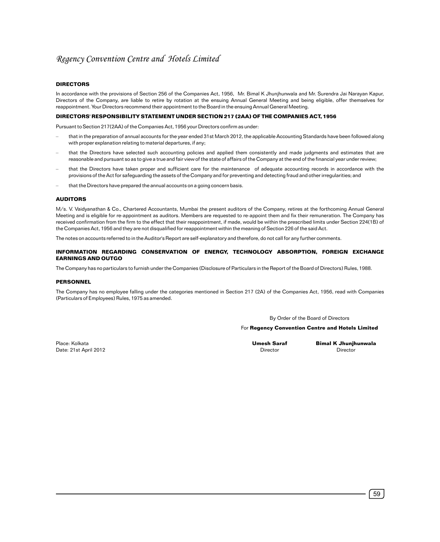#### **DIRECTORS**

In accordance with the provisions of Section 256 of the Companies Act, 1956, Mr. Bimal K Jhunjhunwala and Mr. Surendra Jai Narayan Kapur, Directors of the Company, are liable to retire by rotation at the ensuing Annual General Meeting and being eligible, offer themselves for reappointment. Your Directors recommend their appointment to the Board in the ensuing Annual General Meeting.

#### **DIRECTORS' RESPONSIBILITY STATEMENT UNDER SECTION 217 (2AA) OF THE COMPANIES ACT, 1956**

Pursuant to Section 217(2AA) of the Companies Act, 1956 your Directors confirm as under:

- that in the preparation of annual accounts for the year ended 31st March 2012, the applicable Accounting Standards have been followed along with proper explanation relating to material departures, if any;
- that the Directors have selected such accounting policies and applied them consistently and made judgments and estimates that are reasonable and pursuant so as to give a true and fair view of the state of affairs of the Company at the end of the financial year under review;
- that the Directors have taken proper and sufficient care for the maintenance of adequate accounting records in accordance with the provisions of the Act for safeguarding the assets of the Company and for preventing and detecting fraud and other irregularities; and
- that the Directors have prepared the annual accounts on a going concern basis.

#### **AUDITORS**

M/s. V. Vaidyanathan & Co., Chartered Accountants, Mumbai the present auditors of the Company, retires at the forthcoming Annual General Meeting and is eligible for re-appointment as auditors. Members are requested to re-appoint them and fix their remuneration. The Company has received confirmation from the firm to the effect that their reappointment, if made, would be within the prescribed limits under Section 224(1B) of the Companies Act, 1956 and they are not disqualified for reappointment within the meaning of Section 226 of the said Act.

The notes on accounts referred to in the Auditor's Report are self-explanatory and therefore, do not call for any further comments.

#### **INFORMATION REGARDING CONSERVATION OF ENERGY, TECHNOLOGY ABSORPTION, FOREIGN EXCHANGE EARNINGS AND OUTGO**

The Company has no particulars to furnish under the Companies (Disclosure of Particulars in the Report of the Board of Directors) Rules, 1988.

#### **PERSONNEL**

The Company has no employee falling under the categories mentioned in Section 217 (2A) of the Companies Act, 1956, read with Companies (Particulars of Employees) Rules, 1975 as amended.

By Order of the Board of Directors

#### For **Regency Convention Centre and Hotels Limited**

Date: 21st April 2012 Director Director

Place: Kolkata **Umesh Saraf Bimal K Jhunjhunwala**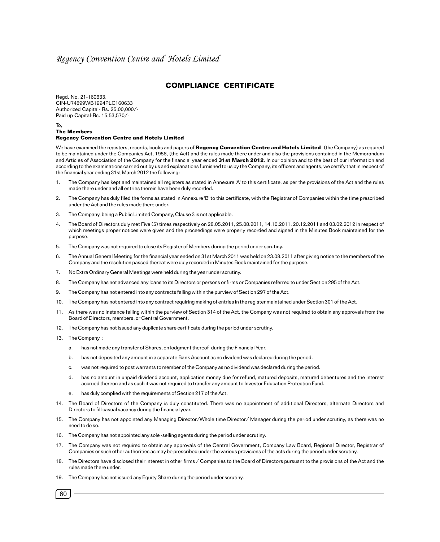#### **COMPLIANCE CERTIFICATE**

Regd. No. 21-160633, CIN-U74899WB1994PLC160633 Authorized Capital- Rs. 25,00,000/- Paid up Capital-Rs. 15,53,570/-

#### To,

#### **The Members Regency Convention Centre and Hotels Limited**

We have examined the registers, records, books and papers of **Regency Convention Centre and Hotels Limited** (the Company) as required to be maintained under the Companies Act, 1956, (the Act) and the rules made there under and also the provisions contained in the Memorandum and Articles of Association of the Company for the financial year ended **31st March 2012**. In our opinion and to the best of our information and according to the examinations carried out by us and explanations furnished to us by the Company, its officers and agents, we certify that in respect of the financial year ending 31st March 2012 the following:

- 1. The Company has kept and maintained all registers as stated in Annexure 'A' to this certificate, as per the provisions of the Act and the rules made there under and all entries therein have been duly recorded.
- 2. The Company has duly filed the forms as stated in Annexure 'B' to this certificate, with the Registrar of Companies within the time prescribed under the Act and the rules made there under.
- 3. The Company, being a Public Limited Company, Clause 3 is not applicable.
- 4. The Board of Directors duly met Five (5) times respectively on 28.05.2011, 25.08.2011, 14.10.2011, 20.12.2011 and 03.02.2012 in respect of which meetings proper notices were given and the proceedings were properly recorded and signed in the Minutes Book maintained for the purpose.
- 5. The Company was not required to close its Register of Members during the period under scrutiny.
- 6. The Annual General Meeting for the financial year ended on 31st March 2011 was held on 23.08.2011 after giving notice to the members of the Company and the resolution passed thereat were duly recorded in Minutes Book maintained for the purpose.
- 7. No Extra Ordinary General Meetings were held during the year under scrutiny.
- 8. The Company has not advanced any loans to its Directors or persons or firms or Companies referred to under Section 295 of the Act.
- 9. The Company has not entered into any contracts falling within the purview of Section 297 of the Act.
- 10. The Company has not entered into any contract requiring making of entries in the register maintained under Section 301 of the Act.
- 11. As there was no instance falling within the purview of Section 314 of the Act, the Company was not required to obtain any approvals from the Board of Directors, members, or Central Government.
- 12. The Company has not issued any duplicate share certificate during the period under scrutiny.
- 13. The Company :

- a. has not made any transfer of Shares, on lodgment thereof during the Financial Year.
- b. has not deposited any amount in a separate Bank Account as no dividend was declared during the period.
- c. was not required to post warrants to member of the Company as no dividend was declared during the period.
- d. has no amount in unpaid dividend account, application money due for refund, matured deposits, matured debentures and the interest accrued thereon and as such it was not required to transfer any amount to Investor Education Protection Fund.
- has duly complied with the requirements of Section 217 of the Act.
- 14. The Board of Directors of the Company is duly constituted. There was no appointment of additional Directors, alternate Directors and Directors to fill casual vacancy during the financial year.
- 15. The Company has not appointed any Managing Director/Whole time Director/ Manager during the period under scrutiny, as there was no need to do so.
- 16. The Company has not appointed any sole -selling agents during the period under scrutiny.
- 17. The Company was not required to obtain any approvals of the Central Government, Company Law Board, Regional Director, Registrar of Companies or such other authorities as may be prescribed under the various provisions of the acts during the period under scrutiny.
- 18. The Directors have disclosed their interest in other firms / Companies to the Board of Directors pursuant to the provisions of the Act and the rules made there under.
- 19. The Company has not issued any Equity Share during the period under scrutiny.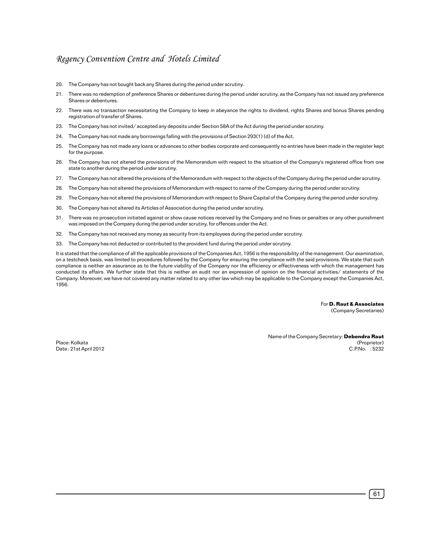- 20. The Company has not bought back any Shares during the period under scrutiny.
- 21. There was no redemption of preference Shares or debentures during the period under scrutiny, as the Company has not issued any preference Shares or debentures.
- 22. There was no transaction necessitating the Company to keep in abevance the rights to dividend, rights Shares and bonus Shares pending registration of transfer of Shares.
- 23. The Company has not invited/ accepted any deposits under Section 58A of the Act during the period under scrutiny.
- 24. The Company has not made any borrowings falling with the provisions of Section 293(1) (d) of the Act.
- 25. The Company has not made any loans or advances to other bodies corporate and consequently no entries have been made in the register kept for the purpose.
- 26. The Company has not altered the provisions of the Memorandum with respect to the situation of the Company's registered office from one state to another during the period under scrutiny.
- 27. The Company has not altered the provisions of the Memorandum with respect to the objects of the Company during the period under scrutiny.
- 28. The Company has not altered the provisions of Memorandum with respect to name of the Company during the period under scrutiny.
- 29. The Company has not altered the provisions of Memorandum with respect to Share Capital of the Company during the period under scrutiny.
- 30. The Company has not altered its Articles of Association during the period under scrutiny.
- 31. There was no prosecution initiated against or show cause notices received by the Company and no fines or penalties or any other punishment was imposed on the Company during the period under scrutiny, for offences under the Act.
- 32. The Company has not received any money as security from its employees during the period under scrutiny.
- 33. The Company has not deducted or contributed to the provident fund during the period under scrutiny.

It is stated that the compliance of all the applicable provisions of the Companies Act, 1956 is the responsibility of the management. Our examination, on a testcheck basis, was limited to procedures followed by the Company for ensuring the compliance with the said provisions. We state that such compliance is neither an assurance as to the future viability of the Company nor the efficiency or effectiveness with which the management has conducted its affairs. We further state that this is neither an audit nor an expression of opinion on the financial activities/ statements of the Company. Moreover, we have not covered any matter related to any other law which may be applicable to the Company except the Companies Act, 1956.

> For **D. Raut & Associates** (Company Secretaries)

Name of the Company Secretary: **Debendra Raut** Place: Kolkata (Proprietor) Date : 21st April 2012 C.P.No. : 5232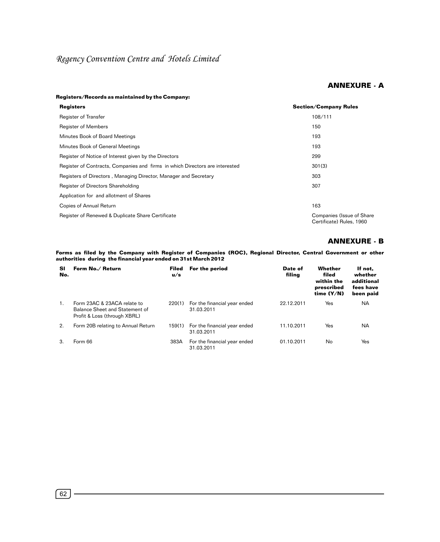### **ANNEXURE - A**

| Registers/Records as maintained by the Company:                              |                                                       |  |  |  |
|------------------------------------------------------------------------------|-------------------------------------------------------|--|--|--|
| <b>Registers</b>                                                             | <b>Section/Company Rules</b>                          |  |  |  |
| Register of Transfer                                                         | 108/111                                               |  |  |  |
| <b>Register of Members</b>                                                   | 150                                                   |  |  |  |
| Minutes Book of Board Meetings                                               | 193                                                   |  |  |  |
| Minutes Book of General Meetings                                             | 193                                                   |  |  |  |
| Register of Notice of Interest given by the Directors                        | 299                                                   |  |  |  |
| Register of Contracts, Companies and firms in which Directors are interested | 301(3)                                                |  |  |  |
| Registers of Directors, Managing Director, Manager and Secretary             | 303                                                   |  |  |  |
| Register of Directors Shareholding                                           | 307                                                   |  |  |  |
| Application for and allotment of Shares                                      |                                                       |  |  |  |
| Copies of Annual Return                                                      | 163                                                   |  |  |  |
| Register of Renewed & Duplicate Share Certificate                            | Companies (Issue of Share<br>Certificate) Rules, 1960 |  |  |  |

## **ANNEXURE - B**

**Forms as filed by the Company with Register of Companies (ROC), Regional Director, Central Government or other authorities during the financial year ended on 31st March 2012**

| SI<br>No.      | Form No./ Return                                                                              | <b>Filed</b><br>u/s | For the period                             | Date of<br>filing | Whether<br>filed<br>within the<br>prescribed<br>time $(Y/N)$ | If not.<br>whether<br>additional<br>fees have<br>been paid |
|----------------|-----------------------------------------------------------------------------------------------|---------------------|--------------------------------------------|-------------------|--------------------------------------------------------------|------------------------------------------------------------|
| 1 <sub>1</sub> | Form 23AC & 23ACA relate to<br>Balance Sheet and Statement of<br>Profit & Loss (through XBRL) | 220(1)              | For the financial year ended<br>31.03.2011 | 22.12.2011        | Yes                                                          | NA.                                                        |
| 2.             | Form 20B relating to Annual Return                                                            | 159(1)              | For the financial year ended<br>31.03.2011 | 11.10.2011        | Yes                                                          | <b>NA</b>                                                  |
| 3.             | Form 66                                                                                       | 383A                | For the financial year ended<br>31.03.2011 | 01.10.2011        | No                                                           | Yes                                                        |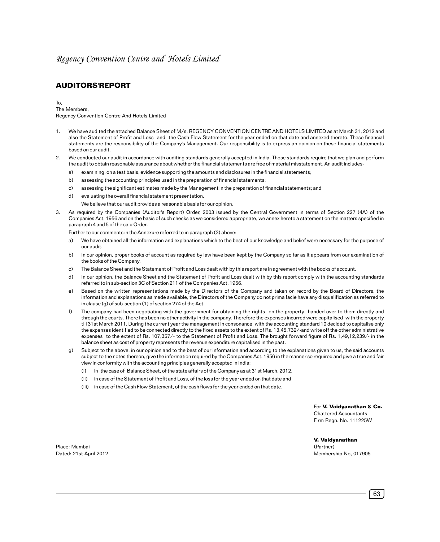## **AUDITORS'REPORT**

To,

The Members, Regency Convention Centre And Hotels Limited

- 1. We have audited the attached Balance Sheet of M/s. REGENCY CONVENTION CENTRE AND HOTELS LIMITED as at March 31, 2012 and also the Statement of Profit and Loss and the Cash Flow Statement for the year ended on that date and annexed thereto. These financial statements are the responsibility of the Company's Management. Our responsibility is to express an opinion on these financial statements based on our audit.
- 2. We conducted our audit in accordance with auditing standards generally accepted in India. Those standards require that we plan and perform the audit to obtain reasonable assurance about whether the financial statements are free of material misstatement. An audit includes
	- a) examining, on a test basis, evidence supporting the amounts and disclosures in the financial statements;
	- b) assessing the accounting principles used in the preparation of financial statements;
	- c) assessing the significant estimates made by the Management in the preparation of financial statements; and
	- d) evaluating the overall financial statement presentation.
		- We believe that our audit provides a reasonable basis for our opinion.
- 3. As required by the Companies (Auditor's Report) Order, 2003 issued by the Central Government in terms of Section 227 (4A) of the Companies Act, 1956 and on the basis of such checks as we considered appropriate, we annex hereto a statement on the matters specified in paragraph 4 and 5 of the said Order.

Further to our comments in the Annexure referred to in paragraph (3) above:

- a) We have obtained all the information and explanations which to the best of our knowledge and belief were necessary for the purpose of our audit.
- b) In our opinion, proper books of account as required by law have been kept by the Company so far as it appears from our examination of the books of the Company.
- c) The Balance Sheet and the Statement of Profit and Loss dealt with by this report are in agreement with the books of account.
- d) In our opinion, the Balance Sheet and the Statement of Profit and Loss dealt with by this report comply with the accounting standards referred to in sub-section 3C of Section 211 of the Companies Act, 1956.
- e) Based on the written representations made by the Directors of the Company and taken on record by the Board of Directors, the information and explanations as made available, the Directors of the Company do not prima facie have any disqualification as referred to in clause (g) of sub-section (1) of section 274 of the Act.
- f) The company had been negotiating with the government for obtaining the rights on the property handed over to them directly and through the courts. There has been no other activity in the company. Therefore the expenses incurred were capitalised with the property till 31st March 2011. During the current year the management in consonance with the accounting standard 10 decided to capitalise only the expenses identified to be connected directly to the fixed assets to the extent of Rs. 13,45,732/-and write off the other administrative expenses to the extent of Rs. 107,357/- to the Statement of Profit and Loss. The brought forward figure of Rs. 1,49,12,239/- in the balance sheet as cost of property represents the revenue expenditure capitalised in the past.
- g) Subject to the above, in our opinion and to the best of our information and according to the explanations given to us, the said accounts subject to the notes thereon, give the information required by the Companies Act, 1956 in the manner so required and give a true and fair view in conformity with the accounting principles generally accepted in India:
	- (i) in the case of Balance Sheet, of the state affairs of the Company as at 31st March, 2012,
	- (ii) in case of the Statement of Profit and Loss, of the loss for the year ended on that date and
	- (iii) in case of the Cash Flow Statement, of the cash flows for the year ended on that date.

For **V. Vaidyanathan & Co.** Chattered Accountants Firm Regn. No. 111225W

Place: Mumbai (Partner)

**V. Vaidyanathan** Dated: 21st April 2012 Membership No, 017905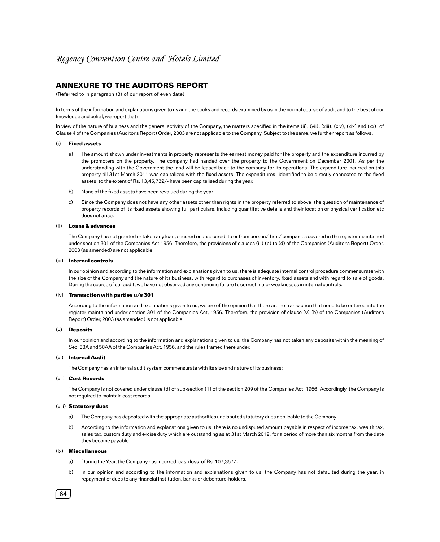### **ANNEXURE TO THE AUDITORS REPORT**

(Referred to in paragraph (3) of our report of even date)

In terms of the information and explanations given to us and the books and records examined by us in the normal course of audit and to the best of our knowledge and belief, we report that:

In view of the nature of business and the general activity of the Company, the matters specified in the items (ii), (vii), (xiii), (xiiv), (xix) and (xx) of Clause 4 of the Companies (Auditor's Report) Order, 2003 are not applicable to the Company. Subject to the same, we further report as follows:

#### (i) **Fixed assets**

- a) The amount shown under investments in property represents the earnest money paid for the property and the expenditure incurred by the promoters on the property. The company had handed over the property to the Government on December 2001. As per the understanding with the Government the land will be leased back to the company for its operations. The expenditure incurred on this property till 31st March 2011 was capitalized with the fixed assets. The expenditures identified to be directly connected to the fixed assets to the extent of Rs. 13,45,732/- have been capitalised during the year.
- b) None of the fixed assets have been revalued during the year.
- c) Since the Company does not have any other assets other than rights in the property referred to above, the question of maintenance of property records of its fixed assets showing full particulars, including quantitative details and their location or physical verification etc does not arise.

#### (ii) **Loans & advances**

The Company has not granted or taken any loan, secured or unsecured, to or from person/firm/ companies covered in the register maintained under section 301 of the Companies Act 1956. Therefore, the provisions of clauses (iii) (b) to (d) of the Companies (Auditor's Report) Order, 2003 (as amended) are not applicable.

#### (iii) **Internal controls**

In our opinion and according to the information and explanations given to us, there is adequate internal control procedure commensurate with the size of the Company and the nature of its business, with regard to purchases of inventory, fixed assets and with regard to sale of goods. During the course of our audit, we have not observed any continuing failure to correct major weaknesses in internal controls.

#### (iv) **Transaction with parties u/s 301**

According to the information and explanations given to us, we are of the opinion that there are no transaction that need to be entered into the register maintained under section 301 of the Companies Act, 1956. Therefore, the provision of clause (v) (b) of the Companies (Auditor's Report) Order, 2003 (as amended) is not applicable.

#### (v) **Deposits**

In our opinion and according to the information and explanations given to us, the Company has not taken any deposits within the meaning of Sec. 58A and 58AA of the Companies Act, 1956, and the rules framed there under.

#### (vi) **Internal Audit**

The Company has an internal audit system commensurate with its size and nature of its business;

#### (vii) **Cost Records**

The Company is not covered under clause (d) of sub-section (1) of the section 209 of the Companies Act, 1956. Accordingly, the Company is not required to maintain cost records.

#### (viii) **Statutory dues**

- a) The Company has deposited with the appropriate authorities undisputed statutory dues applicable to the Company.
- b) According to the information and explanations given to us, there is no undisputed amount payable in respect of income tax, wealth tax, sales tax, custom duty and excise duty which are outstanding as at 31st March 2012, for a period of more than six months from the date they became payable.

#### (ix) **Miscellaneous**

- a) During the Year, the Company has incurred cash loss of Rs. 107,357/-
- b) In our opinion and according to the information and explanations given to us, the Company has not defaulted during the year, in repayment of dues to any financial institution, banks or debenture-holders.

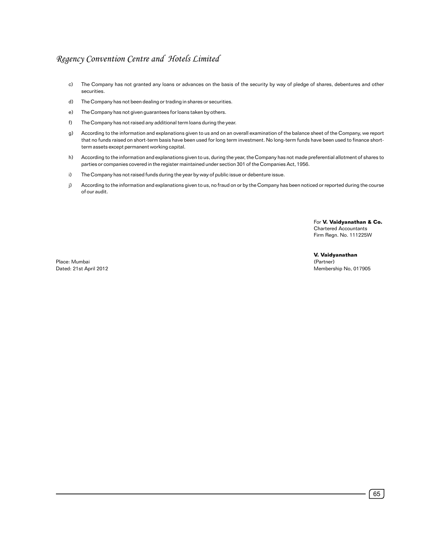- c) The Company has not granted any loans or advances on the basis of the security by way of pledge of shares, debentures and other securities.
- d) The Company has not been dealing or trading in shares or securities.
- e) The Company has not given guarantees for loans taken by others.
- f) The Company has not raised any additional term loans during the year.
- g) According to the information and explanations given to us and on an overall examination of the balance sheet of the Company, we report that no funds raised on short-term basis have been used for long term investment. No long-term funds have been used to finance shortterm assets except permanent working capital.
- h) According to the information and explanations given to us, during the year, the Company has not made preferential allotment of shares to parties or companies covered in the register maintained under section 301 of the Companies Act, 1956.
- i) The Company has not raised funds during the year by way of public issue or debenture issue.
- j) According to the information and explanations given to us, no fraud on or by the Company has been noticed or reported during the course of our audit.

For **V. Vaidyanathan & Co.** Chartered Accountants Firm Regn. No. 111225W

Place: Mumbai (Partner) Dated: 21st April 2012 Membership No, 017905

**V. Vaidyanathan**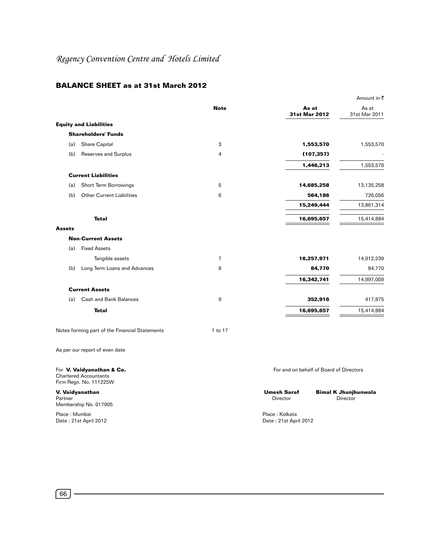## **BALANCE SHEET as at 31st March 2012**

|               |                                                |                |                                         | Amount in ₹            |
|---------------|------------------------------------------------|----------------|-----------------------------------------|------------------------|
|               |                                                | <b>Note</b>    | As at<br>31st Mar 2012                  | As at<br>31st Mar 2011 |
|               | <b>Equity and Liabilities</b>                  |                |                                         |                        |
|               | <b>Shareholders' Funds</b>                     |                |                                         |                        |
| (a)           | Share Capital                                  | 3              | 1,553,570                               | 1,553,570              |
| (b)           | Reserves and Surplus                           | 4              | (107, 357)                              |                        |
|               |                                                |                | 1,446,213                               | 1,553,570              |
|               | <b>Current Liabilities</b>                     |                |                                         |                        |
| (a)           | Short Term Borrowings                          | 5              | 14,685,258                              | 13,135,258             |
| (b)           | Other Current Liabilities                      | 6              | 564,186                                 | 726,056                |
|               |                                                |                | 15,249,444                              | 13,861,314             |
|               | <b>Total</b>                                   |                | 16,695,657                              | 15,414,884             |
| <b>Assets</b> |                                                |                |                                         |                        |
|               | <b>Non-Current Assets</b>                      |                |                                         |                        |
| (a)           | <b>Fixed Assets</b>                            |                |                                         |                        |
|               | Tangible assets                                | $\overline{7}$ | 16,257,971                              | 14,912,239             |
| (b)           | Long Term Loans and Advances                   | 8              | 84,770                                  | 84,770                 |
|               |                                                |                | 16,342,741                              | 14,997,009             |
|               | <b>Current Assets</b>                          |                |                                         |                        |
| (a)           | Cash and Bank Balances                         | 9              | 352,916                                 | 417,875                |
|               | <b>Total</b>                                   |                | 16,695,657                              | 15,414,884             |
|               | Notes forming part of the Financial Statements | 1 to 17        |                                         |                        |
|               | As per our report of even date                 |                |                                         |                        |
|               | For V. Vaidyanathan & Co.                      |                | For and on behalf of Board of Directors |                        |

Chartered Accountants Firm Regn. No. 111225W

**V. Vaidyanathan Umesh Saraf Bimal K Jhunjhunwala** Partner Director Director Director Director Director Director Director Director Director Director Director Director Membership No. 017905

Place : Mumbai Place : Kolkata

Date : 21st April 2012 Date : 21st April 2012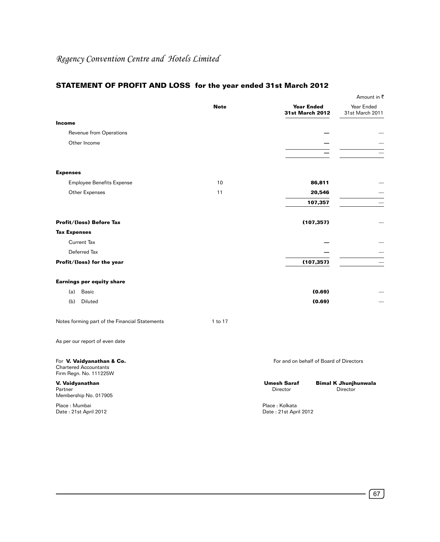|                                                |             |                                             | Amount in ₹                   |
|------------------------------------------------|-------------|---------------------------------------------|-------------------------------|
|                                                | <b>Note</b> | <b>Year Ended</b><br><b>31st March 2012</b> | Year Ended<br>31st March 2011 |
| <b>Income</b>                                  |             |                                             |                               |
| Revenue from Operations                        |             |                                             |                               |
| Other Income                                   |             |                                             |                               |
|                                                |             |                                             |                               |
| <b>Expenses</b>                                |             |                                             |                               |
| <b>Employee Benefits Expense</b>               | 10          | 86,811                                      |                               |
| Other Expenses                                 | 11          | 20,546                                      |                               |
|                                                |             | 107,357                                     |                               |
| Profit/(loss) Before Tax                       |             | (107, 357)                                  |                               |
| <b>Tax Expenses</b>                            |             |                                             |                               |
| <b>Current Tax</b>                             |             |                                             |                               |
| Deferred Tax                                   |             |                                             |                               |
| Profit/(loss) for the year                     |             | (107, 357)                                  |                               |
| <b>Earnings per equity share</b>               |             |                                             |                               |
| <b>Basic</b><br>(a)                            |             | (0.69)                                      |                               |
| (b)<br>Diluted                                 |             | (0.69)                                      |                               |
| Notes forming part of the Financial Statements | 1 to 17     |                                             |                               |
| As per our report of even date                 |             |                                             |                               |

## **STATEMENT OF PROFIT AND LOSS for the year ended 31st March 2012**

## Chartered Accountants Firm Regn. No. 111225W

## **V. Vaidyanathan Umesh Saraf Bimal K Jhunjhunwala**

Membership No. 017905

Place : Mumbai Place : Kolkata<br>
Date : 21st April 2012<br>
Date : 21st April 2012

For **V. Vaidyanathan & Co. For and on behalf of Board of Directors For and on behalf of Board of Directors** 

Partner Director Director Director Director Director Director Director Director Director Director Director Director

Date : 21st April 2012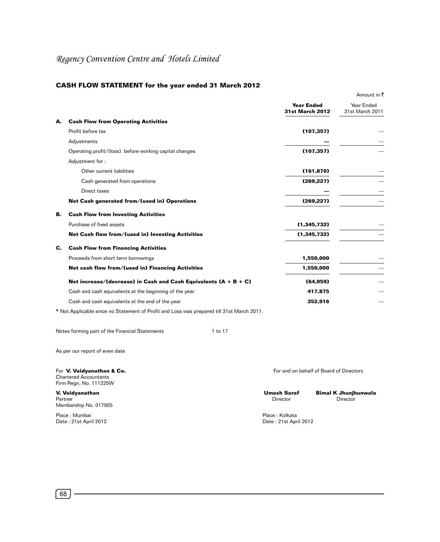## **CASH FLOW STATEMENT for the year ended 31 March 2012**

|    |                                                                                           |                                             | Amount in ₹                   |
|----|-------------------------------------------------------------------------------------------|---------------------------------------------|-------------------------------|
|    |                                                                                           | <b>Year Ended</b><br><b>31st March 2012</b> | Year Ended<br>31st March 2011 |
| А. | <b>Cash Flow from Operating Activities</b>                                                |                                             |                               |
|    | Profit before tax                                                                         | (107, 357)                                  |                               |
|    | Adjustments                                                                               |                                             |                               |
|    | Operating profit/(loss) before working capital changes                                    | (107, 357)                                  |                               |
|    | Adjustment for:                                                                           |                                             |                               |
|    | Other current liabilities                                                                 | (161, 870)                                  |                               |
|    | Cash generated from operations                                                            | (269, 227)                                  |                               |
|    | Direct taxes                                                                              |                                             |                               |
|    | Net Cash generated from/(used in) Operations                                              | (269, 227)                                  |                               |
| в. | <b>Cash Flow from Investing Activities</b>                                                |                                             |                               |
|    | Purchase of fixed assets                                                                  | (1, 345, 732)                               |                               |
|    | Net Cash flow from/(used in) Investing Activities                                         | (1, 345, 732)                               |                               |
| C. | <b>Cash Flow from Financing Activities</b>                                                |                                             |                               |
|    | Proceeds from short term borrowings                                                       | 1,550,000                                   |                               |
|    | Net cash flow from/(used in) Financing Activities                                         | 1,550,000                                   |                               |
|    | Net increase/(decrease) in Cash and Cash Equivalents $(A + B + C)$                        | (64, 959)                                   |                               |
|    | Cash and cash equivalents at the beginning of the year                                    | 417,875                                     |                               |
|    | Cash and cash equivalents at the end of the year                                          | 352,916                                     |                               |
|    | * Not Applicable since no Statement of Profit and Loss was prepared till 31st March 2011. |                                             |                               |

Notes forming part of the Financial Statements 1 to 17

As per our report of even date

Chartered Accountants Firm Regn. No. 111225W

**V. Vaidyanathan Umesh Saraf Bimal K Jhunjhunwala** Partner Director Director Director Director Director Director Director Director Director Director Membership No. 017905

Place : Mumbai Place : Kolkata

For **V. Vaidyanathan & Co.** For and on behalf of Board of Directors

Date : 21st April 2012

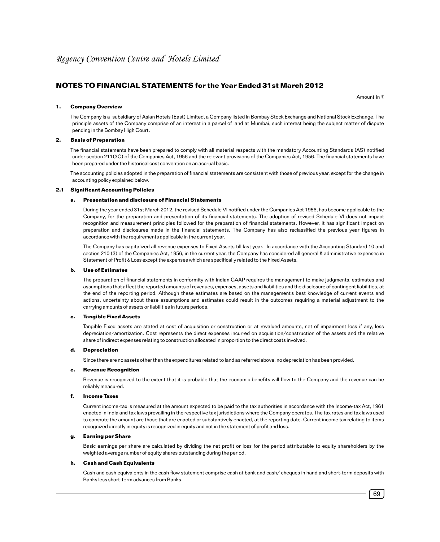Amount in  $\bar{\tau}$ 

#### **1. Company Overview**

The Company is a subsidiary of Asian Hotels (East) Limited, a Company listed in Bombay Stock Exchange and National Stock Exchange. The principle assets of the Company comprise of an interest in a parcel of land at Mumbai, such interest being the subject matter of dispute pending in the Bombay High Court.

#### **2. Basis of Preparation**

The financial statements have been prepared to comply with all material respects with the mandatory Accounting Standards (AS) notified under section 211(3C) of the Companies Act, 1956 and the relevant provisions of the Companies Act, 1956. The financial statements have been prepared under the historical cost convention on an accrual basis.

The accounting policies adopted in the preparation of financial statements are consistent with those of previous year, except for the change in accounting policy explained below.

#### **2.1 Significant Accounting Policies**

#### **a. Presentation and disclosure of Financial Statements**

During the year ended 31st March 2012, the revised Schedule VI notified under the Companies Act 1956, has become applicable to the Company, for the preparation and presentation of its financial statements. The adoption of revised Schedule VI does not impact recognition and measurement principles followed for the preparation of financial statements. However, it has significant impact on preparation and disclosures made in the financial statements. The Company has also reclassified the previous year figures in accordance with the requirements applicable in the current year.

The Company has capitalized all revenue expenses to Fixed Assets till last year. In accordance with the Accounting Standard 10 and section 210 (3) of the Companies Act, 1956, in the current year, the Company has considered all general & administrative expenses in Statement of Profit & Loss except the expenses which are specifically related to the Fixed Assets.

#### **b. Use of Estimates**

The preparation of financial statements in conformity with Indian GAAP requires the management to make judgments, estimates and assumptions that affect the reported amounts of revenues, expenses, assets and liabilities and the disclosure of contingent liabilities, at the end of the reporting period. Although these estimates are based on the management's best knowledge of current events and actions, uncertainty about these assumptions and estimates could result in the outcomes requiring a material adjustment to the carrying amounts of assets or liabilities in future periods.

#### **c. Tangible Fixed Assets**

Tangible Fixed assets are stated at cost of acquisition or construction or at revalued amounts, net of impairment loss if any, less depreciation/amortization. Cost represents the direct expenses incurred on acquisition/construction of the assets and the relative share of indirect expenses relating to construction allocated in proportion to the direct costs involved.

#### **d. Depreciation**

Since there are no assets other than the expenditures related to land as referred above, no depreciation has been provided.

#### **Revenue Recognition**

Revenue is recognized to the extent that it is probable that the economic benefits will flow to the Company and the revenue can be reliably measured.

#### **f. Income Taxes**

Current income-tax is measured at the amount expected to be paid to the tax authorities in accordance with the Income-tax Act, 1961 enacted in India and tax laws prevailing in the respective tax jurisdictions where the Company operates. The tax rates and tax laws used to compute the amount are those that are enacted or substantively enacted, at the reporting date. Current income tax relating to items recognized directly in equity is recognized in equity and not in the statement of profit and loss.

#### **g. Earning per Share**

Basic earnings per share are calculated by dividing the net profit or loss for the period attributable to equity shareholders by the weighted average number of equity shares outstanding during the period.

#### **h. Cash and Cash Equivalents**

Cash and cash equivalents in the cash flow statement comprise cash at bank and cash/ cheques in hand and short-term deposits with Banks less short-term advances from Banks.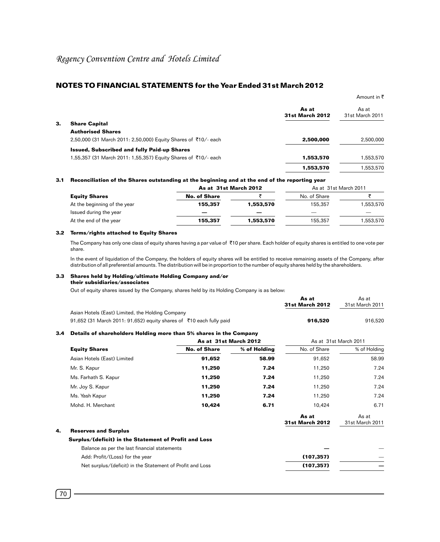|    |                                                                |                                 | Amount in ₹              |
|----|----------------------------------------------------------------|---------------------------------|--------------------------|
|    |                                                                | As at<br><b>31st March 2012</b> | As at<br>31st March 2011 |
| З. | <b>Share Capital</b>                                           |                                 |                          |
|    | <b>Authorised Shares</b>                                       |                                 |                          |
|    | 2,50,000 (31 March 2011: 2,50,000) Equity Shares of ₹10/- each | 2,500,000                       | 2,500,000                |
|    | <b>Issued, Subscribed and fully Paid-up Shares</b>             |                                 |                          |
|    | 1,55,357 (31 March 2011: 1,55,357) Equity Shares of ₹10/- each | 1,553,570                       | 553,570. ا               |
|    |                                                                | 1,553,570                       | .553,570                 |

#### **3.1 Reconciliation of the Shares outstanding at the beginning and at the end of the reporting year**

|                              | As at 31st March 2012 |           | As at 31st March 2011 |           |
|------------------------------|-----------------------|-----------|-----------------------|-----------|
| <b>Equity Shares</b>         | <b>No. of Share</b>   |           | No. of Share          |           |
| At the beginning of the year | 155.357               | 1.553.570 | 155.357               | 1,553,570 |
| Issued during the year       |                       |           | __                    |           |
| At the end of the year       | 155.357               | 1,553,570 | 155.357               | 1,553,570 |

#### **3.2 Terms/rights attached to Equity Shares**

The Company has only one class of equity shares having a par value of ₹10 per share. Each holder of equity shares is entitled to one vote per share.

In the event of liquidation of the Company, the holders of equity shares will be entitled to receive remaining assets of the Company, after distribution of all preferential amounts. The distribution will be in proportion to the number of equity shares held by the shareholders.

#### **3.3 Shares held by Holding/ultimate Holding Company and/or**

#### **their subsidiaries/associates**

Out of equity shares issued by the Company, shares held by its Holding Company is as below:

|                                                                     | As at                  | As at           |
|---------------------------------------------------------------------|------------------------|-----------------|
|                                                                     | <b>31st March 2012</b> | 31st March 2011 |
| Asian Hotels (East) Limited, the Holding Company                    |                        |                 |
| 91,652 (31 March 2011: 91,652) equity shares of ₹10 each fully paid | 916.520                | 916.520         |

#### **3.4 Details of shareholders Holding more than 5% shares in the Company**

|    |                                                           |                     | As at 31st March 2012 |                                 | As at 31st March 2011    |
|----|-----------------------------------------------------------|---------------------|-----------------------|---------------------------------|--------------------------|
|    | <b>Equity Shares</b>                                      | <b>No. of Share</b> | % of Holding          | No. of Share                    | % of Holding             |
|    | Asian Hotels (East) Limited                               | 91,652              | 58.99                 | 91,652                          | 58.99                    |
|    | Mr. S. Kapur                                              | 11,250              | 7.24                  | 11,250                          | 7.24                     |
|    | Ms. Farhath S. Kapur                                      | 11,250              | 7.24                  | 11,250                          | 7.24                     |
|    | Mr. Joy S. Kapur                                          | 11,250              | 7.24                  | 11,250                          | 7.24                     |
|    | Ms. Yash Kapur                                            | 11,250              | 7.24                  | 11,250                          | 7.24                     |
|    | Mohd, H. Merchant                                         | 10,424              | 6.71                  | 10,424                          | 6.71                     |
|    |                                                           |                     |                       | As at<br><b>31st March 2012</b> | As at<br>31st March 2011 |
| 4. | <b>Reserves and Surplus</b>                               |                     |                       |                                 |                          |
|    | Surplus/(deficit) in the Statement of Profit and Loss     |                     |                       |                                 |                          |
|    | Balance as per the last financial statements              |                     |                       |                                 |                          |
|    | Add: Profit/(Loss) for the year                           |                     |                       | (107, 357)                      |                          |
|    | Net surplus/(deficit) in the Statement of Profit and Loss |                     |                       | (107, 357)                      |                          |
|    |                                                           |                     |                       |                                 |                          |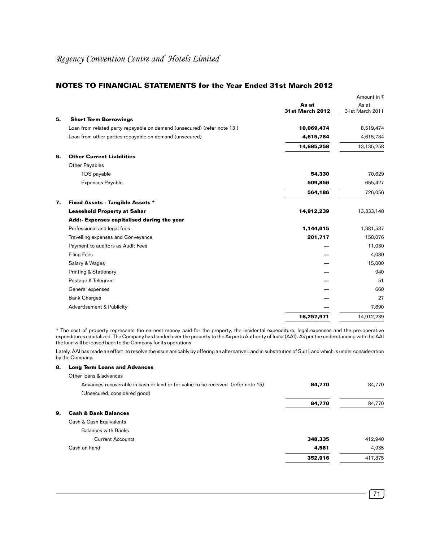# **NOTES TO FINANCIAL STATEMENTS for the Year Ended 31st March 2012**

|    |                                                                         |                                 | Amount in ₹              |
|----|-------------------------------------------------------------------------|---------------------------------|--------------------------|
|    |                                                                         | As at<br><b>31st March 2012</b> | As at<br>31st March 2011 |
| 5. | <b>Short Term Borrowings</b>                                            |                                 |                          |
|    | Loan from related party repayable on demand (unsecured) (refer note 13) | 10,069,474                      | 8,519,474                |
|    | Loan from other parties repayable on demand (unsecured)                 | 4,615,784                       | 4,615,784                |
|    |                                                                         | 14,685,258                      | 13,135,258               |
| 6. | <b>Other Current Liabilities</b>                                        |                                 |                          |
|    | <b>Other Payables</b>                                                   |                                 |                          |
|    | TDS payable                                                             | 54.330                          | 70,629                   |
|    | <b>Expenses Payable</b>                                                 | 509,856                         | 655,427                  |
|    |                                                                         | 564,186                         | 726,056                  |
| 7. | <b>Fixed Assets - Tangible Assets *</b>                                 |                                 |                          |
|    | <b>Leasehold Property at Sahar</b>                                      | 14,912,239                      | 13,333,148               |
|    | Add:- Expenses capitalised during the year                              |                                 |                          |
|    | Professional and legal fees                                             | 1,144,015                       | 1,381,537                |
|    | Travelling expenses and Conveyance                                      | 201,717                         | 158,076                  |
|    | Payment to auditors as Audit Fees                                       |                                 | 11,030                   |
|    | <b>Filing Fees</b>                                                      |                                 | 4.080                    |
|    | Salary & Wages                                                          |                                 | 15,000                   |
|    | <b>Printing &amp; Stationary</b>                                        |                                 | 940                      |
|    | Postage & Telegram                                                      |                                 | 51                       |
|    | General expenses                                                        |                                 | 660                      |
|    | <b>Bank Charges</b>                                                     |                                 | 27                       |
|    | Advertisement & Publicity                                               |                                 | 7,690                    |
|    |                                                                         | 16,257,971                      | 14,912,239               |

\* The cost of property represents the earnest money paid for the property, the incidental expenditure, legal expenses and the pre-operative expenditures capitalized. The Company has handed over the property to the Airports Authority of India (AAI). As per the understanding with the AAI the land will be leased back to the Company for its operations.

Lately, AAI has made an effort to resolve the issue amicably by offering an alternative Land in substitution of Suit Land which is under consideration by the Company.

## **8. Long Term Loans and Advances**

|    | Other loans & advances                                                           |         |         |
|----|----------------------------------------------------------------------------------|---------|---------|
|    | Advances recoverable in cash or kind or for value to be received (refer note 15) | 84.770  | 84.770  |
|    | (Unsecured, considered good)                                                     |         |         |
|    |                                                                                  | 84,770  | 84,770  |
| 9. | <b>Cash &amp; Bank Balances</b>                                                  |         |         |
|    | Cash & Cash Equivalents                                                          |         |         |
|    | <b>Balances with Banks</b>                                                       |         |         |
|    | <b>Current Accounts</b>                                                          | 348.335 | 412,940 |
|    | Cash on hand                                                                     | 4,581   | 4,935   |
|    |                                                                                  | 352,916 | 417,875 |
|    |                                                                                  |         |         |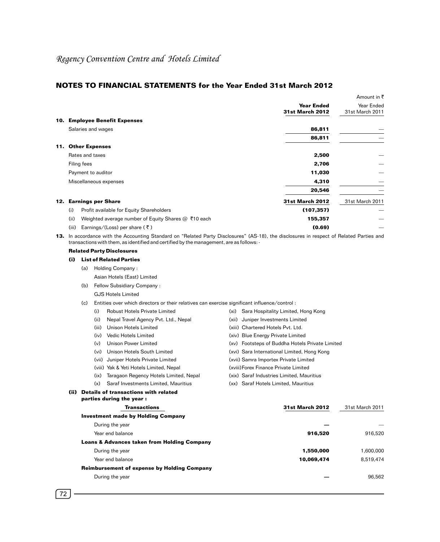|                                             | Amount in ₹                   |
|---------------------------------------------|-------------------------------|
| <b>Year Ended</b><br><b>31st March 2012</b> | Year Ended<br>31st March 2011 |
|                                             |                               |
| 86,811                                      |                               |
| 86,811                                      |                               |
|                                             |                               |
| 2,500                                       |                               |
| 2,706                                       |                               |
| 11,030                                      |                               |
| 4,310                                       |                               |
| 20,546                                      |                               |
| <b>31st March 2012</b>                      | 31st March 2011               |
| (107, 357)                                  |                               |
| 155,357                                     |                               |
| (0.69)                                      |                               |
|                                             |                               |

# **NOTES TO FINANCIAL STATEMENTS for the Year Ended 31st March 2012**

**13.** In accordance with the Accounting Standard on "Related Party Disclosures" (AS-18), the disclosures in respect of Related Parties and transactions with them, as identified and certified by the management, are as follows: -

## **Related Party Disclosures**

## **(i) List of Related Parties**

- (a) Holding Company : Asian Hotels (East) Limited
- (b) Fellow Subsidiary Company :

GJS Hotels Limited

(c) Entities over which directors or their relatives can exercise significant influence/control :

|      | (i)   | <b>Robust Hotels Private Limited</b>                                    | (xi) | Sara Hospitality Limited, Hong Kong             |
|------|-------|-------------------------------------------------------------------------|------|-------------------------------------------------|
|      | (ii)  | Nepal Travel Agency Pvt. Ltd., Nepal                                    |      | (xii) Juniper Investments Limited               |
|      | (iii) | Unison Hotels Limited                                                   |      | (xiii) Chartered Hotels Pyt. Ltd.               |
|      | (iv)  | Vedic Hotels Limited                                                    |      | (xiv) Blue Energy Private Limited               |
|      | (v)   | Unison Power Limited                                                    |      | (xv) Footsteps of Buddha Hotels Private Limited |
|      |       | (vi) Unison Hotels South Limited                                        |      | (xvi) Sara International Limited, Hong Kong     |
|      |       | (vii) Juniper Hotels Private Limited                                    |      | (xvii) Samra Importex Private Limited           |
|      |       | (viii) Yak & Yeti Hotels Limited, Nepal                                 |      | (xviii) Forex Finance Private Limited           |
|      | (ix)  | Taragaon Regency Hotels Limited, Nepal                                  |      | (xix) Saraf Industries Limited, Mauritius       |
|      | (x)   | Saraf Investments Limited, Mauritius                                    |      | (xx) Saraf Hotels Limited, Mauritius            |
| (ii) |       | <b>Details of transactions with related</b><br>parties during the year: |      |                                                 |

| <b>Transactions</b>                                    | <b>31st March 2012</b> | 31st March 2011 |
|--------------------------------------------------------|------------------------|-----------------|
| <b>Investment made by Holding Company</b>              |                        |                 |
| During the year                                        |                        |                 |
| Year end balance                                       | 916.520                | 916.520         |
| <b>Loans &amp; Advances taken from Holding Company</b> |                        |                 |
| During the year                                        | 1,550,000              | 1,600,000       |
| Year end balance                                       | 10,069,474             | 8.519.474       |
| <b>Reimbursement of expense by Holding Company</b>     |                        |                 |
| During the year                                        |                        | 96.562          |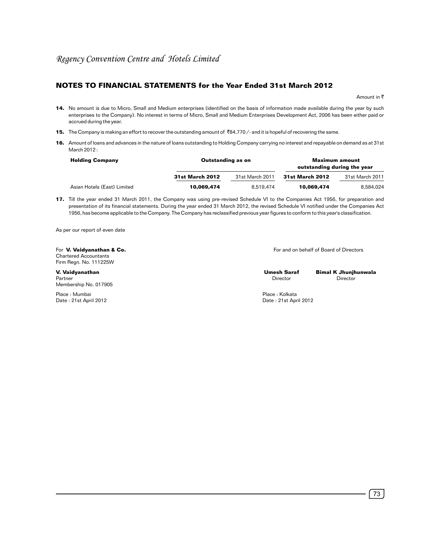# **NOTES TO FINANCIAL STATEMENTS for the Year Ended 31st March 2012**

Amount in  $\bar{\tau}$ 

- **14.** No amount is due to Micro, Small and Medium enterprises (identified on the basis of information made available during the year by such enterprises to the Company). No interest in terms of Micro, Small and Medium Enterprises Development Act, 2006 has been either paid or accrued during the year.
- 15. The Company is making an effort to recover the outstanding amount of  $\overline{84,770}$  /- and it is hopeful of recovering the same.
- **16.** Amount of loans and advances in the nature of loans outstanding to Holding Company carrying no interest and repayable on demand as at 31st March 2012 :

| <b>Holding Company</b>      |                        | <b>Outstanding as on</b> |                        | Maximum amount<br>outstanding during the year |  |
|-----------------------------|------------------------|--------------------------|------------------------|-----------------------------------------------|--|
|                             | <b>31st March 2012</b> | 31st March 2011          | <b>31st March 2012</b> | 31st March 2011                               |  |
| Asian Hotels (East) Limited | 10.069.474             | 8.519.474                | 10.069.474             | 8.584.024                                     |  |

**17.** Till the year ended 31 March 2011, the Company was using pre-revised Schedule VI to the Companies Act 1956, for preparation and presentation of its financial statements. During the year ended 31 March 2012, the revised Schedule VI notified under the Companies Act 1956, has become applicable to the Company. The Company has reclassified previous year figures to conform to this year's classification.

As per our report of even date

Chartered Accountants Firm Regn. No. 111225W

**V. Vaidyanathan Umesh Saraf Bimal K Jhunjhunwala** Partner Director Director Director Director Director Director Director Director Director Director Director Director Membership No. 017905

Date : 21st April 2012

For **V. Vaidyanathan & Co. For and on behalf of Board of Directors For and on behalf of Board of Directors** 

Place : Mumbai Place : Kolkata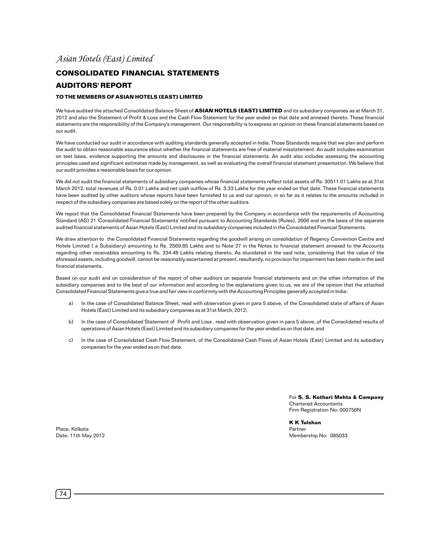# **CONSOLIDATED FINANCIAL STATEMENTS**

# **AUDITORS' REPORT**

## **TO THE MEMBERS OF ASIAN HOTELS (EAST) LIMITED**

We have audited the attached Consolidated Balance Sheet of **ASIAN HOTELS (EAST) LIMITED** and its subsidiary companies as at March 31, 2012 and also the Statement of Profit & Loss and the Cash Flow Statement for the year ended on that date and annexed thereto. These financial statements are the responsibility of the Company's management. Our responsibility is to express an opinion on these financial statements based on our audit.

We have conducted our audit in accordance with auditing standards generally accepted in India. Those Standards require that we plan and perform the audit to obtain reasonable assurance about whether the financial statements are free of material misstatement. An audit includes examination on test basis, evidence supporting the amounts and disclosures in the financial statements. An audit also includes assessing the accounting principles used and significant estimates made by management, as well as evaluating the overall financial statement presentation. We believe that our audit provides a reasonable basis for our opinion.

We did not audit the financial statements of subsidiary companies whose financial statements reflect total assets of Rs. 30511.01 Lakhs as at 31st March 2012, total revenues of Rs. 0.01 Lakhs and net cash outflow of Rs. 3.33 Lakhs for the year ended on that date. These financial statements have been audited by other auditors whose reports have been furnished to us and our opinion; in so far as it relates to the amounts included in respect of the subsidiary companies are based solely on the report of the other auditors.

We report that the Consolidated Financial Statements have been prepared by the Company in accordance with the requirements of Accounting Standard (AS) 21 'Consolidated Financial Statements' notified pursuant to Accounting Standards (Rules), 2006 and on the basis of the separate audited financial statements of Asian Hotels (East) Limited and its subsidiary companies included in the Consolidated Financial Statements.

We draw attention to the Consolidated Financial Statements regarding the goodwill arising on consolidation of Regency Convention Centre and Hotels Limited ( a Subsidiary) amounting to Rs. 2569.85 Lakhs and to Note 27 in the Notes to financial statement annexed to the Accounts regarding other receivables amounting to Rs. 334.48 Lakhs relating thereto. As elucidated in the said note, considering that the value of the aforesaid assets, including goodwill, cannot be reasonably ascertained at present, resultantly, no provision for impairment has been made in the said financial statements.

Based on our audit and on consideration of the report of other auditors on separate financial statements and on the other information of the subsidiary companies and to the best of our information and according to the explanations given to us, we are of the opinion that the attached Consolidated Financial Statements give a true and fair view in conformity with the Accounting Principles generally accepted in India:

- a) In the case of Consolidated Balance Sheet, read with observation given in para 5 above, of the Consolidated state of affairs of Asian Hotels (East) Limited and its subsidiary companies as at 31st March, 2012;
- b) In the case of Consolidated Statement of Profit and Loss , read with observation given in para 5 above, of the Consolidated results of operations of Asian Hotels (East) Limited and its subsidiary companies for the year ended as on that date; and
- c) In the case of Consolidated Cash Flow Statement, of the Consolidated Cash Flows of Asian Hotels (East) Limited and its subsidiary companies for the year ended as on that date.

For **S. S. Kothari Mehta & Company** Chartered Accountants Firm Registration No: 000756N

**K K Tulshan** Date: 11th May 2012 **Membership No: 085033** 

Place: Kolkata Partner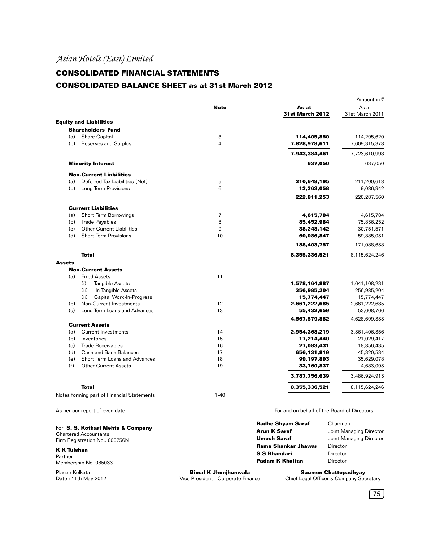# **CONSOLIDATED FINANCIAL STATEMENTS**

# **CONSOLIDATED BALANCE SHEET as at 31st March 2012**

|               |                                            |                |                                 | Amount in ₹              |
|---------------|--------------------------------------------|----------------|---------------------------------|--------------------------|
|               |                                            | <b>Note</b>    | As at<br><b>31st March 2012</b> | As at<br>31st March 2011 |
|               | <b>Equity and Liabilities</b>              |                |                                 |                          |
|               | <b>Shareholders' Fund</b>                  |                |                                 |                          |
| (a)           | <b>Share Capital</b>                       | 3              | 114,405,850                     | 114,295,620              |
| (b)           | <b>Reserves and Surplus</b>                | 4              | 7,828,978,611                   | 7,609,315,378            |
|               |                                            |                | 7,943,384,461                   | 7,723,610,998            |
|               | <b>Minority Interest</b>                   |                | 637,050                         | 637,050                  |
|               | <b>Non-Current Liabilities</b>             |                |                                 |                          |
| (a)           | Deferred Tax Liabilities (Net)             | 5              | 210,648,195                     | 211,200,618              |
| (b)           | Long Term Provisions                       | 6              | 12,263,058                      | 9,086,942                |
|               |                                            |                | 222,911,253                     | 220,287,560              |
|               | <b>Current Liabilities</b>                 |                |                                 |                          |
| (a)           | Short Term Borrowings                      | $\overline{7}$ | 4,615,784                       | 4,615,784                |
| (b)           | <b>Trade Payables</b>                      | 8              | 85,452,984                      | 75,836,252               |
| (c)           | <b>Other Current Liabilities</b>           | 9              | 38,248,142                      | 30,751,571               |
| (d)           | <b>Short Term Provisions</b>               | 10             | 60,086,847                      | 59,885,031               |
|               |                                            |                | 188,403,757                     | 171,088,638              |
|               | <b>Total</b>                               |                | 8,355,336,521                   | 8,115,624,246            |
| <b>Assets</b> |                                            |                |                                 |                          |
|               | <b>Non-Current Assets</b>                  |                |                                 |                          |
| (a)           | <b>Fixed Assets</b>                        | 11             |                                 |                          |
|               | (i)<br><b>Tangible Assets</b>              |                | 1,578,164,887                   | 1,641,108,231            |
|               | (ii)<br>In Tangible Assets                 |                | 256,985,204                     | 256,985,204              |
|               | (ii)<br>Capital Work-In-Progress           |                | 15,774,447                      | 15,774,447               |
| (b)           | Non-Current Investments                    | 12             | 2,661,222,685                   | 2,661,222,685            |
| (c)           | Long Term Loans and Advances               | 13             | 55,432,659                      | 53,608,766               |
|               | <b>Current Assets</b>                      |                | 4,567,579,882                   | 4,628,699,333            |
| (a)           | <b>Current Investments</b>                 | 14             | 2,954,368,219                   | 3,361,406,356            |
| (b)           | Inventories                                | 15             | 17,214,440                      | 21,029,417               |
| (c)           | <b>Trade Receivables</b>                   | 16             | 27,083,431                      | 18,856,435               |
| (d)           | Cash and Bank Balances                     | 17             | 656,131,819                     | 45,320,534               |
| (e)           | Short Term Loans and Advances              | 18             | 99,197,893                      | 35,629,078               |
| (f)           | Other Current Assets                       | 19             | 33,760,837                      | 4,683,093                |
|               |                                            |                | 3,787,756,639                   | 3,486,924,913            |
|               | <b>Total</b>                               |                | 8,355,336,521                   | 8,115,624,246            |
|               | Notes forming part of Financial Statements | $1 - 40$       |                                 |                          |

As per our report of even date For and on behalf of the Board of Directors

|                                                                   | <b>Radhe Shyam Saraf</b>   | Chairman                |
|-------------------------------------------------------------------|----------------------------|-------------------------|
| For S. S. Kothari Mehta & Company<br><b>Chartered Accountants</b> | <b>Arun K Saraf</b>        | Joint Managing Director |
| Firm Registration No.: 000756N                                    | <b>Umesh Saraf</b>         | Joint Managing Director |
|                                                                   | <b>Rama Shankar Jhawar</b> | Director                |
| <b>K K Tulshan</b><br>Partner                                     | <b>S S Bhandari</b>        | Director                |
| Membership No. 085033                                             | <b>Padam K Khaitan</b>     | Director                |
|                                                                   |                            |                         |

Place : Kolkata **Bimal K Jhunjhunwala Saumen Chattopadhyay** Date : 11th May 2012 Vice President - Corporate Finance Chief Legal Officer & Company Secretary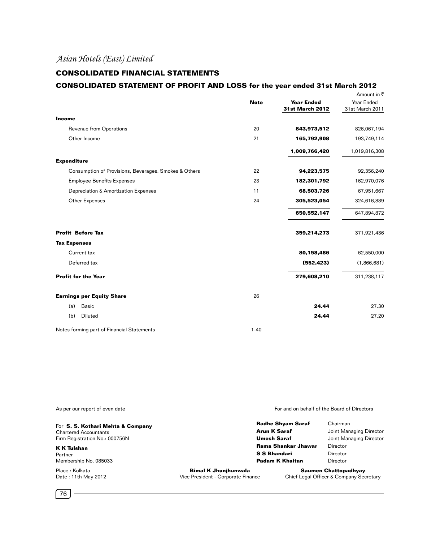# **CONSOLIDATED FINANCIAL STATEMENTS**

# **CONSOLIDATED STATEMENT OF PROFIT AND LOSS for the year ended 31st March 2012**

|                                                       |             |                                             | Amount in ₹                   |
|-------------------------------------------------------|-------------|---------------------------------------------|-------------------------------|
|                                                       | <b>Note</b> | <b>Year Ended</b><br><b>31st March 2012</b> | Year Ended<br>31st March 2011 |
| Income                                                |             |                                             |                               |
| Revenue from Operations                               | 20          | 843,973,512                                 | 826,067,194                   |
| Other Income                                          | 21          | 165,792,908                                 | 193,749,114                   |
|                                                       |             | 1,009,766,420                               | 1,019,816,308                 |
| <b>Expenditure</b>                                    |             |                                             |                               |
| Consumption of Provisions, Beverages, Smokes & Others | 22          | 94,223,575                                  | 92,356,240                    |
| <b>Employee Benefits Expenses</b>                     | 23          | 182,301,792                                 | 162,970,076                   |
| Depreciation & Amortization Expenses                  | 11          | 68,503,726                                  | 67,951,667                    |
| <b>Other Expenses</b>                                 | 24          | 305,523,054                                 | 324,616,889                   |
|                                                       |             | 650,552,147                                 | 647,894,872                   |
| <b>Profit Before Tax</b>                              |             | 359,214,273                                 | 371,921,436                   |
| <b>Tax Expenses</b>                                   |             |                                             |                               |
| Current tax                                           |             | 80,158,486                                  | 62,550,000                    |
| Deferred tax                                          |             | (552, 423)                                  | (1,866,681)                   |
| <b>Profit for the Year</b>                            |             | 279,608,210                                 | 311,238,117                   |
| <b>Earnings per Equity Share</b>                      | 26          |                                             |                               |
| <b>Basic</b><br>(a)                                   |             | 24.44                                       | 27.30                         |
| (b)<br>Diluted                                        |             | 24.44                                       | 27.20                         |
| Notes forming part of Financial Statements            | $1 - 40$    |                                             |                               |

For **S. S. Kothari Mehta & Company** Chartered Accountants Firm Registration No.: 000756N

**K K Tulshan** Partner Membership No. 085033

As per our report of even date **For and on behalf of the Board of Directors** 

**Radhe Shyam Saraf** Chairman Arun K Saraf **Joint Managing Director Umesh Saraf** Joint Managing Director **Rama Shankar Jhawar** Director **S S Bhandari** Director **Padam K Khaitan** Director

Place : Kolkata **Bimal K Jhunjhunwala Saumen Chattopadhyay**

Chief Legal Officer & Company Secretary

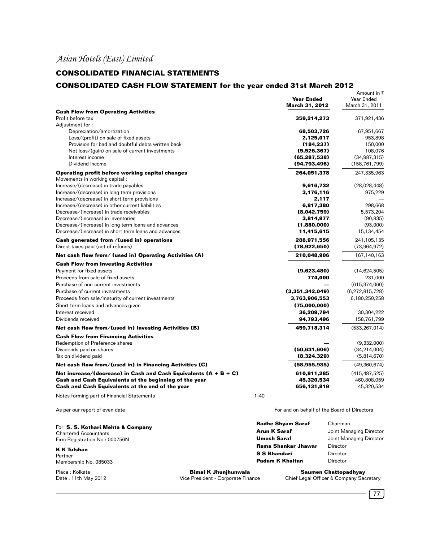# **CONSOLIDATED FINANCIAL STATEMENTS**

# **CONSOLIDATED CASH FLOW STATEMENT for the year ended 31st March 2012**

|                                                                                   |          | <b>Year Ended</b><br><b>March 31, 2012</b>  | Amount in ₹<br>Year Ended<br>March 31, 2011 |
|-----------------------------------------------------------------------------------|----------|---------------------------------------------|---------------------------------------------|
| <b>Cash Flow from Operating Activities</b>                                        |          |                                             |                                             |
| Profit before tax<br>Adjustment for:                                              |          | 359,214,273                                 | 371,921,436                                 |
| Depreciation/amortization                                                         |          | 68,503,726                                  | 67,951,667                                  |
| Loss/(profit) on sale of fixed assets                                             |          | 2,125,017                                   | 953,898                                     |
| Provision for bad and doubtful debts written back                                 |          | (184, 237)                                  | 150,000                                     |
| Net loss/(gain) on sale of current investments                                    |          | (5,526,367)                                 | 108,076                                     |
| Interest income                                                                   |          | (65, 287, 538)                              | (34, 987, 315)                              |
| Dividend income                                                                   |          | (94, 793, 496)                              | (158, 761, 799)                             |
| Operating profit before working capital changes<br>Movements in working capital : |          | 264,051,378                                 | 247,335,963                                 |
| Increase/(decrease) in trade payables                                             |          | 9,616,732                                   | (28,028,448)                                |
| Increase/(decrease) in long term provisions                                       |          | 3,176,116                                   | 975,229                                     |
| Increase/(decrease) in short term provisions                                      |          | 2,117                                       |                                             |
| Increase/(decrease) in other current liabilities                                  |          | 6,817,380                                   | 298,668                                     |
| Decrease/(increase) in trade receivables                                          |          | (8,042,759)                                 | 5,573,204                                   |
| Decrease/(increase) in inventories                                                |          | 3,814,977                                   | (90, 935)                                   |
| Decrease/(increase) in long term loans and advances                               |          | (1,880,000)                                 | (93,000)                                    |
| Decrease/(increase) in short term loans and advances                              |          | 11,415,615                                  | 15,134,454                                  |
| Cash generated from /(used in) operations                                         |          | 288,971,556                                 | 241,105,135                                 |
| Direct taxes paid (net of refunds)                                                |          | (78,922,650)                                | (73,964,972)                                |
| Net cash flow from/ (used in) Operating Activities (A)                            |          | 210,048,906                                 | 167,140,163                                 |
| <b>Cash Flow from Investing Activities</b>                                        |          |                                             |                                             |
| Payment for fixed assets                                                          |          | (9,623,480)                                 | (14,624,505)                                |
| Proceeds from sale of fixed assets                                                |          | 774,000                                     | 231,000                                     |
| Purchase of non-current investments                                               |          |                                             | (615, 374, 060)                             |
| Purchase of current investments                                                   |          | (3,351,342,049)                             | (6,272,815,728)                             |
| Proceeds from sale/maturity of current investments                                |          | 3,763,906,553                               | 6,180,250,258                               |
| Short term loans and advances given                                               |          | (75,000,000)                                |                                             |
| Interest received                                                                 |          | 36,209,794                                  | 30,304,222                                  |
| Dividends received                                                                |          | 94,793,496                                  | 158,761,799                                 |
| Net cash flow from/(used in) Investing Activities (B)                             |          | 459,718,314                                 | (533, 267, 014)                             |
| <b>Cash Flow from Financing Activities</b>                                        |          |                                             |                                             |
| Redemption of Preference shares                                                   |          |                                             | (9,332,000)                                 |
| Dividends paid on shares                                                          |          | (50,631,606)                                | (34,214,004)<br>(5,814,670)                 |
| Tax on dividend paid                                                              |          | (8,324,329)                                 |                                             |
| Net cash flow from/(used in) in Financing Activities (C)                          |          | (58, 955, 935)                              | (49,360,674)                                |
| Net increase/(decrease) in Cash and Cash Equivalents $(A + B + C)$                |          | 610,811,285                                 | (415, 487, 525)                             |
| Cash and Cash Equivalents at the beginning of the year                            |          | 45,320,534                                  | 460,808,059                                 |
| Cash and Cash Equivalents at the end of the year                                  |          | 656,131,819                                 | 45,320,534                                  |
| Notes forming part of Financial Statements                                        | $1 - 40$ |                                             |                                             |
| As per our report of even date                                                    |          | For and on behalf of the Board of Directors |                                             |

For **S. S. Kothari Mehta & Company** Chartered Accountants Firm Registration No.: 000756N

**K K Tulshan** Partner

Membership No. 085033

Place : Kolkata **Bimal K Jhunjhunwala**<br> **Date : 11th May 2012 Bimal K Jhunjhunwala** Vice President - Corporate Finance

| <b>Radhe Shyam Saraf</b> | Chairman                |
|--------------------------|-------------------------|
| <b>Arun K Saraf</b>      | Joint Managing Director |
| <b>Umesh Saraf</b>       | Joint Managing Director |
| Rama Shankar Jhawar      | Director                |
| <b>S S Bhandari</b>      | Director                |
| <b>Padam K Khaitan</b>   | Director                |

Saumen Chattopadhyay<br>Chief Legal Officer & Company Secretary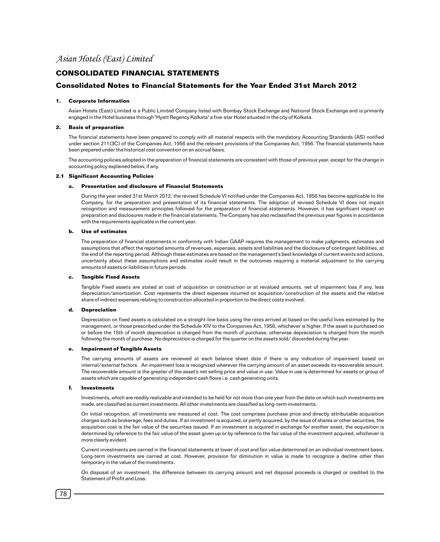# **CONSOLIDATED FINANCIAL STATEMENTS**

## **Consolidated Notes to Financial Statements for the Year Ended 31st March 2012**

### **1. Corporate Information**

Asian Hotels (East) Limited is a Public Limited Company listed with Bombay Stock Exchange and National Stock Exchange and is primarily engaged in the Hotel business through "Hyatt Regency Kolkata" a five-star Hotel situated in the city of Kolkata.

### **2. Basis of preparation**

The financial statements have been prepared to comply with all material respects with the mandatory Accounting Standards (AS) notified under section 211(3C) of the Companies Act, 1956 and the relevant provisions of the Companies Act, 1956. The financial statements have been prepared under the historical cost convention on an accrual basis.

The accounting policies adopted in the preparation of financial statements are consistent with those of previous year, except for the change in accounting policy explained below, if any.

### **2.1 Significant Accounting Policies**

### **a. Presentation and disclosure of Financial Statements**

During the year ended 31st March 2012, the revised Schedule VI notified under the Companies Act, 1956 has become applicable to the Company, for the preparation and presentation of its financial statements. The adoption of revised Schedule VI does not impact recognition and measurement principles followed for the preparation of financial statements. However, it has significant impact on preparation and disclosures made in the financial statements. The Company has also reclassified the previous year figures in accordance with the requirements applicable in the current year.

### **b. Use of estimates**

The preparation of financial statements in conformity with Indian GAAP requires the management to make judgments, estimates and assumptions that affect the reported amounts of revenues, expenses, assets and liabilities and the disclosure of contingent liabilities, at the end of the reporting period. Although these estimates are based on the management's best knowledge of current events and actions, uncertainty about these assumptions and estimates could result in the outcomes requiring a material adjustment to the carrying amounts of assets or liabilities in future periods.

### **c. Tangible Fixed Assets**

Tangible Fixed assets are stated at cost of acquisition or construction or at revalued amounts, net of impairment loss if any, less depreciation/amortization. Cost represents the direct expenses incurred on acquisition/construction of the assets and the relative share of indirect expenses relating to construction allocated in proportion to the direct costs involved.

### **d. Depreciation**

Depreciation on fixed assets is calculated on a straight-line basis using the rates arrived at based on the useful lives estimated by the management, or those prescribed under the Schedule XIV to the Companies Act, 1956, whichever is higher. If the asset is purchased on or before the 15th of month depreciation is charged from the month of purchase, otherwise depreciation is charged from the month following the month of purchase. No depreciation is charged for the quarter on the assets sold/ discarded during the year.

### **e. Impairment of Tangible Assets**

The carrying amounts of assets are reviewed at each balance sheet date if there is any indication of impairment based on internal/external factors. An impairment loss is recognized wherever the carrying amount of an asset exceeds its recoverable amount. The recoverable amount is the greater of the asset's net selling price and value in use. Value in use is determined for assets or group of assets which are capable of generating independent cash flows i.e. cash generating units.

### **f. Investments**

Investments, which are readily realizable and intended to be held for not more than one year from the date on which such investments are made, are classified as current investments. All other investments are classified as long-term investments.

On initial recognition, all investments are measured at cost. The cost comprises purchase price and directly attributable acquisition charges such as brokerage, fees and duties. If an investment is acquired, or partly acquired, by the issue of shares or other securities, the acquisition cost is the fair value of the securities issued. If an investment is acquired in exchange for another asset, the acquisition is determined by reference to the fair value of the asset given up or by reference to the fair value of the investment acquired, whichever is more clearly evident.

Current investments are carried in the financial statements at lower of cost and fair value determined on an individual investment basis. Long-term investments are carried at cost. However, provision for diminution in value is made to recognize a decline other than temporary in the value of the investments.

On disposal of an investment, the difference between its carrying amount and net disposal proceeds is charged or credited to the Statement of Profit and Loss.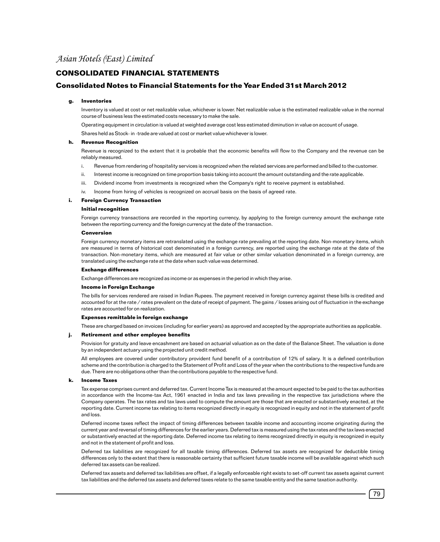# **CONSOLIDATED FINANCIAL STATEMENTS**

## **Consolidated Notes to Financial Statements for the Year Ended 31st March 2012**

### **g. Inventories**

Inventory is valued at cost or net realizable value, whichever is lower. Net realizable value is the estimated realizable value in the normal course of business less the estimated costs necessary to make the sale.

Operating equipment in circulation is valued at weighted average cost less estimated diminution in value on account of usage.

Shares held as Stock- in -trade are valued at cost or market value whichever is lower.

### **h. Revenue Recognition**

Revenue is recognized to the extent that it is probable that the economic benefits will flow to the Company and the revenue can be reliably measured.

- i. Revenue from rendering of hospitality services is recognized when the related services are performed and billed to the customer.
- ii. Interest income is recognized on time proportion basis taking into account the amount outstanding and the rate applicable.
- iii. Dividend income from investments is recognized when the Company's right to receive payment is established.
- iv. Income from hiring of vehicles is recognized on accrual basis on the basis of agreed rate.

### **i. Foreign Currency Transaction**

### **Initial recognition**

Foreign currency transactions are recorded in the reporting currency, by applying to the foreign currency amount the exchange rate between the reporting currency and the foreign currency at the date of the transaction.

#### **Conversion**

Foreign currency monetary items are retranslated using the exchange rate prevailing at the reporting date. Non-monetary items, which are measured in terms of historical cost denominated in a foreign currency, are reported using the exchange rate at the date of the transaction. Non-monetary items, which are measured at fair value or other similar valuation denominated in a foreign currency, are translated using the exchange rate at the date when such value was determined.

#### **Exchange differences**

Exchange differences are recognized as income or as expenses in the period in which they arise.

### **Income in Foreign Exchange**

The bills for services rendered are raised in Indian Rupees. The payment received in foreign currency against these bills is credited and accounted for at the rate / rates prevalent on the date of receipt of payment. The gains / losses arising out of fluctuation in the exchange rates are accounted for on realization.

#### **Expenses remittable in foreign exchange**

These are charged based on invoices (including for earlier years) as approved and accepted by the appropriate authorities as applicable.

### **j. Retirement and other employee benefits**

Provision for gratuity and leave encashment are based on actuarial valuation as on the date of the Balance Sheet. The valuation is done by an independent actuary using the projected unit credit method.

All employees are covered under contributory provident fund benefit of a contribution of 12% of salary. It is a defined contribution scheme and the contribution is charged to the Statement of Profit and Loss of the year when the contributions to the respective funds are due. There are no obligations other than the contributions payable to the respective fund.

### **k. Income Taxes**

Tax expense comprises current and deferred tax. Current Income Tax is measured at the amount expected to be paid to the tax authorities in accordance with the Income-tax Act, 1961 enacted in India and tax laws prevailing in the respective tax jurisdictions where the Company operates. The tax rates and tax laws used to compute the amount are those that are enacted or substantively enacted, at the reporting date. Current income tax relating to items recognized directly in equity is recognized in equity and not in the statement of profit and loss.

Deferred income taxes reflect the impact of timing differences between taxable income and accounting income originating during the current year and reversal of timing differences for the earlier years. Deferred tax is measured using the tax rates and the tax laws enacted or substantively enacted at the reporting date. Deferred income tax relating to items recognized directly in equity is recognized in equity and not in the statement of profit and loss.

Deferred tax liabilities are recognized for all taxable timing differences. Deferred tax assets are recognized for deductible timing differences only to the extent that there is reasonable certainty that sufficient future taxable income will be available against which such deferred tax assets can be realized.

Deferred tax assets and deferred tax liabilities are offset, if a legally enforceable right exists to set-off current tax assets against current tax liabilities and the deferred tax assets and deferred taxes relate to the same taxable entity and the same taxation authority.

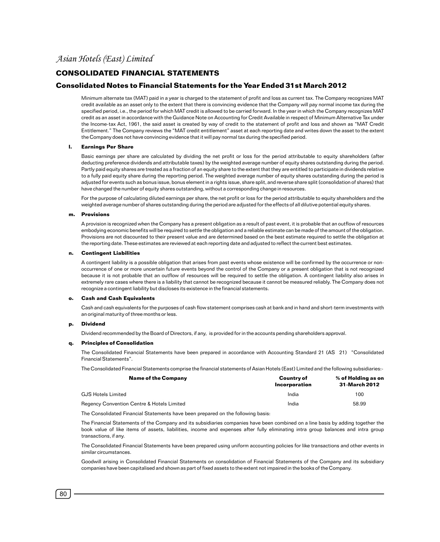# **CONSOLIDATED FINANCIAL STATEMENTS**

## **Consolidated Notes to Financial Statements for the Year Ended 31st March 2012**

Minimum alternate tax (MAT) paid in a year is charged to the statement of profit and loss as current tax. The Company recognizes MAT credit available as an asset only to the extent that there is convincing evidence that the Company will pay normal income tax during the specified period, i.e., the period for which MAT credit is allowed to be carried forward. In the year in which the Company recognizes MAT credit as an asset in accordance with the Guidance Note on Accounting for Credit Available in respect of Minimum Alternative Tax under the Income-tax Act, 1961, the said asset is created by way of credit to the statement of profit and loss and shown as "MAT Credit Entitlement." The Company reviews the "MAT credit entitlement" asset at each reporting date and writes down the asset to the extent the Company does not have convincing evidence that it will pay normal tax during the specified period.

### **l. Earnings Per Share**

Basic earnings per share are calculated by dividing the net profit or loss for the period attributable to equity shareholders (after deducting preference dividends and attributable taxes) by the weighted average number of equity shares outstanding during the period. Partly paid equity shares are treated as a fraction of an equity share to the extent that they are entitled to participate in dividends relative to a fully paid equity share during the reporting period. The weighted average number of equity shares outstanding during the period is adjusted for events such as bonus issue, bonus element in a rights issue, share split, and reverse share split (consolidation of shares) that have changed the number of equity shares outstanding, without a corresponding change in resources.

For the purpose of calculating diluted earnings per share, the net profit or loss for the period attributable to equity shareholders and the weighted average number of shares outstanding during the period are adjusted for the effects of all dilutive potential equity shares.

### **m. Provisions**

A provision is recognized when the Company has a present obligation as a result of past event, it is probable that an outflow of resources embodying economic benefits will be required to settle the obligation and a reliable estimate can be made of the amount of the obligation. Provisions are not discounted to their present value and are determined based on the best estimate required to settle the obligation at the reporting date. These estimates are reviewed at each reporting date and adjusted to reflect the current best estimates.

### **n. Contingent Liabilities**

A contingent liability is a possible obligation that arises from past events whose existence will be confirmed by the occurrence or nonoccurrence of one or more uncertain future events beyond the control of the Company or a present obligation that is not recognized because it is not probable that an outflow of resources will be required to settle the obligation. A contingent liability also arises in extremely rare cases where there is a liability that cannot be recognized because it cannot be measured reliably. The Company does not recognize a contingent liability but discloses its existence in the financial statements.

### **o. Cash and Cash Equivalents**

Cash and cash equivalents for the purposes of cash flow statement comprises cash at bank and in hand and short-term investments with an original maturity of three months or less.

### **p. Dividend**

Dividend recommended by the Board of Directors, if any, is provided for in the accounts pending shareholders approval.

### **q. Principles of Consolidation**

The Consolidated Financial Statements have been prepared in accordance with Accounting Standard 21 (AS 21) "Consolidated Financial Statements".

The Consolidated Financial Statements comprise the financial statements of Asian Hotels (East) Limited and the following subsidiaries:-

| <b>Name of the Company</b>                 | Country of<br>Incorporation | % of Holding as on<br>31-March 2012 |
|--------------------------------------------|-----------------------------|-------------------------------------|
| <b>GJS Hotels Limited</b>                  | India                       | 100                                 |
| Regency Convention Centre & Hotels Limited | India                       | 58.99                               |

The Consolidated Financial Statements have been prepared on the following basis:

The Financial Statements of the Company and its subsidiaries companies have been combined on a line basis by adding together the book value of like items of assets, liabilities, income and expenses after fully eliminating intra group balances and intra group transactions, if any.

The Consolidated Financial Statements have been prepared using uniform accounting policies for like transactions and other events in similar circumstances.

Goodwill arising in Consolidated Financial Statements on consolidation of Financial Statements of the Company and its subsidiary companies have been capitalised and shown as part of fixed assets to the extent not impaired in the books of the Company.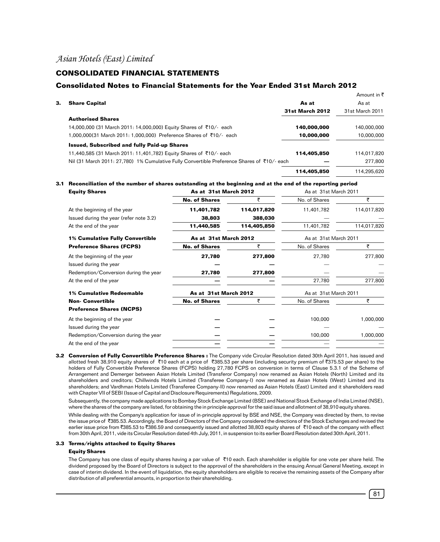# **CONSOLIDATED FINANCIAL STATEMENTS**

## **Consolidated Notes to Financial Statements for the Year Ended 31st March 2012**

|    |                                                                                             |                        | Amount in ₹     |
|----|---------------------------------------------------------------------------------------------|------------------------|-----------------|
| З. | <b>Share Capital</b>                                                                        | As at                  | As at           |
|    |                                                                                             | <b>31st March 2012</b> | 31st March 2011 |
|    | <b>Authorised Shares</b>                                                                    |                        |                 |
|    | 14,000,000 (31 March 2011: 14,000,000) Equity Shares of ₹10/- each                          | 140,000,000            | 140.000.000     |
|    | 1,000,000(31 March 2011: 1,000,000) Preference Shares of ₹10/- each                         | 10,000,000             | 10,000,000      |
|    | <b>Issued, Subscribed and fully Paid-up Shares</b>                                          |                        |                 |
|    | 11,440,585 (31 March 2011: 11,401,782) Equity Shares of ₹10/- each                          | 114,405,850            | 114,017,820     |
|    | Nil (31 March 2011: 27,780) 1% Cumulative Fully Convertible Preference Shares of ₹10/- each |                        | 277.800         |
|    |                                                                                             | 114.405.850            | 114.295.620     |
|    |                                                                                             |                        |                 |

## **3.1 Reconciliation of the number of shares outstanding at the beginning and at the end of the reporting period**

| <b>Equity Shares</b>                    | As at 31st March 2012 |             | As at 31st March 2011 |             |  |
|-----------------------------------------|-----------------------|-------------|-----------------------|-------------|--|
|                                         | <b>No. of Shares</b>  | ₹           | No. of Shares         | ₹           |  |
| At the beginning of the year            | 11,401,782            | 114,017,820 | 11,401,782            | 114,017,820 |  |
| Issued during the year (refer note 3.2) | 38,803                | 388,030     |                       |             |  |
| At the end of the year                  | 11,440,585            | 114,405,850 | 11,401,782            | 114,017,820 |  |
| <b>1% Cumulative Fully Convertible</b>  | As at 31st March 2012 |             | As at 31st March 2011 |             |  |
| <b>Preference Shares (FCPS)</b>         | <b>No. of Shares</b>  | ₹           | No. of Shares         | ₹           |  |
| At the beginning of the year            | 27,780                | 277,800     | 27,780                | 277,800     |  |
| Issued during the year                  |                       |             |                       |             |  |
| Redemption/Conversion during the year   | 27,780                | 277,800     |                       |             |  |
| At the end of the year                  |                       |             | 27,780                | 277,800     |  |
| <b>1% Cumulative Redeemable</b>         | As at 31st March 2012 |             | As at 31st March 2011 |             |  |
| <b>Non-Convertible</b>                  | <b>No. of Shares</b>  | ₹           | No. of Shares         | ₹           |  |
| <b>Preference Shares (NCPS)</b>         |                       |             |                       |             |  |
| At the beginning of the year            |                       |             | 100,000               | 1,000,000   |  |
| Issued during the year                  |                       |             |                       |             |  |
| Redemption/Conversion during the year   |                       |             | 100,000               | 1,000,000   |  |
| At the end of the year                  |                       |             |                       |             |  |

**3.2 Conversion of Fully Convertible Preference Shares :** The Company vide Circular Resolution dated 30th April 2011, has issued and allotted fresh 38,910 equity shares of ₹10 each at a price of ₹385.53 per share (including security premium of ₹375.53 per share) to the holders of Fully Convertible Preference Shares (FCPS) holding 27,780 FCPS on conversion in terms of Clause 5.3.1 of the Scheme of Arrangement and Demerger between Asian Hotels Limited (Transferor Company) now renamed as Asian Hotels (North) Limited and its shareholders and creditors; Chillwinds Hotels Limited (Transferee Company-I) now renamed as Asian Hotels (West) Limited and its shareholders; and Vardhman Hotels Limited (Transferee Company-II) now renamed as Asian Hotels (East) Limited and it shareholders read with Chapter VII of SEBI (Issue of Capital and Disclosure Requirements) Regulations, 2009.

Subsequently, the company made applications to Bombay Stock Exchange Limited (BSE) and National Stock Exchange of India Limited (NSE), where the shares of the company are listed, for obtaining the in principle approval for the said issue and allotment of 38,910 equity shares.

While dealing with the Company's application for issue of in-principle approval by BSE and NSE, the Company was directed by them, to revise the issue price of ₹385.53. Accordingly, the Board of Directors of the Company considered the directions of the Stock Exchanges and revised the earlier issue price from ₹385.53 to ₹386.59 and consequently issued and allotted 38,803 equity shares of ₹10 each of the company with effect from 30th April, 2011, vide its Circular Resolution dated 4th July, 2011, in suspension to its earlier Board Resolution dated 30th April, 2011.

### **3.3 Terms/rights attached to Equity Shares**

## **Equity Shares**

The Company has one class of equity shares having a par value of  $\bar{\tau}$ 10 each. Each shareholder is eligible for one vote per share held. The dividend proposed by the Board of Directors is subject to the approval of the shareholders in the ensuing Annual General Meeting, except in case of interim dividend. In the event of liquidation, the equity shareholders are eligible to receive the remaining assets of the Company after distribution of all preferential amounts, in proportion to their shareholding.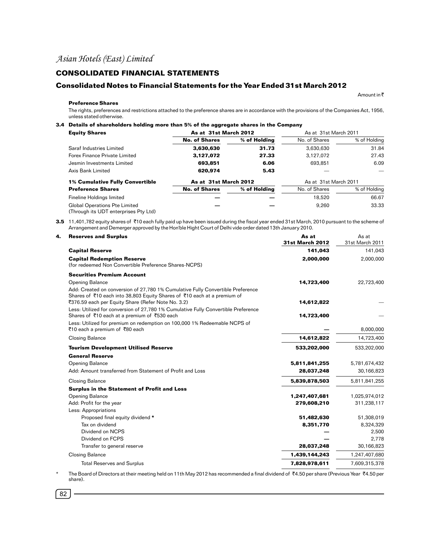# **CONSOLIDATED FINANCIAL STATEMENTS**

# **Consolidated Notes to Financial Statements for the Year Ended 31st March 2012**

**Preference Shares**

The rights, preferences and restrictions attached to the preference shares are in accordance with the provisions of the Companies Act, 1956, unless stated otherwise.

Amount in  $\bar{\tau}$ 

## **3.4 Details of shareholders holding more than 5% of the aggregate shares in the Company**

| <b>Equity Shares</b>                                                          | As at 31st March 2012 |              | As at 31st March 2011 |              |
|-------------------------------------------------------------------------------|-----------------------|--------------|-----------------------|--------------|
|                                                                               | <b>No. of Shares</b>  | % of Holding | No. of Shares         | % of Holding |
| Saraf Industries Limited                                                      | 3,630,630             | 31.73        | 3,630,630             | 31.84        |
| Forex Finance Private Limited                                                 | 3.127.072             | 27.33        | 3.127.072             | 27.43        |
| Jesmin Investments Limited                                                    | 693.851               | 6.06         | 693.851               | 6.09         |
| Axis Bank Limited                                                             | 620.974               | 5.43         |                       |              |
| <b>1% Cumulative Fully Convertible</b>                                        | As at 31st March 2012 |              | As at 31st March 2011 |              |
| <b>Preference Shares</b>                                                      | <b>No. of Shares</b>  | % of Holding | No. of Shares         | % of Holding |
| Fineline Holdings limited                                                     |                       |              | 18,520                | 66.67        |
| <b>Global Operations Pte Limited</b><br>(Through its UDT enterprises Pty Ltd) |                       |              | 9,260                 | 33.33        |

**3.5** 11,401,782 equity shares of ₹10 each fully paid up have been issued during the fiscal year ended 31st March, 2010 pursuant to the scheme of Arrangement and Demerger approved by the Hon'ble Hight Court of Delhi vide order dated 13th January 2010.

| 4. | <b>Reserves and Surplus</b>                                                                                                                                                                                       | As at<br><b>31st March 2012</b> | As at<br>31st March 2011 |
|----|-------------------------------------------------------------------------------------------------------------------------------------------------------------------------------------------------------------------|---------------------------------|--------------------------|
|    | <b>Capital Reserve</b>                                                                                                                                                                                            | 141.043                         | 141,043                  |
|    | <b>Capital Redemption Reserve</b><br>(for redeemed Non Convertible Preference Shares-NCPS)                                                                                                                        | 2,000,000                       | 2,000,000                |
|    | <b>Securities Premium Account</b>                                                                                                                                                                                 |                                 |                          |
|    | <b>Opening Balance</b>                                                                                                                                                                                            | 14,723,400                      | 22,723,400               |
|    | Add: Created on conversion of 27,780 1% Cumulative Fully Convertible Preference<br>Shares of ₹10 each into 38,803 Equity Shares of ₹10 each at a premium of<br>₹376.59 each per Equity Share (Refer Note No. 3.2) | 14,612,822                      |                          |
|    | Less: Utilized for conversion of 27,780 1% Cumulative Fully Convertible Preference                                                                                                                                |                                 |                          |
|    | Shares of ₹10 each at a premium of ₹530 each                                                                                                                                                                      | 14,723,400                      |                          |
|    | Less: Utilized for premium on redemption on 100,000 1% Redeemable NCPS of                                                                                                                                         |                                 |                          |
|    | ₹10 each a premium of ₹80 each                                                                                                                                                                                    |                                 | 8,000,000                |
|    | <b>Closing Balance</b>                                                                                                                                                                                            | 14,612,822                      | 14,723,400               |
|    | <b>Tourism Development Utilised Reserve</b>                                                                                                                                                                       | 533,202,000                     | 533,202,000              |
|    | <b>General Reserve</b>                                                                                                                                                                                            |                                 |                          |
|    | <b>Opening Balance</b>                                                                                                                                                                                            | 5,811,841,255                   | 5,781,674,432            |
|    | Add: Amount transferred from Statement of Profit and Loss                                                                                                                                                         | 28,037,248                      | 30,166,823               |
|    | <b>Closing Balance</b>                                                                                                                                                                                            | 5,839,878,503                   | 5,811,841,255            |
|    | <b>Surplus in the Statement of Profit and Loss</b>                                                                                                                                                                |                                 |                          |
|    | <b>Opening Balance</b>                                                                                                                                                                                            | 1,247,407,681                   | 1,025,974,012            |
|    | Add: Profit for the year                                                                                                                                                                                          | 279,608,210                     | 311,238,117              |
|    | Less: Appropriations                                                                                                                                                                                              |                                 |                          |
|    | Proposed final equity dividend *                                                                                                                                                                                  | 51,482,630                      | 51,308,019               |
|    | Tax on dividend                                                                                                                                                                                                   | 8,351,770                       | 8,324,329                |
|    | Dividend on NCPS                                                                                                                                                                                                  |                                 | 2,500                    |
|    | Dividend on FCPS                                                                                                                                                                                                  |                                 | 2.778                    |
|    | Transfer to general reserve                                                                                                                                                                                       | 28,037,248                      | 30,166,823               |
|    | <b>Closing Balance</b>                                                                                                                                                                                            | 1,439,144,243                   | 1,247,407,680            |
|    | <b>Total Reserves and Surplus</b>                                                                                                                                                                                 | 7,828,978,611                   | 7,609,315,378            |

The Board of Directors at their meeting held on 11th May 2012 has recommended a final dividend of  $\bar{e}$ 4.50 per share (Previous Year  $\bar{e}$ 4.50 per share).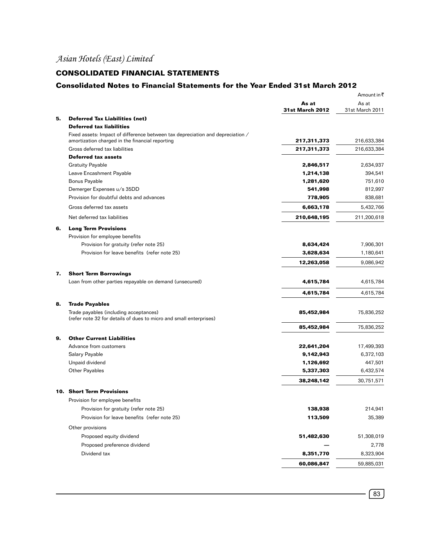# **CONSOLIDATED FINANCIAL STATEMENTS**

# **Consolidated Notes to Financial Statements for the Year Ended 31st March 2012**

|    |                                                                                                                                   |                                 | Amount in ₹              |
|----|-----------------------------------------------------------------------------------------------------------------------------------|---------------------------------|--------------------------|
|    |                                                                                                                                   | As at<br><b>31st March 2012</b> | As at<br>31st March 2011 |
| 5. | <b>Deferred Tax Liabilities (net)</b>                                                                                             |                                 |                          |
|    | <b>Deferred tax liabilities</b>                                                                                                   |                                 |                          |
|    | Fixed assets: Impact of difference between tax depreciation and depreciation /<br>amortization charged in the financial reporting | 217,311,373                     | 216,633,384              |
|    | Gross deferred tax liabilities                                                                                                    | 217,311,373                     | 216,633,384              |
|    | <b>Deferred tax assets</b>                                                                                                        |                                 |                          |
|    | <b>Gratuity Payable</b>                                                                                                           | 2,846,517                       | 2,634,937                |
|    | Leave Encashment Payable                                                                                                          | 1,214,138                       | 394,541                  |
|    | Bonus Payable                                                                                                                     | 1,281,620                       | 751,610                  |
|    | Demerger Expenses u/s 35DD                                                                                                        | 541,998                         | 812,997                  |
|    | Provision for doubtful debts and advances                                                                                         | 778,905                         | 838,681                  |
|    | Gross deferred tax assets                                                                                                         | 6,663,178                       | 5,432,766                |
|    | Net deferred tax liabilities                                                                                                      | 210,648,195                     | 211,200,618              |
| 6. | <b>Long Term Provisions</b>                                                                                                       |                                 |                          |
|    | Provision for employee benefits                                                                                                   |                                 |                          |
|    | Provision for gratuity (refer note 25)                                                                                            | 8,634,424                       | 7,906,301                |
|    | Provision for leave benefits (refer note 25)                                                                                      | 3,628,634                       | 1,180,641                |
|    |                                                                                                                                   | 12,263,058                      | 9,086,942                |
| 7. | <b>Short Term Borrowings</b>                                                                                                      |                                 |                          |
|    | Loan from other parties repayable on demand (unsecured)                                                                           | 4,615,784                       | 4,615,784                |
|    |                                                                                                                                   | 4,615,784                       | 4,615,784                |
| 8. | <b>Trade Payables</b>                                                                                                             |                                 |                          |
|    | Trade payables (including acceptances)<br>(refer note 32 for details of dues to micro and small enterprises)                      | 85,452,984                      | 75,836,252               |
|    |                                                                                                                                   | 85,452,984                      | 75,836,252               |
| 9. | <b>Other Current Liabilities</b>                                                                                                  |                                 |                          |
|    | Advance from customers                                                                                                            | 22,641,204                      | 17,499,393               |
|    | Salary Payable                                                                                                                    | 9,142,943                       | 6,372,103                |
|    | Unpaid dividend                                                                                                                   | 1,126,692                       | 447,501                  |
|    | <b>Other Payables</b>                                                                                                             | 5,337,303                       | 6,432,574                |
|    |                                                                                                                                   | 38,248,142                      | 30,751,571               |
|    | 10. Short Term Provisions                                                                                                         |                                 |                          |
|    | Provision for employee benefits                                                                                                   |                                 |                          |
|    | Provision for gratuity (refer note 25)                                                                                            | 138,938                         | 214,941                  |
|    | Provision for leave benefits (refer note 25)                                                                                      | 113,509                         | 35,389                   |
|    | Other provisions                                                                                                                  |                                 |                          |
|    | Proposed equity dividend                                                                                                          | 51,482,630                      | 51,308,019               |
|    | Proposed preference dividend                                                                                                      |                                 | 2,778                    |
|    | Dividend tax                                                                                                                      | 8,351,770                       | 8,323,904                |
|    |                                                                                                                                   | 60,086,847                      | 59,885,031               |
|    |                                                                                                                                   |                                 |                          |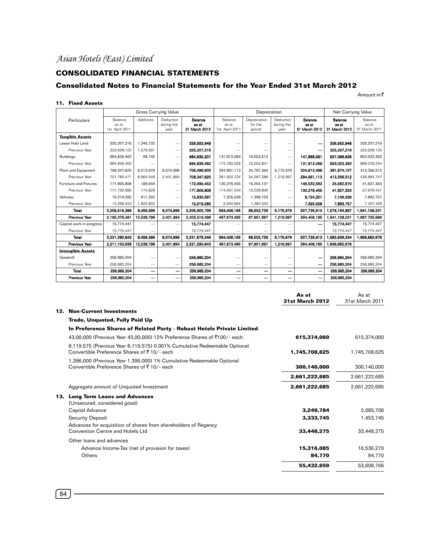# **CONSOLIDATED FINANCIAL STATEMENTS**

# **Consolidated Notes to Financial Statements for the Year Ended 31st March 2012**

Amount in  $\bar{\tau}$ 

## **11. Fixed Assets**

|                               | Gross Carrying Value<br>Depreciation |                          |                                 |                                   |                                    | Net Carrying Value                |                                 |                                   |                                   |                                   |
|-------------------------------|--------------------------------------|--------------------------|---------------------------------|-----------------------------------|------------------------------------|-----------------------------------|---------------------------------|-----------------------------------|-----------------------------------|-----------------------------------|
| Particulars                   | Balance<br>as at<br>1st April 2011   | Additions                | Deduction<br>during the<br>year | Balance<br>as at<br>31 March 2012 | Balance<br>as at<br>1st April 2011 | Depreciation<br>for the<br>period | Deduction<br>during the<br>year | Balance<br>as at<br>31 March 2012 | Balance<br>as at<br>31 March 2012 | Balance<br>as at<br>31 March 2011 |
| <b>Tangible Assets</b>        |                                      |                          |                                 |                                   |                                    |                                   |                                 |                                   |                                   |                                   |
| Lease Hold Land               | 325.207.216                          | 1,345,732                | $\overline{\phantom{0}}$        | 326,552,948                       |                                    |                                   |                                 |                                   | 326,552,948                       | 325, 207, 216                     |
| Previous Year                 | 323.628.125                          | 1.579.091                | -                               | 325,207,216                       |                                    |                                   |                                 |                                   | 325,207,216                       | 323.628.125                       |
| <b>Buildings</b>              | 984.836.462                          | 98.745                   | $\overline{\phantom{0}}$        | 984.935.207                       | 131,813,069                        | 16.053.512                        | $\overline{\phantom{0}}$        | 147.866.581                       | 837,068,626                       | 853,023,393                       |
| Previous Year                 | 984,836,462                          |                          |                                 | 984.836.462                       | 115,760,228                        | 16,052,841                        |                                 | 131.813.069                       | 853.023.393                       | 869,076,234                       |
| Plant and Equipment           | 708.347.625                          | 6.213.976                | 8.074.996                       | 706,486,605                       | 294.991.113                        | 34.797.364                        | 5.175.979                       | 324,612,498                       | 381,874,107                       | 413,356,512                       |
| Previous Year                 | 701.785.471                          | 8.964.048                | 2.401.894                       | 708.347.625                       | 261.920.724                        | 34.287.386                        | 1.216.997                       | 294.991.113                       | 413.356.512                       | 439.864.747                       |
| <b>Furniture and Fixtures</b> | 171.905.808                          | 189.644                  |                                 | 172.095.452                       | 130.278.455                        | 16.254.127                        | $\overline{\phantom{0}}$        | 146,532.582                       | 25.562.870                        | 41.627.353                        |
| Previous Year                 | 171.730.980                          | 174.828                  | $\overline{\phantom{0}}$        | 171.905.808                       | 114.051.549                        | 16.226.906                        | $\overline{\phantom{0}}$        | 130.278.455                       | 41,627,353                        | 57.679.431                        |
| Vehicles                      | 15,219,285                           | 611,302                  | $\overline{\phantom{0}}$        | 15,830,587                        | 7,325,528                          | 1,398,723                         | $\overline{\phantom{0}}$        | 8,724,251                         | 7,106,336                         | 7,893,757                         |
| Previous Year                 | 13,398,453                           | 1.820.832                |                                 | 15.219,285                        | 5.940.994                          | 1,384,534                         |                                 | 7,325,528                         | 7,893.757                         | 7,457,459                         |
| Total                         | 2.205,516.396                        | 8.459.399                | 8.074.996                       | 2,205,900,799                     | 564,408,165                        | 68,503,726                        | 5,175,979                       | 627,735,912                       | 1,578,164,887                     | 1,641,108,231                     |
| Previous Year                 | 2.195.379.491                        | 12 538 799               | 2.401.894                       | 2,205,516,396                     | 497.673.495                        | 67.951.667                        | 1.216,997                       | 564,408,165                       | 1,641,108,231                     | 1,697,705,996                     |
| Capital work-in-progress      | 15,774,447                           |                          |                                 | 15,774,447                        |                                    |                                   |                                 |                                   | 15,774,447                        | 15,774,447                        |
| Previous Year                 | 15,774,447                           |                          | $\overline{\phantom{0}}$        | 15,774,447                        |                                    |                                   |                                 |                                   | 15,774,447                        | 15,774,447                        |
| Total                         | 2.221.290.843                        | 8,459,399                | 8,074,996                       | 2,221,675,246                     | 564,408,165                        | 68,503,726                        | 5.175,979                       | 627,735,912                       | 1.593.939.334                     | 1,656,882,678                     |
| Previous Year                 | 2,211.153,938                        | 12,538,799               | 2,401,894                       | 2,221.290,843                     | 497,673,495                        | 67.951.667                        | 1.216.997                       | 564,408,165                       | 1,656,882,678                     |                                   |
| <b>Intangible Assets</b>      |                                      |                          |                                 |                                   |                                    |                                   |                                 |                                   |                                   |                                   |
| Goodwill                      | 256,985,204                          |                          |                                 | 256,985,204                       |                                    |                                   |                                 |                                   | 256,985,204                       | 256,985,204                       |
| Previous Year                 | 256.985.204                          | $\hspace{0.05cm}$        |                                 | 256.985.204                       |                                    | $\overline{\phantom{a}}$          |                                 |                                   | 256,985,204                       | 256,985,204                       |
| Total                         | 256,985.204                          | $\overline{\phantom{0}}$ | -                               | 256,985,204                       | —<br>——                            |                                   | <u>—</u>                        | <u>—</u>                          | 256,985,204                       | 256,985.204                       |
| Previous Year                 | 256,985.204                          | $\overline{\phantom{0}}$ | -                               | 256,985,204                       | –                                  |                                   | -                               |                                   | 256,985,204                       |                                   |

|     |                                                                                                                          | As at<br><b>31st March 2012</b> | As at<br>31st March 2011 |
|-----|--------------------------------------------------------------------------------------------------------------------------|---------------------------------|--------------------------|
| 12. | <b>Non-Current Investments</b>                                                                                           |                                 |                          |
|     | <b>Trade, Unquoted, Fully Paid Up</b>                                                                                    |                                 |                          |
|     | In Preference Shares of Related Party - Robust Hotels Private Limited                                                    |                                 |                          |
|     | 43,00,000 (Previous Year 43,00,000) 12% Preference Shares of $\bar{\tau}$ 100/- each                                     | 615,374,060                     | 615,374,060              |
|     | 8,119,575 (Previous Year 8,119,575) 0.001% Cumulative Redeemable Optional<br>Convertible Preference Shares of ₹10/- each | 1,745,708,625                   | 1,745,708,625            |
|     | 1,396,000 (Previous Year 1,396,000) 1% Cumulative Redeemable Optional<br>Convertible Preference Shares of ₹10/- each     | 300,140,000                     | 300,140,000              |
|     |                                                                                                                          | 2,661,222,685                   | 2,661,222,685            |
|     | Aggregate amount of Unquoted Investment                                                                                  | 2,661,222,685                   | 2,661,222,685            |
|     | 13. Long Term Loans and Advances<br>(Unsecured, considered good)                                                         |                                 |                          |
|     | Capital Advance                                                                                                          | 3.249.784                       | 2,085,706                |
|     | <b>Security Deposit</b>                                                                                                  | 3,333,745                       | 1.453.745                |
|     | Advances for acquisition of shares from shareholders of Regency<br>Convention Centre and Hotels Ltd                      | 33,448,275                      | 33,448,275               |
|     | Other loans and advances                                                                                                 |                                 |                          |
|     | Advance Income-Tax (net of provision for taxes)                                                                          | 15,316,085                      | 16,536,270               |
|     | Others                                                                                                                   | 84,770                          | 84,770                   |
|     |                                                                                                                          | 55,432,659                      | 53,608,766               |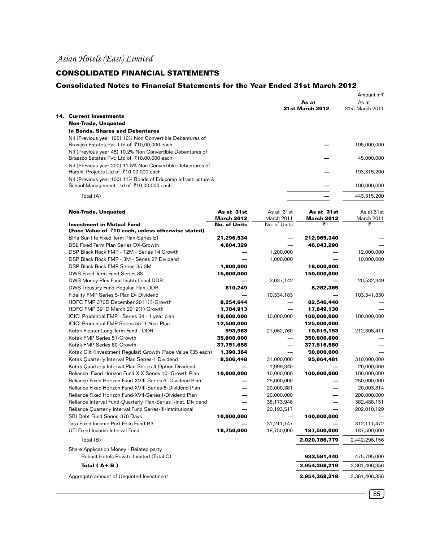# **CONSOLIDATED FINANCIAL STATEMENTS**

# **Consolidated Notes to Financial Statements for the Year Ended 31st March 2012**

|                                                                                                                     |                                 |                          | As at<br><b>31st March 2012</b> | Amount in ₹<br>As at<br>31st March 2011 |
|---------------------------------------------------------------------------------------------------------------------|---------------------------------|--------------------------|---------------------------------|-----------------------------------------|
| <b>14. Current Investments</b>                                                                                      |                                 |                          |                                 |                                         |
| <b>Non-Trade, Unquoted</b>                                                                                          |                                 |                          |                                 |                                         |
| <b>In Bonds, Shares and Debentures</b>                                                                              |                                 |                          |                                 |                                         |
| Nil (Previous year 105) 10% Non Convertible Debentures of<br>Brassco Estates Pvt. Ltd of ₹10,00,000 each            |                                 |                          |                                 | 105,000,000                             |
| Nil (Previous year 45) 10.2% Non Convertible Debentures of<br>Brassco Estates Pvt. Ltd of ₹10,00,000 each           |                                 |                          |                                 | 45,000,000                              |
| Nil (Previous year 200) 11.5% Non Convertible Debentures of<br>Harshil Projects Ltd of ₹10,00,000 each              |                                 |                          |                                 | 193,315,200                             |
| Nil (Previous year 100) 11% Bonds of Educomp Infrastructure &<br>School Management Ltd of ₹10,00,000 each           |                                 |                          |                                 | 100,000,000                             |
| Total (A)                                                                                                           |                                 |                          |                                 | 443,315,200                             |
| <b>Non-Trade, Unquoted</b>                                                                                          | As at 31st<br><b>March 2012</b> | As at 31st<br>March 2011 | As at 31st<br><b>March 2012</b> | As at 31st<br>March 2011                |
| <b>Investment in Mutual Fund</b>                                                                                    | <b>No. of Units</b>             | No. of Units             | ₹                               | ₹                                       |
| (Face Value of ₹10 each, unless otherwise stated)                                                                   |                                 |                          |                                 |                                         |
| Birla Sun life Fixed Term Plan-Series ET                                                                            | 21,296,534                      |                          | 212,965,340                     |                                         |
| <b>BSL Fixed Term Plan Series DX-Growth</b>                                                                         | 4,604,329                       |                          | 46,043,290                      |                                         |
| DSP Black Rock FMP - 12M - Series 14 Growth                                                                         |                                 | 1,200,000                |                                 | 12,000,000                              |
| DSP Black Rock FMP - 3M - Series 27 Dividend                                                                        |                                 | 1,000,000                |                                 | 10,000,000                              |
| DSP Black Rock FMP Series-35-3M                                                                                     | 1,800,000                       |                          | 18,000,000                      |                                         |
| DWS Fixed Term Fund-Series 88                                                                                       | 15,000,000                      |                          | 150,000,000                     |                                         |
| DWS Money Plus Fund Institutional DDR                                                                               |                                 | 2,037,142                |                                 | 20,532,349                              |
| DWS Treasury Fund-Regular Plan-DDR                                                                                  | 810,249                         |                          | 8,282,365                       |                                         |
| Fidelity FMP Series 5-Plan D- Dividend                                                                              |                                 | 10,334,183               |                                 | 103,341,830                             |
| HDFC FMP 370D December 2011(I)-Growth                                                                               | 8,254,644                       |                          | 82,546,440                      |                                         |
| HDFC FMP 391D March 2012(1) Growth                                                                                  | 1,784,913                       |                          | 17,849,130                      |                                         |
| ICICI Prudential FMP - Series 54 - 1 year plan                                                                      | 10,000,000                      | 10,000,000               | 100,000,000                     | 100,000,000                             |
| <b>ICICI Prudential FMP Series 55 -1 Year Plan</b>                                                                  | 12,500,000                      |                          | 125,000,000                     |                                         |
| Kotak Floater Long Term Fund - DDR                                                                                  | 993,983                         | 21,062,760               | 10,019,153                      | 212,308,411                             |
| Kotak FMP Series 51-Growth                                                                                          | 35,000,000                      |                          | 350,000,000                     |                                         |
| Kotak FMP Series 80-Growth                                                                                          | 37,751,658                      |                          | 377,516,580                     |                                         |
| Kotak Gilt (Investment Regular) Growth (Face Value ₹35 each)                                                        | 1,390,364                       |                          | 50,000,000                      |                                         |
| Kotak Quarterly Interval Plan Series-1 Dividend                                                                     | 8,506,448                       | 31,000,000               | 85,064,481                      | 310,000,000                             |
| Kotak Quarterly Interval Plan-Series 4-Option Dividend                                                              |                                 | 1,999,340                |                                 | 20,000,000                              |
| Reliance Fixed Horizon Fund-XIX-Series 10- Growth Plan<br>Reliance Fixed Horizon Fund-XVIII-Series 6 -Dividend Plan | 10,000,000                      | 10,000,000<br>25,000,000 | 100,000,000                     | 100,000,000<br>250,000,000              |
| Reliance Fixed Horizon Fund-XVIII-Series-5-Dividend Plan                                                            |                                 |                          |                                 | 20,003,814                              |
| Reliance Fixed Horizon Fund-XVII-Series I-Dividend Plan                                                             |                                 | 20,000,381<br>20,000,000 |                                 | 200,000,000                             |
| Reliance Interval Fund-Quarterly Plan-Series I-Inst. Dividend                                                       |                                 | 38,173,946               |                                 | 382,488,151                             |
| Reliance Quarterly Interval Fund Series-III-Institutional                                                           |                                 | 20,193,517               |                                 | 202,010,129                             |
| SBI Debt Fund Series-370 Days                                                                                       | 10,000,000                      |                          | 100,000,000                     |                                         |
| Tata Fixed Income Port Folio Fund-B3                                                                                |                                 | 31,211,147               |                                 | 312,111,472                             |
| UTI Fixed Income Interval Fund                                                                                      | 18,750,000                      | 18,750,000               | 187,500,000                     | 187,500,000                             |
| Total (B)                                                                                                           |                                 |                          | 2,020,786,779                   | 2,442,296,156                           |
| Share Application Money - Related party                                                                             |                                 |                          |                                 |                                         |
| Robust Hotels Private Limited (Total C)                                                                             |                                 |                          | 933,581,440                     | 475,795,000                             |
| Total $(A + B)$                                                                                                     |                                 |                          | 2,954,368,219                   | 3,361,406,356                           |
| Aggregate amount of Unquoted Investment                                                                             |                                 |                          | 2,954,368,219                   | 3,361,406,356                           |
|                                                                                                                     |                                 |                          |                                 |                                         |

 $\boxed{85}$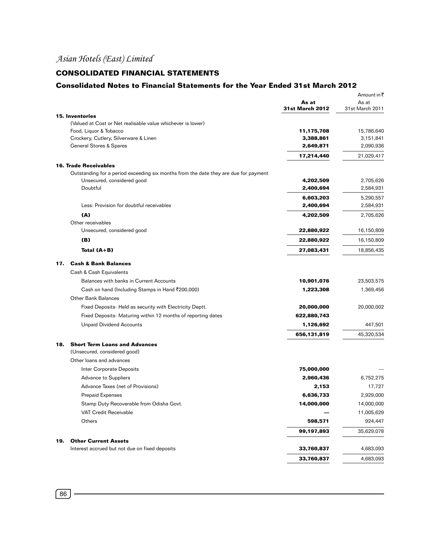# **CONSOLIDATED FINANCIAL STATEMENTS**

# **Consolidated Notes to Financial Statements for the Year Ended 31st March 2012**

|                                                                                      | As at<br><b>31st March 2012</b> | Amount in ₹<br>As at<br>31st March 2011 |
|--------------------------------------------------------------------------------------|---------------------------------|-----------------------------------------|
| <b>15. Inventories</b>                                                               |                                 |                                         |
| (Valued at Cost or Net realisable value whichever is lower)                          |                                 |                                         |
| Food, Liquor & Tobacco                                                               | 11,175,708                      | 15,786,640                              |
| Crockery, Cutlery, Silverware & Linen                                                | 3,388,861                       | 3,151,841                               |
| <b>General Stores &amp; Spares</b>                                                   | 2,649,871<br>17,214,440         | 2,090,936<br>21,029,417                 |
| <b>16. Trade Receivables</b>                                                         |                                 |                                         |
| Outstanding for a period exceeding six months from the date they are due for payment |                                 |                                         |
| Unsecured, considered good                                                           | 4,202,509                       | 2,705,626                               |
| Doubtful                                                                             | 2,400,694                       | 2,584,931                               |
|                                                                                      | 6,603,203                       | 5,290,557                               |
| Less: Provision for doubtful receivables                                             | 2,400,694                       | 2,584,931                               |
| (A)                                                                                  | 4,202,509                       | 2,705,626                               |
| Other receivables<br>Unsecured, considered good                                      | 22,880,922                      | 16,150,809                              |
| (B)                                                                                  | 22,880,922                      | 16,150,809                              |
| Total $(A+B)$                                                                        | 27,083,431                      | 18,856,435                              |
| <b>Cash &amp; Bank Balances</b><br>17.                                               |                                 |                                         |
| Cash & Cash Equivalents                                                              |                                 |                                         |
| Balances with banks in Current Accounts                                              | 10,901,076                      | 23,503,575                              |
| Cash on hand (Including Stamps in Hand ₹200,000)                                     | 1,223,308                       | 1,369,456                               |
| <b>Other Bank Balances</b>                                                           |                                 |                                         |
| Fixed Deposits- Held as security with Electricity Deptt.                             | 20,000,000                      | 20,000,002                              |
| Fixed Deposits- Maturing within 12 months of reporting dates                         | 622,880,743                     |                                         |
| <b>Unpaid Dividend Accounts</b>                                                      | 1,126,692                       | 447,501                                 |
|                                                                                      | 656,131,819                     | 45,320,534                              |
| <b>Short Term Loans and Advances</b><br>18.<br>(Unsecured, considered good)          |                                 |                                         |
| Other loans and advances                                                             |                                 |                                         |
| Inter Corporate Deposits                                                             | 75,000,000                      |                                         |
| <b>Advance to Suppliers</b>                                                          | 2,960,436                       | 6,752,275                               |
| Advance Taxes (net of Provisions)                                                    | 2,153                           | 17,727                                  |
| <b>Prepaid Expenses</b>                                                              | 6,636,733                       | 2,929,000                               |
| Stamp Duty Recoverable from Odisha Govt.                                             | 14,000,000                      | 14,000,000                              |
| <b>VAT Credit Receivable</b>                                                         |                                 | 11,005,629                              |
| Others                                                                               | 598,571                         | 924,447                                 |
|                                                                                      | 99,197,893                      | 35,629,078                              |
| <b>Other Current Assets</b><br>19.<br>Interest accrued but not due on fixed deposits | 33,760,837                      | 4,683,093                               |
|                                                                                      | 33,760,837                      | 4,683,093                               |

 $\boxed{86}$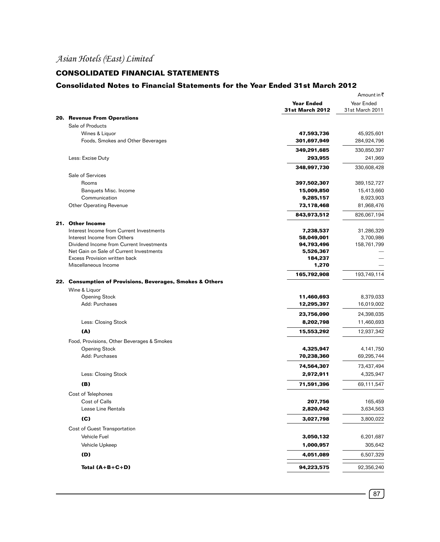# **CONSOLIDATED FINANCIAL STATEMENTS**

# **Consolidated Notes to Financial Statements for the Year Ended 31st March 2012**

|  |                                                           |                                             | Amount in ₹                   |
|--|-----------------------------------------------------------|---------------------------------------------|-------------------------------|
|  |                                                           | <b>Year Ended</b><br><b>31st March 2012</b> | Year Ended<br>31st March 2011 |
|  | 20. Revenue From Operations                               |                                             |                               |
|  | Sale of Products                                          |                                             |                               |
|  | Wines & Liquor                                            | 47,593,736                                  | 45,925,601                    |
|  | Foods, Smokes and Other Beverages                         | 301,697,949                                 | 284,924,796                   |
|  |                                                           | 349,291,685                                 | 330,850,397                   |
|  | Less: Excise Duty                                         | 293,955                                     | 241,969                       |
|  |                                                           | 348,997,730                                 | 330,608,428                   |
|  | Sale of Services                                          |                                             |                               |
|  | Rooms                                                     | 397,502,307                                 | 389,152,727                   |
|  | Banquets Misc. Income                                     | 15,009,850                                  | 15,413,660                    |
|  | Communication                                             | 9,285,157                                   | 8,923,903                     |
|  | <b>Other Operating Revenue</b>                            | 73,178,468                                  | 81,968,476                    |
|  |                                                           | 843,973,512                                 | 826,067,194                   |
|  | 21. Other Income                                          |                                             |                               |
|  | Interest Income from Current Investments                  | 7,238,537                                   | 31,286,329                    |
|  | Interest Income from Others                               | 58,049,001                                  | 3,700,986                     |
|  | Dividend Income from Current Investments                  | 94,793,496                                  | 158,761,799                   |
|  | Net Gain on Sale of Current Investments                   | 5,526,367                                   |                               |
|  | Excess Provision written back<br>Miscellaneous Income     | 184,237<br>1,270                            |                               |
|  |                                                           |                                             |                               |
|  | 22. Consumption of Provisions, Beverages, Smokes & Others | 165,792,908                                 | 193,749,114                   |
|  | Wine & Liquor                                             |                                             |                               |
|  | <b>Opening Stock</b>                                      | 11,460,693                                  | 8,379,033                     |
|  | Add: Purchases                                            | 12,295,397                                  | 16,019,002                    |
|  |                                                           | 23,756,090                                  | 24,398,035                    |
|  | Less: Closing Stock                                       | 8,202,798                                   | 11,460,693                    |
|  |                                                           |                                             |                               |
|  | (A)                                                       | 15,553,292                                  | 12,937,342                    |
|  | Food, Provisions, Other Beverages & Smokes                |                                             |                               |
|  | <b>Opening Stock</b>                                      | 4,325,947                                   | 4,141,750                     |
|  | Add: Purchases                                            | 70,238,360                                  | 69,295,744                    |
|  |                                                           | 74,564,307                                  | 73,437,494                    |
|  | Less: Closing Stock                                       | 2,972,911                                   | 4,325,947                     |
|  | (B)                                                       | 71,591,396                                  | 69,111,547                    |
|  | Cost of Telephones                                        |                                             |                               |
|  | Cost of Calls                                             | 207,756                                     | 165,459                       |
|  | Lease Line Rentals                                        | 2,820,042                                   | 3,634,563                     |
|  | (C)                                                       | 3,027,798                                   | 3,800,022                     |
|  | Cost of Guest Transportation                              |                                             |                               |
|  | Vehicle Fuel                                              | 3,050,132                                   | 6,201,687                     |
|  | Vehicle Upkeep                                            | 1,000,957                                   | 305,642                       |
|  | (D)                                                       | 4,051,089                                   | 6,507,329                     |
|  | Total $(A+B+C+D)$                                         | 94,223,575                                  | 92,356,240                    |
|  |                                                           |                                             |                               |

 $\boxed{87}$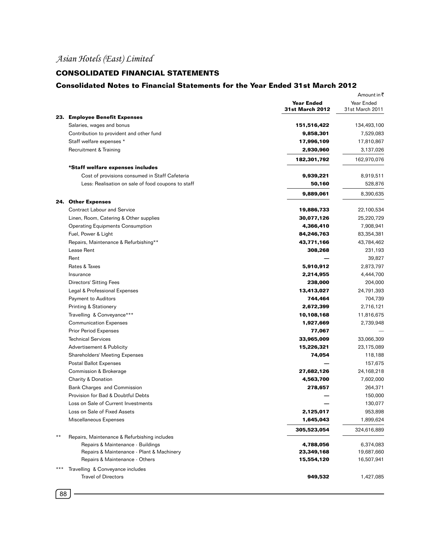# **CONSOLIDATED FINANCIAL STATEMENTS**

# **Consolidated Notes to Financial Statements for the Year Ended 31st March 2012**

|       |                                                    |                        | Amount in ₹     |
|-------|----------------------------------------------------|------------------------|-----------------|
|       |                                                    | <b>Year Ended</b>      | Year Ended      |
|       |                                                    | <b>31st March 2012</b> | 31st March 2011 |
|       | 23. Employee Benefit Expenses                      |                        |                 |
|       | Salaries, wages and bonus                          | 151,516,422            | 134,493,100     |
|       | Contribution to provident and other fund           | 9,858,301              | 7,529,083       |
|       | Staff welfare expenses *                           | 17,996,109             | 17,810,867      |
|       | Recruitment & Training                             | 2,930,960              | 3,137,026       |
|       |                                                    | 182,301,792            | 162,970,076     |
|       | *Staff welfare expenses includes                   |                        |                 |
|       | Cost of provisions consumed in Staff Cafeteria     | 9,939,221              | 8,919,511       |
|       | Less: Realisation on sale of food coupons to staff | 50,160                 | 528,876         |
|       |                                                    | 9,889,061              | 8,390,635       |
|       | 24. Other Expenses                                 |                        |                 |
|       | <b>Contract Labour and Service</b>                 | 19,886,733             | 22,100,534      |
|       | Linen, Room, Catering & Other supplies             | 30,077,126             | 25,220,729      |
|       | <b>Operating Equipments Consumption</b>            | 4,366,410              | 7,908,941       |
|       | Fuel, Power & Light                                | 84,246,763             | 83,354,381      |
|       | Repairs, Maintenance & Refurbishing**              | 43,771,166             | 43,784,462      |
|       | Lease Rent                                         | 308,268                | 231,193         |
|       | Rent                                               |                        | 39,827          |
|       | Rates & Taxes                                      | 5,910,912              | 2,873,797       |
|       | Insurance                                          | 2,214,955              | 4,444,700       |
|       | Directors' Sitting Fees                            | 238,000                | 204,000         |
|       | Legal & Professional Expenses                      | 13,413,027             | 24,791,393      |
|       | Payment to Auditors                                | 744,464                | 704,739         |
|       | <b>Printing &amp; Stationery</b>                   | 2,672,399              | 2,716,121       |
|       | Travelling & Conveyance***                         | 10,108,168             | 11,816,675      |
|       | <b>Communication Expenses</b>                      | 1,927,669              | 2,739,948       |
|       | <b>Prior Period Expenses</b>                       | 77,067                 |                 |
|       | <b>Technical Services</b>                          | 33,965,009             | 33,066,309      |
|       | Advertisement & Publicity                          | 15,226,321             | 23,175,089      |
|       | Shareholders' Meeting Expenses                     | 74,054                 | 118,188         |
|       | Postal Ballot Expenses                             |                        | 157,675         |
|       | Commission & Brokerage                             | 27,682,126             | 24,168,218      |
|       | Charity & Donation                                 | 4,563,700              | 7,602,000       |
|       | Bank Charges and Commission                        | 278,657                | 264,371         |
|       | Provision for Bad & Doubtful Debts                 |                        | 150,000         |
|       | Loss on Sale of Current Investments                |                        | 130,077         |
|       | Loss on Sale of Fixed Assets                       | 2,125,017              | 953,898         |
|       | Miscellaneous Expenses                             | 1,645,043              | 1,899,624       |
|       |                                                    | 305,523,054            | 324,616,889     |
| $***$ | Repairs, Maintenance & Refurbishing includes       |                        |                 |
|       | Repairs & Maintenance - Buildings                  | 4,788,056              | 6,374,083       |
|       | Repairs & Maintenance - Plant & Machinery          | 23,349,168             | 19,687,660      |
|       | Repairs & Maintenance - Others                     | 15,554,120             | 16,507,941      |
| $***$ | Travelling & Conveyance includes                   |                        |                 |
|       | <b>Travel of Directors</b>                         | 949,532                | 1,427,085       |
|       |                                                    |                        |                 |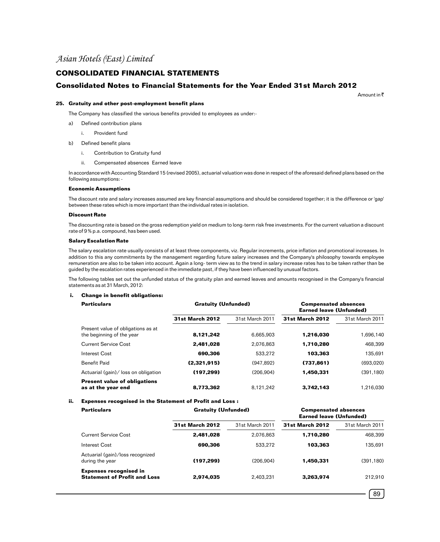# **CONSOLIDATED FINANCIAL STATEMENTS**

## **Consolidated Notes to Financial Statements for the Year Ended 31st March 2012**

Amount in  $\bar{z}$ 

## **25. Gratuity and other post-employment benefit plans**

The Company has classified the various benefits provided to employees as under:-

- a) Defined contribution plans
	- i. Provident fund
- b) Defined benefit plans
	- i. Contribution to Gratuity fund
	- ii. Compensated absences Earned leave

In accordance with Accounting Standard 15 (revised 2005), actuarial valuation was done in respect of the aforesaid defined plans based on the following assumptions: -

### **Economic Assumptions**

The discount rate and salary increases assumed are key financial assumptions and should be considered together; it is the difference or 'gap' between these rates which is more important than the individual rates in isolation.

### **Discount Rate**

The discounting rate is based on the gross redemption yield on medium to long-term risk free investments. For the current valuation a discount rate of 9 % p.a. compound, has been used.

## **Salary Escalation Rate**

The salary escalation rate usually consists of at least three components, viz. Regular increments, price inflation and promotional increases. In addition to this any commitments by the management regarding future salary increases and the Company's philosophy towards employee remuneration are also to be taken into account. Again a long- term view as to the trend in salary increase rates has to be taken rather than be guided by the escalation rates experienced in the immediate past, if they have been influenced by unusual factors.

The following tables set out the unfunded status of the gratuity plan and earned leaves and amounts recognised in the Company's financial statements as at 31 March, 2012:

#### **i. Change in benefit obligations:**

| <b>Particulars</b>                                              | <b>Gratuity (Unfunded)</b> |                 | <b>Compensated absences</b><br><b>Earned leave (Unfunded)</b> |                 |  |
|-----------------------------------------------------------------|----------------------------|-----------------|---------------------------------------------------------------|-----------------|--|
|                                                                 | <b>31st March 2012</b>     | 31st March 2011 | <b>31st March 2012</b>                                        | 31st March 2011 |  |
| Present value of obligations as at<br>the beginning of the year | 8,121,242                  | 6.665.903       | 1.216.030                                                     | 1,696,140       |  |
| Current Service Cost                                            | 2.481.028                  | 2.076.863       | 1.710.280                                                     | 468,399         |  |
| Interest Cost                                                   | 690.306                    | 533.272         | 103.363                                                       | 135,691         |  |
| <b>Benefit Paid</b>                                             | (2.321.915)                | (947.892)       | (737.861)                                                     | (693,020)       |  |
| Actuarial (gain)/ loss on obligation                            | (197.299)                  | (206, 904)      | 1.450.331                                                     | (391, 180)      |  |
| <b>Present value of obligations</b><br>as at the year end       | 8.773.362                  | 8.121.242       | 3.742.143                                                     | 1.216.030       |  |

### **ii. Expenses recognised in the Statement of Profit and Loss :**

| <b>Particulars</b>                                                   | <b>Gratuity (Unfunded)</b> |                 | <b>Compensated absences</b><br><b>Earned leave (Unfunded)</b> |                 |  |
|----------------------------------------------------------------------|----------------------------|-----------------|---------------------------------------------------------------|-----------------|--|
|                                                                      | <b>31st March 2012</b>     | 31st March 2011 | <b>31st March 2012</b>                                        | 31st March 2011 |  |
| Current Service Cost                                                 | 2,481,028                  | 2.076.863       | 1.710.280                                                     | 468.399         |  |
| Interest Cost                                                        | 690.306                    | 533.272         | 103.363                                                       | 135,691         |  |
| Actuarial (gain)/loss recognized<br>during the year                  | (197.299)                  | (206.904)       | 1,450,331                                                     | (391, 180)      |  |
| <b>Expenses recognised in</b><br><b>Statement of Profit and Loss</b> | 2,974,035                  | 2,403,231       | 3,263,974                                                     | 212,910         |  |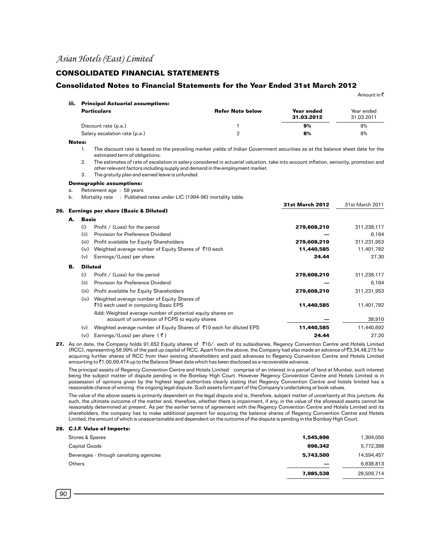# **CONSOLIDATED FINANCIAL STATEMENTS**

## **Consolidated Notes to Financial Statements for the Year Ended 31st March 2012**

| iii. | <b>Principal Actuarial assumptions:</b> |                         |                                 |                          |
|------|-----------------------------------------|-------------------------|---------------------------------|--------------------------|
|      | <b>Particulars</b>                      | <b>Refer Note below</b> | <b>Year ended</b><br>31.03.2012 | Year ended<br>31.03.2011 |
|      | Discount rate (p.a.)                    |                         | 9%                              | 8%                       |
|      | Salary escalation rate (p.a.)           |                         | 8%                              | 8%                       |

 $\Delta$ mount in  $\bar{\bar{\tau}}$ 

#### **Notes:**

1. The discount rate is based on the prevailing market yields of Indian Government securities as at the balance sheet date for the estimated term of obligations.

2. The estimates of rate of escalation in salary considered in actuarial valuation, take into account inflation, seniority, promotion and other relevant factors including supply and demand in the employment market.

3. The gratuity plan and earned leave is unfunded.

### **Demographic assumptions:**

- a. Retirement age : 58 years
- b. Mortality rate : Published rates under LIC (1994-96) mortality table.

|     |                      |       |                                                                                                              | <b>31st March 2012</b> | 31st March 2011 |
|-----|----------------------|-------|--------------------------------------------------------------------------------------------------------------|------------------------|-----------------|
| 26. |                      |       | <b>Earnings per share (Basic &amp; Diluted)</b>                                                              |                        |                 |
|     | А.                   | Basic |                                                                                                              |                        |                 |
|     |                      | (i)   | Profit $\angle$ (Loss) for the period                                                                        | 279,608,210            | 311,238,117     |
|     |                      | (ii)  | Provision for Preference Dividend                                                                            |                        | 6,164           |
|     |                      | (iii) | Profit available for Equity Shareholders                                                                     | 279,608,210            | 311,231,953     |
|     |                      | (iv)  | Weighted average number of Equity Shares of ₹10 each                                                         | 11,440,585             | 11,401,782      |
|     |                      | (v)   | Earnings/(Loss) per share                                                                                    | 24.44                  | 27.30           |
|     | <b>Diluted</b><br>в. |       |                                                                                                              |                        |                 |
|     |                      | (i)   | Profit $\angle$ (Loss) for the period                                                                        | 279,608,210            | 311,238,117     |
|     |                      | (ii)  | Provision for Preference Dividend                                                                            |                        | 6,164           |
|     |                      | (iii) | Profit available for Equity Shareholders                                                                     | 279,608,210            | 311,231,953     |
|     |                      | (iv)  | Weighted average number of Equity Shares of<br>₹10 each used in computing Basic EPS                          | 11,440,585             | 11,401,782      |
|     |                      |       | Add: Weighted average number of potential equity shares on<br>account of conversion of FCPS to equity shares |                        | 38,910          |
|     |                      | (v)   | Weighted average number of Equity Shares of ₹10 each for diluted EPS                                         | 11,440,585             | 11,440,692      |
|     |                      | (vi)  | Earnings/(Loss) per share $(\bar{\tau})$                                                                     | 24.44                  | 27.20           |

**27.** As on date, the Company holds 91,652 Equity shares of ₹10⁄- each of its subsidiaries, Regency Convention Centre and Hotels Limited (RCC), representing 58.99% of the paid up capital of RCC. Apart from the above, the Company had also made an advance of ₹3,34,48,275 for acquiring further shares of RCC from their existing shareholders and paid advances to Regency Convention Centre and Hotels Limited amounting to ₹1,00,69,474 up to the Balance Sheet date which has been disclosed as a recoverable advance.

The principal assets of Regency Convention Centre and Hotels Limited comprise of an interest in a parcel of land at Mumbai, such interest being the subject matter of dispute pending in the Bombay High Court. However Regency Convention Centre and Hotels Limited is in possession of opinions given by the highest legal authorities clearly stating that Regency Convention Centre and hotels limited has a reasonable chance of winning the ongoing legal dispute. Such assets form part of the Company's undertaking at book values.

The value of the above assets is primarily dependent on the legal dispute and is, therefore, subject matter of uncertainty at this juncture. As such, the ultimate outcome of the matter and, therefore, whether there is impairment, if any, in the value of the aforesaid assets cannot be reasonably determined at present. As per the earlier terms of agreement with the Regency Convention Centre and Hotels Limited and its shareholders, the company has to make additional payment for acquiring the balance shares of Regency Convention Centre and Hotels Limited, the amount of which is unascertainable and dependent on the outcome of the dispute is pending in the Bombay High Court.

### **28. C.I.F. Value of Imports:**

| Stores & Spares                         | 1,545,696 | 1,304,056  |
|-----------------------------------------|-----------|------------|
| Capital Goods                           | 696.342   | 5,772,388  |
| Beverages - through canalizing agencies | 5,743,500 | 14,594,457 |
| <b>Others</b>                           |           | 6,838,813  |
|                                         | 7,985,538 | 28,509,714 |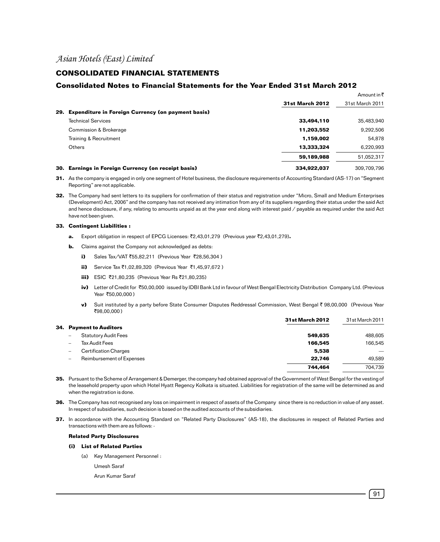# **CONSOLIDATED FINANCIAL STATEMENTS**

## **Consolidated Notes to Financial Statements for the Year Ended 31st March 2012**

|     |                                                           |                        | Amount in ₹     |
|-----|-----------------------------------------------------------|------------------------|-----------------|
|     |                                                           | <b>31st March 2012</b> | 31st March 2011 |
| 29. | <b>Expenditure in Foreign Currency (on payment basis)</b> |                        |                 |
|     | <b>Technical Services</b>                                 | 33,494,110             | 35.483.940      |
|     | Commission & Brokerage                                    | 11,203,552             | 9,292,506       |
|     | Training & Recruitment                                    | 1,159,002              | 54.878          |
|     | Others                                                    | 13,333,324             | 6,220,993       |
|     |                                                           | 59,189,988             | 51,052,317      |
|     | 30. Earnings in Foreign Currency (on receipt basis)       | 334,922,037            | 309.709.796     |

**31.** As the company is engaged in only one segment of Hotel business, the disclosure requirements of Accounting Standard (AS-17) on "Segment Reporting" are not applicable.

**32.** The Company had sent letters to its suppliers for confirmation of their status and registration under "Micro, Small and Medium Enterprises (Development) Act, 2006" and the company has not received any intimation from any of its suppliers regarding their status under the said Act and hence disclosure, if any, relating to amounts unpaid as at the year end along with interest paid / payable as required under the said Act have not been given.

### **33. Contingent Liabilities :**

- **a.** Export obligation in respect of EPCG Licenses: ₹2,43,01,279 (Previous year ₹2,43,01,279).
- **b.** Claims against the Company not acknowledged as debts:
	- **i)** Sales Tax/VAT ₹55,82,211 (Previous Year ₹28,56,304)
	- **ii)** Service Tax ₹1,02,89,320 (Previous Year ₹1,45,97,672)
	- **iii)** ESIC ₹21,80,235 (Previous Year Rs ₹21,80,235)
	- **iv)** Letter of Credit for `50,00,000 issued by IDBI Bank Ltd in favour of West Bengal Electricity Distribution Company Ltd. (Previous Year ₹50,00,000)
	- v) Suit instituted by a party before State Consumer Disputes Reddressal Commission, West Bengal ₹ 98,00,000 (Previous Year `98,00,000 )

|     |                                                         | <b>31st March 2012</b> | 31st March 2011 |
|-----|---------------------------------------------------------|------------------------|-----------------|
| 34. | <b>Payment to Auditors</b>                              |                        |                 |
|     | <b>Statutory Audit Fees</b><br>$\overline{\phantom{0}}$ | 549.635                | 488,605         |
|     | <b>Tax Audit Fees</b><br>-                              | 166.545                | 166,545         |
|     | <b>Certification Charges</b>                            | 5,538                  | _               |
|     | Reimbursement of Expenses<br>$\overline{\phantom{0}}$   | 22.746                 | 49,589          |
|     |                                                         | 744.464                | 704.739         |

- **35.** Pursuant to the Scheme of Arrangement & Demerger, the company had obtained approval of the Government of West Bengal for the vesting of the leasehold property upon which Hotel Hyatt Regency Kolkata is situated. Liabilities for registration of the same will be determined as and when the registration is done.
- **36.** The Company has not recognised any loss on impairment in respect of assets of the Company since there is no reduction in value of any asset. In respect of subsidiaries, such decision is based on the audited accounts of the subsidiaries.
- **37.** In accordance with the Accounting Standard on "Related Party Disclosures" (AS-18), the disclosures in respect of Related Parties and transactions with them are as follows: -

### **Related Party Disclosures**

## **(i) List of Related Parties**

(a) Key Management Personnel :

Umesh Saraf

Arun Kumar Saraf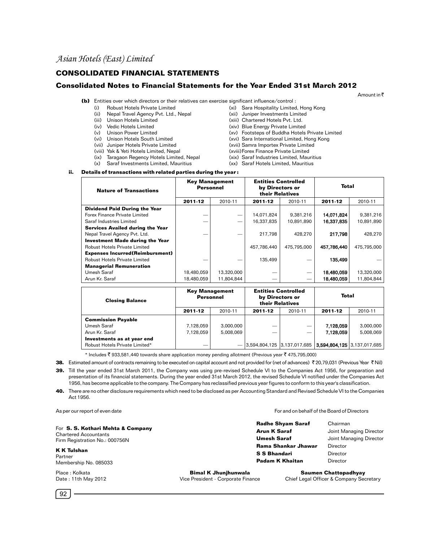# **CONSOLIDATED FINANCIAL STATEMENTS**

## **Consolidated Notes to Financial Statements for the Year Ended 31st March 2012**

 $\Delta$ mount in  $\bar{z}$ 

**(b)** Entities over which directors or their relatives can exercise significant influence/control :

- 
- (ii) Nepal Travel Agency Pvt. Ltd., Nepal (xii) Juniper Investments Limited<br>(iii) Unison Hotels Limited (xiii) Chartered Hotels Pvt. Ltd.
- 
- 
- 
- 
- 
- 
- (viii) Yak & Yeti Hotels Limited, Nepal (xviii) Forex Finance Private Limited<br>(ix) Taragaon Regency Hotels Limited, Nepal (xix) Saraf Industries Limited, Mauritius (ix) Taragaon Regency Hotels Limited, Nepal
- (x) Saraf Investments Limited, Mauritius (xx) Saraf Hotels Limited, Mauritius
- (i) Robust Hotels Private Limited (xi) Sara Hospitality Limited, Hong Kong
	-
	- Unison Hotels Limited<br>
	Vedic Hotels Limited (xiv) Blue Energy Private Limite<br>
	(xiv) Blue Energy Private Limite
- (iv) Vedic Hotels Limited (xiv) Blue Energy Private Limited<br>(v) Linison Power Limited (xiv) Enotstens of Buddha Hotels
- (v) Unison Power Limited (xv) Footsteps of Buddha Hotels Private Limited (xi) Tootsteps of Buddha Hotels Private Limited (xi) Sara International Limited (xi) Sara International Limited. Hong Kong
- (vi) Unison Hotels South Limited (xvi) Sara International Limited, Hong Kong<br>(xvii) Juniper Hotels Private Limited (xvii) Samra Importex Private Limited
	- (xvii) Samra Importex Private Limited<br>(xviii) Forex Finance Private Limited
	-
	-
	-

## **ii. Details of transactions with related parties during the year :**

| <b>Nature of Transactions</b>           | <b>Key Management</b><br><b>Personnel</b> |            | <b>Entities Controlled</b><br>by Directors or<br>their Relatives |             | <b>Total</b> |             |
|-----------------------------------------|-------------------------------------------|------------|------------------------------------------------------------------|-------------|--------------|-------------|
|                                         | 2011-12                                   | 2010-11    | 2011-12                                                          | 2010-11     | 2011-12      | 2010-11     |
| <b>Dividend Paid During the Year</b>    |                                           |            |                                                                  |             |              |             |
| Forex Finance Private Limited           |                                           |            | 14,071,824                                                       | 9,381,216   | 14.071.824   | 9,381,216   |
| Saraf Industries Limited                |                                           |            | 16,337,835                                                       | 10,891,890  | 16,337,835   | 10,891,890  |
| <b>Services Availed during the Year</b> |                                           |            |                                                                  |             |              |             |
| Nepal Travel Agency Pvt. Ltd.           |                                           |            | 217.798                                                          | 428.270     | 217.798      | 428.270     |
| <b>Investment Made during the Year</b>  |                                           |            |                                                                  |             |              |             |
| <b>Robust Hotels Private Limited</b>    |                                           |            | 457.786.440                                                      | 475.795.000 | 457.786.440  | 475.795.000 |
| <b>Expenses Incurred(Reimbursment)</b>  |                                           |            |                                                                  |             |              |             |
| <b>Robust Hotels Private Limited</b>    |                                           |            | 135,499                                                          |             | 135.499      |             |
| <b>Managerial Remuneration</b>          |                                           |            |                                                                  |             |              |             |
| Umesh Saraf                             | 18,480,059                                | 13,320,000 |                                                                  |             | 18,480,059   | 13,320,000  |
| Arun Kr. Saraf                          | 18,480,059                                | 11,804,844 |                                                                  |             | 18,480,059   | 11,804,844  |

| <b>Closing Balance</b>         | <b>Key Management</b><br><b>Personnel</b> |           | <b>Entities Controlled</b><br>by Directors or<br>their Relatives |         | Total     |                                                             |
|--------------------------------|-------------------------------------------|-----------|------------------------------------------------------------------|---------|-----------|-------------------------------------------------------------|
|                                | 2011-12                                   | 2010-11   | 2011-12                                                          | 2010-11 | 2011-12   | 2010-11                                                     |
| <b>Commission Payable</b>      |                                           |           |                                                                  |         |           |                                                             |
| Umesh Saraf                    | 7,128,059                                 | 3.000.000 |                                                                  |         | 7,128,059 | 3,000,000                                                   |
| Arun Kr. Saraf                 | 7,128,059                                 | 5.008.069 |                                                                  |         | 7.128.059 | 5,008,069                                                   |
| Investments as at year end     |                                           |           |                                                                  |         |           |                                                             |
| Robust Hotels Private Limited* |                                           |           |                                                                  |         |           | $-$ 3,594,804,125 3,137,017,685 3,594,804,125 3,137,017,685 |

\* Includes  $\bar{\zeta}$  933,581,440 towards share application money pending allotment (Previous year  $\bar{\zeta}$  475,795,000)

38. Estimated amount of contracts remaining to be executed on capital account and not provided for (net of advances) ₹20,79,031 (Previous Year ₹ Nil)

**39.** Till the year ended 31st March 2011, the Company was using pre-revised Schedule VI to the Companies Act 1956, for preparation and presentation of its financial statements. During the year ended 31st March 2012, the revised Schedule VI notified under the Companies Act 1956, has become applicable to the company. The Company has reclassified previous year figures to conform to this year's classification.

**40.** There are no other disclosure requirements which need to be disclosed as per Accounting Standard and Revised Schedule VI to the Companies Act 1956.

For **S. S. Kothari Mehta & Company** Chartered Accountants

Firm Registration No.: 000756N

#### **K K Tulshan**

Partner Membership No. 085033

As per our report of even date  $\blacksquare$  and  $\blacksquare$  are  $\blacksquare$  For and on behalf of the Board of Directors

**Radhe Shyam Saraf** Chairman **Arun K Saraf Joint Managing Director Umesh Saraf** Joint Managing Director **Rama Shankar Jhawar** Director **S S Bhandari** Director **Padam K Khaitan** Director

Place : Kolkata **Bimal K Jhunjhunwala Saumen Chattopadhyay**

Date : 11th May 2012 **Vice President - Corporate Finance** Chief Legal Officer & Company Secretary

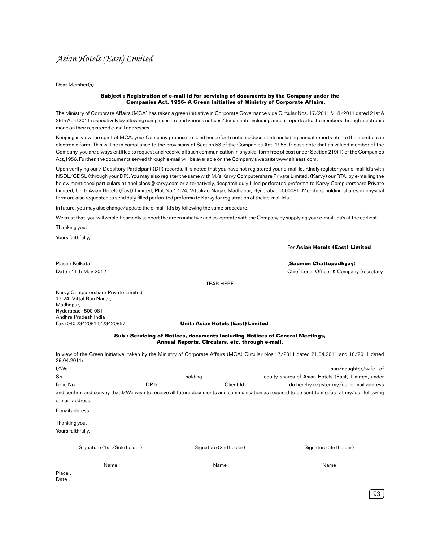Dear Member(s),

### **Subject : Registration of e-mail id for servicing of documents by the Company under the Companies Act, 1956- A Green Initiative of Ministry of Corporate Affairs.**

The Ministry of Corporate Affairs (MCA) has taken a green initiative in Corporate Governance vide Circular Nos. 17/2011 & 18/2011 dated 21st & 29th April 2011 respectively by allowing companies to send various notices/documents including annual reports etc., to members through electronic mode on their registered e-mail addresses.

Keeping in view the spirit of MCA, your Company propose to send henceforth notices/documents including annual reports etc. to the members in electronic form. This will be in compliance to the provisions of Section 53 of the Companies Act, 1956. Please note that as valued member of the Company, you are always entitled to request and receive all such communication in physical form free of cost under Section 219(1) of the Companies Act,1956. Further, the documents served through e-mail will be available on the Company's website www.ahleast.com.

Upon verifying our / Depsitory Participant (DP) records, it is noted that you have not registered your e-mail id. Kindly register your e-mail id's with NSDL/CDSL (through your DP). You may also register the same with M/s Karvy Computershare Private Limited, (Karvy) our RTA, by e-mailing the below mentioned particulars at ahel.clocs@karvy.com or alternatively, despatch duly filled perforated proforma to Karvy Computershare Private Limited, Unit: Asian Hotels (East) Limited, Plot No.17-24, Vittalrao Nagar, Madhapur, Hyderabad -500081. Members holding shares in physical form are also requested to send duly filled perforated proforma to Karvy for registration of their e-mail id's.

In future, you may also change/update the e-mail id's by following the same procedure.

We trust that you will whole-heartedly support the green initiative and co-opreate with the Company by supplying your e-mail ids's at the earliest.

For **Asian Hotels (East) Limited**

Thanking you.

Yours faithfully,

|             | Place: Kolkata                                                  |                                                                                                                                | (Saumen Chattopadhyay)                                                                                                                      |
|-------------|-----------------------------------------------------------------|--------------------------------------------------------------------------------------------------------------------------------|---------------------------------------------------------------------------------------------------------------------------------------------|
|             | Date: 11th May 2012                                             |                                                                                                                                | Chief Legal Officer & Company Secretary                                                                                                     |
|             |                                                                 |                                                                                                                                |                                                                                                                                             |
|             |                                                                 |                                                                                                                                |                                                                                                                                             |
|             | Karvy Computershare Private Limited<br>17-24. Vittal Rao Nagar, |                                                                                                                                |                                                                                                                                             |
| Madhapur,   |                                                                 |                                                                                                                                |                                                                                                                                             |
|             | Hyderabad- 500 081                                              |                                                                                                                                |                                                                                                                                             |
|             | Andhra Pradesh India                                            |                                                                                                                                |                                                                                                                                             |
|             | Fax: 040 23420814/23420857                                      | Unit: Asian Hotels (East) Limited                                                                                              |                                                                                                                                             |
|             |                                                                 | Sub: Servicing of Notices, documents including Notices of General Meetings,<br>Annual Reports, Circulars, etc. through e-mail. |                                                                                                                                             |
| 29.04.2011: |                                                                 |                                                                                                                                | In view of the Green Initiative, taken by the Ministry of Corporate Affairs (MCA) Circular Nos.17/2011 dated 21.04.2011 and 18/2011 dated   |
|             |                                                                 |                                                                                                                                |                                                                                                                                             |
|             |                                                                 |                                                                                                                                |                                                                                                                                             |
|             |                                                                 |                                                                                                                                |                                                                                                                                             |
|             |                                                                 |                                                                                                                                | and confirm and convey that I/We wish to receive all future documents and communication as required to be sent to me/us at my/our following |
|             | e-mail address.                                                 |                                                                                                                                |                                                                                                                                             |
|             |                                                                 |                                                                                                                                |                                                                                                                                             |
|             |                                                                 |                                                                                                                                |                                                                                                                                             |
|             | Thanking you.                                                   |                                                                                                                                |                                                                                                                                             |
|             | Yours faithfully,                                               |                                                                                                                                |                                                                                                                                             |
|             |                                                                 |                                                                                                                                |                                                                                                                                             |
|             | Signature (1st / Sole holder)                                   | Signature (2nd holder)                                                                                                         | Signature (3rd holder)                                                                                                                      |
|             | Name                                                            | Name                                                                                                                           | Name                                                                                                                                        |
| Place:      |                                                                 |                                                                                                                                |                                                                                                                                             |
| Date:       |                                                                 |                                                                                                                                |                                                                                                                                             |
|             |                                                                 |                                                                                                                                |                                                                                                                                             |
|             |                                                                 |                                                                                                                                | 93                                                                                                                                          |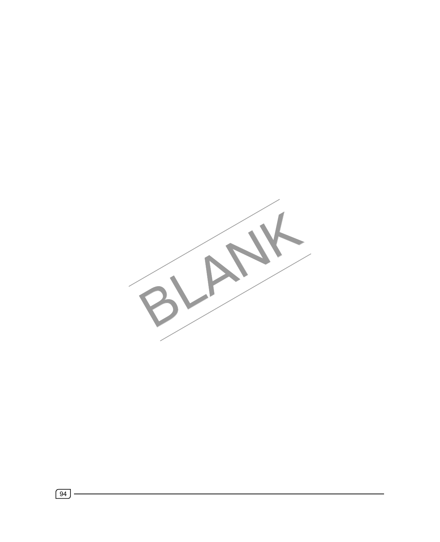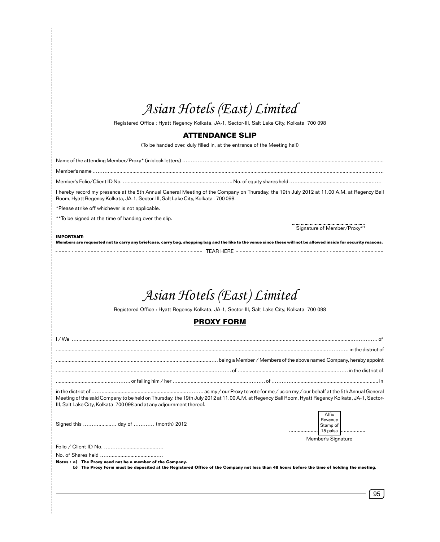Registered Office : Hyatt Regency Kolkata, JA-1, Sector-III, Salt Lake City, Kolkata 700 098

## **ATTENDANCE SLIP**

(To be handed over, duly filled in, at the entrance of the Meeting hall)

Name of the attending Member/Proxy\* (in block letters) ……………..........................................................................................................................

Member's name ………...........................................................................................................................................................................................….

Member's Folio/Client ID No. ……………………………………………………………………………No. of equity shares held ……………………………………………………………………

I hereby record my presence at the 5th Annual General Meeting of the Company on Thursday, the 19th July 2012 at 11.00 A.M. at Regency Ball Room, Hyatt Regency Kolkata, JA-1, Sector-III, Salt Lake City, Kolkata - 700 098.

\*Please strike off whichever is not applicable.

\*\*To be signed at the time of handing over the slip.

Signature of Member/Proxy\*\*

**IMPORTANT: Members are requested not to carry any briefcase, carry bag, shopping bag and the like to the venue since these will not be allowed inside for security reasons.** TEAR HERE

# *Asian Hotels (East) Limited*

Registered Office : Hyatt Regency Kolkata, JA-1, Sector-III, Salt Lake City, Kolkata 700 098

# **PROXY FORM**

| Ⅰ/We                                                                                                                                                                                                                    |                                                    |
|-------------------------------------------------------------------------------------------------------------------------------------------------------------------------------------------------------------------------|----------------------------------------------------|
|                                                                                                                                                                                                                         |                                                    |
|                                                                                                                                                                                                                         |                                                    |
|                                                                                                                                                                                                                         |                                                    |
|                                                                                                                                                                                                                         |                                                    |
| Meeting of the said Company to be held on Thursday, the 19th July 2012 at 11.00 A.M. at Regency Ball Room, Hyatt Regency Kolkata, JA-1, Sector-<br>III, Salt Lake City, Kolkata 700 098 and at any adjournment thereof. |                                                    |
|                                                                                                                                                                                                                         | Affix<br>Revenue<br>Stamp of<br>Member's Signature |
|                                                                                                                                                                                                                         |                                                    |
|                                                                                                                                                                                                                         |                                                    |
| Notes: a) The Proxy need not be a member of the Company.<br>b) The Proxy Form must be deposited at the Registered Office of the Company not less than 48 hours before the time of holding the meeting.                  |                                                    |
|                                                                                                                                                                                                                         |                                                    |
|                                                                                                                                                                                                                         |                                                    |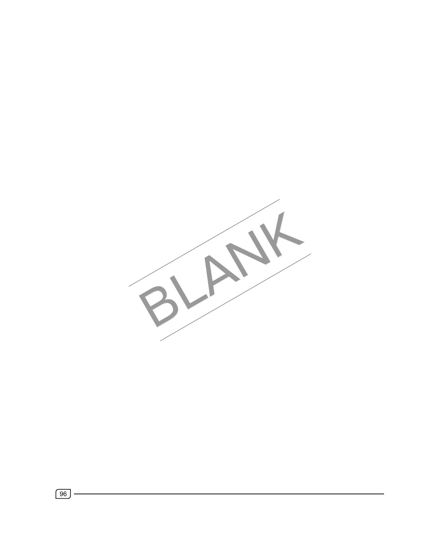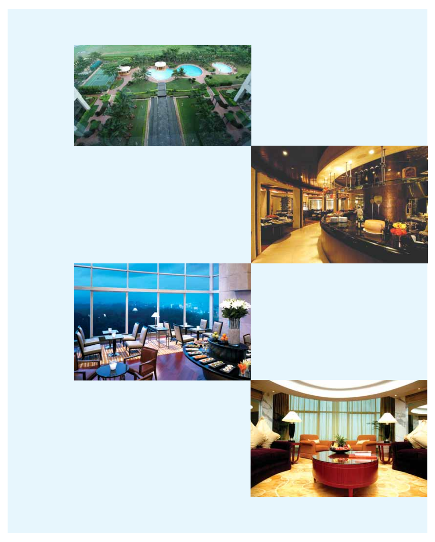